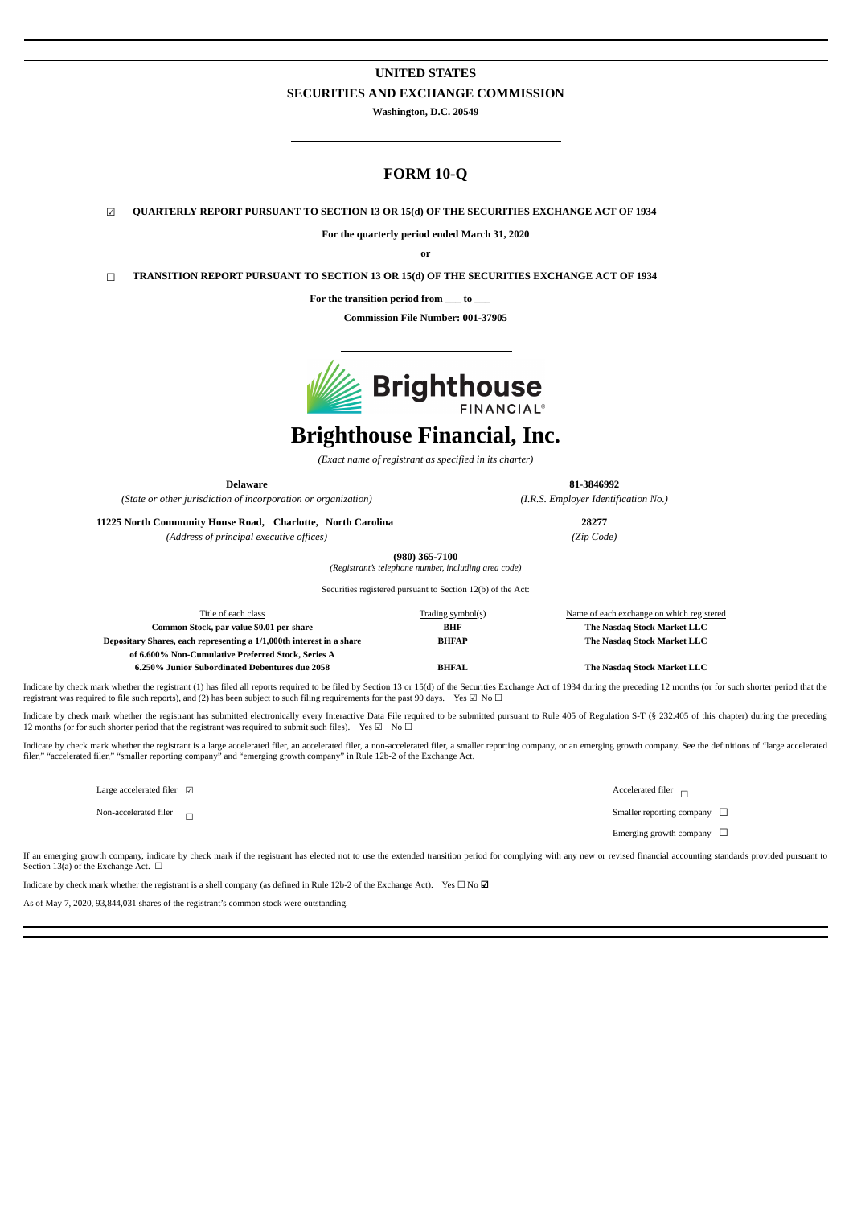#### **UNITED STATES**

#### **SECURITIES AND EXCHANGE COMMISSION**

**Washington, D.C. 20549**

# **FORM 10-Q**

☑ **QUARTERLY REPORT PURSUANT TO SECTION 13 OR 15(d) OF THE SECURITIES EXCHANGE ACT OF 1934**

**For the quarterly period ended March 31, 2020**

**or**

☐ **TRANSITION REPORT PURSUANT TO SECTION 13 OR 15(d) OF THE SECURITIES EXCHANGE ACT OF 1934**

**For the transition period from \_\_\_ to \_\_\_**

**Commission File Number: 001-37905**



# **Brighthouse Financial, Inc.**

*(Exact name of registrant as specified in its charter)*

**Delaware 81-3846992**

*(State or other jurisdiction of incorporation or organization) (I.R.S. Employer Identification No.)*

**11225 North Community House Road, Charlotte, North Carolina 28277** *(Address of principal executive offices) (Zip Code)*

> **(980) 365-7100** *(Registrant's telephone number, including area code)*

Securities registered pursuant to Section 12(b) of the Act:

Title of each class Trading symbol(s) Name of each exchange on which registered **Common Stock, par value \$0.01 per share BHF The Nasdaq Stock Market LLC Depositary Shares, each representing a 1/1,000th interest in a share BHFAP The Nasdaq Stock Market LLC of 6.600% Non-Cumulative Preferred Stock, Series A 6.250% Junior Subordinated Debentures due 2058 BHFAL The Nasdaq Stock Market LLC**

Indicate by check mark whether the registrant (1) has filed all reports required to be filed by Section 13 or 15(d) of the Securities Exchange Act of 1934 during the preceding 12 months (or for such shorter period that the registrant was required to file such reports), and (2) has been subject to such filing requirements for the past 90 days. Yes  $\boxtimes$  No  $\Box$ 

Indicate by check mark whether the registrant has submitted electronically every Interactive Data File required to be submitted pursuant to Rule 405 of Regulation S-T (§ 232.405 of this chapter) during the preceding 12 months (or for such shorter period that the registrant was required to submit such files). Yes  $\boxtimes$  No  $\Box$ 

Indicate by check mark whether the registrant is a large accelerated filer, an accelerated filer, a non-accelerated filer, a smaller reporting company, or an emerging growth company. See the definitions of "large accelerat filer," "accelerated filer," "smaller reporting company" and "emerging growth company" in Rule 12b-2 of the Exchange Act.

Large accelerated filer  $□$  Accelerated filer  $□$ Non-accelerated filer  $\Box$ Smaller reporting company  $□$ Emerging growth company  $\Box$ 

If an emerging growth company, indicate by check mark if the registrant has elected not to use the extended transition period for complying with any new or revised financial accounting standards provided pursuant to Section 13(a) of the Exchange Act.  $\Box$ 

Indicate by check mark whether the registrant is a shell company (as defined in Rule 12b-2 of the Exchange Act). Yes  $\Box$  No  $\Box$ 

As of May 7, 2020, 93,844,031 shares of the registrant's common stock were outstanding.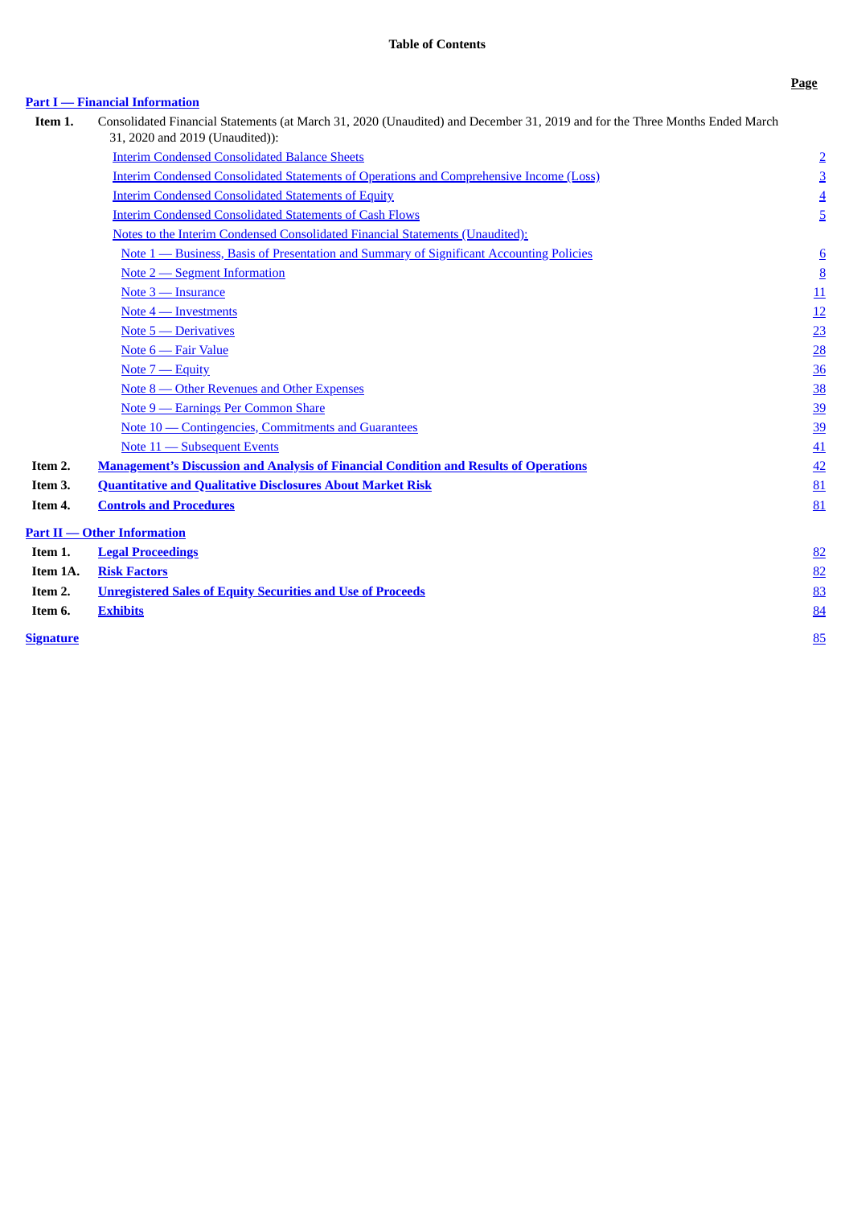# **Table of Contents**

# **Page**

<span id="page-1-0"></span>

|         |                                                                                                                                                                | <u>rage</u>     |
|---------|----------------------------------------------------------------------------------------------------------------------------------------------------------------|-----------------|
|         | <b>Part I</b> - Financial Information                                                                                                                          |                 |
| Item 1. | Consolidated Financial Statements (at March 31, 2020 (Unaudited) and December 31, 2019 and for the Three Months Ended March<br>31, 2020 and 2019 (Unaudited)): |                 |
|         | <b>Interim Condensed Consolidated Balance Sheets</b>                                                                                                           | $\overline{2}$  |
|         | <b>Interim Condensed Consolidated Statements of Operations and Comprehensive Income (Loss)</b>                                                                 | 3               |
|         | <b>Interim Condensed Consolidated Statements of Equity</b>                                                                                                     | <u>4</u>        |
|         | <b>Interim Condensed Consolidated Statements of Cash Flows</b>                                                                                                 | $\overline{5}$  |
|         | Notes to the Interim Condensed Consolidated Financial Statements (Unaudited):                                                                                  |                 |
|         | <u>Note 1 — Business, Basis of Presentation and Summary of Significant Accounting Policies</u>                                                                 | $6\overline{6}$ |
|         | Note 2 – Segment Information                                                                                                                                   | 8               |
|         | Note 3 - Insurance                                                                                                                                             | 11              |
|         | Note $4$ — Investments                                                                                                                                         | <u> 12</u>      |
|         | Note 5 – Derivatives                                                                                                                                           | 23              |
|         | Note 6 — Fair Value                                                                                                                                            | 28              |
|         | Note $7$ - Equity                                                                                                                                              | <u>36</u>       |
|         | Note 8 — Other Revenues and Other Expenses                                                                                                                     | 38              |
|         | Note 9 - Earnings Per Common Share                                                                                                                             | 39              |
|         | Note 10 – Contingencies, Commitments and Guarantees                                                                                                            | 39              |
|         | Note 11 - Subsequent Events                                                                                                                                    | 41              |
| Item 2. | <b>Management's Discussion and Analysis of Financial Condition and Results of Operations</b>                                                                   | 42              |
| Item 3. | <b>Quantitative and Qualitative Disclosures About Market Risk</b>                                                                                              | 81              |
| Item 4. | <b>Controls and Procedures</b>                                                                                                                                 | 81              |

# **Part II — Other [Information](#page-82-0)**

| Item 1. | <u>Legal Proceedings</u> |  |  |
|---------|--------------------------|--|--|
|---------|--------------------------|--|--|

- **Item 1A. Risk [Factors](#page-82-2)** [82](#page-82-2)
- **Item 2. [Unregistered](#page-83-0) Sales of Equity Securities and Use of Proceeds** [83](#page-83-0)
- **Item 6. [Exhibits](#page-84-0)** [84](#page-84-0)

# **<u>[Signature](#page-85-0)</u> [85](#page-85-0) and 85 and 85 and 85 and 85 and 86 and 86 and 86 and 86 and 86 and 86 and 86 and 86 and 86 and 86 and**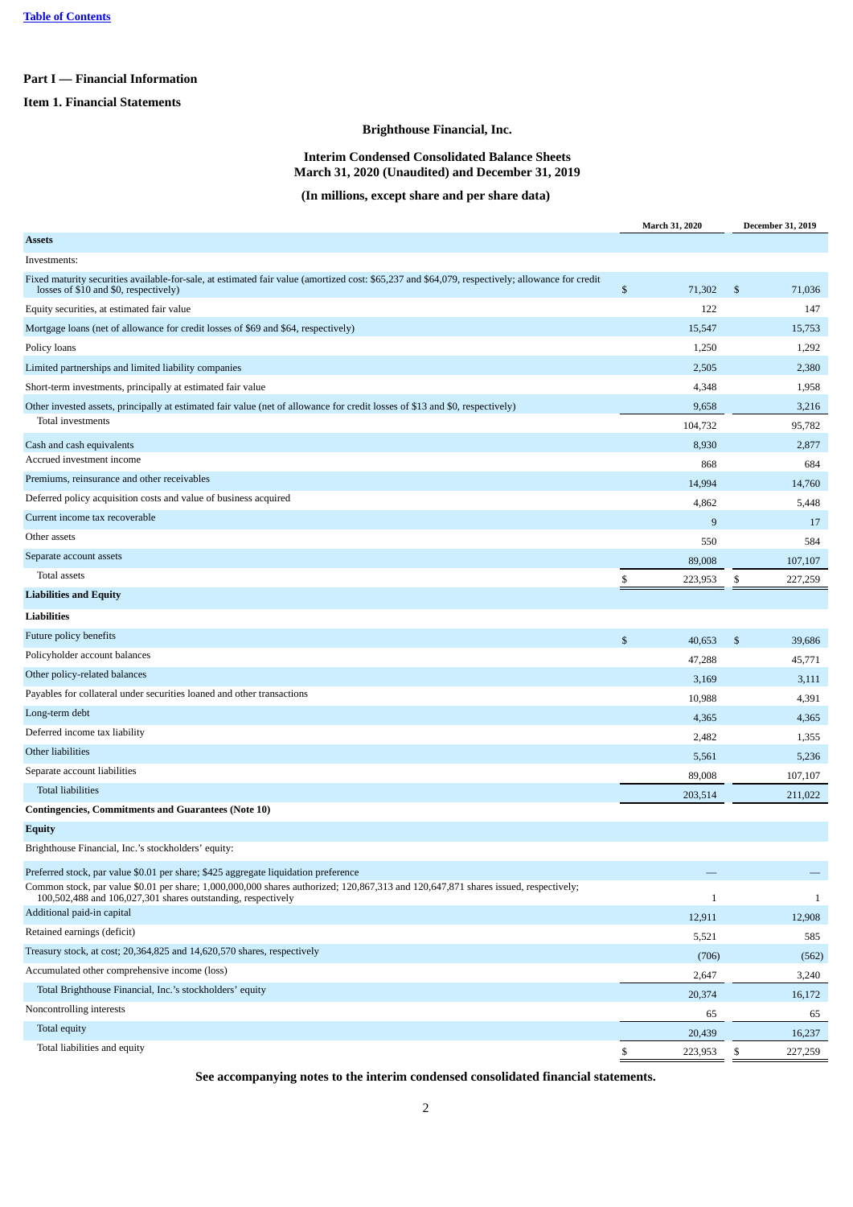#### <span id="page-2-0"></span>**Part I — Financial Information**

# <span id="page-2-1"></span>**Item 1. Financial Statements**

**Brighthouse Financial, Inc.**

# **Interim Condensed Consolidated Balance Sheets March 31, 2020 (Unaudited) and December 31, 2019**

# **(In millions, except share and per share data)**

|                                                                                                                                                                                                     |              | March 31, 2020 | <b>December 31, 2019</b> |
|-----------------------------------------------------------------------------------------------------------------------------------------------------------------------------------------------------|--------------|----------------|--------------------------|
| <b>Assets</b>                                                                                                                                                                                       |              |                |                          |
| Investments:                                                                                                                                                                                        |              |                |                          |
| Fixed maturity securities available-for-sale, at estimated fair value (amortized cost: \$65,237 and \$64,079, respectively; allowance for credit<br>losses of \$10 and \$0, respectively)           | $\mathbb{S}$ | 71,302         | \$<br>71,036             |
| Equity securities, at estimated fair value                                                                                                                                                          |              | 122            | 147                      |
| Mortgage loans (net of allowance for credit losses of \$69 and \$64, respectively)                                                                                                                  |              | 15,547         | 15,753                   |
| Policy loans                                                                                                                                                                                        |              | 1,250          | 1,292                    |
| Limited partnerships and limited liability companies                                                                                                                                                |              | 2,505          | 2,380                    |
| Short-term investments, principally at estimated fair value                                                                                                                                         |              | 4,348          | 1,958                    |
| Other invested assets, principally at estimated fair value (net of allowance for credit losses of \$13 and \$0, respectively)<br><b>Total investments</b>                                           |              | 9,658          | 3,216                    |
|                                                                                                                                                                                                     |              | 104,732        | 95,782                   |
| Cash and cash equivalents<br>Accrued investment income                                                                                                                                              |              | 8,930          | 2,877                    |
|                                                                                                                                                                                                     |              | 868            | 684                      |
| Premiums, reinsurance and other receivables                                                                                                                                                         |              | 14,994         | 14,760                   |
| Deferred policy acquisition costs and value of business acquired                                                                                                                                    |              | 4,862          | 5,448                    |
| Current income tax recoverable                                                                                                                                                                      |              | 9              | 17                       |
| Other assets                                                                                                                                                                                        |              | 550            | 584                      |
| Separate account assets                                                                                                                                                                             |              | 89,008         | 107,107                  |
| Total assets                                                                                                                                                                                        | \$           | 223,953        | \$<br>227,259            |
| <b>Liabilities and Equity</b>                                                                                                                                                                       |              |                |                          |
| Liabilities                                                                                                                                                                                         |              |                |                          |
| Future policy benefits                                                                                                                                                                              | $\mathbb{S}$ | 40,653         | \$<br>39,686             |
| Policyholder account balances                                                                                                                                                                       |              | 47,288         | 45,771                   |
| Other policy-related balances                                                                                                                                                                       |              | 3,169          | 3,111                    |
| Payables for collateral under securities loaned and other transactions                                                                                                                              |              | 10,988         | 4,391                    |
| Long-term debt                                                                                                                                                                                      |              | 4,365          | 4,365                    |
| Deferred income tax liability                                                                                                                                                                       |              | 2,482          | 1,355                    |
| Other liabilities                                                                                                                                                                                   |              | 5,561          | 5,236                    |
| Separate account liabilities                                                                                                                                                                        |              | 89,008         | 107,107                  |
| <b>Total liabilities</b>                                                                                                                                                                            |              | 203,514        | 211,022                  |
| <b>Contingencies, Commitments and Guarantees (Note 10)</b>                                                                                                                                          |              |                |                          |
| <b>Equity</b>                                                                                                                                                                                       |              |                |                          |
| Brighthouse Financial, Inc.'s stockholders' equity:                                                                                                                                                 |              |                |                          |
| Preferred stock, par value \$0.01 per share; \$425 aggregate liquidation preference                                                                                                                 |              |                |                          |
| Common stock, par value \$0.01 per share; 1,000,000,000 shares authorized; 120,867,313 and 120,647,871 shares issued, respectively;<br>100,502,488 and 106,027,301 shares outstanding, respectively |              | $\mathbf{1}$   | $\mathbf{1}$             |
| Additional paid-in capital                                                                                                                                                                          |              | 12,911         | 12,908                   |
| Retained earnings (deficit)                                                                                                                                                                         |              | 5,521          | 585                      |
| Treasury stock, at cost; 20,364,825 and 14,620,570 shares, respectively                                                                                                                             |              | (706)          | (562)                    |
| Accumulated other comprehensive income (loss)                                                                                                                                                       |              | 2,647          | 3,240                    |
| Total Brighthouse Financial, Inc.'s stockholders' equity                                                                                                                                            |              | 20,374         | 16,172                   |
| Noncontrolling interests                                                                                                                                                                            |              | 65             | 65                       |
| Total equity                                                                                                                                                                                        |              | 20,439         | 16,237                   |
| Total liabilities and equity                                                                                                                                                                        | \$           | 223,953        | \$<br>227,259            |

**See accompanying notes to the interim condensed consolidated financial statements.**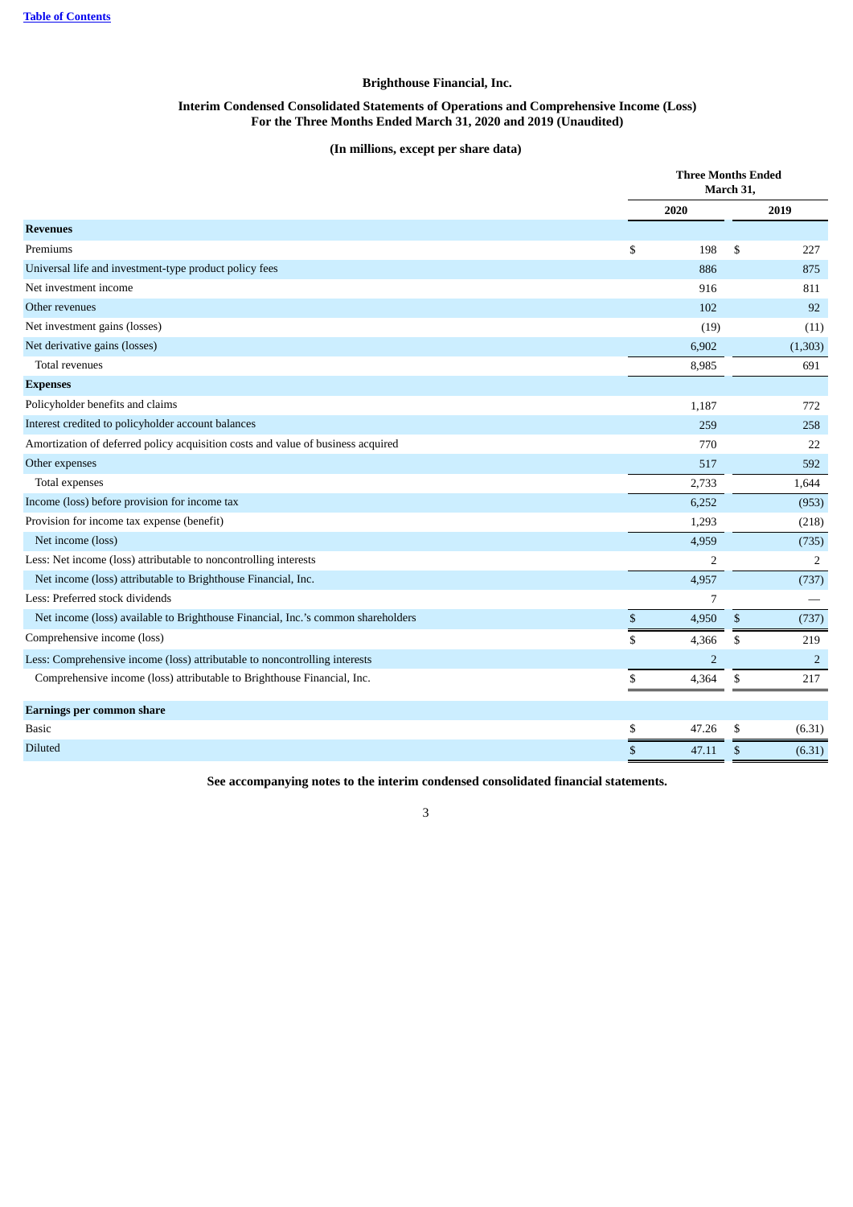### **Interim Condensed Consolidated Statements of Operations and Comprehensive Income (Loss) For the Three Months Ended March 31, 2020 and 2019 (Unaudited)**

# **(In millions, except per share data)**

<span id="page-3-0"></span>

|                                                                                  | <b>Three Months Ended</b><br>March 31, |    |                |  |  |  |
|----------------------------------------------------------------------------------|----------------------------------------|----|----------------|--|--|--|
|                                                                                  | 2020                                   |    | 2019           |  |  |  |
| <b>Revenues</b>                                                                  |                                        |    |                |  |  |  |
| Premiums                                                                         | \$<br>198                              | \$ | 227            |  |  |  |
| Universal life and investment-type product policy fees                           | 886                                    |    | 875            |  |  |  |
| Net investment income                                                            | 916                                    |    | 811            |  |  |  |
| Other revenues                                                                   | 102                                    |    | 92             |  |  |  |
| Net investment gains (losses)                                                    | (19)                                   |    | (11)           |  |  |  |
| Net derivative gains (losses)                                                    | 6,902                                  |    | (1, 303)       |  |  |  |
| Total revenues                                                                   | 8,985                                  |    | 691            |  |  |  |
| <b>Expenses</b>                                                                  |                                        |    |                |  |  |  |
| Policyholder benefits and claims                                                 | 1,187                                  |    | 772            |  |  |  |
| Interest credited to policyholder account balances                               | 259                                    |    | 258            |  |  |  |
| Amortization of deferred policy acquisition costs and value of business acquired | 770                                    |    | 22             |  |  |  |
| Other expenses                                                                   | 517                                    |    | 592            |  |  |  |
| Total expenses                                                                   | 2,733                                  |    | 1,644          |  |  |  |
| Income (loss) before provision for income tax                                    | 6,252                                  |    | (953)          |  |  |  |
| Provision for income tax expense (benefit)                                       | 1,293                                  |    | (218)          |  |  |  |
| Net income (loss)                                                                | 4,959                                  |    | (735)          |  |  |  |
| Less: Net income (loss) attributable to noncontrolling interests                 | $\overline{2}$                         |    | $\overline{2}$ |  |  |  |
| Net income (loss) attributable to Brighthouse Financial, Inc.                    | 4,957                                  |    | (737)          |  |  |  |
| Less: Preferred stock dividends                                                  | $\overline{7}$                         |    |                |  |  |  |
| Net income (loss) available to Brighthouse Financial, Inc.'s common shareholders | \$<br>4,950                            | \$ | (737)          |  |  |  |
| Comprehensive income (loss)                                                      | \$<br>4,366                            | \$ | 219            |  |  |  |
| Less: Comprehensive income (loss) attributable to noncontrolling interests       | $\overline{2}$                         |    | $\overline{2}$ |  |  |  |
| Comprehensive income (loss) attributable to Brighthouse Financial, Inc.          | \$<br>4,364                            | \$ | 217            |  |  |  |
| Earnings per common share                                                        |                                        |    |                |  |  |  |
| <b>Basic</b>                                                                     | \$<br>47.26                            | \$ | (6.31)         |  |  |  |
| <b>Diluted</b>                                                                   | \$<br>47.11                            | \$ | (6.31)         |  |  |  |

**See accompanying notes to the interim condensed consolidated financial statements.**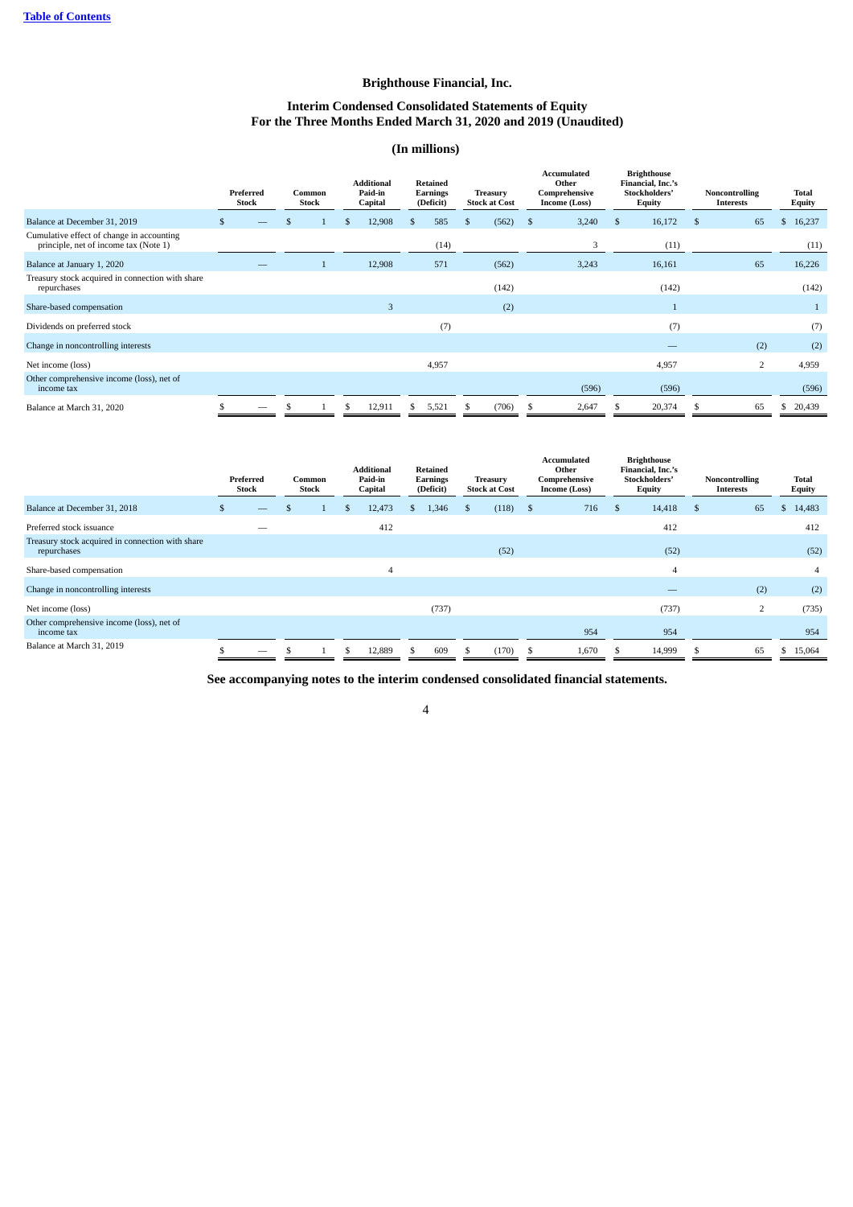### **Interim Condensed Consolidated Statements of Equity For the Three Months Ended March 31, 2020 and 2019 (Unaudited)**

# **(In millions)**

<span id="page-4-0"></span>

|                                                                                    |              | Preferred<br><b>Stock</b> | Common<br><b>Stock</b> |    | <b>Additional</b><br>Paid-in<br>Capital |    | <b>Retained</b><br><b>Earnings</b><br>(Deficit) |    | <b>Treasury</b><br><b>Stock at Cost</b> |     | <b>Accumulated</b><br>Other<br>Comprehensive<br>Income (Loss) | <b>Brighthouse</b><br>Financial, Inc.'s<br>Stockholders'<br>Equity |    | Noncontrolling<br>Interests |    | <b>Total</b><br>Equity |
|------------------------------------------------------------------------------------|--------------|---------------------------|------------------------|----|-----------------------------------------|----|-------------------------------------------------|----|-----------------------------------------|-----|---------------------------------------------------------------|--------------------------------------------------------------------|----|-----------------------------|----|------------------------|
| Balance at December 31, 2019                                                       | $\mathbf{s}$ |                           |                        | s, | 12,908                                  | S. | 585                                             | -S | (562)                                   | -\$ | 3,240                                                         | \$<br>16,172                                                       | -S | 65                          | \$ | 16,237                 |
| Cumulative effect of change in accounting<br>principle, net of income tax (Note 1) |              |                           |                        |    |                                         |    | (14)                                            |    |                                         |     | 3                                                             | (11)                                                               |    |                             |    | (11)                   |
| Balance at January 1, 2020                                                         |              |                           |                        |    | 12,908                                  |    | 571                                             |    | (562)                                   |     | 3,243                                                         | 16,161                                                             |    | 65                          |    | 16,226                 |
| Treasury stock acquired in connection with share<br>repurchases                    |              |                           |                        |    |                                         |    |                                                 |    | (142)                                   |     |                                                               | (142)                                                              |    |                             |    | (142)                  |
| Share-based compensation                                                           |              |                           |                        |    | 3                                       |    |                                                 |    | (2)                                     |     |                                                               |                                                                    |    |                             |    | 1                      |
| Dividends on preferred stock                                                       |              |                           |                        |    |                                         |    | (7)                                             |    |                                         |     |                                                               | (7)                                                                |    |                             |    | (7)                    |
| Change in noncontrolling interests                                                 |              |                           |                        |    |                                         |    |                                                 |    |                                         |     |                                                               |                                                                    |    | (2)                         |    | (2)                    |
| Net income (loss)                                                                  |              |                           |                        |    |                                         |    | 4,957                                           |    |                                         |     |                                                               | 4,957                                                              |    | 2                           |    | 4,959                  |
| Other comprehensive income (loss), net of<br>income tax                            |              |                           |                        |    |                                         |    |                                                 |    |                                         |     | (596)                                                         | (596)                                                              |    |                             |    | (596)                  |
| Balance at March 31, 2020                                                          |              |                           |                        |    | 12,911                                  |    | 5,521                                           |    | (706)                                   |     | 2,647                                                         | 20,374                                                             |    | 65                          |    | 20,439                 |

|                                                                 |    | Preferred<br>Stock       |    | Common<br>Stock |   | <b>Additional</b><br>Paid-in<br>Capital |     | Retained<br><b>Earnings</b><br>(Deficit) |     | Treasury<br><b>Stock at Cost</b> |               | <b>Accumulated</b><br>Other<br>Comprehensive<br>Income (Loss) |   | <b>Brighthouse</b><br>Financial, Inc.'s<br>Stockholders'<br>Equity | Noncontrolling<br><b>Interests</b> |     | <b>Total</b><br>Equity |  |
|-----------------------------------------------------------------|----|--------------------------|----|-----------------|---|-----------------------------------------|-----|------------------------------------------|-----|----------------------------------|---------------|---------------------------------------------------------------|---|--------------------------------------------------------------------|------------------------------------|-----|------------------------|--|
| Balance at December 31, 2018                                    | Ъ. |                          | п. |                 | ъ | 12,473                                  | \$. | 1,346                                    | \$. | (118)                            | - \$          | 716                                                           | ъ | 14,418                                                             | -8                                 | 65  | 14,483<br>S.           |  |
| Preferred stock issuance                                        |    | $\overline{\phantom{a}}$ |    |                 |   | 412                                     |     |                                          |     |                                  |               |                                                               |   | 412                                                                |                                    |     | 412                    |  |
| Treasury stock acquired in connection with share<br>repurchases |    |                          |    |                 |   |                                         |     |                                          |     | (52)                             |               |                                                               |   | (52)                                                               |                                    |     | (52)                   |  |
| Share-based compensation                                        |    |                          |    |                 |   | а                                       |     |                                          |     |                                  |               |                                                               |   | 4                                                                  |                                    |     | $\overline{4}$         |  |
| Change in noncontrolling interests                              |    |                          |    |                 |   |                                         |     |                                          |     |                                  |               |                                                               |   |                                                                    |                                    | (2) | (2)                    |  |
| Net income (loss)                                               |    |                          |    |                 |   |                                         |     | (737)                                    |     |                                  |               |                                                               |   | (737)                                                              |                                    | 2   | (735)                  |  |
| Other comprehensive income (loss), net of<br>income tax         |    |                          |    |                 |   |                                         |     |                                          |     |                                  |               | 954                                                           |   | 954                                                                |                                    |     | 954                    |  |
| Balance at March 31, 2019                                       |    |                          |    |                 |   | 12,889                                  | \$  | 609                                      | S.  | (170)                            | $\mathcal{L}$ | 1,670                                                         |   | 14,999                                                             |                                    | 65  | 15,064<br>Ъ.           |  |

**See accompanying notes to the interim condensed consolidated financial statements.**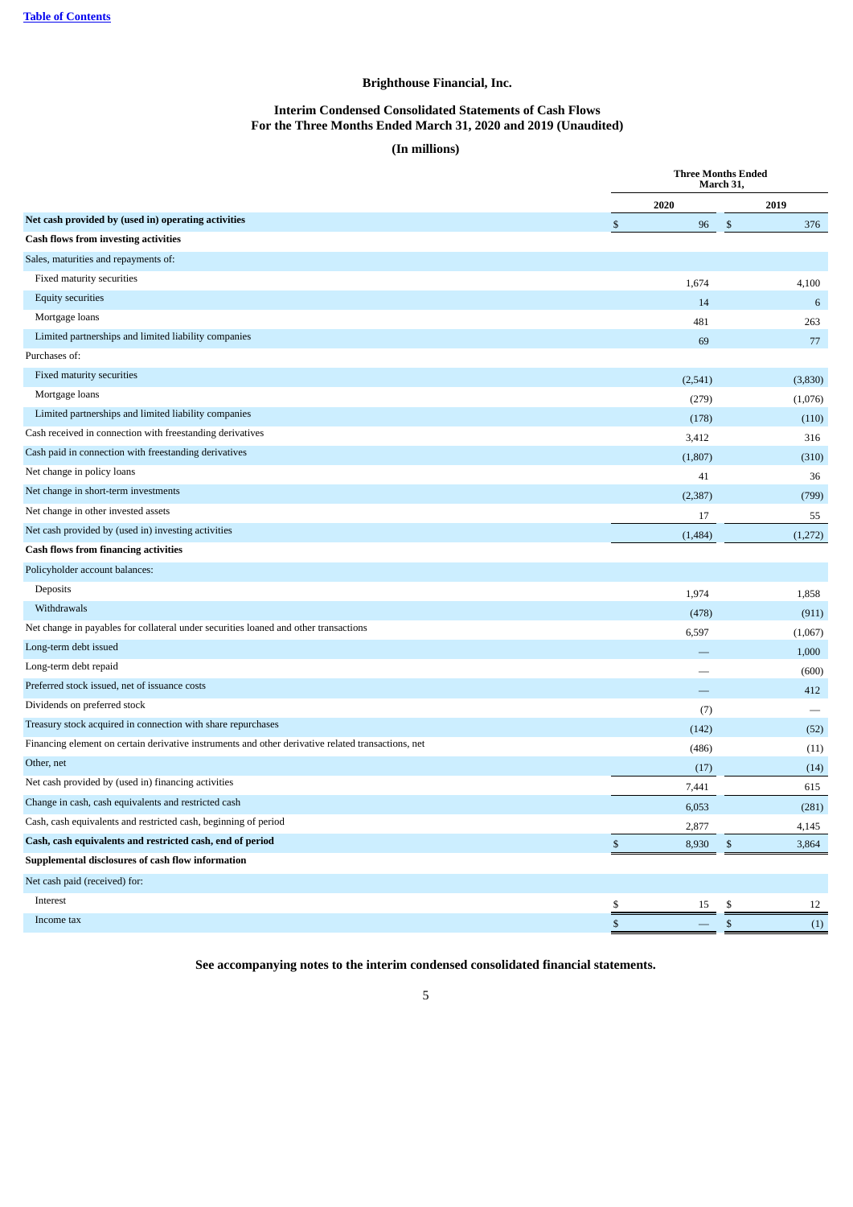# **Interim Condensed Consolidated Statements of Cash Flows For the Three Months Ended March 31, 2020 and 2019 (Unaudited)**

# **(In millions)**

<span id="page-5-0"></span>

|                                                                                                    |             | <b>Three Months Ended</b><br>March 31, |         |
|----------------------------------------------------------------------------------------------------|-------------|----------------------------------------|---------|
|                                                                                                    | 2020        |                                        | 2019    |
| Net cash provided by (used in) operating activities                                                | \$          | $\mathbb{S}$<br>96                     | 376     |
| Cash flows from investing activities                                                               |             |                                        |         |
| Sales, maturities and repayments of:                                                               |             |                                        |         |
| Fixed maturity securities                                                                          | 1,674       |                                        | 4,100   |
| <b>Equity securities</b>                                                                           |             | 14                                     | 6       |
| Mortgage loans                                                                                     |             | 481                                    | 263     |
| Limited partnerships and limited liability companies                                               |             | 69                                     | 77      |
| Purchases of:                                                                                      |             |                                        |         |
| Fixed maturity securities                                                                          | (2,541)     |                                        | (3,830) |
| Mortgage loans                                                                                     | (279)       |                                        | (1,076) |
| Limited partnerships and limited liability companies                                               | (178)       |                                        | (110)   |
| Cash received in connection with freestanding derivatives                                          | 3,412       |                                        | 316     |
| Cash paid in connection with freestanding derivatives                                              | (1,807)     |                                        | (310)   |
| Net change in policy loans                                                                         |             | 41                                     | 36      |
| Net change in short-term investments                                                               | (2, 387)    |                                        | (799)   |
| Net change in other invested assets                                                                |             | 17                                     | 55      |
| Net cash provided by (used in) investing activities                                                | (1,484)     |                                        | (1,272) |
| <b>Cash flows from financing activities</b>                                                        |             |                                        |         |
| Policyholder account balances:                                                                     |             |                                        |         |
| Deposits                                                                                           | 1,974       |                                        | 1,858   |
| Withdrawals                                                                                        | (478)       |                                        | (911)   |
| Net change in payables for collateral under securities loaned and other transactions               | 6,597       |                                        | (1,067) |
| Long-term debt issued                                                                              |             |                                        | 1,000   |
| Long-term debt repaid                                                                              |             |                                        | (600)   |
| Preferred stock issued, net of issuance costs                                                      |             |                                        | 412     |
| Dividends on preferred stock                                                                       |             | (7)                                    |         |
| Treasury stock acquired in connection with share repurchases                                       | (142)       |                                        | (52)    |
| Financing element on certain derivative instruments and other derivative related transactions, net | (486)       |                                        | (11)    |
| Other, net                                                                                         |             | (17)                                   | (14)    |
| Net cash provided by (used in) financing activities                                                | 7,441       |                                        | 615     |
| Change in cash, cash equivalents and restricted cash                                               | 6,053       |                                        | (281)   |
| Cash, cash equivalents and restricted cash, beginning of period                                    | 2,877       |                                        | 4,145   |
| Cash, cash equivalents and restricted cash, end of period                                          | \$<br>8,930 | $\mathbb{S}$                           | 3,864   |
| Supplemental disclosures of cash flow information                                                  |             |                                        |         |
| Net cash paid (received) for:                                                                      |             |                                        |         |
| Interest                                                                                           | \$          | 15<br>\$                               | 12      |
| Income tax                                                                                         | \$          | $\mathbb{S}$                           | (1)     |

# **See accompanying notes to the interim condensed consolidated financial statements.**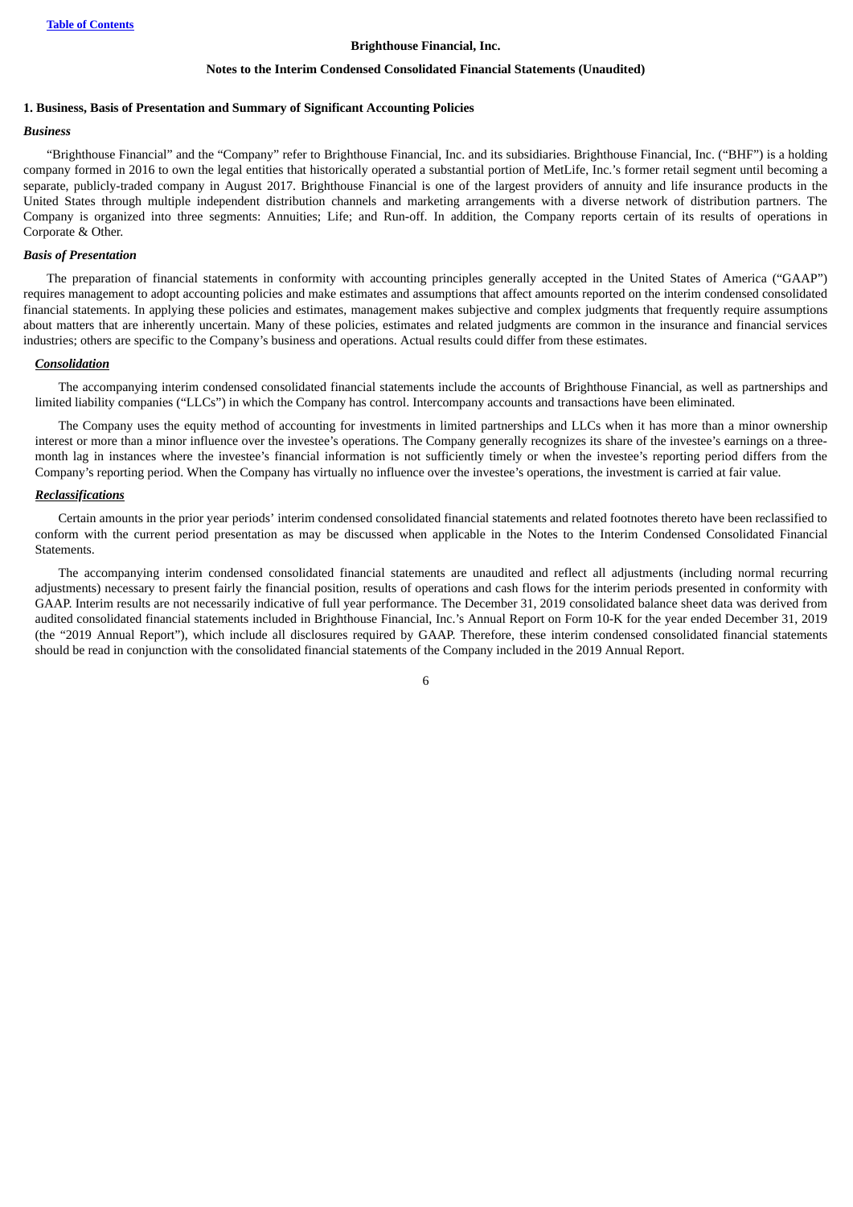### **Notes to the Interim Condensed Consolidated Financial Statements (Unaudited)**

#### <span id="page-6-0"></span>**1. Business, Basis of Presentation and Summary of Significant Accounting Policies**

#### <span id="page-6-1"></span>*Business*

"Brighthouse Financial" and the "Company" refer to Brighthouse Financial, Inc. and its subsidiaries. Brighthouse Financial, Inc. ("BHF") is a holding company formed in 2016 to own the legal entities that historically operated a substantial portion of MetLife, Inc.'s former retail segment until becoming a separate, publicly-traded company in August 2017. Brighthouse Financial is one of the largest providers of annuity and life insurance products in the United States through multiple independent distribution channels and marketing arrangements with a diverse network of distribution partners. The Company is organized into three segments: Annuities; Life; and Run-off. In addition, the Company reports certain of its results of operations in Corporate & Other.

#### *Basis of Presentation*

The preparation of financial statements in conformity with accounting principles generally accepted in the United States of America ("GAAP") requires management to adopt accounting policies and make estimates and assumptions that affect amounts reported on the interim condensed consolidated financial statements. In applying these policies and estimates, management makes subjective and complex judgments that frequently require assumptions about matters that are inherently uncertain. Many of these policies, estimates and related judgments are common in the insurance and financial services industries; others are specific to the Company's business and operations. Actual results could differ from these estimates.

#### *Consolidation*

The accompanying interim condensed consolidated financial statements include the accounts of Brighthouse Financial, as well as partnerships and limited liability companies ("LLCs") in which the Company has control. Intercompany accounts and transactions have been eliminated.

The Company uses the equity method of accounting for investments in limited partnerships and LLCs when it has more than a minor ownership interest or more than a minor influence over the investee's operations. The Company generally recognizes its share of the investee's earnings on a threemonth lag in instances where the investee's financial information is not sufficiently timely or when the investee's reporting period differs from the Company's reporting period. When the Company has virtually no influence over the investee's operations, the investment is carried at fair value.

### *Reclassifications*

Certain amounts in the prior year periods' interim condensed consolidated financial statements and related footnotes thereto have been reclassified to conform with the current period presentation as may be discussed when applicable in the Notes to the Interim Condensed Consolidated Financial Statements.

The accompanying interim condensed consolidated financial statements are unaudited and reflect all adjustments (including normal recurring adjustments) necessary to present fairly the financial position, results of operations and cash flows for the interim periods presented in conformity with GAAP. Interim results are not necessarily indicative of full year performance. The December 31, 2019 consolidated balance sheet data was derived from audited consolidated financial statements included in Brighthouse Financial, Inc.'s Annual Report on Form 10-K for the year ended December 31, 2019 (the "2019 Annual Report"), which include all disclosures required by GAAP. Therefore, these interim condensed consolidated financial statements should be read in conjunction with the consolidated financial statements of the Company included in the 2019 Annual Report.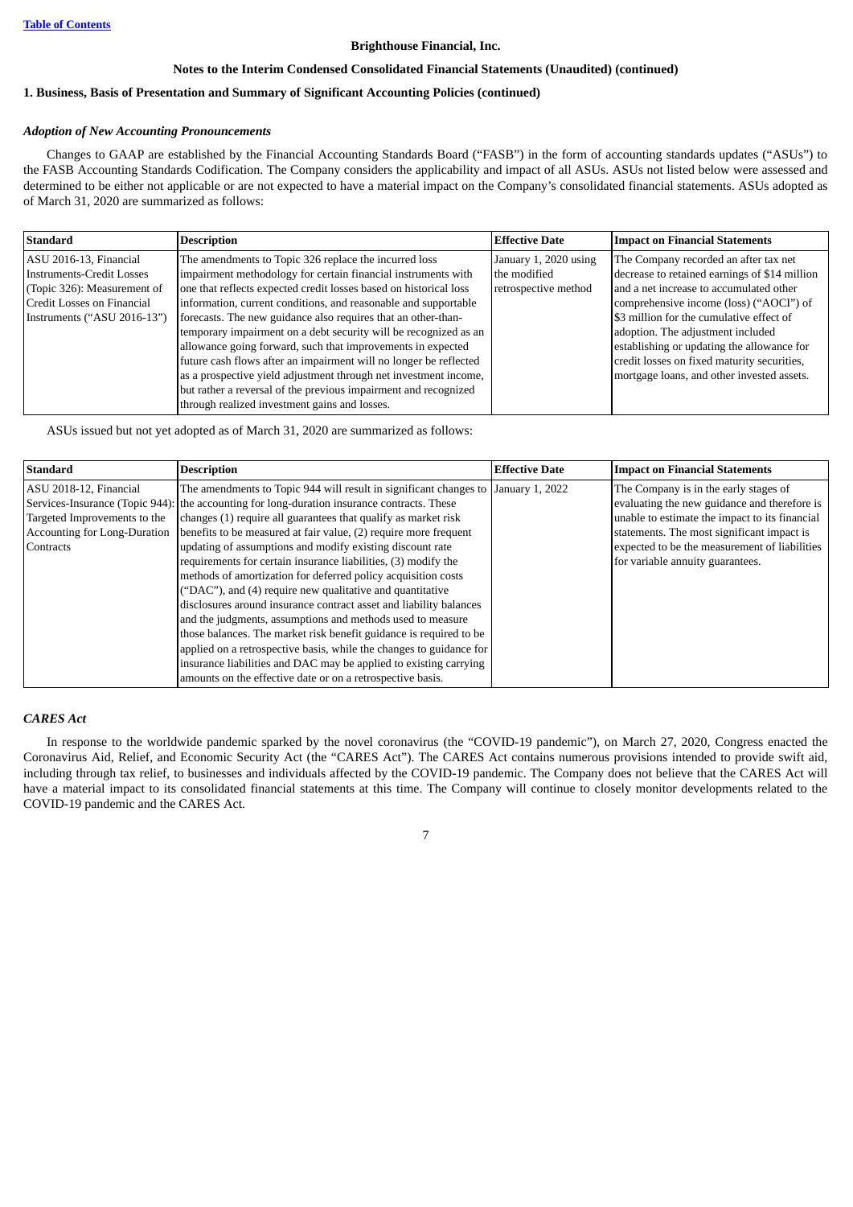# **Notes to the Interim Condensed Consolidated Financial Statements (Unaudited) (continued)**

# **1. Business, Basis of Presentation and Summary of Significant Accounting Policies (continued)**

# *Adoption of New Accounting Pronouncements*

Changes to GAAP are established by the Financial Accounting Standards Board ("FASB") in the form of accounting standards updates ("ASUs") to the FASB Accounting Standards Codification. The Company considers the applicability and impact of all ASUs. ASUs not listed below were assessed and determined to be either not applicable or are not expected to have a material impact on the Company's consolidated financial statements. ASUs adopted as of March 31, 2020 are summarized as follows:

| <b>Standard</b>                  | <b>Description</b>                                                | <b>Effective Date</b> | <b>Impact on Financial Statements</b>         |
|----------------------------------|-------------------------------------------------------------------|-----------------------|-----------------------------------------------|
| ASU 2016-13, Financial           | The amendments to Topic 326 replace the incurred loss             | January 1, 2020 using | The Company recorded an after tax net         |
| <b>Instruments-Credit Losses</b> | impairment methodology for certain financial instruments with     | the modified          | decrease to retained earnings of \$14 million |
| (Topic 326): Measurement of      | one that reflects expected credit losses based on historical loss | retrospective method  | and a net increase to accumulated other       |
| Credit Losses on Financial       | information, current conditions, and reasonable and supportable   |                       | comprehensive income (loss) ("AOCI") of       |
| Instruments ("ASU 2016-13")      | forecasts. The new guidance also requires that an other-than-     |                       | \$3 million for the cumulative effect of      |
|                                  | temporary impairment on a debt security will be recognized as an  |                       | adoption. The adjustment included             |
|                                  | allowance going forward, such that improvements in expected       |                       | establishing or updating the allowance for    |
|                                  | future cash flows after an impairment will no longer be reflected |                       | credit losses on fixed maturity securities,   |
|                                  | as a prospective yield adjustment through net investment income,  |                       | mortgage loans, and other invested assets.    |
|                                  | but rather a reversal of the previous impairment and recognized   |                       |                                               |
|                                  | through realized investment gains and losses.                     |                       |                                               |

ASUs issued but not yet adopted as of March 31, 2020 are summarized as follows:

| <b>Standard</b>                     | <b>Description</b>                                                                          | <b>Effective Date</b> | <b>Impact on Financial Statements</b>          |
|-------------------------------------|---------------------------------------------------------------------------------------------|-----------------------|------------------------------------------------|
| ASU 2018-12, Financial              | The amendments to Topic 944 will result in significant changes to                           | January 1, 2022       | The Company is in the early stages of          |
|                                     | Services-Insurance (Topic 944): the accounting for long-duration insurance contracts. These |                       | evaluating the new guidance and therefore is   |
| Targeted Improvements to the        | changes (1) require all guarantees that qualify as market risk                              |                       | unable to estimate the impact to its financial |
| <b>Accounting for Long-Duration</b> | benefits to be measured at fair value, (2) require more frequent                            |                       | statements. The most significant impact is     |
| Contracts                           | updating of assumptions and modify existing discount rate                                   |                       | expected to be the measurement of liabilities  |
|                                     | requirements for certain insurance liabilities, (3) modify the                              |                       | for variable annuity guarantees.               |
|                                     | methods of amortization for deferred policy acquisition costs                               |                       |                                                |
|                                     | ("DAC"), and (4) require new qualitative and quantitative                                   |                       |                                                |
|                                     | disclosures around insurance contract asset and liability balances                          |                       |                                                |
|                                     | and the judgments, assumptions and methods used to measure                                  |                       |                                                |
|                                     | those balances. The market risk benefit guidance is required to be                          |                       |                                                |
|                                     | applied on a retrospective basis, while the changes to guidance for                         |                       |                                                |
|                                     | insurance liabilities and DAC may be applied to existing carrying                           |                       |                                                |
|                                     | amounts on the effective date or on a retrospective basis.                                  |                       |                                                |

### *CARES Act*

In response to the worldwide pandemic sparked by the novel coronavirus (the "COVID-19 pandemic"), on March 27, 2020, Congress enacted the Coronavirus Aid, Relief, and Economic Security Act (the "CARES Act"). The CARES Act contains numerous provisions intended to provide swift aid, including through tax relief, to businesses and individuals affected by the COVID-19 pandemic. The Company does not believe that the CARES Act will have a material impact to its consolidated financial statements at this time. The Company will continue to closely monitor developments related to the COVID-19 pandemic and the CARES Act.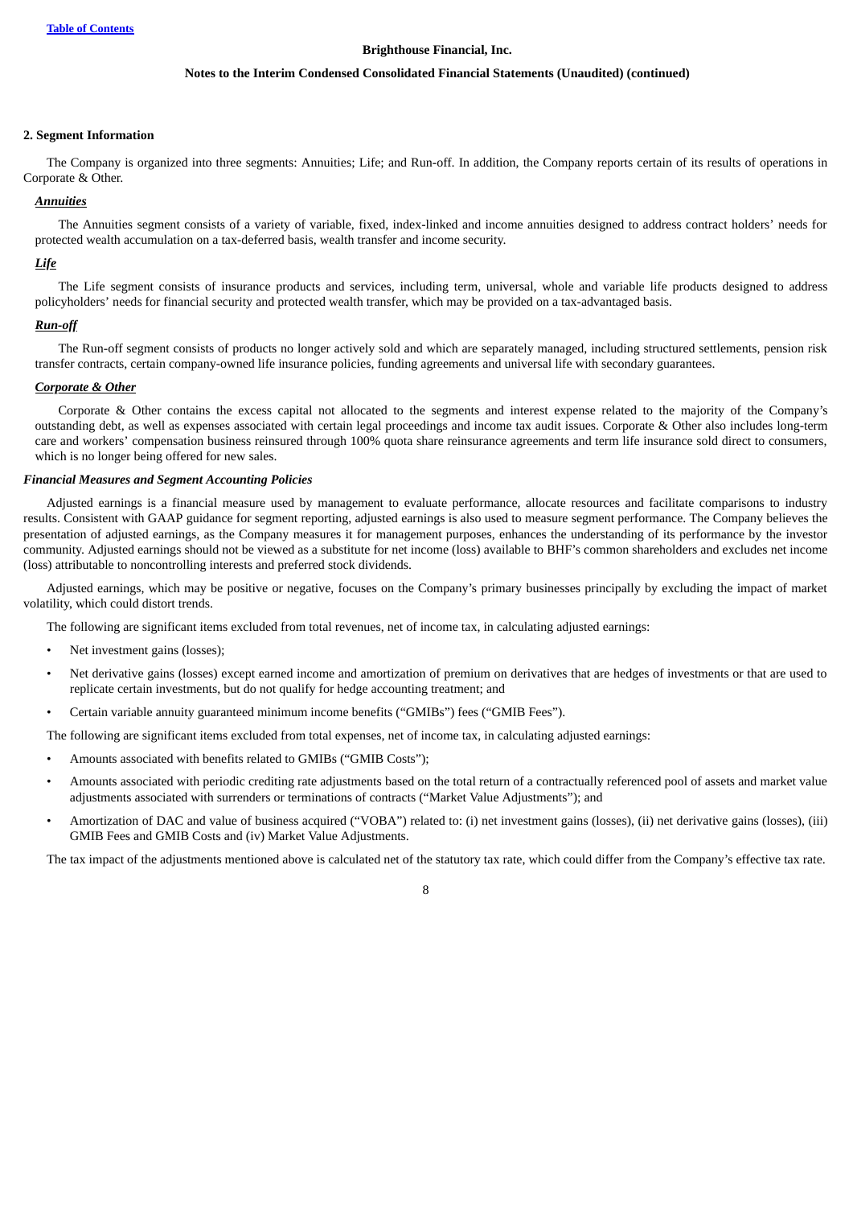#### **Notes to the Interim Condensed Consolidated Financial Statements (Unaudited) (continued)**

#### <span id="page-8-0"></span>**2. Segment Information**

The Company is organized into three segments: Annuities; Life; and Run-off. In addition, the Company reports certain of its results of operations in Corporate & Other.

#### *Annuities*

The Annuities segment consists of a variety of variable, fixed, index-linked and income annuities designed to address contract holders' needs for protected wealth accumulation on a tax-deferred basis, wealth transfer and income security.

#### *Life*

The Life segment consists of insurance products and services, including term, universal, whole and variable life products designed to address policyholders' needs for financial security and protected wealth transfer, which may be provided on a tax-advantaged basis.

#### *Run-off*

The Run-off segment consists of products no longer actively sold and which are separately managed, including structured settlements, pension risk transfer contracts, certain company-owned life insurance policies, funding agreements and universal life with secondary guarantees.

#### *Corporate & Other*

Corporate & Other contains the excess capital not allocated to the segments and interest expense related to the majority of the Company's outstanding debt, as well as expenses associated with certain legal proceedings and income tax audit issues. Corporate & Other also includes long-term care and workers' compensation business reinsured through 100% quota share reinsurance agreements and term life insurance sold direct to consumers, which is no longer being offered for new sales.

#### *Financial Measures and Segment Accounting Policies*

Adjusted earnings is a financial measure used by management to evaluate performance, allocate resources and facilitate comparisons to industry results. Consistent with GAAP guidance for segment reporting, adjusted earnings is also used to measure segment performance. The Company believes the presentation of adjusted earnings, as the Company measures it for management purposes, enhances the understanding of its performance by the investor community. Adjusted earnings should not be viewed as a substitute for net income (loss) available to BHF's common shareholders and excludes net income (loss) attributable to noncontrolling interests and preferred stock dividends.

Adjusted earnings, which may be positive or negative, focuses on the Company's primary businesses principally by excluding the impact of market volatility, which could distort trends.

The following are significant items excluded from total revenues, net of income tax, in calculating adjusted earnings:

- Net investment gains (losses);
- Net derivative gains (losses) except earned income and amortization of premium on derivatives that are hedges of investments or that are used to replicate certain investments, but do not qualify for hedge accounting treatment; and
- Certain variable annuity guaranteed minimum income benefits ("GMIBs") fees ("GMIB Fees").

The following are significant items excluded from total expenses, net of income tax, in calculating adjusted earnings:

- Amounts associated with benefits related to GMIBs ("GMIB Costs");
- Amounts associated with periodic crediting rate adjustments based on the total return of a contractually referenced pool of assets and market value adjustments associated with surrenders or terminations of contracts ("Market Value Adjustments"); and
- Amortization of DAC and value of business acquired ("VOBA") related to: (i) net investment gains (losses), (ii) net derivative gains (losses), (iii) GMIB Fees and GMIB Costs and (iv) Market Value Adjustments.

The tax impact of the adjustments mentioned above is calculated net of the statutory tax rate, which could differ from the Company's effective tax rate.

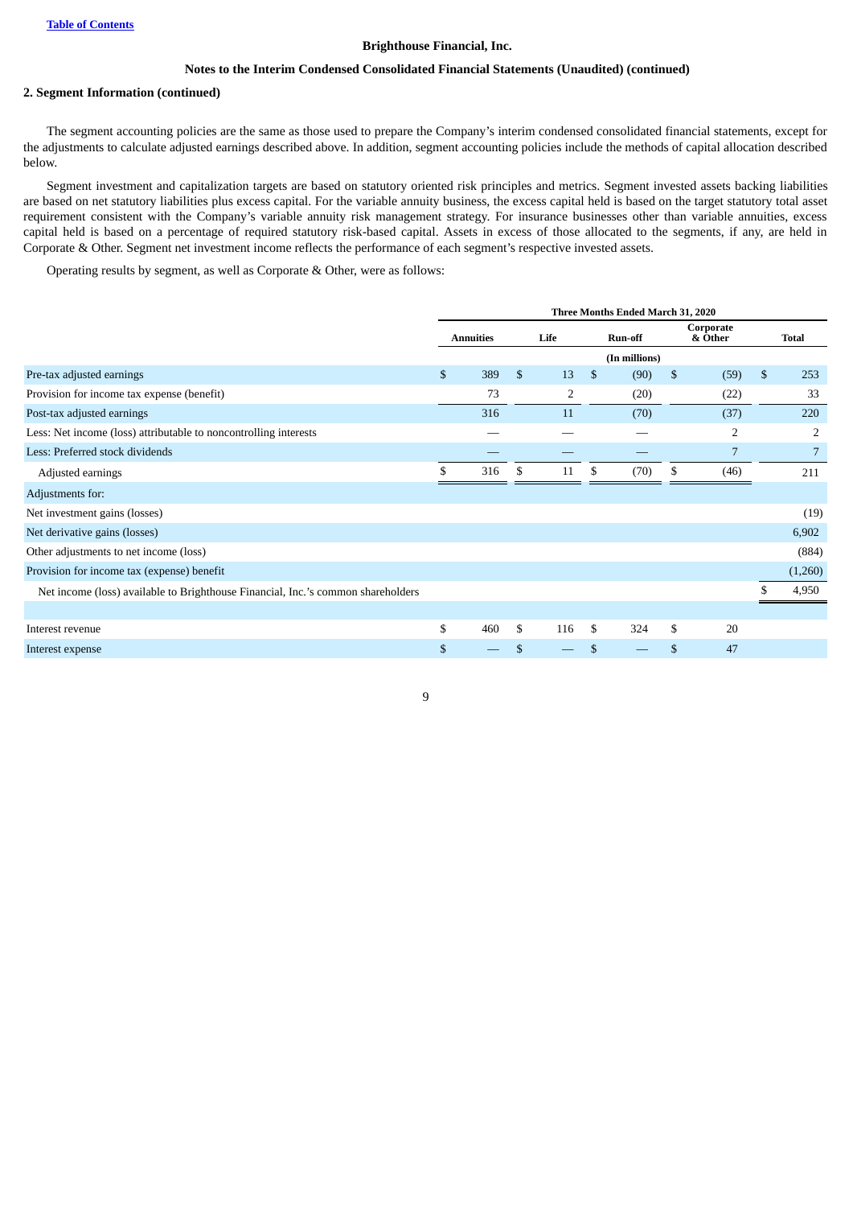# **Notes to the Interim Condensed Consolidated Financial Statements (Unaudited) (continued)**

# **2. Segment Information (continued)**

The segment accounting policies are the same as those used to prepare the Company's interim condensed consolidated financial statements, except for the adjustments to calculate adjusted earnings described above. In addition, segment accounting policies include the methods of capital allocation described below.

Segment investment and capitalization targets are based on statutory oriented risk principles and metrics. Segment invested assets backing liabilities are based on net statutory liabilities plus excess capital. For the variable annuity business, the excess capital held is based on the target statutory total asset requirement consistent with the Company's variable annuity risk management strategy. For insurance businesses other than variable annuities, excess capital held is based on a percentage of required statutory risk-based capital. Assets in excess of those allocated to the segments, if any, are held in Corporate & Other. Segment net investment income reflects the performance of each segment's respective invested assets.

Operating results by segment, as well as Corporate & Other, were as follows:

|                                                                                  | Three Months Ended March 31, 2020 |                  |    |      |    |               |                |                      |    |              |  |  |
|----------------------------------------------------------------------------------|-----------------------------------|------------------|----|------|----|---------------|----------------|----------------------|----|--------------|--|--|
|                                                                                  |                                   | <b>Annuities</b> |    | Life |    | Run-off       |                | Corporate<br>& Other |    | <b>Total</b> |  |  |
|                                                                                  |                                   |                  |    |      |    | (In millions) |                |                      |    |              |  |  |
| Pre-tax adjusted earnings                                                        | $\mathbb{S}$                      | 389              | \$ | 13   | \$ | (90)          | $\mathfrak{F}$ | (59)                 | \$ | 253          |  |  |
| Provision for income tax expense (benefit)                                       |                                   | 73               |    | 2    |    | (20)          |                | (22)                 |    | 33           |  |  |
| Post-tax adjusted earnings                                                       |                                   | 316              |    | 11   |    | (70)          |                | (37)                 |    | 220          |  |  |
| Less: Net income (loss) attributable to noncontrolling interests                 |                                   |                  |    |      |    |               |                | 2                    |    | 2            |  |  |
| Less: Preferred stock dividends                                                  |                                   |                  |    |      |    |               |                | 7                    |    | 7            |  |  |
| Adjusted earnings                                                                | \$                                | 316              | -S | 11   | \$ | (70)          | \$             | (46)                 |    | 211          |  |  |
| Adjustments for:                                                                 |                                   |                  |    |      |    |               |                |                      |    |              |  |  |
| Net investment gains (losses)                                                    |                                   |                  |    |      |    |               |                |                      |    | (19)         |  |  |
| Net derivative gains (losses)                                                    |                                   |                  |    |      |    |               |                |                      |    | 6,902        |  |  |
| Other adjustments to net income (loss)                                           |                                   |                  |    |      |    |               |                |                      |    | (884)        |  |  |
| Provision for income tax (expense) benefit                                       |                                   |                  |    |      |    |               |                |                      |    | (1,260)      |  |  |
| Net income (loss) available to Brighthouse Financial, Inc.'s common shareholders |                                   |                  |    |      |    |               |                |                      |    | 4,950        |  |  |
|                                                                                  |                                   |                  |    |      |    |               |                |                      |    |              |  |  |
| Interest revenue                                                                 | \$                                | 460              | \$ | 116  | \$ | 324           | \$             | 20                   |    |              |  |  |
| Interest expense                                                                 | \$                                |                  |    |      |    |               | \$             | 47                   |    |              |  |  |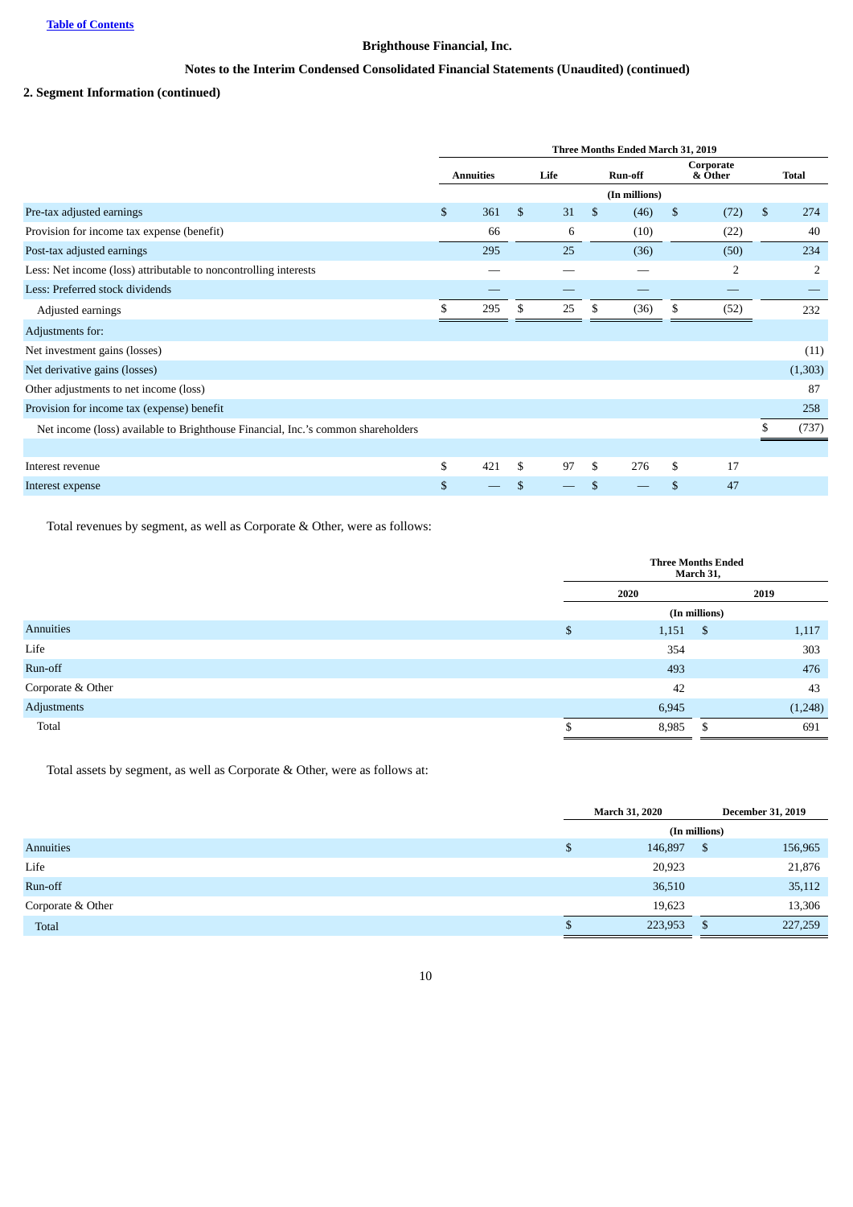# **Notes to the Interim Condensed Consolidated Financial Statements (Unaudited) (continued)**

# **2. Segment Information (continued)**

| Three Months Ended March 31, 2019 |     |    |    |    |      |                                 |                      |    |              |  |  |
|-----------------------------------|-----|----|----|----|------|---------------------------------|----------------------|----|--------------|--|--|
| Life<br><b>Annuities</b>          |     |    |    |    |      |                                 | Corporate<br>& Other |    | <b>Total</b> |  |  |
|                                   |     |    |    |    |      |                                 |                      |    |              |  |  |
| \$                                | 361 | \$ | 31 | \$ | (46) | \$                              | (72)                 | \$ | 274          |  |  |
|                                   | 66  |    | 6  |    | (10) |                                 | (22)                 |    | 40           |  |  |
|                                   | 295 |    | 25 |    | (36) |                                 | (50)                 |    | 234          |  |  |
|                                   |     |    |    |    |      |                                 | $\overline{2}$       |    | 2            |  |  |
|                                   |     |    |    |    |      |                                 |                      |    |              |  |  |
|                                   | 295 | \$ | 25 | \$ | (36) | S.                              | (52)                 |    | 232          |  |  |
|                                   |     |    |    |    |      |                                 |                      |    |              |  |  |
|                                   |     |    |    |    |      |                                 |                      |    | (11)         |  |  |
|                                   |     |    |    |    |      |                                 |                      |    | (1,303)      |  |  |
|                                   |     |    |    |    |      |                                 |                      |    | 87           |  |  |
|                                   |     |    |    |    |      |                                 |                      |    | 258          |  |  |
|                                   |     |    |    |    |      |                                 |                      |    | (737)        |  |  |
|                                   |     |    |    |    |      |                                 |                      |    |              |  |  |
| \$                                | 421 | \$ | 97 | \$ | 276  | \$                              | 17                   |    |              |  |  |
| \$                                |     | \$ |    | \$ |      | \$                              | 47                   |    |              |  |  |
|                                   |     |    |    |    |      | <b>Run-off</b><br>(In millions) |                      |    |              |  |  |

Total revenues by segment, as well as Corporate & Other, were as follows:

|                   | <b>Three Months Ended</b> | March 31,     |         |
|-------------------|---------------------------|---------------|---------|
|                   | 2020                      |               | 2019    |
|                   |                           | (In millions) |         |
| Annuities         | \$<br>1,151               | \$            | 1,117   |
| Life              | 354                       |               | 303     |
| Run-off           | 493                       |               | 476     |
| Corporate & Other | 42                        |               | 43      |
| Adjustments       | 6,945                     |               | (1,248) |
| Total             | 8,985                     | \$            | 691     |

Total assets by segment, as well as Corporate & Other, were as follows at:

|                   |    | <b>March 31, 2020</b> |               | <b>December 31, 2019</b> |
|-------------------|----|-----------------------|---------------|--------------------------|
|                   |    |                       | (In millions) |                          |
| Annuities         | \$ | 146,897               | - \$          | 156,965                  |
| Life              |    | 20,923                |               | 21,876                   |
| Run-off           |    | 36,510                |               | 35,112                   |
| Corporate & Other |    | 19,623                |               | 13,306                   |
| Total             | D  | 223,953               | -S            | 227,259                  |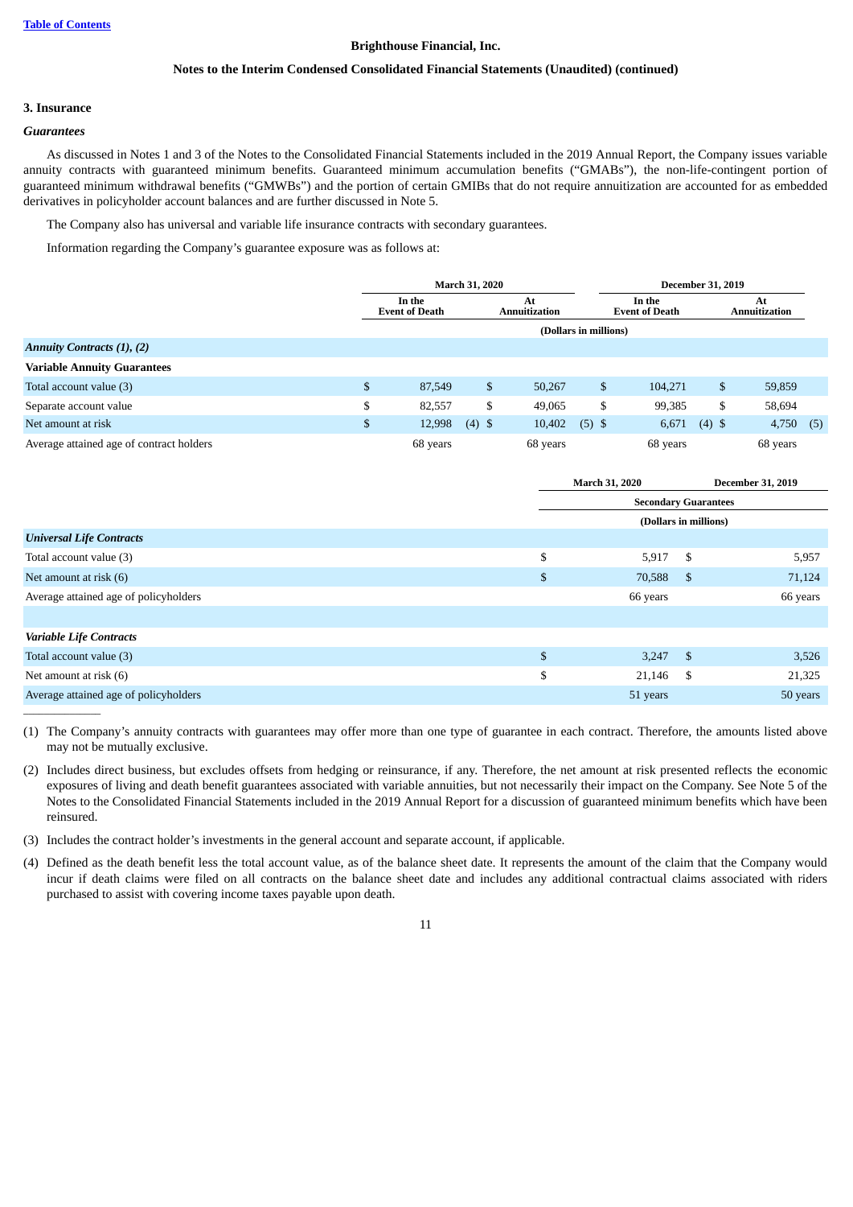# **Notes to the Interim Condensed Consolidated Financial Statements (Unaudited) (continued)**

# <span id="page-11-0"></span>**3. Insurance**

#### *Guarantees*

 $\overline{\phantom{a}}$ 

As discussed in Notes 1 and 3 of the Notes to the Consolidated Financial Statements included in the 2019 Annual Report, the Company issues variable annuity contracts with guaranteed minimum benefits. Guaranteed minimum accumulation benefits ("GMABs"), the non-life-contingent portion of guaranteed minimum withdrawal benefits ("GMWBs") and the portion of certain GMIBs that do not require annuitization are accounted for as embedded derivatives in policyholder account balances and are further discussed in Note 5.

The Company also has universal and variable life insurance contracts with secondary guarantees.

Information regarding the Company's guarantee exposure was as follows at:

|                                          |                                                               | <b>March 31, 2020</b> |          |                       |                                 | <b>December 31, 2019</b> |                            |     |
|------------------------------------------|---------------------------------------------------------------|-----------------------|----------|-----------------------|---------------------------------|--------------------------|----------------------------|-----|
|                                          | In the<br>At<br><b>Annuitization</b><br><b>Event of Death</b> |                       |          |                       | In the<br><b>Event of Death</b> |                          | At<br><b>Annuitization</b> |     |
|                                          |                                                               |                       |          | (Dollars in millions) |                                 |                          |                            |     |
| <b>Annuity Contracts (1), (2)</b>        |                                                               |                       |          |                       |                                 |                          |                            |     |
| <b>Variable Annuity Guarantees</b>       |                                                               |                       |          |                       |                                 |                          |                            |     |
| Total account value (3)                  | \$<br>87,549                                                  | \$                    | 50,267   | \$                    | 104,271                         | \$                       | 59,859                     |     |
| Separate account value                   | \$<br>82,557                                                  | \$                    | 49,065   | \$                    | 99,385                          | \$                       | 58,694                     |     |
| Net amount at risk                       | \$<br>12,998                                                  | $(4)$ \$              | 10,402   | $(5)$ \$              | 6,671                           | $(4)$ \$                 | 4,750                      | (5) |
| Average attained age of contract holders | 68 years                                                      |                       | 68 years |                       | 68 years                        |                          | 68 years                   |     |

|                                       | <b>March 31, 2020</b>       |            | <b>December 31, 2019</b> |  |  |  |
|---------------------------------------|-----------------------------|------------|--------------------------|--|--|--|
|                                       | <b>Secondary Guarantees</b> |            |                          |  |  |  |
|                                       | (Dollars in millions)       |            |                          |  |  |  |
| <b>Universal Life Contracts</b>       |                             |            |                          |  |  |  |
| Total account value (3)               | \$<br>5,917                 | $^{\circ}$ | 5,957                    |  |  |  |
| Net amount at risk (6)                | \$<br>70,588                | $\sqrt{S}$ | 71,124                   |  |  |  |
| Average attained age of policyholders | 66 years                    |            | 66 years                 |  |  |  |
|                                       |                             |            |                          |  |  |  |
| <b>Variable Life Contracts</b>        |                             |            |                          |  |  |  |
| Total account value (3)               | \$<br>3,247                 | $^{\circ}$ | 3,526                    |  |  |  |
| Net amount at risk (6)                | \$<br>21,146                | - \$       | 21,325                   |  |  |  |
| Average attained age of policyholders | 51 years                    |            | 50 years                 |  |  |  |

(1) The Company's annuity contracts with guarantees may offer more than one type of guarantee in each contract. Therefore, the amounts listed above may not be mutually exclusive.

- (2) Includes direct business, but excludes offsets from hedging or reinsurance, if any. Therefore, the net amount at risk presented reflects the economic exposures of living and death benefit guarantees associated with variable annuities, but not necessarily their impact on the Company. See Note 5 of the Notes to the Consolidated Financial Statements included in the 2019 Annual Report for a discussion of guaranteed minimum benefits which have been reinsured.
- (3) Includes the contract holder's investments in the general account and separate account, if applicable.
- (4) Defined as the death benefit less the total account value, as of the balance sheet date. It represents the amount of the claim that the Company would incur if death claims were filed on all contracts on the balance sheet date and includes any additional contractual claims associated with riders purchased to assist with covering income taxes payable upon death.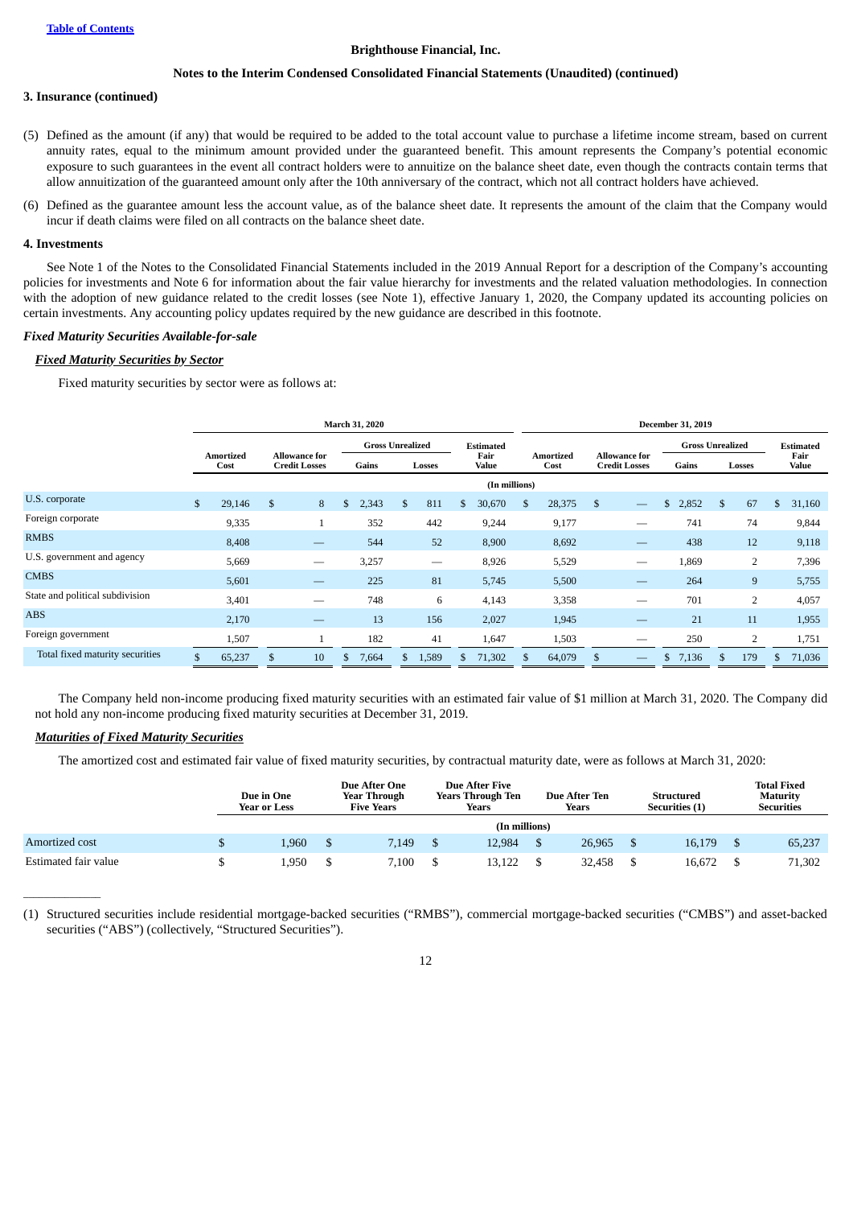### **Notes to the Interim Condensed Consolidated Financial Statements (Unaudited) (continued)**

### **3. Insurance (continued)**

- (5) Defined as the amount (if any) that would be required to be added to the total account value to purchase a lifetime income stream, based on current annuity rates, equal to the minimum amount provided under the guaranteed benefit. This amount represents the Company's potential economic exposure to such guarantees in the event all contract holders were to annuitize on the balance sheet date, even though the contracts contain terms that allow annuitization of the guaranteed amount only after the 10th anniversary of the contract, which not all contract holders have achieved.
- (6) Defined as the guarantee amount less the account value, as of the balance sheet date. It represents the amount of the claim that the Company would incur if death claims were filed on all contracts on the balance sheet date.

#### <span id="page-12-0"></span>**4. Investments**

See Note 1 of the Notes to the Consolidated Financial Statements included in the 2019 Annual Report for a description of the Company's accounting policies for investments and Note 6 for information about the fair value hierarchy for investments and the related valuation methodologies. In connection with the adoption of new guidance related to the credit losses (see Note 1), effective January 1, 2020, the Company updated its accounting policies on certain investments. Any accounting policy updates required by the new guidance are described in this footnote.

# *Fixed Maturity Securities Available-for-sale*

#### *Fixed Maturity Securities by Sector*

Fixed maturity securities by sector were as follows at:

|                                 | <b>March 31, 2020</b>      |    |                                                     |              |       |              |                   |                      |               | <b>December 31, 2019</b> |                         |     |                          |                       |              |     |       |        |
|---------------------------------|----------------------------|----|-----------------------------------------------------|--------------|-------|--------------|-------------------|----------------------|---------------|--------------------------|-------------------------|-----|--------------------------|-----------------------|--------------|-----|-------|--------|
|                                 | Amortized<br>Allowance for |    | <b>Gross Unrealized</b><br><b>Estimated</b><br>Fair |              |       |              | Amortized         | <b>Allowance for</b> |               |                          | <b>Gross Unrealized</b> |     | <b>Estimated</b><br>Fair |                       |              |     |       |        |
|                                 | Cost                       |    | <b>Credit Losses</b>                                |              | Gains | Losses       |                   | Value                |               |                          | Cost                    |     | <b>Credit Losses</b>     | Gains                 | Losses       |     | Value |        |
|                                 |                            |    |                                                     |              |       |              |                   |                      | (In millions) |                          |                         |     |                          |                       |              |     |       |        |
| U.S. corporate                  | \$<br>29,146               | \$ | 8                                                   | $\mathbb{S}$ | 2,343 | $\mathbb{S}$ | 811               | \$                   | 30,670        | $\mathbb{S}$             | 28,375                  | \$  |                          | $\mathbb{S}$<br>2,852 | \$           | 67  | \$    | 31,160 |
| Foreign corporate               | 9,335                      |    |                                                     |              | 352   |              | 442               |                      | 9,244         |                          | 9,177                   |     |                          | 741                   |              | 74  |       | 9,844  |
| <b>RMBS</b>                     | 8,408                      |    |                                                     |              | 544   |              | 52                |                      | 8,900         |                          | 8,692                   |     | $\overline{\phantom{m}}$ | 438                   |              | 12  |       | 9,118  |
| U.S. government and agency      | 5,669                      |    |                                                     |              | 3,257 |              | $\hspace{0.05cm}$ |                      | 8,926         |                          | 5,529                   |     |                          | 1,869                 |              | 2   |       | 7,396  |
| <b>CMBS</b>                     | 5,601                      |    |                                                     |              | 225   |              | 81                |                      | 5,745         |                          | 5,500                   |     |                          | 264                   |              | 9   |       | 5,755  |
| State and political subdivision | 3,401                      |    | —                                                   |              | 748   |              | 6                 |                      | 4,143         |                          | 3,358                   |     |                          | 701                   |              | 2   |       | 4,057  |
| ABS                             | 2,170                      |    | $\overline{\phantom{0}}$                            |              | 13    |              | 156               |                      | 2,027         |                          | 1,945                   |     |                          | 21                    |              | 11  |       | 1,955  |
| Foreign government              | 1,507                      |    | $\perp$                                             |              | 182   |              | 41                |                      | 1,647         |                          | 1,503                   |     |                          | 250                   |              | 2   |       | 1,751  |
| Total fixed maturity securities | 65,237                     | S  | 10                                                  | \$           | 7,664 | $\mathbb{S}$ | 1,589             | S.                   | 71,302        | $\mathbf{F}$             | 64,079                  | \$. |                          | 7,136<br>\$           | $\mathbb{S}$ | 179 | ъ     | 71,036 |

The Company held non-income producing fixed maturity securities with an estimated fair value of \$1 million at March 31, 2020. The Company did not hold any non-income producing fixed maturity securities at December 31, 2019.

#### *Maturities of Fixed Maturity Securities*

 $\overline{\phantom{a}}$ 

The amortized cost and estimated fair value of fixed maturity securities, by contractual maturity date, were as follows at March 31, 2020:

|                      | Due in One<br><b>Year or Less</b> | Due After One<br><b>Year Through</b><br><b>Five Years</b> |  | <b>Due After Five</b><br>Due After Ten<br>Years Through Ten<br>Years<br>Years |  |        |  | Structured<br>Securities (1) | <b>Total Fixed</b><br><b>Maturity</b><br><b>Securities</b> |
|----------------------|-----------------------------------|-----------------------------------------------------------|--|-------------------------------------------------------------------------------|--|--------|--|------------------------------|------------------------------------------------------------|
|                      |                                   |                                                           |  | (In millions)                                                                 |  |        |  |                              |                                                            |
| Amortized cost       | 1.960                             | 7.149                                                     |  | 12.984                                                                        |  | 26,965 |  | 16,179                       | 65,237                                                     |
| Estimated fair value | 1.950                             | 7.100                                                     |  | 13.122                                                                        |  | 32,458 |  | 16,672                       | 71,302                                                     |

(1) Structured securities include residential mortgage-backed securities ("RMBS"), commercial mortgage-backed securities ("CMBS") and asset-backed securities ("ABS") (collectively, "Structured Securities").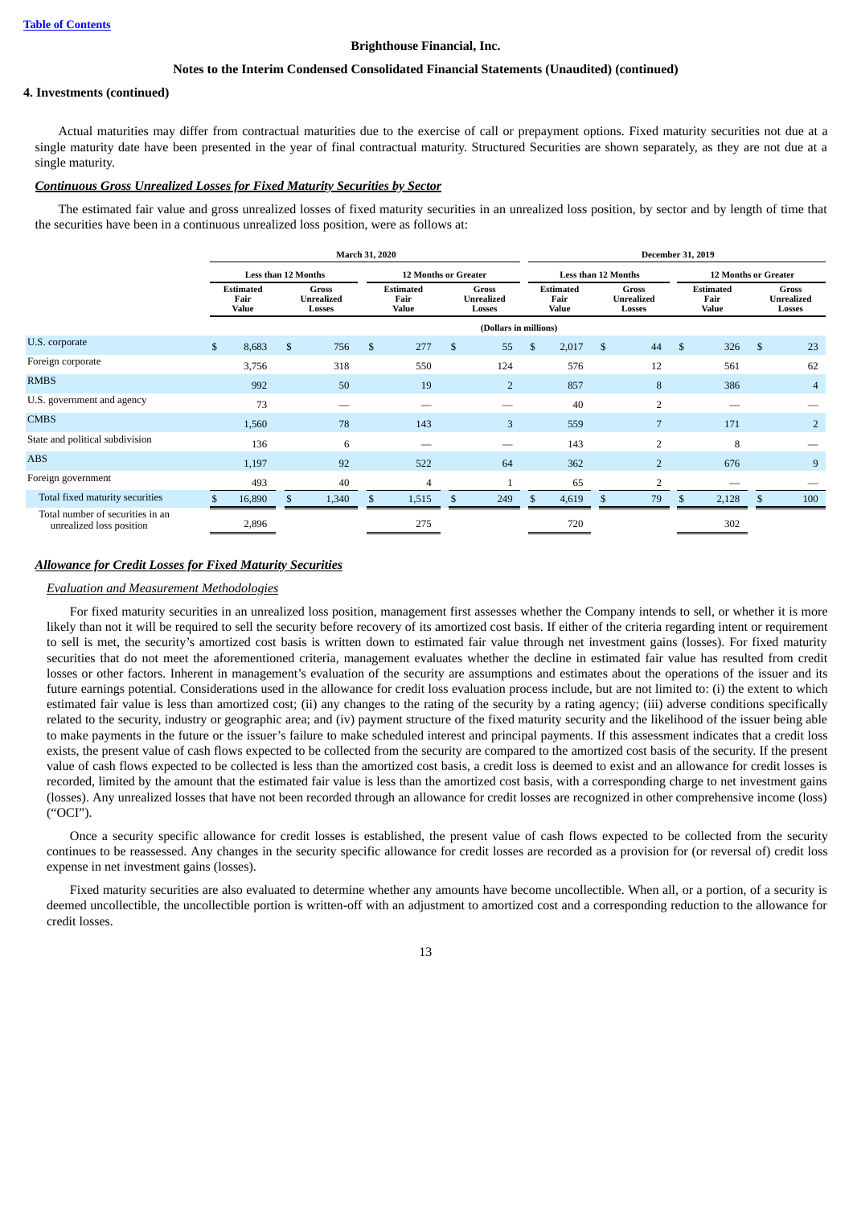# **Notes to the Interim Condensed Consolidated Financial Statements (Unaudited) (continued)**

# **4. Investments (continued)**

Actual maturities may differ from contractual maturities due to the exercise of call or prepayment options. Fixed maturity securities not due at a single maturity date have been presented in the year of final contractual maturity. Structured Securities are shown separately, as they are not due at a single maturity.

### *Continuous Gross Unrealized Losses for Fixed Maturity Securities by Sector*

The estimated fair value and gross unrealized losses of fixed maturity securities in an unrealized loss position, by sector and by length of time that the securities have been in a continuous unrealized loss position, were as follows at:

|                                                              | March 31, 2020                    |     |                                             |               |                             |    |                                   |                            | <b>December 31, 2019</b>                    |                |                                   |                      |                                             |              |                                   |  |                                      |  |
|--------------------------------------------------------------|-----------------------------------|-----|---------------------------------------------|---------------|-----------------------------|----|-----------------------------------|----------------------------|---------------------------------------------|----------------|-----------------------------------|----------------------|---------------------------------------------|--------------|-----------------------------------|--|--------------------------------------|--|
|                                                              | <b>Less than 12 Months</b>        |     |                                             |               | 12 Months or Greater        |    |                                   | <b>Less than 12 Months</b> |                                             |                |                                   | 12 Months or Greater |                                             |              |                                   |  |                                      |  |
|                                                              | <b>Estimated</b><br>Fair<br>Value |     | <b>Gross</b><br><b>Unrealized</b><br>Losses |               |                             |    | <b>Estimated</b><br>Fair<br>Value |                            | <b>Gross</b><br><b>Unrealized</b><br>Losses |                | <b>Estimated</b><br>Fair<br>Value |                      | <b>Gross</b><br><b>Unrealized</b><br>Losses |              | <b>Estimated</b><br>Fair<br>Value |  | Gross<br><b>Unrealized</b><br>Losses |  |
|                                                              |                                   |     |                                             |               |                             |    | (Dollars in millions)             |                            |                                             |                |                                   |                      |                                             |              |                                   |  |                                      |  |
| U.S. corporate                                               | \$<br>8,683                       | \$  | 756                                         | $\mathbb{S}$  | 277                         | \$ | 55                                | \$                         | 2,017                                       | $\mathfrak{S}$ | 44                                | \$                   | 326                                         | $\mathbb{S}$ | 23                                |  |                                      |  |
| Foreign corporate                                            | 3,756                             |     | 318                                         |               | 550                         |    | 124                               |                            | 576                                         |                | 12                                |                      | 561                                         |              | 62                                |  |                                      |  |
| <b>RMBS</b>                                                  | 992                               |     | 50                                          |               | 19                          |    | $\overline{2}$                    |                            | 857                                         |                | 8                                 |                      | 386                                         |              | $\overline{4}$                    |  |                                      |  |
| U.S. government and agency                                   | 73                                |     |                                             |               |                             |    |                                   |                            | 40                                          |                | 2                                 |                      |                                             |              |                                   |  |                                      |  |
| <b>CMBS</b>                                                  | 1,560                             |     | 78                                          |               | 143                         |    | 3                                 |                            | 559                                         |                | 7                                 |                      | 171                                         |              | $\overline{2}$                    |  |                                      |  |
| State and political subdivision                              | 136                               |     | 6                                           |               |                             |    |                                   |                            | 143                                         |                | $\overline{2}$                    |                      | 8                                           |              |                                   |  |                                      |  |
| <b>ABS</b>                                                   | 1,197                             |     | 92                                          |               | 522                         |    | 64                                |                            | 362                                         |                | $\overline{2}$                    |                      | 676                                         |              | 9                                 |  |                                      |  |
| Foreign government                                           | 493                               |     | 40                                          |               | $\boldsymbol{\vartriangle}$ |    |                                   |                            | 65                                          |                | $\overline{2}$                    |                      |                                             |              |                                   |  |                                      |  |
| Total fixed maturity securities                              | 16,890                            | \$. | 1,340                                       | $\mathcal{S}$ | 1,515                       | \$ | 249                               | \$                         | 4,619                                       | \$             | 79                                |                      | 2,128                                       |              | 100                               |  |                                      |  |
| Total number of securities in an<br>unrealized loss position | 2,896                             |     |                                             |               | 275                         |    |                                   |                            | 720                                         |                |                                   |                      | 302                                         |              |                                   |  |                                      |  |

#### *Allowance for Credit Losses for Fixed Maturity Securities*

# *Evaluation and Measurement Methodologies*

For fixed maturity securities in an unrealized loss position, management first assesses whether the Company intends to sell, or whether it is more likely than not it will be required to sell the security before recovery of its amortized cost basis. If either of the criteria regarding intent or requirement to sell is met, the security's amortized cost basis is written down to estimated fair value through net investment gains (losses). For fixed maturity securities that do not meet the aforementioned criteria, management evaluates whether the decline in estimated fair value has resulted from credit losses or other factors. Inherent in management's evaluation of the security are assumptions and estimates about the operations of the issuer and its future earnings potential. Considerations used in the allowance for credit loss evaluation process include, but are not limited to: (i) the extent to which estimated fair value is less than amortized cost; (ii) any changes to the rating of the security by a rating agency; (iii) adverse conditions specifically related to the security, industry or geographic area; and (iv) payment structure of the fixed maturity security and the likelihood of the issuer being able to make payments in the future or the issuer's failure to make scheduled interest and principal payments. If this assessment indicates that a credit loss exists, the present value of cash flows expected to be collected from the security are compared to the amortized cost basis of the security. If the present value of cash flows expected to be collected is less than the amortized cost basis, a credit loss is deemed to exist and an allowance for credit losses is recorded, limited by the amount that the estimated fair value is less than the amortized cost basis, with a corresponding charge to net investment gains (losses). Any unrealized losses that have not been recorded through an allowance for credit losses are recognized in other comprehensive income (loss) ("OCI").

Once a security specific allowance for credit losses is established, the present value of cash flows expected to be collected from the security continues to be reassessed. Any changes in the security specific allowance for credit losses are recorded as a provision for (or reversal of) credit loss expense in net investment gains (losses).

Fixed maturity securities are also evaluated to determine whether any amounts have become uncollectible. When all, or a portion, of a security is deemed uncollectible, the uncollectible portion is written-off with an adjustment to amortized cost and a corresponding reduction to the allowance for credit losses.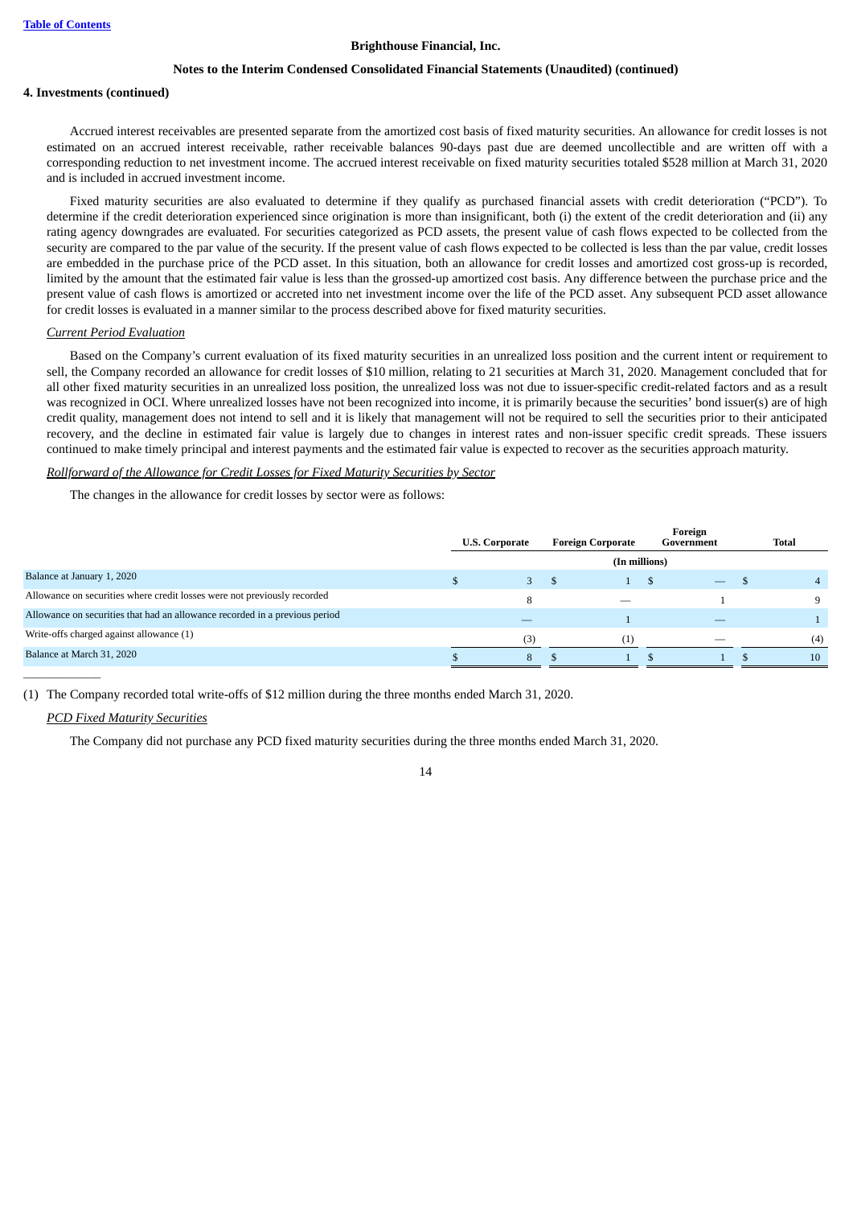# **Notes to the Interim Condensed Consolidated Financial Statements (Unaudited) (continued)**

### **4. Investments (continued)**

Accrued interest receivables are presented separate from the amortized cost basis of fixed maturity securities. An allowance for credit losses is not estimated on an accrued interest receivable, rather receivable balances 90-days past due are deemed uncollectible and are written off with a corresponding reduction to net investment income. The accrued interest receivable on fixed maturity securities totaled \$528 million at March 31, 2020 and is included in accrued investment income.

Fixed maturity securities are also evaluated to determine if they qualify as purchased financial assets with credit deterioration ("PCD"). To determine if the credit deterioration experienced since origination is more than insignificant, both (i) the extent of the credit deterioration and (ii) any rating agency downgrades are evaluated. For securities categorized as PCD assets, the present value of cash flows expected to be collected from the security are compared to the par value of the security. If the present value of cash flows expected to be collected is less than the par value, credit losses are embedded in the purchase price of the PCD asset. In this situation, both an allowance for credit losses and amortized cost gross-up is recorded, limited by the amount that the estimated fair value is less than the grossed-up amortized cost basis. Any difference between the purchase price and the present value of cash flows is amortized or accreted into net investment income over the life of the PCD asset. Any subsequent PCD asset allowance for credit losses is evaluated in a manner similar to the process described above for fixed maturity securities.

#### *Current Period Evaluation*

Based on the Company's current evaluation of its fixed maturity securities in an unrealized loss position and the current intent or requirement to sell, the Company recorded an allowance for credit losses of \$10 million, relating to 21 securities at March 31, 2020. Management concluded that for all other fixed maturity securities in an unrealized loss position, the unrealized loss was not due to issuer-specific credit-related factors and as a result was recognized in OCI. Where unrealized losses have not been recognized into income, it is primarily because the securities' bond issuer(s) are of high credit quality, management does not intend to sell and it is likely that management will not be required to sell the securities prior to their anticipated recovery, and the decline in estimated fair value is largely due to changes in interest rates and non-issuer specific credit spreads. These issuers continued to make timely principal and interest payments and the estimated fair value is expected to recover as the securities approach maturity.

#### *Rollforward of the Allowance for Credit Losses for Fixed Maturity Securities by Sector*

The changes in the allowance for credit losses by sector were as follows:

|                                                                             | <b>U.S. Corporate</b> |    | <b>Foreign Corporate</b> | <b>Total</b> |  |     |
|-----------------------------------------------------------------------------|-----------------------|----|--------------------------|--------------|--|-----|
|                                                                             |                       |    | (In millions)            |              |  |     |
| Balance at January 1, 2020                                                  | $\mathbf{3}$          | -S |                          | J.           |  |     |
| Allowance on securities where credit losses were not previously recorded    | 8                     |    |                          |              |  | Q   |
| Allowance on securities that had an allowance recorded in a previous period |                       |    |                          |              |  |     |
| Write-offs charged against allowance (1)                                    | (3)                   |    | 11                       |              |  | (4) |
| Balance at March 31, 2020                                                   | 8                     |    |                          |              |  | 10  |
|                                                                             |                       |    |                          |              |  |     |

(1) The Company recorded total write-offs of \$12 million during the three months ended March 31, 2020.

#### *PCD Fixed Maturity Securities*

The Company did not purchase any PCD fixed maturity securities during the three months ended March 31, 2020.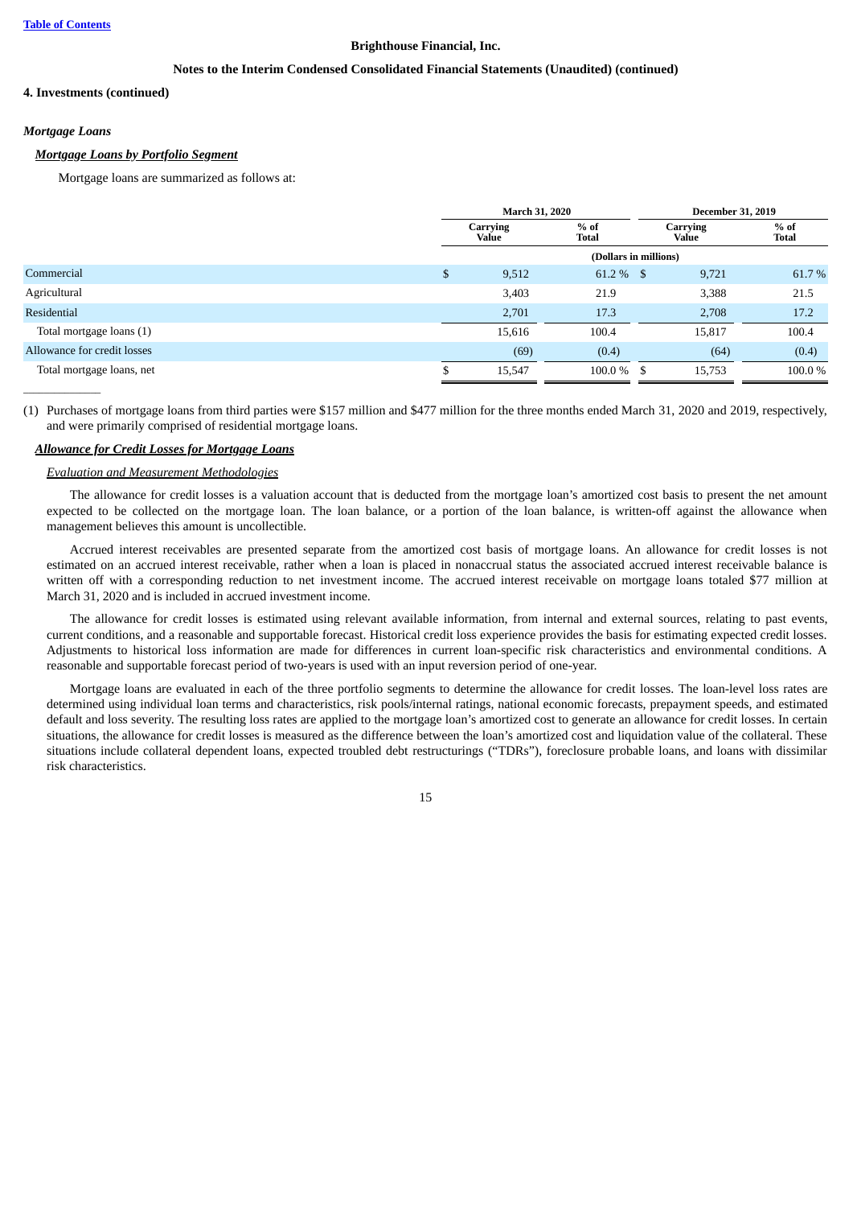# **Notes to the Interim Condensed Consolidated Financial Statements (Unaudited) (continued)**

#### **4. Investments (continued)**

#### *Mortgage Loans*

 $\overline{\phantom{a}}$ 

#### *Mortgage Loans by Portfolio Segment*

Mortgage loans are summarized as follows at:

|                             | <b>March 31, 2020</b> |                 |                       | <b>December 31, 2019</b> |
|-----------------------------|-----------------------|-----------------|-----------------------|--------------------------|
|                             | Carrying<br>Value     | $%$ of<br>Total | Carrying<br>Value     | $%$ of<br>Total          |
|                             |                       |                 | (Dollars in millions) |                          |
| Commercial                  | \$<br>9,512           | 61.2 $%$ \$     | 9,721                 | 61.7%                    |
| Agricultural                | 3,403                 | 21.9            | 3,388                 | 21.5                     |
| Residential                 | 2,701                 | 17.3            | 2,708                 | 17.2                     |
| Total mortgage loans (1)    | 15,616                | 100.4           | 15,817                | 100.4                    |
| Allowance for credit losses | (69)                  | (0.4)           | (64)                  | (0.4)                    |
| Total mortgage loans, net   | 15,547                | 100.0 %         | 15,753<br>- \$        | 100.0%                   |
|                             |                       |                 |                       |                          |

(1) Purchases of mortgage loans from third parties were \$157 million and \$477 million for the three months ended March 31, 2020 and 2019, respectively, and were primarily comprised of residential mortgage loans.

### *Allowance for Credit Losses for Mortgage Loans*

# *Evaluation and Measurement Methodologies*

The allowance for credit losses is a valuation account that is deducted from the mortgage loan's amortized cost basis to present the net amount expected to be collected on the mortgage loan. The loan balance, or a portion of the loan balance, is written-off against the allowance when management believes this amount is uncollectible.

Accrued interest receivables are presented separate from the amortized cost basis of mortgage loans. An allowance for credit losses is not estimated on an accrued interest receivable, rather when a loan is placed in nonaccrual status the associated accrued interest receivable balance is written off with a corresponding reduction to net investment income. The accrued interest receivable on mortgage loans totaled \$77 million at March 31, 2020 and is included in accrued investment income.

The allowance for credit losses is estimated using relevant available information, from internal and external sources, relating to past events, current conditions, and a reasonable and supportable forecast. Historical credit loss experience provides the basis for estimating expected credit losses. Adjustments to historical loss information are made for differences in current loan-specific risk characteristics and environmental conditions. A reasonable and supportable forecast period of two-years is used with an input reversion period of one-year.

Mortgage loans are evaluated in each of the three portfolio segments to determine the allowance for credit losses. The loan-level loss rates are determined using individual loan terms and characteristics, risk pools/internal ratings, national economic forecasts, prepayment speeds, and estimated default and loss severity. The resulting loss rates are applied to the mortgage loan's amortized cost to generate an allowance for credit losses. In certain situations, the allowance for credit losses is measured as the difference between the loan's amortized cost and liquidation value of the collateral. These situations include collateral dependent loans, expected troubled debt restructurings ("TDRs"), foreclosure probable loans, and loans with dissimilar risk characteristics.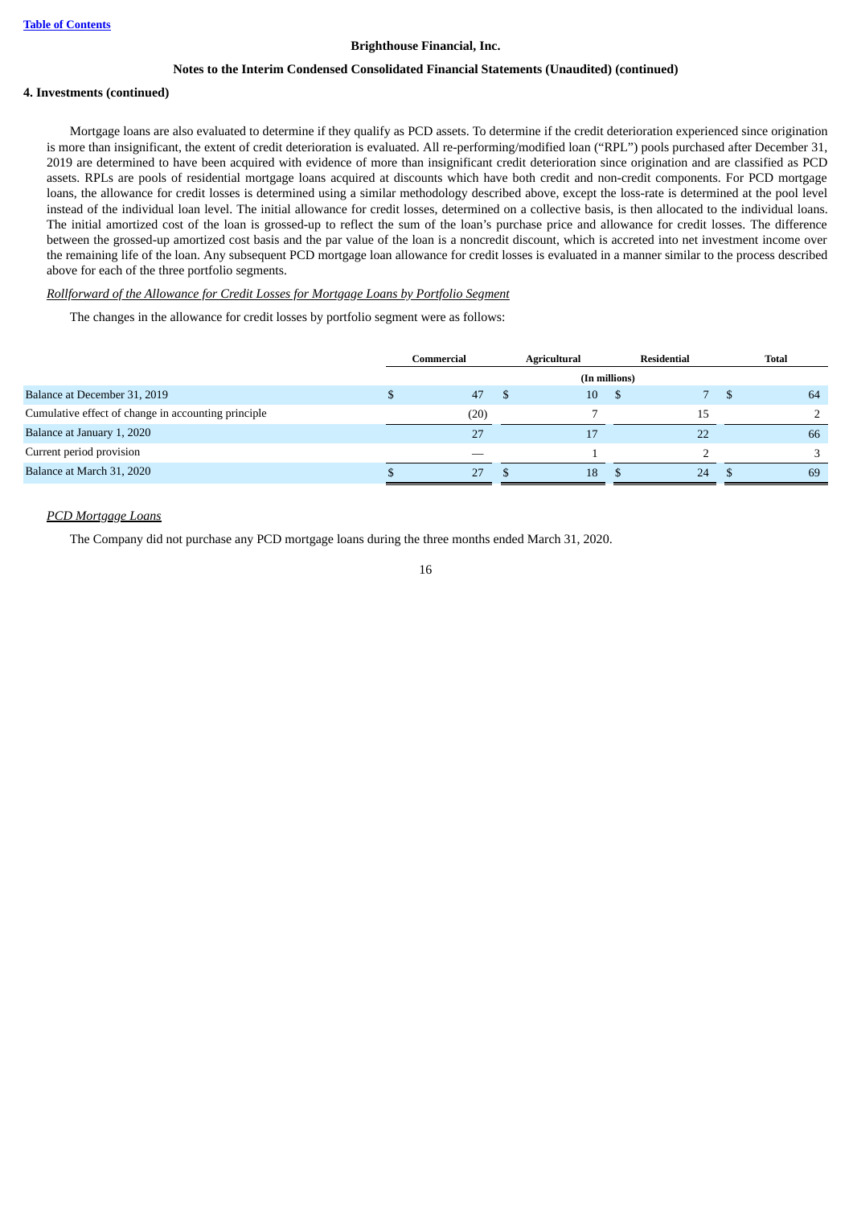# **Notes to the Interim Condensed Consolidated Financial Statements (Unaudited) (continued)**

# **4. Investments (continued)**

Mortgage loans are also evaluated to determine if they qualify as PCD assets. To determine if the credit deterioration experienced since origination is more than insignificant, the extent of credit deterioration is evaluated. All re-performing/modified loan ("RPL") pools purchased after December 31, 2019 are determined to have been acquired with evidence of more than insignificant credit deterioration since origination and are classified as PCD assets. RPLs are pools of residential mortgage loans acquired at discounts which have both credit and non-credit components. For PCD mortgage loans, the allowance for credit losses is determined using a similar methodology described above, except the loss-rate is determined at the pool level instead of the individual loan level. The initial allowance for credit losses, determined on a collective basis, is then allocated to the individual loans. The initial amortized cost of the loan is grossed-up to reflect the sum of the loan's purchase price and allowance for credit losses. The difference between the grossed-up amortized cost basis and the par value of the loan is a noncredit discount, which is accreted into net investment income over the remaining life of the loan. Any subsequent PCD mortgage loan allowance for credit losses is evaluated in a manner similar to the process described above for each of the three portfolio segments.

# *Rollforward of the Allowance for Credit Losses for Mortgage Loans by Portfolio Segment*

The changes in the allowance for credit losses by portfolio segment were as follows:

|                                                     | Commercial | <b>Agricultural</b> | <b>Residential</b> |    |  | <b>Total</b> |
|-----------------------------------------------------|------------|---------------------|--------------------|----|--|--------------|
|                                                     |            | (In millions)       |                    |    |  |              |
| Balance at December 31, 2019                        | 47         | 10                  | - 95               |    |  | 64           |
| Cumulative effect of change in accounting principle | (20)       |                     |                    |    |  |              |
| Balance at January 1, 2020                          | 27         |                     |                    | 22 |  | 66           |
| Current period provision                            |            |                     |                    |    |  | 3            |
| Balance at March 31, 2020                           | 27         | 18                  |                    | 24 |  | 69           |

### *PCD Mortgage Loans*

The Company did not purchase any PCD mortgage loans during the three months ended March 31, 2020.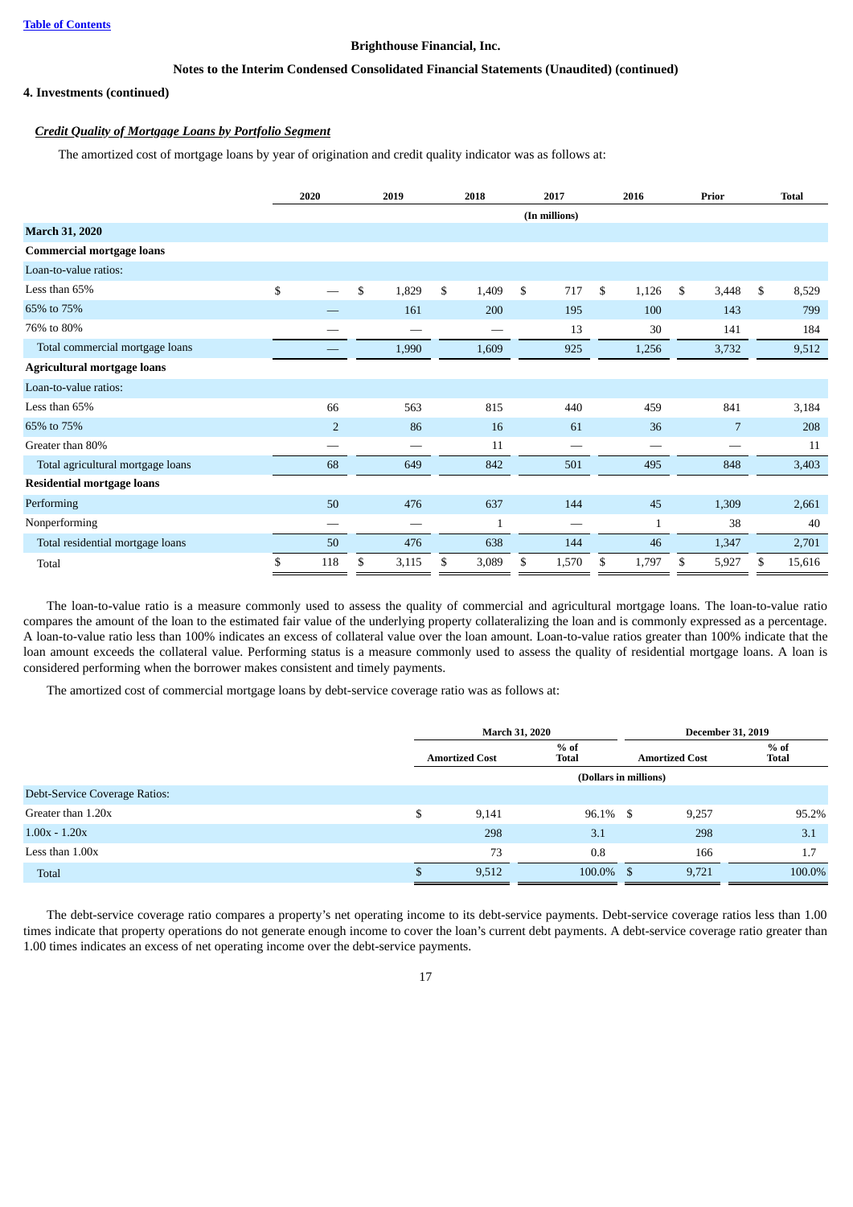# **Notes to the Interim Condensed Consolidated Financial Statements (Unaudited) (continued)**

# **4. Investments (continued)**

#### *Credit Quality of Mortgage Loans by Portfolio Segment*

The amortized cost of mortgage loans by year of origination and credit quality indicator was as follows at:

|                                    | 2020           | 2019        | 2018        | 2017          | 2016        | Prior |                | <b>Total</b> |
|------------------------------------|----------------|-------------|-------------|---------------|-------------|-------|----------------|--------------|
|                                    |                |             |             | (In millions) |             |       |                |              |
| <b>March 31, 2020</b>              |                |             |             |               |             |       |                |              |
| <b>Commercial mortgage loans</b>   |                |             |             |               |             |       |                |              |
| Loan-to-value ratios:              |                |             |             |               |             |       |                |              |
| Less than 65%                      | \$             | \$<br>1,829 | \$<br>1,409 | \$<br>717     | \$<br>1,126 | \$    | 3,448          | \$<br>8,529  |
| 65% to 75%                         |                | 161         | 200         | 195           | 100         |       | 143            | 799          |
| 76% to 80%                         |                |             |             | 13            | 30          |       | 141            | 184          |
| Total commercial mortgage loans    |                | 1,990       | 1,609       | 925           | 1,256       |       | 3,732          | 9,512        |
| <b>Agricultural mortgage loans</b> |                |             |             |               |             |       |                |              |
| Loan-to-value ratios:              |                |             |             |               |             |       |                |              |
| Less than 65%                      | 66             | 563         | 815         | 440           | 459         |       | 841            | 3,184        |
| 65% to 75%                         | $\overline{2}$ | 86          | 16          | 61            | 36          |       | $\overline{7}$ | 208          |
| Greater than 80%                   | --             |             | 11          | –             |             |       |                | 11           |
| Total agricultural mortgage loans  | 68             | 649         | 842         | 501           | 495         |       | 848            | 3,403        |
| <b>Residential mortgage loans</b>  |                |             |             |               |             |       |                |              |
| Performing                         | 50             | 476         | 637         | 144           | 45          |       | 1,309          | 2,661        |
| Nonperforming                      |                |             | 1           |               | 1           |       | 38             | 40           |
| Total residential mortgage loans   | 50             | 476         | 638         | 144           | 46          |       | 1,347          | 2,701        |
| Total                              | \$<br>118      | \$<br>3,115 | \$<br>3,089 | \$<br>1,570   | \$<br>1,797 | \$    | 5,927          | \$<br>15,616 |

The loan-to-value ratio is a measure commonly used to assess the quality of commercial and agricultural mortgage loans. The loan-to-value ratio compares the amount of the loan to the estimated fair value of the underlying property collateralizing the loan and is commonly expressed as a percentage. A loan-to-value ratio less than 100% indicates an excess of collateral value over the loan amount. Loan-to-value ratios greater than 100% indicate that the loan amount exceeds the collateral value. Performing status is a measure commonly used to assess the quality of residential mortgage loans. A loan is considered performing when the borrower makes consistent and timely payments.

The amortized cost of commercial mortgage loans by debt-service coverage ratio was as follows at:

|                               | <b>March 31, 2020</b>                           |       |          |      | <b>December 31, 2019</b> |                 |  |  |  |
|-------------------------------|-------------------------------------------------|-------|----------|------|--------------------------|-----------------|--|--|--|
|                               | $%$ of<br><b>Amortized Cost</b><br><b>Total</b> |       |          |      | <b>Amortized Cost</b>    | $%$ of<br>Total |  |  |  |
|                               |                                                 |       |          |      |                          |                 |  |  |  |
| Debt-Service Coverage Ratios: |                                                 |       |          |      |                          |                 |  |  |  |
| Greater than 1.20x            | S                                               | 9,141 | 96.1% \$ |      | 9,257                    | 95.2%           |  |  |  |
| $1.00x - 1.20x$               |                                                 | 298   | 3.1      |      | 298                      | 3.1             |  |  |  |
| Less than $1.00x$             |                                                 | 73    | 0.8      |      | 166                      | 1.7             |  |  |  |
| Total                         |                                                 | 9,512 | 100.0%   | - \$ | 9,721                    | 100.0%          |  |  |  |

The debt-service coverage ratio compares a property's net operating income to its debt-service payments. Debt-service coverage ratios less than 1.00 times indicate that property operations do not generate enough income to cover the loan's current debt payments. A debt-service coverage ratio greater than 1.00 times indicates an excess of net operating income over the debt-service payments.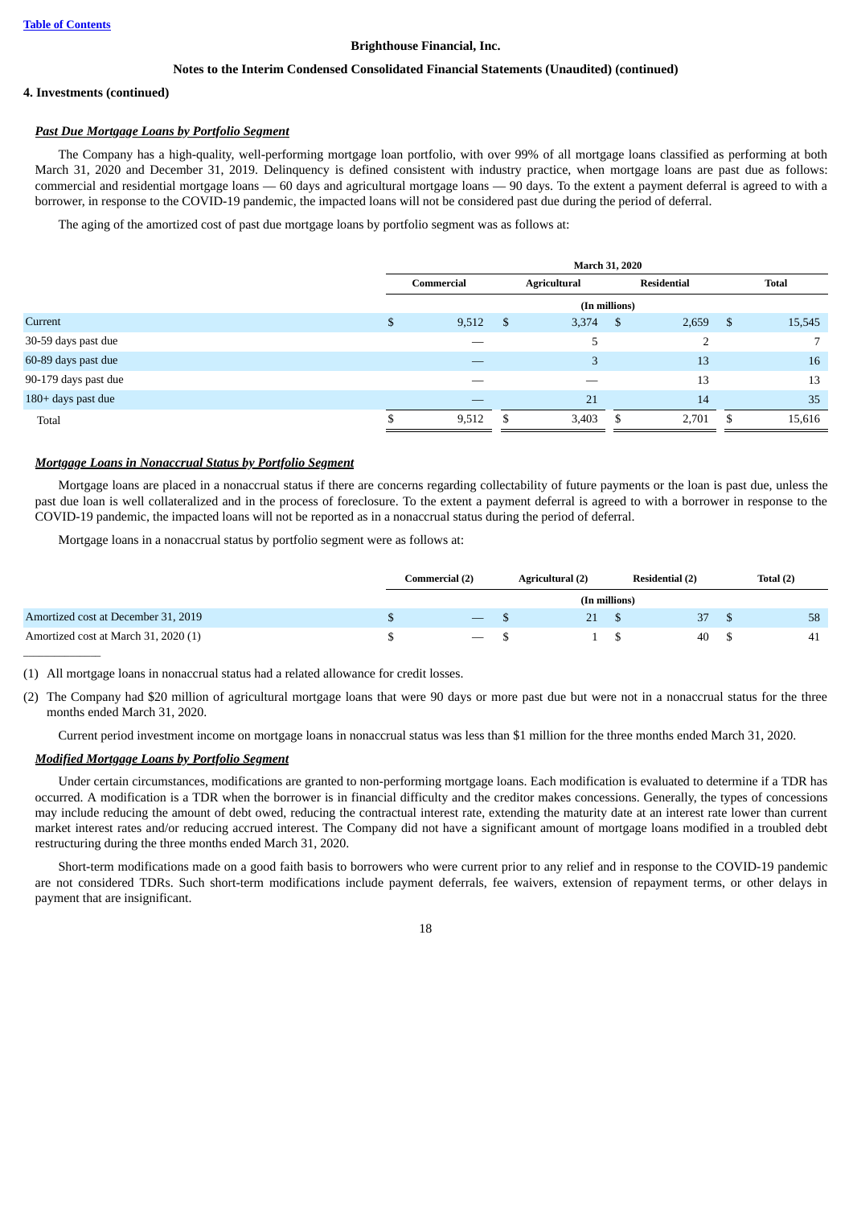### **Notes to the Interim Condensed Consolidated Financial Statements (Unaudited) (continued)**

#### **4. Investments (continued)**

#### *Past Due Mortgage Loans by Portfolio Segment*

The Company has a high-quality, well-performing mortgage loan portfolio, with over 99% of all mortgage loans classified as performing at both March 31, 2020 and December 31, 2019. Delinquency is defined consistent with industry practice, when mortgage loans are past due as follows: commercial and residential mortgage loans — 60 days and agricultural mortgage loans — 90 days. To the extent a payment deferral is agreed to with a borrower, in response to the COVID-19 pandemic, the impacted loans will not be considered past due during the period of deferral.

The aging of the amortized cost of past due mortgage loans by portfolio segment was as follows at:

|                      | <b>March 31, 2020</b> |            |      |                     |               |                    |      |                |  |  |  |
|----------------------|-----------------------|------------|------|---------------------|---------------|--------------------|------|----------------|--|--|--|
|                      |                       | Commercial |      | <b>Agricultural</b> |               | <b>Residential</b> |      | <b>Total</b>   |  |  |  |
|                      |                       |            |      |                     | (In millions) |                    |      |                |  |  |  |
| Current              |                       | 9,512      | - \$ | 3,374               | \$            | 2,659              | - \$ | 15,545         |  |  |  |
| 30-59 days past due  |                       | $-$        |      | 5                   |               | ר                  |      | $\overline{7}$ |  |  |  |
| 60-89 days past due  |                       | _          |      | 3                   |               | 13                 |      | 16             |  |  |  |
| 90-179 days past due |                       |            |      |                     |               | 13                 |      | 13             |  |  |  |
| 180+ days past due   |                       |            |      | 21                  |               | 14                 |      | 35             |  |  |  |
| Total                |                       | 9,512      |      | 3,403               | S             | 2,701              | - 5  | 15,616         |  |  |  |

#### *Mortgage Loans in Nonaccrual Status by Portfolio Segment*

Mortgage loans are placed in a nonaccrual status if there are concerns regarding collectability of future payments or the loan is past due, unless the past due loan is well collateralized and in the process of foreclosure. To the extent a payment deferral is agreed to with a borrower in response to the COVID-19 pandemic, the impacted loans will not be reported as in a nonaccrual status during the period of deferral.

Mortgage loans in a nonaccrual status by portfolio segment were as follows at:

|                                      | Commercial (2)           |  | <b>Agricultural</b> (2) |               | <b>Residential (2)</b> | Total $(2)$ |
|--------------------------------------|--------------------------|--|-------------------------|---------------|------------------------|-------------|
|                                      |                          |  |                         | (In millions) |                        |             |
| Amortized cost at December 31, 2019  | $\overline{\phantom{a}}$ |  | 21                      |               | 37                     | 58          |
| Amortized cost at March 31, 2020 (1) | $\overline{\phantom{a}}$ |  |                         |               | 40                     | 41          |
|                                      |                          |  |                         |               |                        |             |

(1) All mortgage loans in nonaccrual status had a related allowance for credit losses.

(2) The Company had \$20 million of agricultural mortgage loans that were 90 days or more past due but were not in a nonaccrual status for the three months ended March 31, 2020.

Current period investment income on mortgage loans in nonaccrual status was less than \$1 million for the three months ended March 31, 2020.

#### *Modified Mortgage Loans by Portfolio Segment*

Under certain circumstances, modifications are granted to non-performing mortgage loans. Each modification is evaluated to determine if a TDR has occurred. A modification is a TDR when the borrower is in financial difficulty and the creditor makes concessions. Generally, the types of concessions may include reducing the amount of debt owed, reducing the contractual interest rate, extending the maturity date at an interest rate lower than current market interest rates and/or reducing accrued interest. The Company did not have a significant amount of mortgage loans modified in a troubled debt restructuring during the three months ended March 31, 2020.

Short-term modifications made on a good faith basis to borrowers who were current prior to any relief and in response to the COVID-19 pandemic are not considered TDRs. Such short-term modifications include payment deferrals, fee waivers, extension of repayment terms, or other delays in payment that are insignificant.

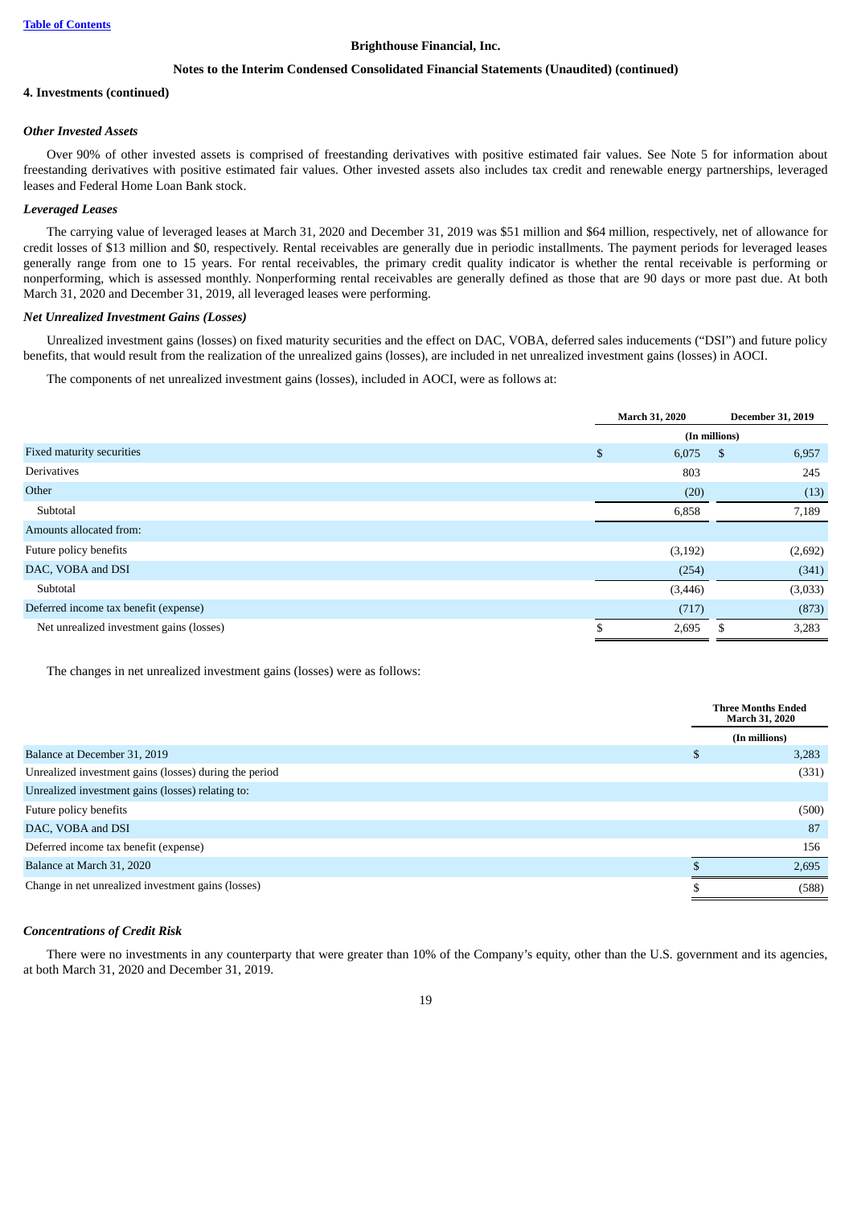# **Notes to the Interim Condensed Consolidated Financial Statements (Unaudited) (continued)**

### **4. Investments (continued)**

#### *Other Invested Assets*

Over 90% of other invested assets is comprised of freestanding derivatives with positive estimated fair values. See Note 5 for information about freestanding derivatives with positive estimated fair values. Other invested assets also includes tax credit and renewable energy partnerships, leveraged leases and Federal Home Loan Bank stock.

#### *Leveraged Leases*

The carrying value of leveraged leases at March 31, 2020 and December 31, 2019 was \$51 million and \$64 million, respectively, net of allowance for credit losses of \$13 million and \$0, respectively. Rental receivables are generally due in periodic installments. The payment periods for leveraged leases generally range from one to 15 years. For rental receivables, the primary credit quality indicator is whether the rental receivable is performing or nonperforming, which is assessed monthly. Nonperforming rental receivables are generally defined as those that are 90 days or more past due. At both March 31, 2020 and December 31, 2019, all leveraged leases were performing.

#### *Net Unrealized Investment Gains (Losses)*

Unrealized investment gains (losses) on fixed maturity securities and the effect on DAC, VOBA, deferred sales inducements ("DSI") and future policy benefits, that would result from the realization of the unrealized gains (losses), are included in net unrealized investment gains (losses) in AOCI.

The components of net unrealized investment gains (losses), included in AOCI, were as follows at:

|                                          | <b>March 31, 2020</b> |               |      | <b>December 31, 2019</b> |
|------------------------------------------|-----------------------|---------------|------|--------------------------|
|                                          |                       | (In millions) |      |                          |
| Fixed maturity securities                | \$                    | 6,075         | - \$ | 6,957                    |
| <b>Derivatives</b>                       |                       | 803           |      | 245                      |
| Other                                    |                       | (20)          |      | (13)                     |
| Subtotal                                 |                       | 6,858         |      | 7,189                    |
| Amounts allocated from:                  |                       |               |      |                          |
| Future policy benefits                   |                       | (3, 192)      |      | (2,692)                  |
| DAC, VOBA and DSI                        |                       | (254)         |      | (341)                    |
| Subtotal                                 |                       | (3, 446)      |      | (3,033)                  |
| Deferred income tax benefit (expense)    |                       | (717)         |      | (873)                    |
| Net unrealized investment gains (losses) | \$                    | 2,695         | Эħ   | 3,283                    |

The changes in net unrealized investment gains (losses) were as follows:

|                                                        |    | <b>Three Months Ended</b><br><b>March 31, 2020</b> |
|--------------------------------------------------------|----|----------------------------------------------------|
|                                                        |    | (In millions)                                      |
| Balance at December 31, 2019                           | \$ | 3,283                                              |
| Unrealized investment gains (losses) during the period |    | (331)                                              |
| Unrealized investment gains (losses) relating to:      |    |                                                    |
| Future policy benefits                                 |    | (500)                                              |
| DAC, VOBA and DSI                                      |    | 87                                                 |
| Deferred income tax benefit (expense)                  |    | 156                                                |
| Balance at March 31, 2020                              |    | 2,695                                              |
| Change in net unrealized investment gains (losses)     | S  | (588)                                              |

#### *Concentrations of Credit Risk*

There were no investments in any counterparty that were greater than 10% of the Company's equity, other than the U.S. government and its agencies, at both March 31, 2020 and December 31, 2019.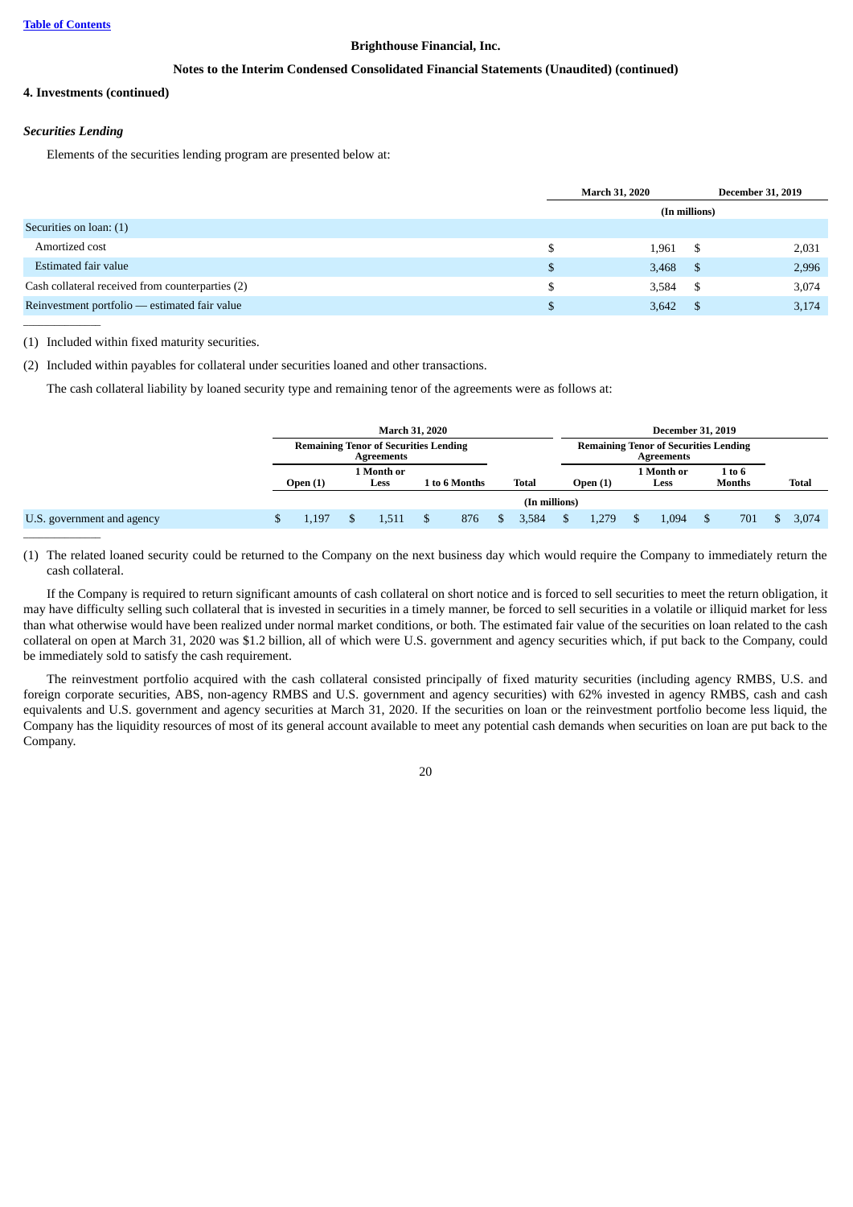# **Notes to the Interim Condensed Consolidated Financial Statements (Unaudited) (continued)**

# **4. Investments (continued)**

### *Securities Lending*

Elements of the securities lending program are presented below at:

|                                                  | <b>March 31, 2020</b> |      | <b>December 31, 2019</b> |  |  |  |
|--------------------------------------------------|-----------------------|------|--------------------------|--|--|--|
|                                                  | (In millions)         |      |                          |  |  |  |
| Securities on loan: (1)                          |                       |      |                          |  |  |  |
| Amortized cost                                   | 1,961                 | S    | 2,031                    |  |  |  |
| Estimated fair value                             | 3,468                 | - \$ | 2,996                    |  |  |  |
| Cash collateral received from counterparties (2) | 3,584                 | -S   | 3,074                    |  |  |  |
| Reinvestment portfolio — estimated fair value    | 3,642                 |      | 3,174                    |  |  |  |
|                                                  |                       |      |                          |  |  |  |

(1) Included within fixed maturity securities.

(2) Included within payables for collateral under securities loaned and other transactions.

The cash collateral liability by loaned security type and remaining tenor of the agreements were as follows at:

|                            |                                                          | <b>March 31, 2020</b>                                             |  |                                |  |     |  | <b>December 31, 2019</b> |                                                                   |       |  |       |  |     |    |       |
|----------------------------|----------------------------------------------------------|-------------------------------------------------------------------|--|--------------------------------|--|-----|--|--------------------------|-------------------------------------------------------------------|-------|--|-------|--|-----|----|-------|
|                            |                                                          | <b>Remaining Tenor of Securities Lending</b><br><b>Agreements</b> |  |                                |  |     |  |                          | <b>Remaining Tenor of Securities Lending</b><br><b>Agreements</b> |       |  |       |  |     |    |       |
|                            | 1 Month or<br>Total<br>1 to 6 Months<br>Open (1)<br>Less |                                                                   |  | 1 Month or<br>Open (1)<br>Less |  |     |  | 1 to 6<br>Months         |                                                                   | Total |  |       |  |     |    |       |
|                            |                                                          | (In millions)                                                     |  |                                |  |     |  |                          |                                                                   |       |  |       |  |     |    |       |
| U.S. government and agency |                                                          | 1,197                                                             |  | 1,511                          |  | 876 |  | 3.584                    |                                                                   | 1.279 |  | 1,094 |  | 701 | S. | 3,074 |
|                            |                                                          |                                                                   |  |                                |  |     |  |                          |                                                                   |       |  |       |  |     |    |       |

(1) The related loaned security could be returned to the Company on the next business day which would require the Company to immediately return the cash collateral.

If the Company is required to return significant amounts of cash collateral on short notice and is forced to sell securities to meet the return obligation, it may have difficulty selling such collateral that is invested in securities in a timely manner, be forced to sell securities in a volatile or illiquid market for less than what otherwise would have been realized under normal market conditions, or both. The estimated fair value of the securities on loan related to the cash collateral on open at March 31, 2020 was \$1.2 billion, all of which were U.S. government and agency securities which, if put back to the Company, could be immediately sold to satisfy the cash requirement.

The reinvestment portfolio acquired with the cash collateral consisted principally of fixed maturity securities (including agency RMBS, U.S. and foreign corporate securities, ABS, non-agency RMBS and U.S. government and agency securities) with 62% invested in agency RMBS, cash and cash equivalents and U.S. government and agency securities at March 31, 2020. If the securities on loan or the reinvestment portfolio become less liquid, the Company has the liquidity resources of most of its general account available to meet any potential cash demands when securities on loan are put back to the Company.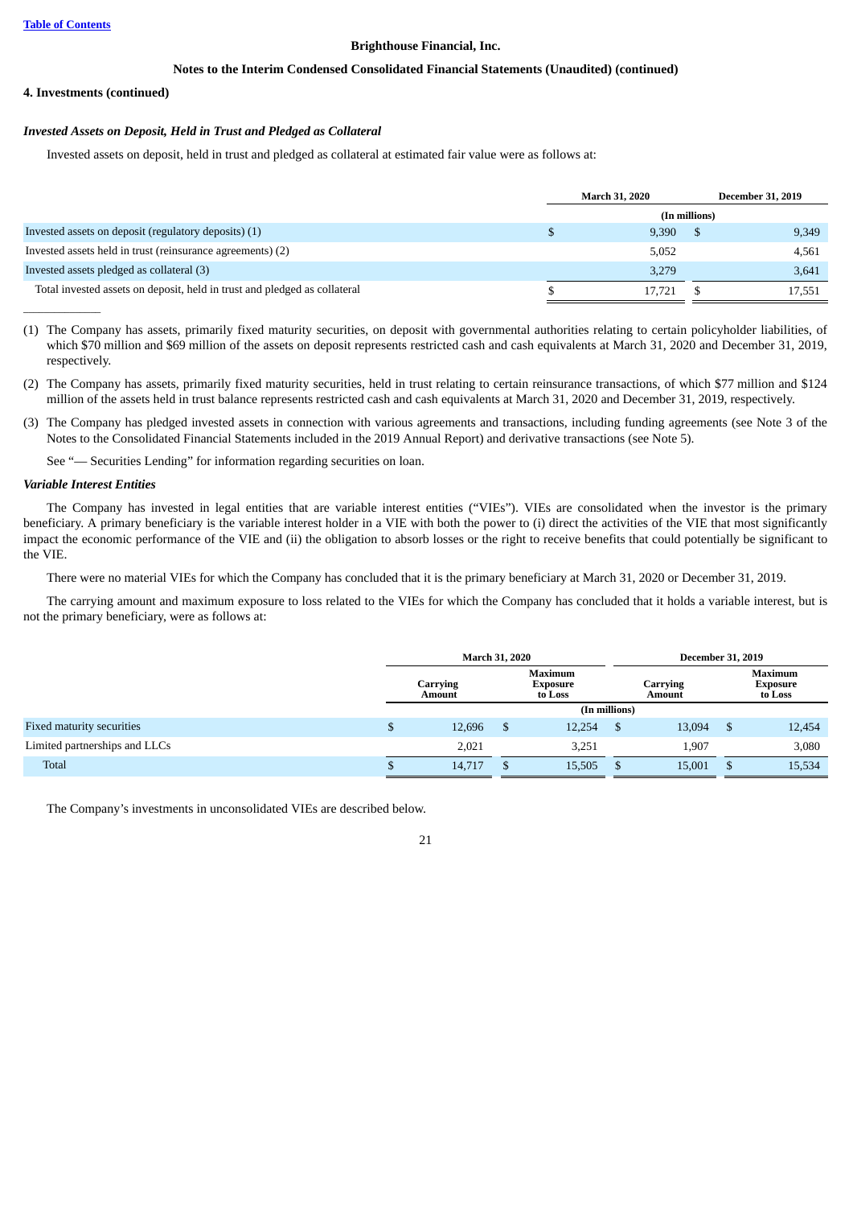$\overline{\phantom{a}}$ 

### **Brighthouse Financial, Inc.**

# **Notes to the Interim Condensed Consolidated Financial Statements (Unaudited) (continued)**

#### **4. Investments (continued)**

#### *Invested Assets on Deposit, Held in Trust and Pledged as Collateral*

Invested assets on deposit, held in trust and pledged as collateral at estimated fair value were as follows at:

|                                                                           | <b>March 31, 2020</b> |  | <b>December 31, 2019</b> |
|---------------------------------------------------------------------------|-----------------------|--|--------------------------|
|                                                                           | (In millions)         |  |                          |
| Invested assets on deposit (regulatory deposits) (1)                      | 9,390                 |  | 9,349                    |
| Invested assets held in trust (reinsurance agreements) (2)                | 5,052                 |  | 4,561                    |
| Invested assets pledged as collateral (3)                                 | 3,279                 |  | 3,641                    |
| Total invested assets on deposit, held in trust and pledged as collateral | 17.721                |  | 17,551                   |

(1) The Company has assets, primarily fixed maturity securities, on deposit with governmental authorities relating to certain policyholder liabilities, of which \$70 million and \$69 million of the assets on deposit represents restricted cash and cash equivalents at March 31, 2020 and December 31, 2019, respectively.

- (2) The Company has assets, primarily fixed maturity securities, held in trust relating to certain reinsurance transactions, of which \$77 million and \$124 million of the assets held in trust balance represents restricted cash and cash equivalents at March 31, 2020 and December 31, 2019, respectively.
- (3) The Company has pledged invested assets in connection with various agreements and transactions, including funding agreements (see Note 3 of the Notes to the Consolidated Financial Statements included in the 2019 Annual Report) and derivative transactions (see Note 5).

See "— Securities Lending" for information regarding securities on loan.

#### *Variable Interest Entities*

The Company has invested in legal entities that are variable interest entities ("VIEs"). VIEs are consolidated when the investor is the primary beneficiary. A primary beneficiary is the variable interest holder in a VIE with both the power to (i) direct the activities of the VIE that most significantly impact the economic performance of the VIE and (ii) the obligation to absorb losses or the right to receive benefits that could potentially be significant to the VIE.

There were no material VIEs for which the Company has concluded that it is the primary beneficiary at March 31, 2020 or December 31, 2019.

The carrying amount and maximum exposure to loss related to the VIEs for which the Company has concluded that it holds a variable interest, but is not the primary beneficiary, were as follows at:

|                               | <b>March 31, 2020</b> |                    |  |                                |                    | <b>December 31, 2019</b> |    |                                              |  |  |
|-------------------------------|-----------------------|--------------------|--|--------------------------------|--------------------|--------------------------|----|----------------------------------------------|--|--|
|                               |                       | Carrying<br>Amount |  | Maximum<br>Exposure<br>to Loss | Carrying<br>Amount |                          |    | <b>Maximum</b><br><b>Exposure</b><br>to Loss |  |  |
|                               |                       |                    |  | (In millions)                  |                    |                          |    |                                              |  |  |
| Fixed maturity securities     | S                     | 12,696             |  | 12,254                         | \$                 | 13,094                   | -S | 12,454                                       |  |  |
| Limited partnerships and LLCs |                       | 2.021              |  | 3,251                          |                    | 1,907                    |    | 3,080                                        |  |  |
| Total                         |                       | 14,717             |  | 15,505                         | \$                 | 15,001                   | S  | 15,534                                       |  |  |

The Company's investments in unconsolidated VIEs are described below.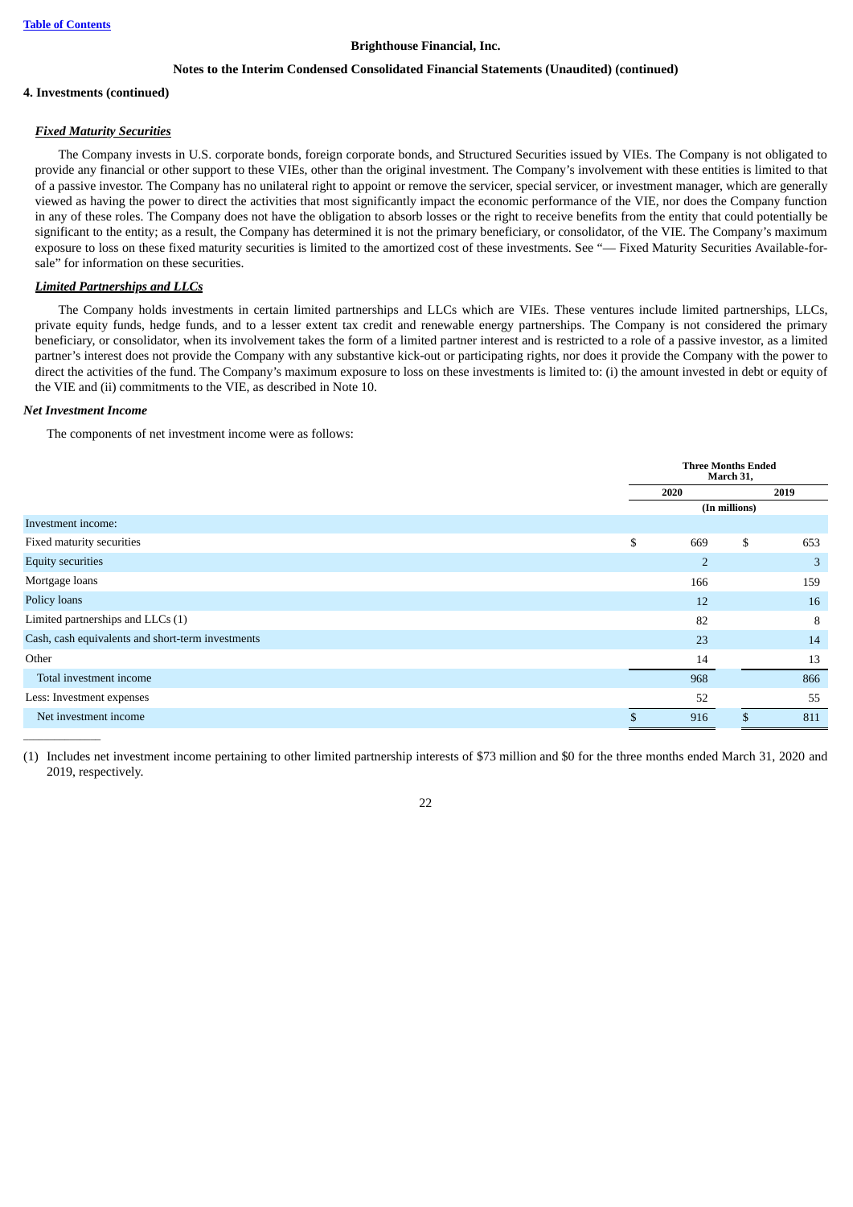# **Notes to the Interim Condensed Consolidated Financial Statements (Unaudited) (continued)**

#### **4. Investments (continued)**

#### *Fixed Maturity Securities*

The Company invests in U.S. corporate bonds, foreign corporate bonds, and Structured Securities issued by VIEs. The Company is not obligated to provide any financial or other support to these VIEs, other than the original investment. The Company's involvement with these entities is limited to that of a passive investor. The Company has no unilateral right to appoint or remove the servicer, special servicer, or investment manager, which are generally viewed as having the power to direct the activities that most significantly impact the economic performance of the VIE, nor does the Company function in any of these roles. The Company does not have the obligation to absorb losses or the right to receive benefits from the entity that could potentially be significant to the entity; as a result, the Company has determined it is not the primary beneficiary, or consolidator, of the VIE. The Company's maximum exposure to loss on these fixed maturity securities is limited to the amortized cost of these investments. See "— Fixed Maturity Securities Available-forsale" for information on these securities.

#### *Limited Partnerships and LLCs*

The Company holds investments in certain limited partnerships and LLCs which are VIEs. These ventures include limited partnerships, LLCs, private equity funds, hedge funds, and to a lesser extent tax credit and renewable energy partnerships. The Company is not considered the primary beneficiary, or consolidator, when its involvement takes the form of a limited partner interest and is restricted to a role of a passive investor, as a limited partner's interest does not provide the Company with any substantive kick-out or participating rights, nor does it provide the Company with the power to direct the activities of the fund. The Company's maximum exposure to loss on these investments is limited to: (i) the amount invested in debt or equity of the VIE and (ii) commitments to the VIE, as described in Note 10.

#### *Net Investment Income*

 $\overline{\phantom{a}}$ 

The components of net investment income were as follows:

| 2019<br>2020<br>(In millions)<br>Investment income:<br>Fixed maturity securities<br>\$<br>\$<br>669<br><b>Equity securities</b><br>$\overline{2}$<br>Mortgage loans<br>166<br>Policy loans<br>12<br>Limited partnerships and LLCs (1) | <b>Three Months Ended</b><br>March 31, |     |
|---------------------------------------------------------------------------------------------------------------------------------------------------------------------------------------------------------------------------------------|----------------------------------------|-----|
|                                                                                                                                                                                                                                       |                                        |     |
|                                                                                                                                                                                                                                       |                                        |     |
|                                                                                                                                                                                                                                       |                                        |     |
|                                                                                                                                                                                                                                       |                                        | 653 |
|                                                                                                                                                                                                                                       |                                        | 3   |
|                                                                                                                                                                                                                                       |                                        | 159 |
|                                                                                                                                                                                                                                       |                                        | 16  |
|                                                                                                                                                                                                                                       | 82                                     | 8   |
| Cash, cash equivalents and short-term investments<br>23                                                                                                                                                                               |                                        | 14  |
| Other<br>14                                                                                                                                                                                                                           |                                        | 13  |
| Total investment income<br>968                                                                                                                                                                                                        |                                        | 866 |
| Less: Investment expenses<br>52                                                                                                                                                                                                       |                                        | 55  |
| Net investment income<br>916<br>\$.                                                                                                                                                                                                   |                                        | 811 |

(1) Includes net investment income pertaining to other limited partnership interests of \$73 million and \$0 for the three months ended March 31, 2020 and 2019, respectively.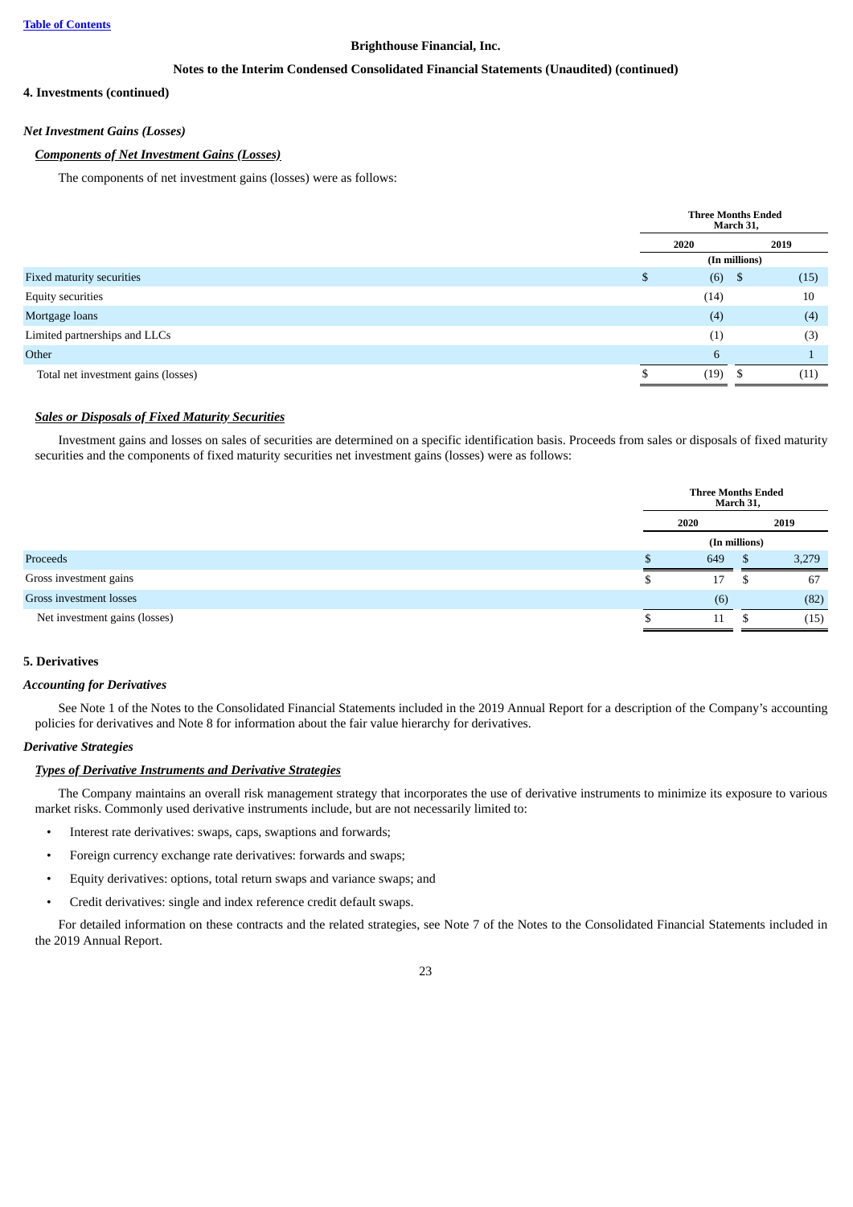# **Notes to the Interim Condensed Consolidated Financial Statements (Unaudited) (continued)**

### **4. Investments (continued)**

#### *Net Investment Gains (Losses)*

#### *Components of Net Investment Gains (Losses)*

The components of net investment gains (losses) were as follows:

|                                     |    | <b>Three Months Ended</b><br>March 31, |              |  |  |  |
|-------------------------------------|----|----------------------------------------|--------------|--|--|--|
|                                     |    | 2020                                   | 2019         |  |  |  |
|                                     |    | (In millions)                          |              |  |  |  |
| Fixed maturity securities           | -S | (6)                                    | (15)<br>- \$ |  |  |  |
| <b>Equity securities</b>            |    | (14)                                   | 10           |  |  |  |
| Mortgage loans                      |    | (4)                                    | (4)          |  |  |  |
| Limited partnerships and LLCs       |    | (1)                                    | (3)          |  |  |  |
| Other                               |    | 6                                      |              |  |  |  |
| Total net investment gains (losses) |    | (19)                                   | (11)<br>-55  |  |  |  |
|                                     |    |                                        |              |  |  |  |

#### *Sales or Disposals of Fixed Maturity Securities*

Investment gains and losses on sales of securities are determined on a specific identification basis. Proceeds from sales or disposals of fixed maturity securities and the components of fixed maturity securities net investment gains (losses) were as follows:

|                               | <b>Three Months Ended</b><br>March 31, |      |       |  |
|-------------------------------|----------------------------------------|------|-------|--|
|                               | 2020                                   | 2019 |       |  |
|                               | (In millions)                          |      |       |  |
| Proceeds                      | 649                                    | -S   | 3,279 |  |
| Gross investment gains        | 17                                     | S    | 67    |  |
| Gross investment losses       | (6)                                    |      | (82)  |  |
| Net investment gains (losses) | 11                                     |      | (15)  |  |

#### <span id="page-23-0"></span>**5. Derivatives**

#### *Accounting for Derivatives*

See Note 1 of the Notes to the Consolidated Financial Statements included in the 2019 Annual Report for a description of the Company's accounting policies for derivatives and Note 8 for information about the fair value hierarchy for derivatives.

#### *Derivative Strategies*

#### *Types of Derivative Instruments and Derivative Strategies*

The Company maintains an overall risk management strategy that incorporates the use of derivative instruments to minimize its exposure to various market risks. Commonly used derivative instruments include, but are not necessarily limited to:

- Interest rate derivatives: swaps, caps, swaptions and forwards;
- Foreign currency exchange rate derivatives: forwards and swaps;
- Equity derivatives: options, total return swaps and variance swaps; and
- Credit derivatives: single and index reference credit default swaps.

For detailed information on these contracts and the related strategies, see Note 7 of the Notes to the Consolidated Financial Statements included in the 2019 Annual Report.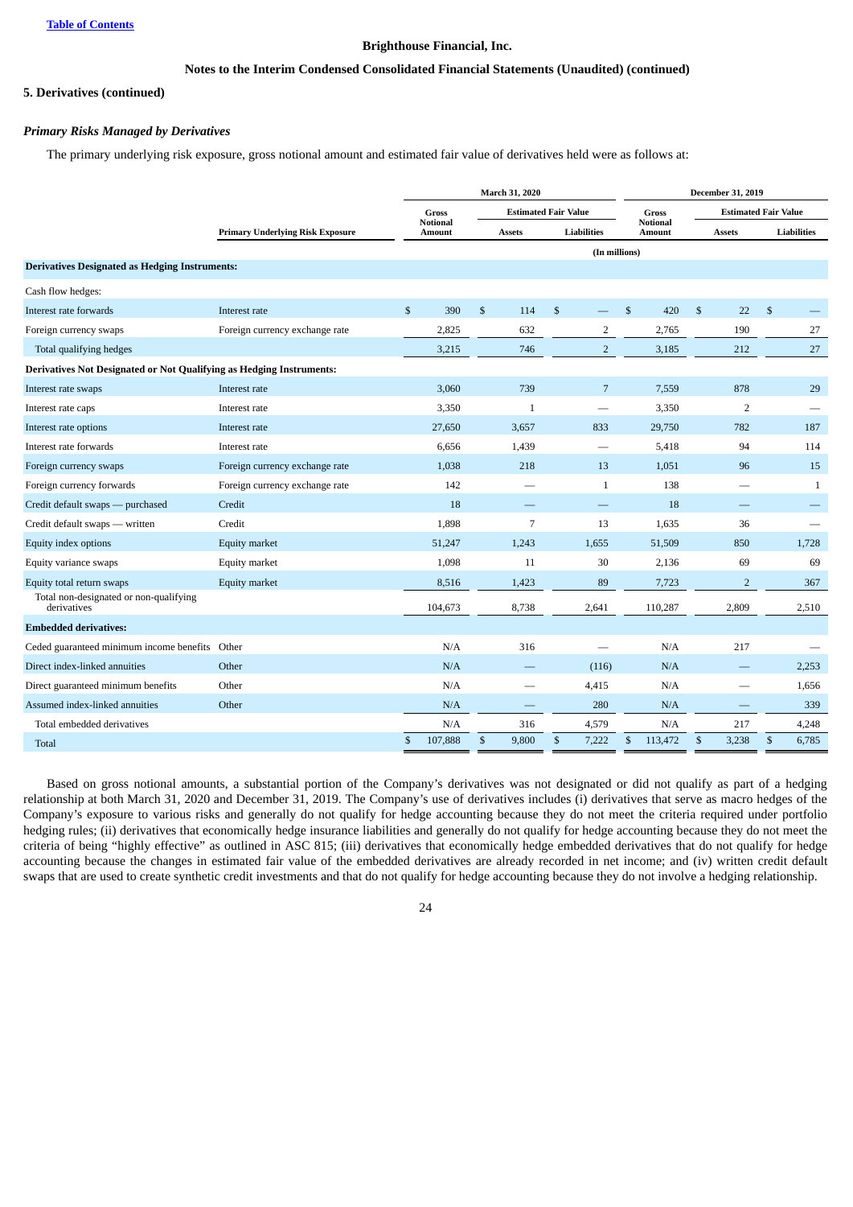# **Notes to the Interim Condensed Consolidated Financial Statements (Unaudited) (continued)**

# **5. Derivatives (continued)**

# *Primary Risks Managed by Derivatives*

The primary underlying risk exposure, gross notional amount and estimated fair value of derivatives held were as follows at:

|                                                                      |                                         | March 31, 2020 |                           |              |                                     |              |                           | <b>December 31, 2019</b> |         |                |                             |                    |              |
|----------------------------------------------------------------------|-----------------------------------------|----------------|---------------------------|--------------|-------------------------------------|--------------|---------------------------|--------------------------|---------|----------------|-----------------------------|--------------------|--------------|
|                                                                      |                                         |                | Gross                     |              | <b>Estimated Fair Value</b>         |              |                           | Gross                    |         |                | <b>Estimated Fair Value</b> |                    |              |
|                                                                      | <b>Primary Underlying Risk Exposure</b> |                | <b>Notional</b><br>Amount |              | <b>Liabilities</b><br><b>Assets</b> |              | <b>Notional</b><br>Amount |                          |         | <b>Assets</b>  |                             | <b>Liabilities</b> |              |
|                                                                      |                                         | (In millions)  |                           |              |                                     |              |                           |                          |         |                |                             |                    |              |
| <b>Derivatives Designated as Hedging Instruments:</b>                |                                         |                |                           |              |                                     |              |                           |                          |         |                |                             |                    |              |
| Cash flow hedges:                                                    |                                         |                |                           |              |                                     |              |                           |                          |         |                |                             |                    |              |
| Interest rate forwards                                               | Interest rate                           | $\mathbb{S}$   | 390                       | $\mathbb{S}$ | 114                                 | $\mathbb{S}$ |                           | \$                       | 420     | $\mathfrak{s}$ | 22                          | $\mathfrak{S}$     |              |
| Foreign currency swaps                                               | Foreign currency exchange rate          |                | 2,825                     |              | 632                                 |              | $\overline{2}$            |                          | 2,765   |                | 190                         |                    | 27           |
| Total qualifying hedges                                              |                                         |                | 3,215                     |              | 746                                 |              | $\overline{2}$            |                          | 3,185   |                | 212                         |                    | 27           |
| Derivatives Not Designated or Not Qualifying as Hedging Instruments: |                                         |                |                           |              |                                     |              |                           |                          |         |                |                             |                    |              |
| Interest rate swaps                                                  | Interest rate                           |                | 3,060                     |              | 739                                 |              | $7\overline{ }$           |                          | 7,559   |                | 878                         |                    | 29           |
| Interest rate caps                                                   | Interest rate                           |                | 3,350                     |              | $\mathbf{1}$                        |              | $\overline{\phantom{0}}$  |                          | 3,350   |                | 2                           |                    |              |
| Interest rate options                                                | Interest rate                           |                | 27,650                    |              | 3,657                               |              | 833                       |                          | 29,750  |                | 782                         |                    | 187          |
| Interest rate forwards                                               | Interest rate                           |                | 6,656                     |              | 1,439                               |              | $\overline{\phantom{0}}$  |                          | 5,418   |                | 94                          |                    | 114          |
| Foreign currency swaps                                               | Foreign currency exchange rate          |                | 1,038                     |              | 218                                 |              | 13                        |                          | 1,051   |                | 96                          |                    | 15           |
| Foreign currency forwards                                            | Foreign currency exchange rate          |                | 142                       |              | $\overline{\phantom{0}}$            |              | $\mathbf{1}$              |                          | 138     |                | $\overline{\phantom{0}}$    |                    | $\mathbf{1}$ |
| Credit default swaps - purchased                                     | Credit                                  |                | 18                        |              |                                     |              |                           |                          | 18      |                |                             |                    |              |
| Credit default swaps - written                                       | Credit                                  |                | 1,898                     |              | $\overline{7}$                      |              | 13                        |                          | 1,635   |                | 36                          |                    |              |
| Equity index options                                                 | <b>Equity market</b>                    |                | 51,247                    |              | 1,243                               |              | 1,655                     |                          | 51,509  |                | 850                         |                    | 1,728        |
| Equity variance swaps                                                | Equity market                           |                | 1,098                     |              | 11                                  |              | 30                        |                          | 2,136   |                | 69                          |                    | 69           |
| Equity total return swaps                                            | Equity market                           |                | 8,516                     |              | 1,423                               |              | 89                        |                          | 7,723   |                | $\overline{2}$              |                    | 367          |
| Total non-designated or non-qualifying<br>derivatives                |                                         |                | 104,673                   |              | 8,738                               |              | 2,641                     |                          | 110,287 |                | 2,809                       |                    | 2,510        |
| <b>Embedded derivatives:</b>                                         |                                         |                |                           |              |                                     |              |                           |                          |         |                |                             |                    |              |
| Ceded guaranteed minimum income benefits Other                       |                                         |                | N/A                       |              | 316                                 |              |                           |                          | N/A     |                | 217                         |                    |              |
| Direct index-linked annuities                                        | Other                                   |                | N/A                       |              |                                     |              | (116)                     |                          | N/A     |                |                             |                    | 2,253        |
| Direct guaranteed minimum benefits                                   | Other                                   |                | N/A                       |              | $\overline{\phantom{0}}$            |              | 4,415                     |                          | N/A     |                | $\overline{\phantom{0}}$    |                    | 1,656        |
| Assumed index-linked annuities                                       | Other                                   |                | N/A                       |              |                                     |              | 280                       |                          | N/A     |                |                             |                    | 339          |
| Total embedded derivatives                                           |                                         |                | N/A                       |              | 316                                 |              | 4,579                     |                          | N/A     |                | 217                         |                    | 4,248        |
| Total                                                                |                                         | \$             | 107,888                   | $\mathbb{S}$ | 9,800                               | \$           | 7,222                     | \$                       | 113,472 | $\$$           | 3,238                       | $\mathbb{S}$       | 6,785        |

Based on gross notional amounts, a substantial portion of the Company's derivatives was not designated or did not qualify as part of a hedging relationship at both March 31, 2020 and December 31, 2019. The Company's use of derivatives includes (i) derivatives that serve as macro hedges of the Company's exposure to various risks and generally do not qualify for hedge accounting because they do not meet the criteria required under portfolio hedging rules; (ii) derivatives that economically hedge insurance liabilities and generally do not qualify for hedge accounting because they do not meet the criteria of being "highly effective" as outlined in ASC 815; (iii) derivatives that economically hedge embedded derivatives that do not qualify for hedge accounting because the changes in estimated fair value of the embedded derivatives are already recorded in net income; and (iv) written credit default swaps that are used to create synthetic credit investments and that do not qualify for hedge accounting because they do not involve a hedging relationship.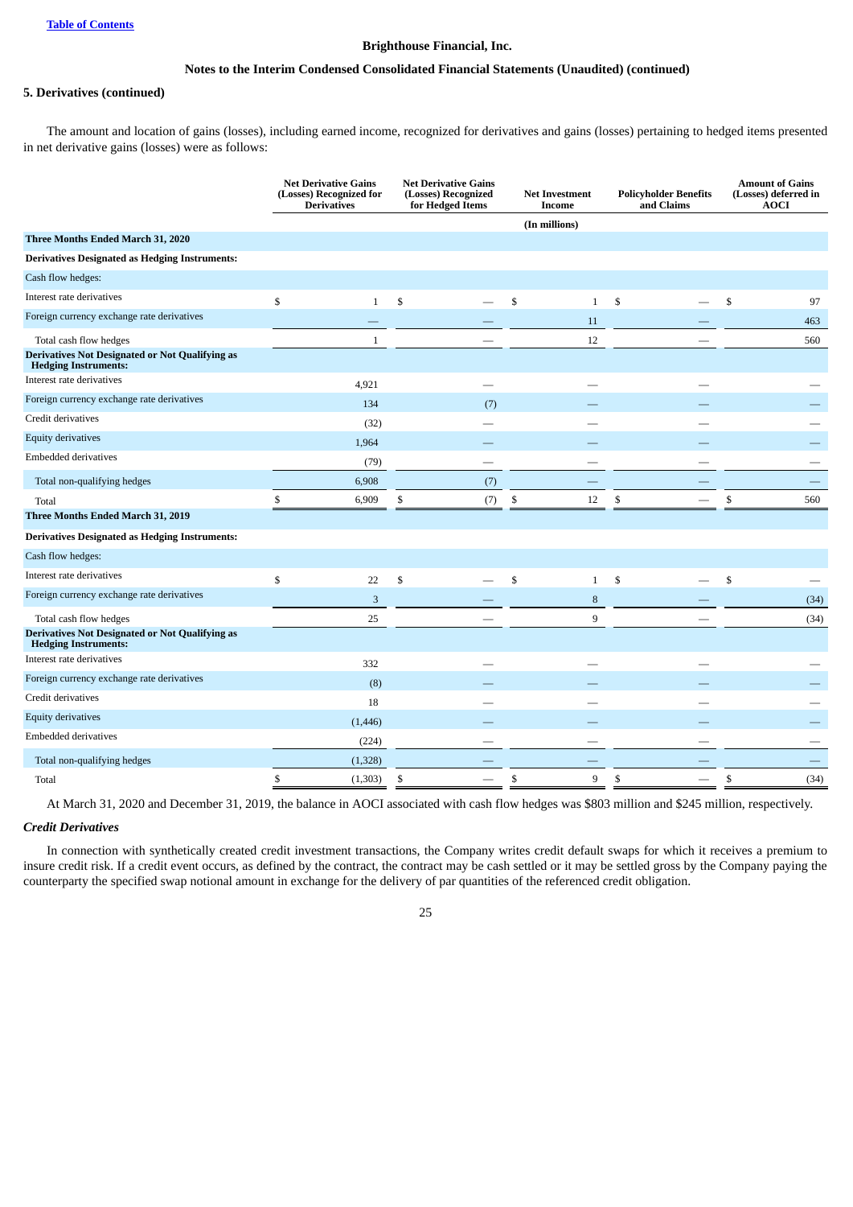# **Notes to the Interim Condensed Consolidated Financial Statements (Unaudited) (continued)**

# **5. Derivatives (continued)**

The amount and location of gains (losses), including earned income, recognized for derivatives and gains (losses) pertaining to hedged items presented in net derivative gains (losses) were as follows:

|                                                                                       | <b>Net Derivative Gains</b><br>(Losses) Recognized for<br><b>Derivatives</b> | <b>Net Derivative Gains</b><br>(Losses) Recognized<br>for Hedged Items | <b>Net Investment</b><br>Income | <b>Policyholder Benefits</b><br>and Claims | <b>Amount of Gains</b><br>(Losses) deferred in<br><b>AOCI</b> |
|---------------------------------------------------------------------------------------|------------------------------------------------------------------------------|------------------------------------------------------------------------|---------------------------------|--------------------------------------------|---------------------------------------------------------------|
|                                                                                       |                                                                              |                                                                        | (In millions)                   |                                            |                                                               |
| Three Months Ended March 31, 2020                                                     |                                                                              |                                                                        |                                 |                                            |                                                               |
| <b>Derivatives Designated as Hedging Instruments:</b>                                 |                                                                              |                                                                        |                                 |                                            |                                                               |
| Cash flow hedges:                                                                     |                                                                              |                                                                        |                                 |                                            |                                                               |
| Interest rate derivatives                                                             | \$<br>$\mathbf{1}$                                                           | \$                                                                     | \$<br>$\mathbf{1}$              | \$                                         | \$<br>97                                                      |
| Foreign currency exchange rate derivatives                                            |                                                                              |                                                                        | 11                              |                                            | 463                                                           |
| Total cash flow hedges                                                                | $\mathbf{1}$                                                                 |                                                                        | 12                              |                                            | 560                                                           |
| <b>Derivatives Not Designated or Not Qualifying as</b><br><b>Hedging Instruments:</b> |                                                                              |                                                                        |                                 |                                            |                                                               |
| Interest rate derivatives                                                             | 4,921                                                                        |                                                                        |                                 |                                            |                                                               |
| Foreign currency exchange rate derivatives                                            | 134                                                                          | (7)                                                                    |                                 |                                            |                                                               |
| Credit derivatives                                                                    | (32)                                                                         |                                                                        |                                 |                                            |                                                               |
| <b>Equity derivatives</b>                                                             | 1,964                                                                        |                                                                        |                                 |                                            |                                                               |
| <b>Embedded derivatives</b>                                                           | (79)                                                                         |                                                                        |                                 |                                            |                                                               |
| Total non-qualifying hedges                                                           | 6,908                                                                        | (7)                                                                    |                                 |                                            |                                                               |
| Total                                                                                 | \$<br>6,909                                                                  | \$<br>(7)                                                              | \$<br>12                        | \$                                         | \$<br>560                                                     |
| Three Months Ended March 31, 2019                                                     |                                                                              |                                                                        |                                 |                                            |                                                               |
| <b>Derivatives Designated as Hedging Instruments:</b>                                 |                                                                              |                                                                        |                                 |                                            |                                                               |
| Cash flow hedges:                                                                     |                                                                              |                                                                        |                                 |                                            |                                                               |
| Interest rate derivatives                                                             | \$<br>22                                                                     | \$                                                                     | \$<br>$\mathbf{1}$              | \$                                         | $\mathfrak{S}$                                                |
| Foreign currency exchange rate derivatives                                            | $\mathbf{3}$                                                                 |                                                                        | $\, 8$                          |                                            | (34)                                                          |
| Total cash flow hedges                                                                | 25                                                                           |                                                                        | $9\,$                           |                                            | (34)                                                          |
| Derivatives Not Designated or Not Qualifying as<br><b>Hedging Instruments:</b>        |                                                                              |                                                                        |                                 |                                            |                                                               |
| Interest rate derivatives                                                             | 332                                                                          |                                                                        |                                 |                                            |                                                               |
| Foreign currency exchange rate derivatives                                            | (8)                                                                          |                                                                        |                                 |                                            |                                                               |
| Credit derivatives                                                                    | 18                                                                           |                                                                        |                                 |                                            |                                                               |
| Equity derivatives                                                                    | (1, 446)                                                                     |                                                                        |                                 |                                            |                                                               |
| Embedded derivatives                                                                  | (224)                                                                        |                                                                        |                                 |                                            |                                                               |
| Total non-qualifying hedges                                                           | (1, 328)                                                                     |                                                                        |                                 |                                            |                                                               |
| Total                                                                                 | \$<br>(1, 303)                                                               | \$                                                                     | \$<br>9                         | \$                                         | \$<br>(34)                                                    |

At March 31, 2020 and December 31, 2019, the balance in AOCI associated with cash flow hedges was \$803 million and \$245 million, respectively.

# *Credit Derivatives*

In connection with synthetically created credit investment transactions, the Company writes credit default swaps for which it receives a premium to insure credit risk. If a credit event occurs, as defined by the contract, the contract may be cash settled or it may be settled gross by the Company paying the counterparty the specified swap notional amount in exchange for the delivery of par quantities of the referenced credit obligation.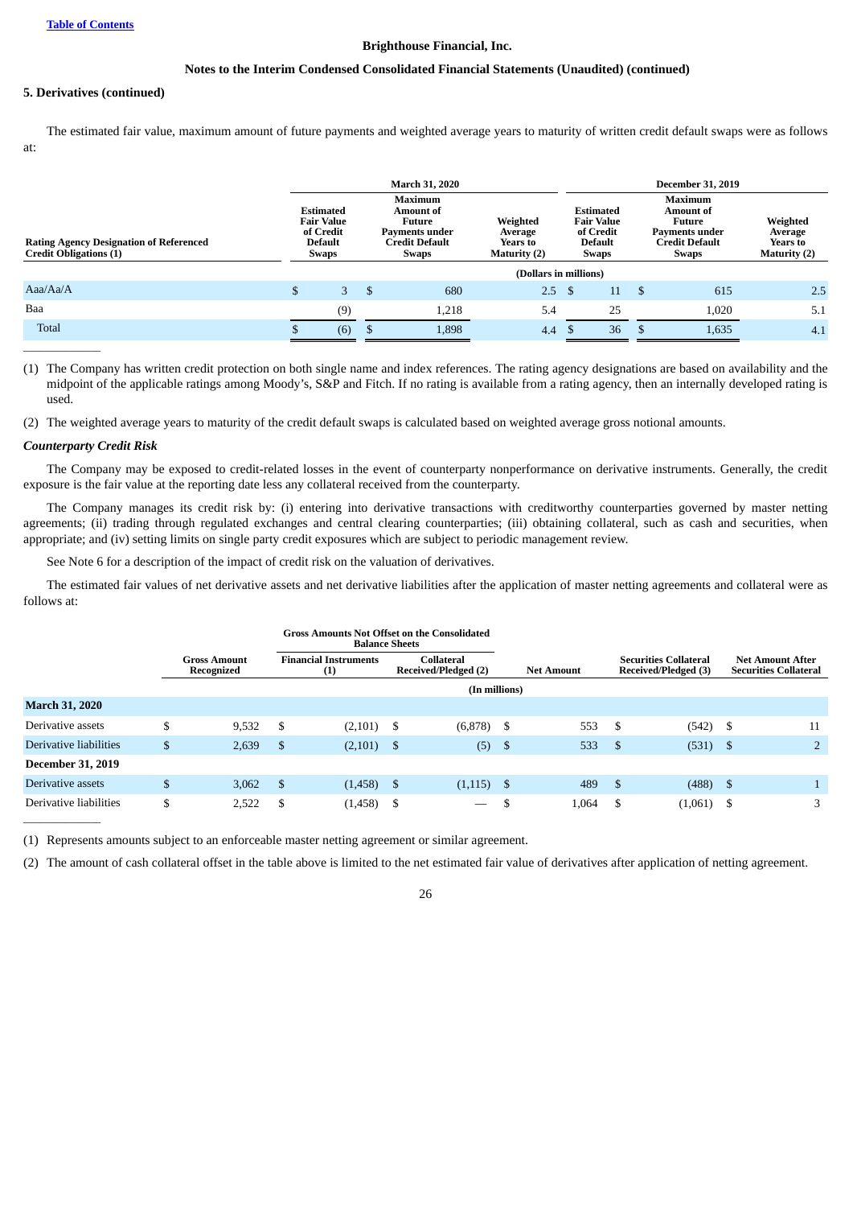### **Notes to the Interim Condensed Consolidated Financial Statements (Unaudited) (continued)**

# **5. Derivatives (continued)**

The estimated fair value, maximum amount of future payments and weighted average years to maturity of written credit default swaps were as follows at:

|                                                                                 |  |                                                                               |     | <b>March 31, 2020</b>                                                                            |                                                        | <b>December 31, 2019</b>                                                             |    |     |                                                                                                  |                                                        |  |
|---------------------------------------------------------------------------------|--|-------------------------------------------------------------------------------|-----|--------------------------------------------------------------------------------------------------|--------------------------------------------------------|--------------------------------------------------------------------------------------|----|-----|--------------------------------------------------------------------------------------------------|--------------------------------------------------------|--|
| <b>Rating Agency Designation of Referenced</b><br><b>Credit Obligations (1)</b> |  | <b>Estimated</b><br><b>Fair Value</b><br>of Credit<br><b>Default</b><br>Swaps |     | Maximum<br><b>Amount of</b><br>Future<br>Payments under<br><b>Credit Default</b><br><b>Swaps</b> | Weighted<br>Average<br>Years to<br><b>Maturity (2)</b> | <b>Estimated</b><br><b>Fair Value</b><br>of Credit<br><b>Default</b><br><b>Swaps</b> |    |     | Maximum<br><b>Amount of</b><br>Future<br><b>Payments under</b><br><b>Credit Default</b><br>Swaps | Weighted<br>Average<br>Years to<br><b>Maturity (2)</b> |  |
|                                                                                 |  |                                                                               |     |                                                                                                  | (Dollars in millions)                                  |                                                                                      |    |     |                                                                                                  |                                                        |  |
| Aaa/Aa/A                                                                        |  | 3 <sup>1</sup>                                                                | -\$ | 680                                                                                              | 2.5 <sup>5</sup>                                       |                                                                                      | 11 | Ŝ.  | 615                                                                                              | 2.5                                                    |  |
| Baa                                                                             |  | (9)                                                                           |     | 1,218                                                                                            | 5.4                                                    |                                                                                      | 25 |     | 1,020                                                                                            | 5.1                                                    |  |
| <b>Total</b>                                                                    |  | (6)                                                                           |     | 1,898                                                                                            | 4.4                                                    | - 35                                                                                 | 36 | \$. | 1,635                                                                                            | 4.1                                                    |  |
|                                                                                 |  |                                                                               |     |                                                                                                  |                                                        |                                                                                      |    |     |                                                                                                  |                                                        |  |

(1) The Company has written credit protection on both single name and index references. The rating agency designations are based on availability and the midpoint of the applicable ratings among Moody's, S&P and Fitch. If no rating is available from a rating agency, then an internally developed rating is used.

(2) The weighted average years to maturity of the credit default swaps is calculated based on weighted average gross notional amounts.

# *Counterparty Credit Risk*

The Company may be exposed to credit-related losses in the event of counterparty nonperformance on derivative instruments. Generally, the credit exposure is the fair value at the reporting date less any collateral received from the counterparty.

The Company manages its credit risk by: (i) entering into derivative transactions with creditworthy counterparties governed by master netting agreements; (ii) trading through regulated exchanges and central clearing counterparties; (iii) obtaining collateral, such as cash and securities, when appropriate; and (iv) setting limits on single party credit exposures which are subject to periodic management review.

See Note 6 for a description of the impact of credit risk on the valuation of derivatives.

The estimated fair values of net derivative assets and net derivative liabilities after the application of master netting agreements and collateral were as follows at:

|                          |                                   |                                     | <b>Gross Amounts Not Offset on the Consolidated</b><br><b>Balance Sheets</b> |      |                                           |     |                   |                                                      |              |      |                                                         |  |  |
|--------------------------|-----------------------------------|-------------------------------------|------------------------------------------------------------------------------|------|-------------------------------------------|-----|-------------------|------------------------------------------------------|--------------|------|---------------------------------------------------------|--|--|
|                          | <b>Gross Amount</b><br>Recognized | <b>Financial Instruments</b><br>(1) |                                                                              |      | <b>Collateral</b><br>Received/Pledged (2) |     | <b>Net Amount</b> | <b>Securities Collateral</b><br>Received/Pledged (3) |              |      | <b>Net Amount After</b><br><b>Securities Collateral</b> |  |  |
|                          |                                   |                                     |                                                                              |      | (In millions)                             |     |                   |                                                      |              |      |                                                         |  |  |
| <b>March 31, 2020</b>    |                                   |                                     |                                                                              |      |                                           |     |                   |                                                      |              |      |                                                         |  |  |
| Derivative assets        | \$<br>9,532                       | \$                                  | (2,101)                                                                      | - \$ | $(6,878)$ \$                              |     | 553               | -\$                                                  | (542)        | - \$ | 11                                                      |  |  |
| Derivative liabilities   | \$<br>2,639                       | \$                                  | $(2,101)$ \$                                                                 |      | (5)                                       | -\$ | 533               | S                                                    | $(531)$ \$   |      | $\overline{2}$                                          |  |  |
| <b>December 31, 2019</b> |                                   |                                     |                                                                              |      |                                           |     |                   |                                                      |              |      |                                                         |  |  |
| Derivative assets        | \$<br>3,062                       | $\mathfrak{S}$                      | (1,458)                                                                      | - \$ | $(1,115)$ \$                              |     | 489               | -\$                                                  | (488)        | - \$ |                                                         |  |  |
| Derivative liabilities   | \$<br>2,522                       | \$                                  | (1,458)                                                                      | - \$ |                                           | -\$ | 1,064             | \$                                                   | $(1,061)$ \$ |      | 3                                                       |  |  |

(1) Represents amounts subject to an enforceable master netting agreement or similar agreement.

(2) The amount of cash collateral offset in the table above is limited to the net estimated fair value of derivatives after application of netting agreement.

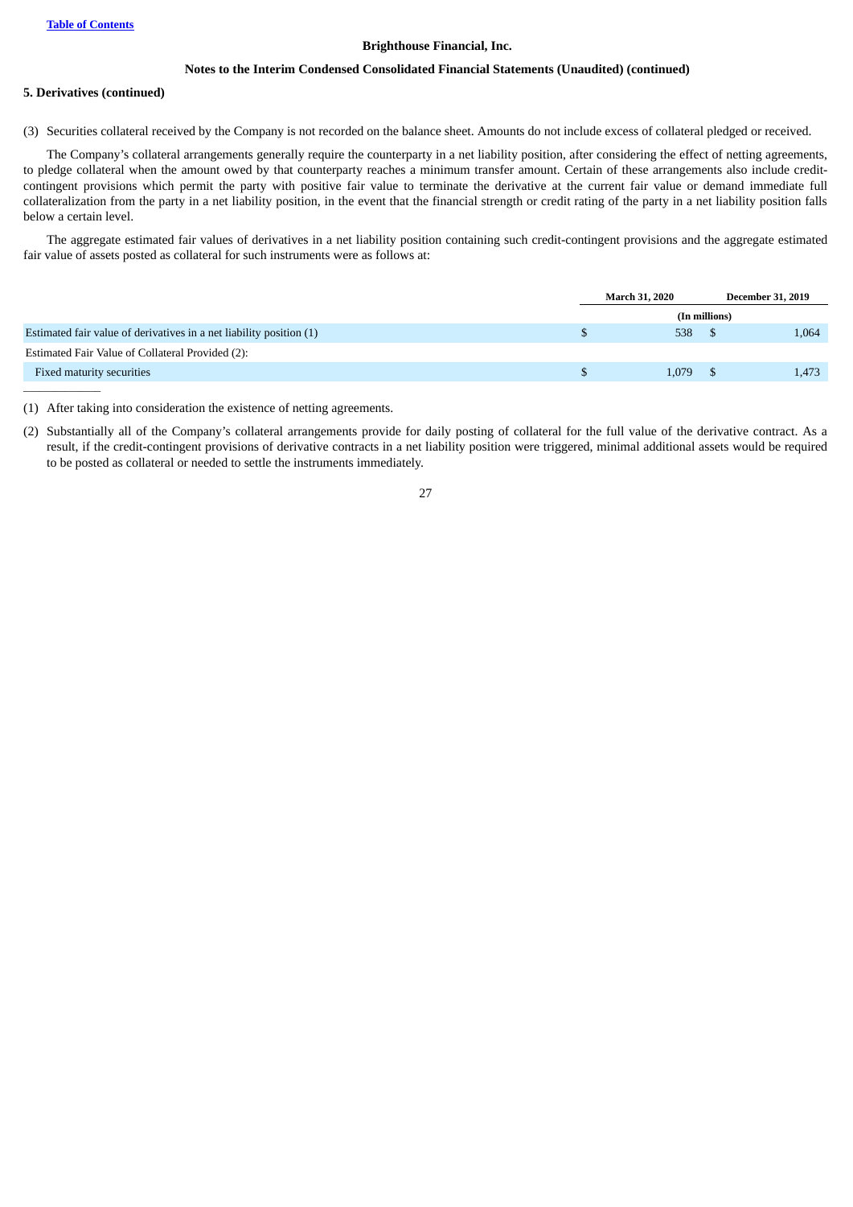# **Notes to the Interim Condensed Consolidated Financial Statements (Unaudited) (continued)**

# **5. Derivatives (continued)**

(3) Securities collateral received by the Company is not recorded on the balance sheet. Amounts do not include excess of collateral pledged or received.

The Company's collateral arrangements generally require the counterparty in a net liability position, after considering the effect of netting agreements, to pledge collateral when the amount owed by that counterparty reaches a minimum transfer amount. Certain of these arrangements also include creditcontingent provisions which permit the party with positive fair value to terminate the derivative at the current fair value or demand immediate full collateralization from the party in a net liability position, in the event that the financial strength or credit rating of the party in a net liability position falls below a certain level.

The aggregate estimated fair values of derivatives in a net liability position containing such credit-contingent provisions and the aggregate estimated fair value of assets posted as collateral for such instruments were as follows at:

|                                                                     | <b>March 31, 2020</b> |  | <b>December 31, 2019</b> |
|---------------------------------------------------------------------|-----------------------|--|--------------------------|
|                                                                     | (In millions)         |  |                          |
| Estimated fair value of derivatives in a net liability position (1) | 538                   |  | 1,064                    |
| Estimated Fair Value of Collateral Provided (2):                    |                       |  |                          |
| Fixed maturity securities                                           | 1.079                 |  | 1.473                    |
|                                                                     |                       |  |                          |

(1) After taking into consideration the existence of netting agreements.

(2) Substantially all of the Company's collateral arrangements provide for daily posting of collateral for the full value of the derivative contract. As a result, if the credit-contingent provisions of derivative contracts in a net liability position were triggered, minimal additional assets would be required to be posted as collateral or needed to settle the instruments immediately.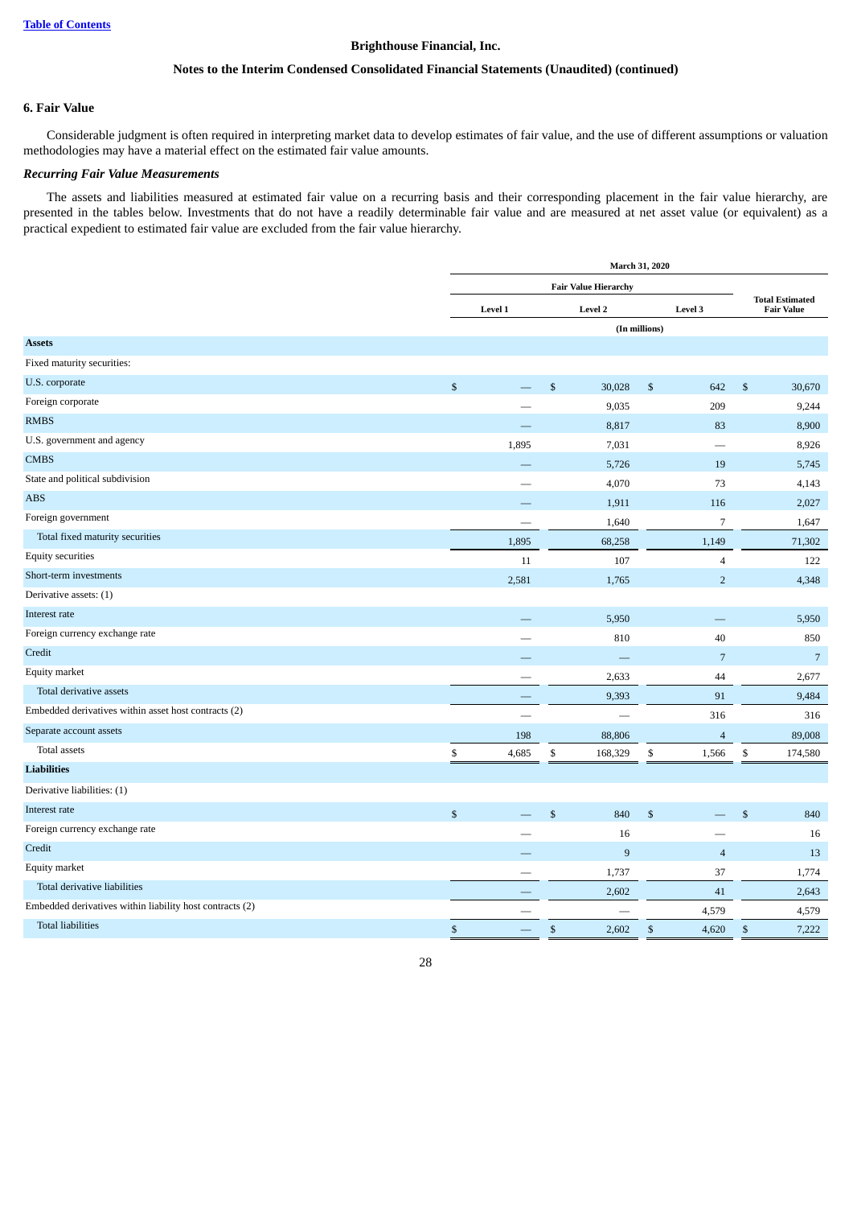# **Notes to the Interim Condensed Consolidated Financial Statements (Unaudited) (continued)**

# <span id="page-28-0"></span>**6. Fair Value**

Considerable judgment is often required in interpreting market data to develop estimates of fair value, and the use of different assumptions or valuation methodologies may have a material effect on the estimated fair value amounts.

# *Recurring Fair Value Measurements*

The assets and liabilities measured at estimated fair value on a recurring basis and their corresponding placement in the fair value hierarchy, are presented in the tables below. Investments that do not have a readily determinable fair value and are measured at net asset value (or equivalent) as a practical expedient to estimated fair value are excluded from the fair value hierarchy.

|                                                          |                | March 31, 2020 |    |                             |                |                |                |                                             |  |  |  |
|----------------------------------------------------------|----------------|----------------|----|-----------------------------|----------------|----------------|----------------|---------------------------------------------|--|--|--|
|                                                          |                |                |    | <b>Fair Value Hierarchy</b> |                |                |                |                                             |  |  |  |
|                                                          |                | Level 1        |    | Level 2                     |                | Level 3        |                | <b>Total Estimated</b><br><b>Fair Value</b> |  |  |  |
|                                                          |                |                |    |                             | (In millions)  |                |                |                                             |  |  |  |
| <b>Assets</b>                                            |                |                |    |                             |                |                |                |                                             |  |  |  |
| Fixed maturity securities:                               |                |                |    |                             |                |                |                |                                             |  |  |  |
| U.S. corporate                                           | $$\mathbb{S}$$ |                | \$ | 30,028                      | $\mathfrak{s}$ | 642            | $\mathbb{S}$   | 30,670                                      |  |  |  |
| Foreign corporate                                        |                |                |    | 9,035                       |                | 209            |                | 9,244                                       |  |  |  |
| <b>RMBS</b>                                              |                |                |    | 8,817                       |                | 83             |                | 8,900                                       |  |  |  |
| U.S. government and agency                               |                | 1,895          |    | 7,031                       |                |                |                | 8,926                                       |  |  |  |
| <b>CMBS</b>                                              |                |                |    | 5,726                       |                | 19             |                | 5,745                                       |  |  |  |
| State and political subdivision                          |                |                |    | 4,070                       |                | 73             |                | 4,143                                       |  |  |  |
| <b>ABS</b>                                               |                |                |    | 1,911                       |                | 116            |                | 2,027                                       |  |  |  |
| Foreign government                                       |                |                |    | 1,640                       |                | $\overline{7}$ |                | 1,647                                       |  |  |  |
| Total fixed maturity securities                          |                | 1,895          |    | 68,258                      |                | 1,149          |                | 71,302                                      |  |  |  |
| <b>Equity securities</b>                                 |                | 11             |    | 107                         |                | $\overline{4}$ |                | 122                                         |  |  |  |
| Short-term investments                                   |                | 2,581          |    | 1,765                       |                | $\overline{2}$ |                | 4,348                                       |  |  |  |
| Derivative assets: (1)                                   |                |                |    |                             |                |                |                |                                             |  |  |  |
| Interest rate                                            |                |                |    | 5,950                       |                |                |                | 5,950                                       |  |  |  |
| Foreign currency exchange rate                           |                |                |    | 810                         |                | 40             |                | 850                                         |  |  |  |
| Credit                                                   |                |                |    |                             |                | $\overline{7}$ |                | $7\overline{ }$                             |  |  |  |
| Equity market                                            |                |                |    | 2,633                       |                | 44             |                | 2,677                                       |  |  |  |
| Total derivative assets                                  |                |                |    | 9,393                       |                | 91             |                | 9,484                                       |  |  |  |
| Embedded derivatives within asset host contracts (2)     |                |                |    |                             |                | 316            |                | 316                                         |  |  |  |
| Separate account assets                                  |                | 198            |    | 88,806                      |                | $\overline{4}$ |                | 89,008                                      |  |  |  |
| <b>Total assets</b>                                      | \$             | 4,685          | \$ | 168,329                     | \$             | 1,566          | \$             | 174,580                                     |  |  |  |
| <b>Liabilities</b>                                       |                |                |    |                             |                |                |                |                                             |  |  |  |
| Derivative liabilities: (1)                              |                |                |    |                             |                |                |                |                                             |  |  |  |
| Interest rate                                            | $$\mathbb{S}$$ |                | \$ | 840                         | $\mathfrak{s}$ |                | $\mathfrak{s}$ | 840                                         |  |  |  |
| Foreign currency exchange rate                           |                |                |    | 16                          |                |                |                | 16                                          |  |  |  |
| Credit                                                   |                |                |    | $\boldsymbol{9}$            |                | $\overline{4}$ |                | 13                                          |  |  |  |
| Equity market                                            |                |                |    | 1,737                       |                | 37             |                | 1,774                                       |  |  |  |
| Total derivative liabilities                             |                |                |    | 2,602                       |                | 41             |                | 2,643                                       |  |  |  |
| Embedded derivatives within liability host contracts (2) |                |                |    |                             |                | 4,579          |                | 4,579                                       |  |  |  |
| <b>Total liabilities</b>                                 | $\mathbb{S}$   |                | \$ | 2,602                       | \$             | 4,620          | $\mathbb{S}$   | 7,222                                       |  |  |  |
|                                                          |                |                |    |                             |                |                |                |                                             |  |  |  |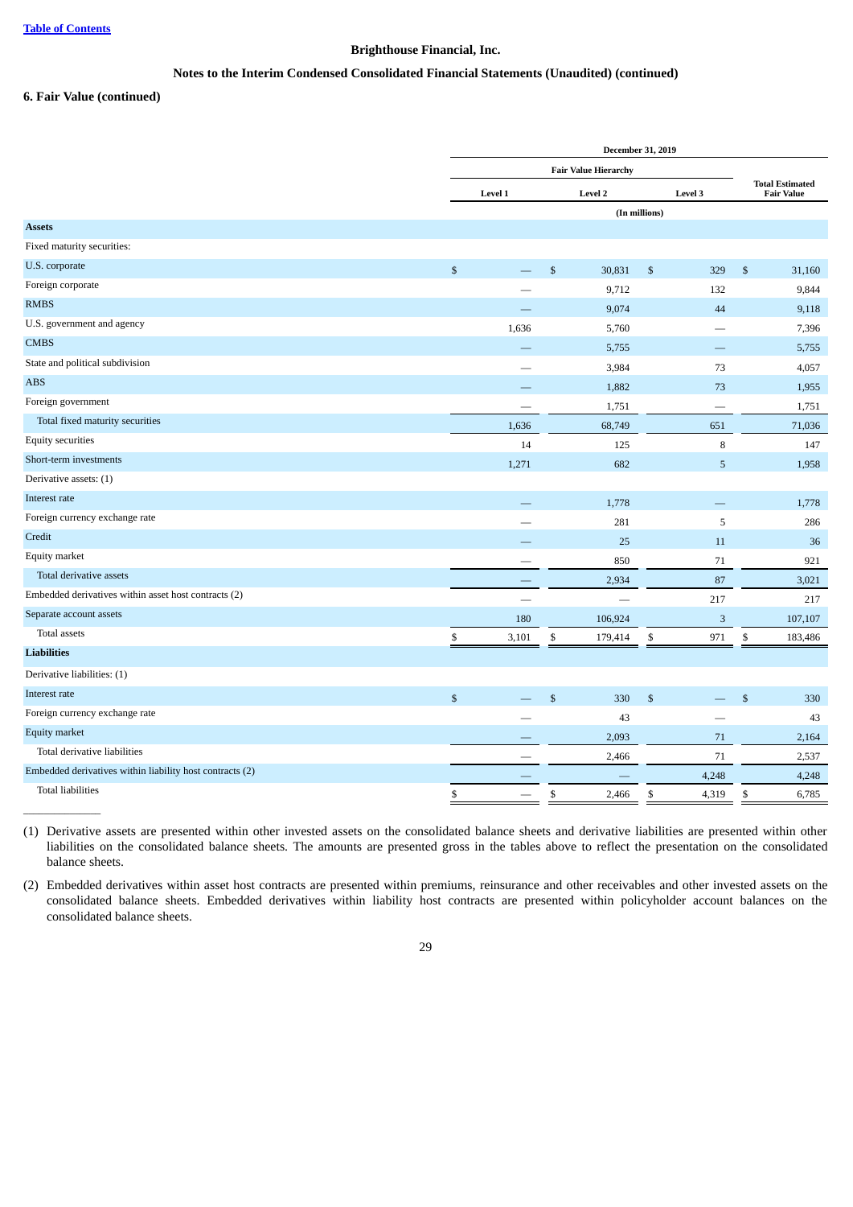# **Notes to the Interim Condensed Consolidated Financial Statements (Unaudited) (continued)**

# **6. Fair Value (continued)**

|                                                          |              | December 31, 2019 |              |               |              |                          |                                             |         |  |  |  |
|----------------------------------------------------------|--------------|-------------------|--------------|---------------|--------------|--------------------------|---------------------------------------------|---------|--|--|--|
|                                                          |              |                   |              |               |              |                          |                                             |         |  |  |  |
|                                                          |              | Level 1           |              | Level 2       |              | Level 3                  | <b>Total Estimated</b><br><b>Fair Value</b> |         |  |  |  |
|                                                          |              |                   |              | (In millions) |              |                          |                                             |         |  |  |  |
| <b>Assets</b>                                            |              |                   |              |               |              |                          |                                             |         |  |  |  |
| Fixed maturity securities:                               |              |                   |              |               |              |                          |                                             |         |  |  |  |
| U.S. corporate                                           | $\mathbb{S}$ |                   | $\mathbb{S}$ | 30,831        | $\mathbb{S}$ | 329                      | $\mathbb{S}$                                | 31,160  |  |  |  |
| Foreign corporate                                        |              |                   |              | 9,712         |              | 132                      |                                             | 9,844   |  |  |  |
| <b>RMBS</b>                                              |              |                   |              | 9,074         |              | 44                       |                                             | 9,118   |  |  |  |
| U.S. government and agency                               |              | 1,636             |              | 5,760         |              |                          |                                             | 7,396   |  |  |  |
| <b>CMBS</b>                                              |              |                   |              | 5,755         |              |                          |                                             | 5,755   |  |  |  |
| State and political subdivision                          |              |                   |              | 3,984         |              | 73                       |                                             | 4,057   |  |  |  |
| <b>ABS</b>                                               |              |                   |              | 1,882         |              | 73                       |                                             | 1,955   |  |  |  |
| Foreign government                                       |              |                   |              | 1,751         |              | $\overline{\phantom{0}}$ |                                             | 1,751   |  |  |  |
| Total fixed maturity securities                          |              | 1,636             |              | 68,749        |              | 651                      |                                             | 71,036  |  |  |  |
| <b>Equity securities</b>                                 |              | 14                |              | 125           |              | 8                        |                                             | 147     |  |  |  |
| Short-term investments                                   |              | 1,271             |              | 682           |              | 5                        |                                             | 1,958   |  |  |  |
| Derivative assets: (1)                                   |              |                   |              |               |              |                          |                                             |         |  |  |  |
| Interest rate                                            |              |                   |              | 1,778         |              |                          |                                             | 1,778   |  |  |  |
| Foreign currency exchange rate                           |              |                   |              | 281           |              | 5                        |                                             | 286     |  |  |  |
| Credit                                                   |              |                   |              | 25            |              | $11\,$                   |                                             | 36      |  |  |  |
| Equity market                                            |              |                   |              | 850           |              | 71                       |                                             | 921     |  |  |  |
| Total derivative assets                                  |              |                   |              | 2,934         |              | 87                       |                                             | 3,021   |  |  |  |
| Embedded derivatives within asset host contracts (2)     |              |                   |              |               |              | 217                      |                                             | 217     |  |  |  |
| Separate account assets                                  |              | 180               |              | 106,924       |              | $\sqrt{3}$               |                                             | 107,107 |  |  |  |
| Total assets                                             | \$           | 3,101             | \$           | 179,414       | \$           | 971                      | \$                                          | 183,486 |  |  |  |
| <b>Liabilities</b>                                       |              |                   |              |               |              |                          |                                             |         |  |  |  |
| Derivative liabilities: (1)                              |              |                   |              |               |              |                          |                                             |         |  |  |  |
| Interest rate                                            | $\mathbb{S}$ |                   | \$           | 330           | $\mathbb{S}$ |                          | \$                                          | 330     |  |  |  |
| Foreign currency exchange rate                           |              |                   |              | 43            |              |                          |                                             | 43      |  |  |  |
| Equity market                                            |              |                   |              | 2,093         |              | $71\,$                   |                                             | 2,164   |  |  |  |
| Total derivative liabilities                             |              |                   |              | 2,466         |              | $71\,$                   |                                             | 2,537   |  |  |  |
| Embedded derivatives within liability host contracts (2) |              |                   |              |               |              | 4,248                    |                                             | 4,248   |  |  |  |
| <b>Total liabilities</b>                                 | \$           |                   | \$           | 2,466         | \$           | 4,319                    | \$                                          | 6,785   |  |  |  |
|                                                          |              |                   |              |               |              |                          |                                             |         |  |  |  |

(1) Derivative assets are presented within other invested assets on the consolidated balance sheets and derivative liabilities are presented within other liabilities on the consolidated balance sheets. The amounts are presented gross in the tables above to reflect the presentation on the consolidated balance sheets.

(2) Embedded derivatives within asset host contracts are presented within premiums, reinsurance and other receivables and other invested assets on the consolidated balance sheets. Embedded derivatives within liability host contracts are presented within policyholder account balances on the consolidated balance sheets.

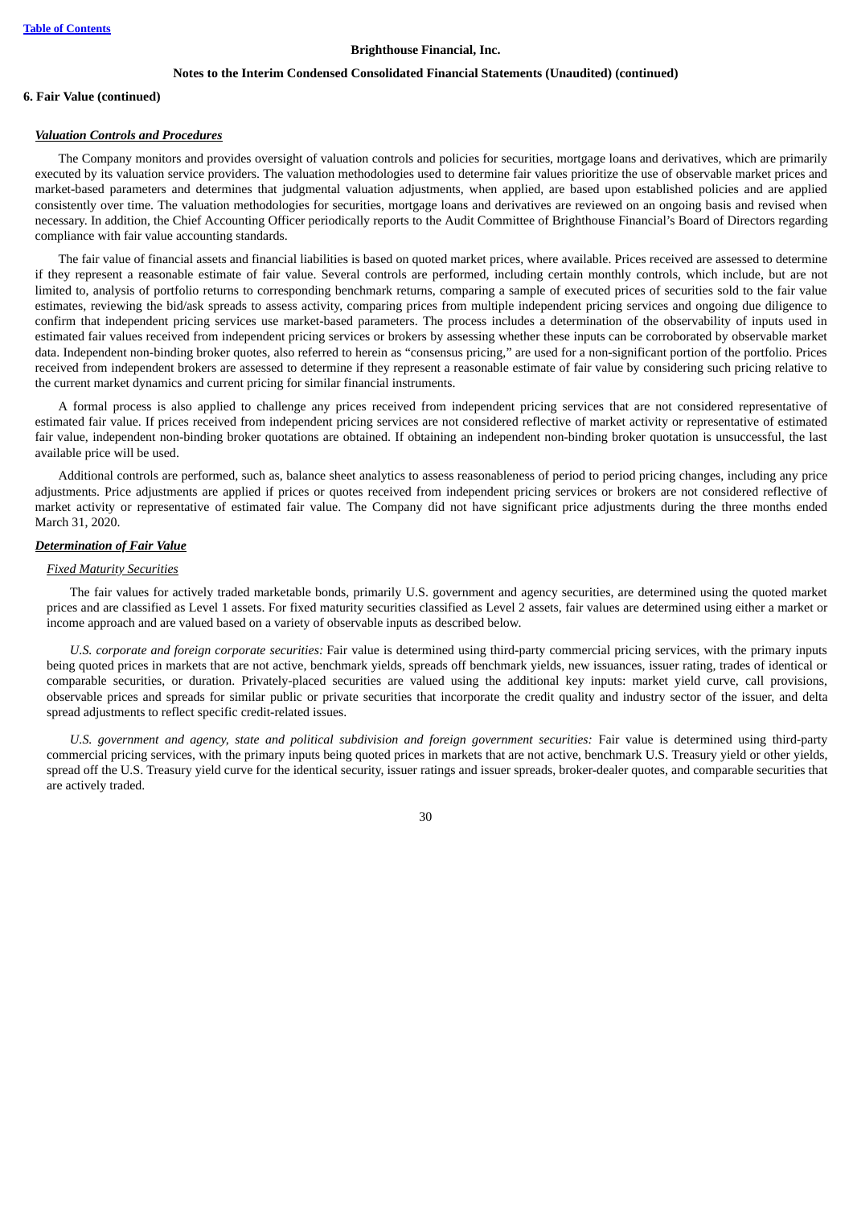# **Notes to the Interim Condensed Consolidated Financial Statements (Unaudited) (continued)**

#### **6. Fair Value (continued)**

#### *Valuation Controls and Procedures*

The Company monitors and provides oversight of valuation controls and policies for securities, mortgage loans and derivatives, which are primarily executed by its valuation service providers. The valuation methodologies used to determine fair values prioritize the use of observable market prices and market-based parameters and determines that judgmental valuation adjustments, when applied, are based upon established policies and are applied consistently over time. The valuation methodologies for securities, mortgage loans and derivatives are reviewed on an ongoing basis and revised when necessary. In addition, the Chief Accounting Officer periodically reports to the Audit Committee of Brighthouse Financial's Board of Directors regarding compliance with fair value accounting standards.

The fair value of financial assets and financial liabilities is based on quoted market prices, where available. Prices received are assessed to determine if they represent a reasonable estimate of fair value. Several controls are performed, including certain monthly controls, which include, but are not limited to, analysis of portfolio returns to corresponding benchmark returns, comparing a sample of executed prices of securities sold to the fair value estimates, reviewing the bid/ask spreads to assess activity, comparing prices from multiple independent pricing services and ongoing due diligence to confirm that independent pricing services use market-based parameters. The process includes a determination of the observability of inputs used in estimated fair values received from independent pricing services or brokers by assessing whether these inputs can be corroborated by observable market data. Independent non-binding broker quotes, also referred to herein as "consensus pricing," are used for a non-significant portion of the portfolio. Prices received from independent brokers are assessed to determine if they represent a reasonable estimate of fair value by considering such pricing relative to the current market dynamics and current pricing for similar financial instruments.

A formal process is also applied to challenge any prices received from independent pricing services that are not considered representative of estimated fair value. If prices received from independent pricing services are not considered reflective of market activity or representative of estimated fair value, independent non-binding broker quotations are obtained. If obtaining an independent non-binding broker quotation is unsuccessful, the last available price will be used.

Additional controls are performed, such as, balance sheet analytics to assess reasonableness of period to period pricing changes, including any price adjustments. Price adjustments are applied if prices or quotes received from independent pricing services or brokers are not considered reflective of market activity or representative of estimated fair value. The Company did not have significant price adjustments during the three months ended March 31, 2020.

#### *Determination of Fair Value*

#### *Fixed Maturity Securities*

The fair values for actively traded marketable bonds, primarily U.S. government and agency securities, are determined using the quoted market prices and are classified as Level 1 assets. For fixed maturity securities classified as Level 2 assets, fair values are determined using either a market or income approach and are valued based on a variety of observable inputs as described below.

*U.S. corporate and foreign corporate securities:* Fair value is determined using third-party commercial pricing services, with the primary inputs being quoted prices in markets that are not active, benchmark yields, spreads off benchmark yields, new issuances, issuer rating, trades of identical or comparable securities, or duration. Privately-placed securities are valued using the additional key inputs: market yield curve, call provisions, observable prices and spreads for similar public or private securities that incorporate the credit quality and industry sector of the issuer, and delta spread adjustments to reflect specific credit-related issues.

*U.S. government and agency, state and political subdivision and foreign government securities:* Fair value is determined using third-party commercial pricing services, with the primary inputs being quoted prices in markets that are not active, benchmark U.S. Treasury yield or other yields, spread off the U.S. Treasury yield curve for the identical security, issuer ratings and issuer spreads, broker-dealer quotes, and comparable securities that are actively traded.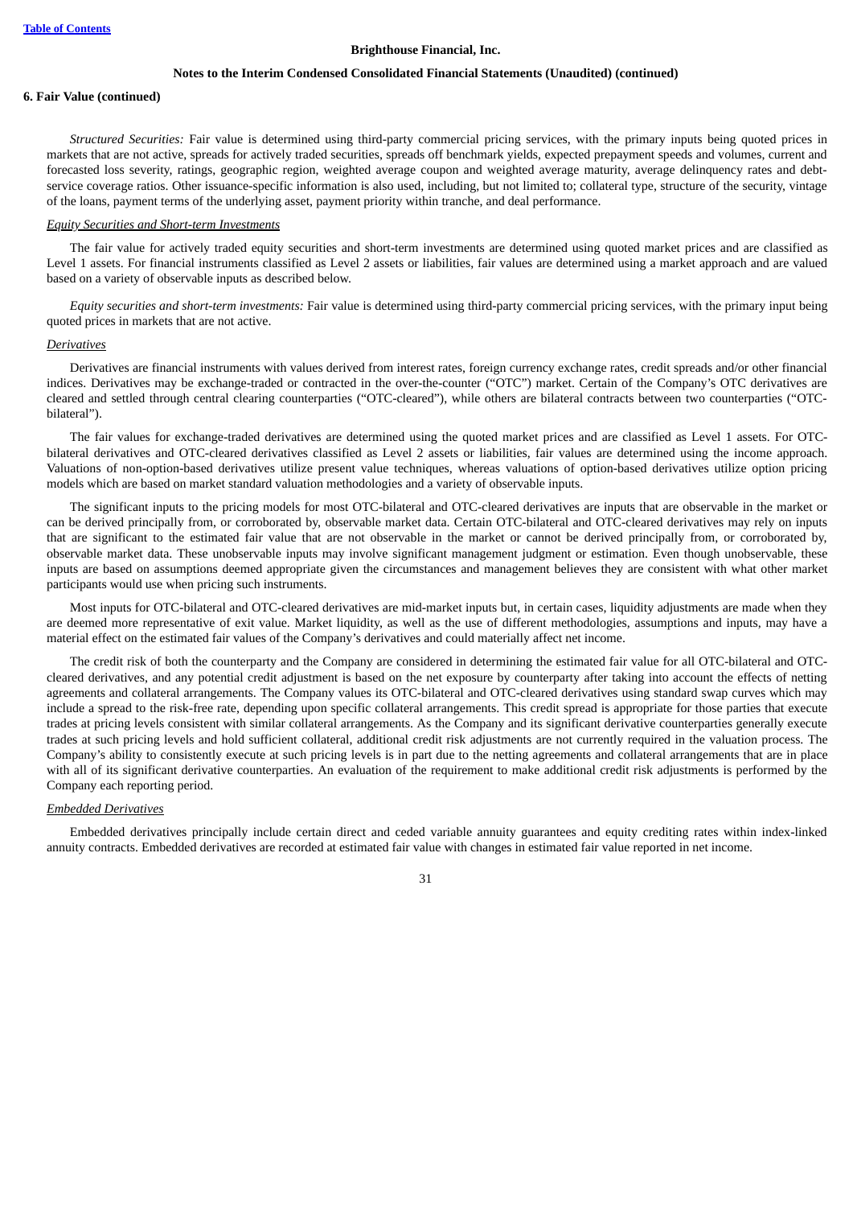### **Notes to the Interim Condensed Consolidated Financial Statements (Unaudited) (continued)**

### **6. Fair Value (continued)**

*Structured Securities:* Fair value is determined using third-party commercial pricing services, with the primary inputs being quoted prices in markets that are not active, spreads for actively traded securities, spreads off benchmark yields, expected prepayment speeds and volumes, current and forecasted loss severity, ratings, geographic region, weighted average coupon and weighted average maturity, average delinquency rates and debtservice coverage ratios. Other issuance-specific information is also used, including, but not limited to; collateral type, structure of the security, vintage of the loans, payment terms of the underlying asset, payment priority within tranche, and deal performance.

#### *Equity Securities and Short-term Investments*

The fair value for actively traded equity securities and short-term investments are determined using quoted market prices and are classified as Level 1 assets. For financial instruments classified as Level 2 assets or liabilities, fair values are determined using a market approach and are valued based on a variety of observable inputs as described below.

*Equity securities and short-term investments:* Fair value is determined using third-party commercial pricing services, with the primary input being quoted prices in markets that are not active.

#### *Derivatives*

Derivatives are financial instruments with values derived from interest rates, foreign currency exchange rates, credit spreads and/or other financial indices. Derivatives may be exchange-traded or contracted in the over-the-counter ("OTC") market. Certain of the Company's OTC derivatives are cleared and settled through central clearing counterparties ("OTC-cleared"), while others are bilateral contracts between two counterparties ("OTCbilateral").

The fair values for exchange-traded derivatives are determined using the quoted market prices and are classified as Level 1 assets. For OTCbilateral derivatives and OTC-cleared derivatives classified as Level 2 assets or liabilities, fair values are determined using the income approach. Valuations of non-option-based derivatives utilize present value techniques, whereas valuations of option-based derivatives utilize option pricing models which are based on market standard valuation methodologies and a variety of observable inputs.

The significant inputs to the pricing models for most OTC-bilateral and OTC-cleared derivatives are inputs that are observable in the market or can be derived principally from, or corroborated by, observable market data. Certain OTC-bilateral and OTC-cleared derivatives may rely on inputs that are significant to the estimated fair value that are not observable in the market or cannot be derived principally from, or corroborated by, observable market data. These unobservable inputs may involve significant management judgment or estimation. Even though unobservable, these inputs are based on assumptions deemed appropriate given the circumstances and management believes they are consistent with what other market participants would use when pricing such instruments.

Most inputs for OTC-bilateral and OTC-cleared derivatives are mid-market inputs but, in certain cases, liquidity adjustments are made when they are deemed more representative of exit value. Market liquidity, as well as the use of different methodologies, assumptions and inputs, may have a material effect on the estimated fair values of the Company's derivatives and could materially affect net income.

The credit risk of both the counterparty and the Company are considered in determining the estimated fair value for all OTC-bilateral and OTCcleared derivatives, and any potential credit adjustment is based on the net exposure by counterparty after taking into account the effects of netting agreements and collateral arrangements. The Company values its OTC-bilateral and OTC-cleared derivatives using standard swap curves which may include a spread to the risk-free rate, depending upon specific collateral arrangements. This credit spread is appropriate for those parties that execute trades at pricing levels consistent with similar collateral arrangements. As the Company and its significant derivative counterparties generally execute trades at such pricing levels and hold sufficient collateral, additional credit risk adjustments are not currently required in the valuation process. The Company's ability to consistently execute at such pricing levels is in part due to the netting agreements and collateral arrangements that are in place with all of its significant derivative counterparties. An evaluation of the requirement to make additional credit risk adjustments is performed by the Company each reporting period.

# *Embedded Derivatives*

Embedded derivatives principally include certain direct and ceded variable annuity guarantees and equity crediting rates within index-linked annuity contracts. Embedded derivatives are recorded at estimated fair value with changes in estimated fair value reported in net income.

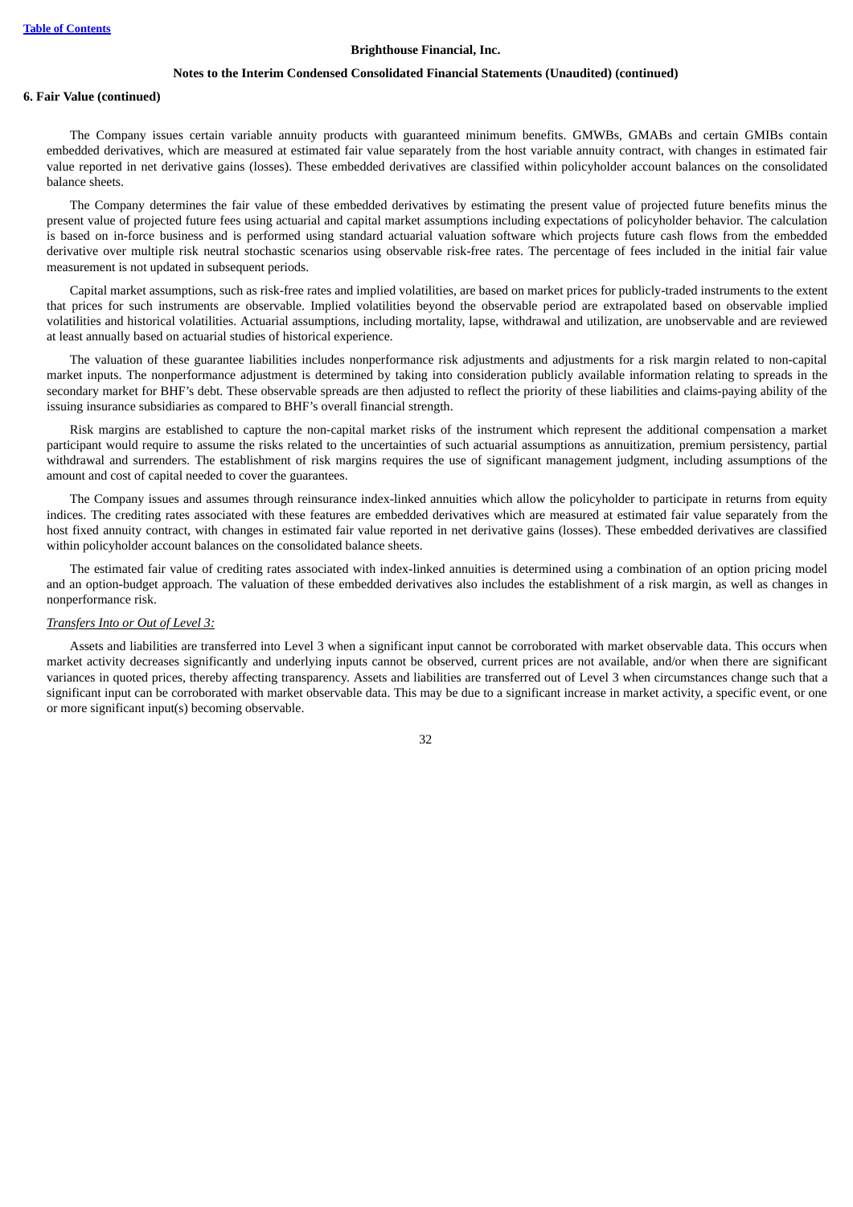# **Notes to the Interim Condensed Consolidated Financial Statements (Unaudited) (continued)**

# **6. Fair Value (continued)**

The Company issues certain variable annuity products with guaranteed minimum benefits. GMWBs, GMABs and certain GMIBs contain embedded derivatives, which are measured at estimated fair value separately from the host variable annuity contract, with changes in estimated fair value reported in net derivative gains (losses). These embedded derivatives are classified within policyholder account balances on the consolidated balance sheets.

The Company determines the fair value of these embedded derivatives by estimating the present value of projected future benefits minus the present value of projected future fees using actuarial and capital market assumptions including expectations of policyholder behavior. The calculation is based on in-force business and is performed using standard actuarial valuation software which projects future cash flows from the embedded derivative over multiple risk neutral stochastic scenarios using observable risk-free rates. The percentage of fees included in the initial fair value measurement is not updated in subsequent periods.

Capital market assumptions, such as risk-free rates and implied volatilities, are based on market prices for publicly-traded instruments to the extent that prices for such instruments are observable. Implied volatilities beyond the observable period are extrapolated based on observable implied volatilities and historical volatilities. Actuarial assumptions, including mortality, lapse, withdrawal and utilization, are unobservable and are reviewed at least annually based on actuarial studies of historical experience.

The valuation of these guarantee liabilities includes nonperformance risk adjustments and adjustments for a risk margin related to non-capital market inputs. The nonperformance adjustment is determined by taking into consideration publicly available information relating to spreads in the secondary market for BHF's debt. These observable spreads are then adjusted to reflect the priority of these liabilities and claims-paying ability of the issuing insurance subsidiaries as compared to BHF's overall financial strength.

Risk margins are established to capture the non-capital market risks of the instrument which represent the additional compensation a market participant would require to assume the risks related to the uncertainties of such actuarial assumptions as annuitization, premium persistency, partial withdrawal and surrenders. The establishment of risk margins requires the use of significant management judgment, including assumptions of the amount and cost of capital needed to cover the guarantees.

The Company issues and assumes through reinsurance index-linked annuities which allow the policyholder to participate in returns from equity indices. The crediting rates associated with these features are embedded derivatives which are measured at estimated fair value separately from the host fixed annuity contract, with changes in estimated fair value reported in net derivative gains (losses). These embedded derivatives are classified within policyholder account balances on the consolidated balance sheets.

The estimated fair value of crediting rates associated with index-linked annuities is determined using a combination of an option pricing model and an option-budget approach. The valuation of these embedded derivatives also includes the establishment of a risk margin, as well as changes in nonperformance risk.

### *Transfers Into or Out of Level 3:*

Assets and liabilities are transferred into Level 3 when a significant input cannot be corroborated with market observable data. This occurs when market activity decreases significantly and underlying inputs cannot be observed, current prices are not available, and/or when there are significant variances in quoted prices, thereby affecting transparency. Assets and liabilities are transferred out of Level 3 when circumstances change such that a significant input can be corroborated with market observable data. This may be due to a significant increase in market activity, a specific event, or one or more significant input(s) becoming observable.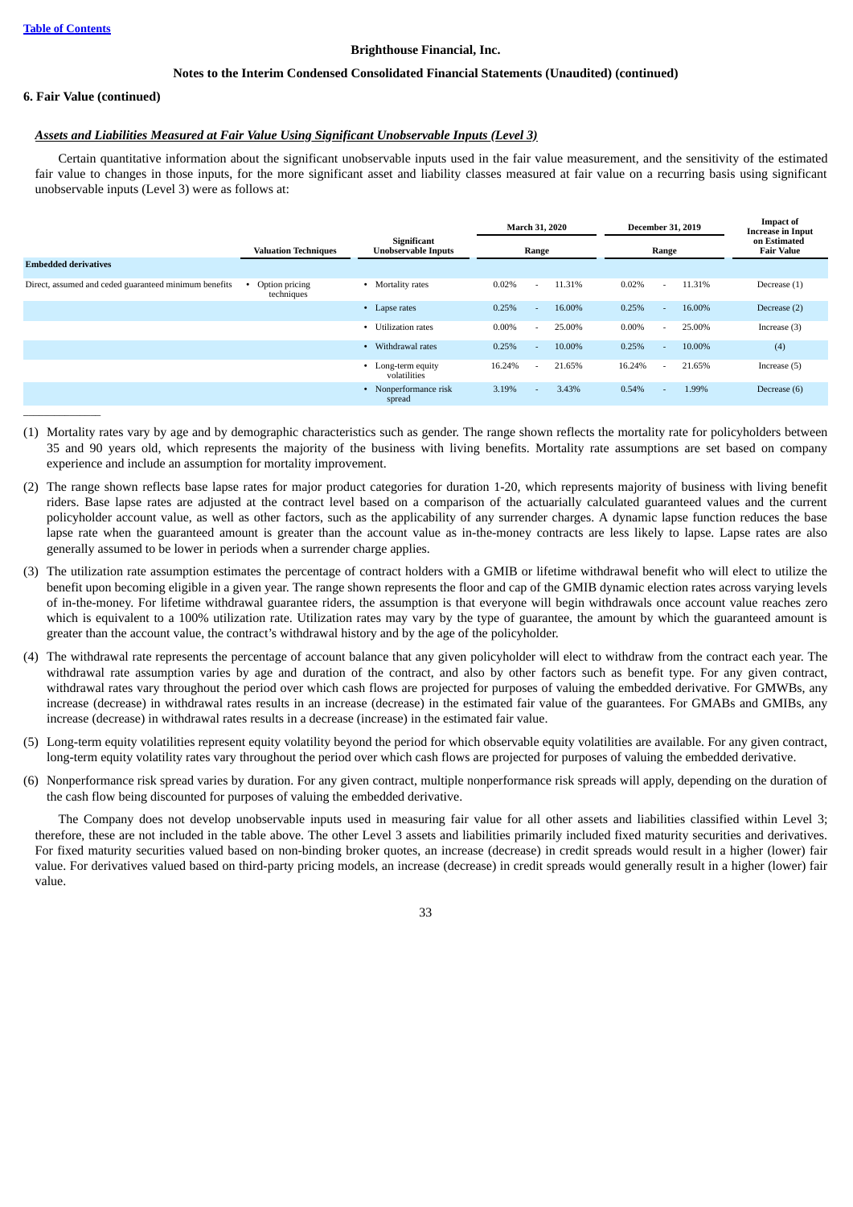$\overline{\phantom{a}}$ 

### **Brighthouse Financial, Inc.**

# **Notes to the Interim Condensed Consolidated Financial Statements (Unaudited) (continued)**

#### **6. Fair Value (continued)**

#### *Assets and Liabilities Measured at Fair Value Using Significant Unobservable Inputs (Level 3)*

Certain quantitative information about the significant unobservable inputs used in the fair value measurement, and the sensitivity of the estimated fair value to changes in those inputs, for the more significant asset and liability classes measured at fair value on a recurring basis using significant unobservable inputs (Level 3) were as follows at:

|                                                       |                              |                                                  | <b>March 31, 2020</b>  | <b>December 31, 2019</b>                    | <b>Impact of</b><br><b>Increase in Input</b><br>on Estimated<br><b>Fair Value</b> |  |  |
|-------------------------------------------------------|------------------------------|--------------------------------------------------|------------------------|---------------------------------------------|-----------------------------------------------------------------------------------|--|--|
|                                                       | <b>Valuation Techniques</b>  | <b>Significant</b><br><b>Unobservable Inputs</b> | Range                  | Range                                       |                                                                                   |  |  |
| <b>Embedded derivatives</b>                           |                              |                                                  |                        |                                             |                                                                                   |  |  |
| Direct, assumed and ceded guaranteed minimum benefits | Option pricing<br>techniques | • Mortality rates                                | 0.02%<br>11.31%<br>۰   | 0.02%<br>11.31%<br>$\sim$                   | Decrease (1)                                                                      |  |  |
|                                                       |                              | • Lapse rates                                    | 0.25%<br>16.00%<br>۰   | 16.00%<br>0.25%<br>٠                        | Decrease (2)                                                                      |  |  |
|                                                       |                              | • Utilization rates                              | 0.00%<br>25.00%<br>۰.  | 25.00%<br>0.00%<br>$\overline{\phantom{a}}$ | Increase (3)                                                                      |  |  |
|                                                       |                              | Withdrawal rates                                 | 0.25%<br>10.00%<br>۰   | 0.25%<br>10.00%<br>$\sim$                   | (4)                                                                               |  |  |
|                                                       |                              | Long-term equity<br>volatilities                 | 21.65%<br>16.24%<br>۰. | 16.24%<br>21.65%<br>$\sim$                  | Increase (5)                                                                      |  |  |
|                                                       |                              | • Nonperformance risk<br>spread                  | 3.19%<br>3.43%<br>۰    | 1.99%<br>0.54%<br>-                         | Decrease (6)                                                                      |  |  |

- (1) Mortality rates vary by age and by demographic characteristics such as gender. The range shown reflects the mortality rate for policyholders between 35 and 90 years old, which represents the majority of the business with living benefits. Mortality rate assumptions are set based on company experience and include an assumption for mortality improvement.
- (2) The range shown reflects base lapse rates for major product categories for duration 1-20, which represents majority of business with living benefit riders. Base lapse rates are adjusted at the contract level based on a comparison of the actuarially calculated guaranteed values and the current policyholder account value, as well as other factors, such as the applicability of any surrender charges. A dynamic lapse function reduces the base lapse rate when the guaranteed amount is greater than the account value as in-the-money contracts are less likely to lapse. Lapse rates are also generally assumed to be lower in periods when a surrender charge applies.
- (3) The utilization rate assumption estimates the percentage of contract holders with a GMIB or lifetime withdrawal benefit who will elect to utilize the benefit upon becoming eligible in a given year. The range shown represents the floor and cap of the GMIB dynamic election rates across varying levels of in-the-money. For lifetime withdrawal guarantee riders, the assumption is that everyone will begin withdrawals once account value reaches zero which is equivalent to a 100% utilization rate. Utilization rates may vary by the type of guarantee, the amount by which the guaranteed amount is greater than the account value, the contract's withdrawal history and by the age of the policyholder.
- (4) The withdrawal rate represents the percentage of account balance that any given policyholder will elect to withdraw from the contract each year. The withdrawal rate assumption varies by age and duration of the contract, and also by other factors such as benefit type. For any given contract, withdrawal rates vary throughout the period over which cash flows are projected for purposes of valuing the embedded derivative. For GMWBs, any increase (decrease) in withdrawal rates results in an increase (decrease) in the estimated fair value of the guarantees. For GMABs and GMIBs, any increase (decrease) in withdrawal rates results in a decrease (increase) in the estimated fair value.
- (5) Long-term equity volatilities represent equity volatility beyond the period for which observable equity volatilities are available. For any given contract, long-term equity volatility rates vary throughout the period over which cash flows are projected for purposes of valuing the embedded derivative.
- (6) Nonperformance risk spread varies by duration. For any given contract, multiple nonperformance risk spreads will apply, depending on the duration of the cash flow being discounted for purposes of valuing the embedded derivative.

The Company does not develop unobservable inputs used in measuring fair value for all other assets and liabilities classified within Level 3; therefore, these are not included in the table above. The other Level 3 assets and liabilities primarily included fixed maturity securities and derivatives. For fixed maturity securities valued based on non-binding broker quotes, an increase (decrease) in credit spreads would result in a higher (lower) fair value. For derivatives valued based on third-party pricing models, an increase (decrease) in credit spreads would generally result in a higher (lower) fair value.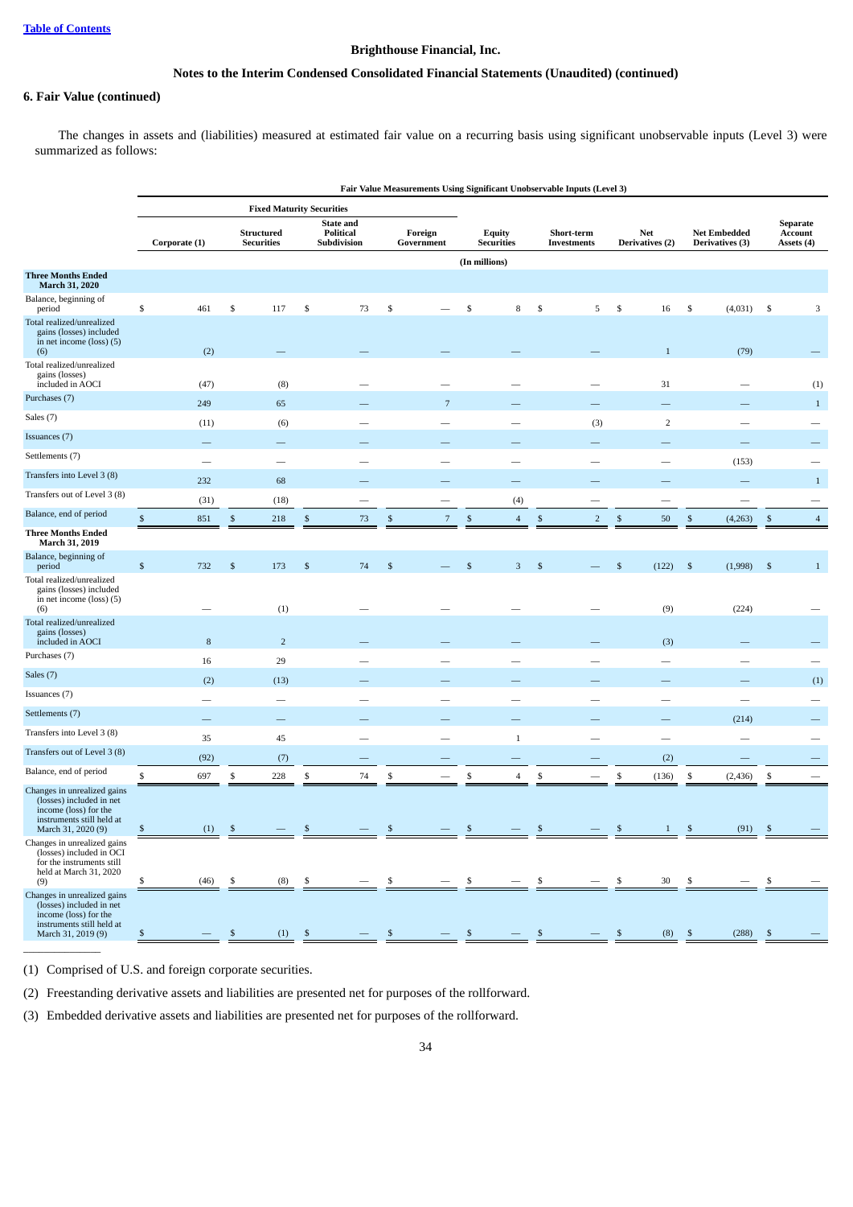# **Notes to the Interim Condensed Consolidated Financial Statements (Unaudited) (continued)**

# **6. Fair Value (continued)**

The changes in assets and (liabilities) measured at estimated fair value on a recurring basis using significant unobservable inputs (Level 3) were summarized as follows:

|                                                                                                                                     |              |               |                    |                                  |      |                                                     |                           |                       |               |                                    |                | Fair Value Measurements Using Significant Unobservable Inputs (Level 3) |                        |                |              |                                        |                |                                                 |
|-------------------------------------------------------------------------------------------------------------------------------------|--------------|---------------|--------------------|----------------------------------|------|-----------------------------------------------------|---------------------------|-----------------------|---------------|------------------------------------|----------------|-------------------------------------------------------------------------|------------------------|----------------|--------------|----------------------------------------|----------------|-------------------------------------------------|
|                                                                                                                                     |              |               |                    | <b>Fixed Maturity Securities</b> |      |                                                     |                           |                       |               |                                    |                |                                                                         |                        |                |              |                                        |                |                                                 |
|                                                                                                                                     |              | Corporate (1) |                    | Structured<br><b>Securities</b>  |      | <b>State and</b><br>Political<br><b>Subdivision</b> |                           | Foreign<br>Government |               | <b>Equity</b><br><b>Securities</b> |                | <b>Short-term</b><br><b>Investments</b>                                 | Net<br>Derivatives (2) |                |              | <b>Net Embedded</b><br>Derivatives (3) |                | <b>Separate</b><br><b>Account</b><br>Assets (4) |
|                                                                                                                                     |              |               |                    |                                  |      |                                                     |                           |                       |               | (In millions)                      |                |                                                                         |                        |                |              |                                        |                |                                                 |
| <b>Three Months Ended</b><br><b>March 31, 2020</b>                                                                                  |              |               |                    |                                  |      |                                                     |                           |                       |               |                                    |                |                                                                         |                        |                |              |                                        |                |                                                 |
| Balance, beginning of<br>period                                                                                                     | \$           | 461           | \$                 | 117                              | \$   | 73                                                  | \$                        |                       | \$            | 8                                  | \$             | 5                                                                       | \$                     | 16             | \$           | (4,031)                                | $\mathbf{s}$   | 3                                               |
| Total realized/unrealized<br>gains (losses) included<br>in net income (loss) (5)<br>(6)                                             |              | (2)           |                    |                                  |      |                                                     |                           |                       |               |                                    |                |                                                                         |                        | $\mathbf{1}$   |              | (79)                                   |                |                                                 |
| Total realized/unrealized<br>gains (losses)<br>included in AOCI                                                                     |              | (47)          |                    | (8)                              |      |                                                     |                           |                       |               |                                    |                |                                                                         |                        | 31             |              |                                        |                | (1)                                             |
| Purchases (7)                                                                                                                       |              | 249           |                    | 65                               |      |                                                     |                           | 7                     |               |                                    |                |                                                                         |                        |                |              |                                        |                | $\mathbf{1}$                                    |
| Sales (7)                                                                                                                           |              | (11)          |                    | (6)                              |      |                                                     |                           |                       |               |                                    |                | (3)                                                                     |                        | $\overline{2}$ |              |                                        |                |                                                 |
| Issuances (7)                                                                                                                       |              |               |                    |                                  |      |                                                     |                           |                       |               |                                    |                |                                                                         |                        |                |              |                                        |                |                                                 |
| Settlements (7)                                                                                                                     |              |               |                    |                                  |      |                                                     |                           |                       |               |                                    |                |                                                                         |                        |                |              | (153)                                  |                |                                                 |
| Transfers into Level 3 (8)                                                                                                          |              | 232           |                    | 68                               |      |                                                     |                           |                       |               |                                    |                |                                                                         |                        |                |              |                                        |                | $\mathbf{1}$                                    |
| Transfers out of Level 3 (8)                                                                                                        |              | (31)          |                    | (18)                             |      |                                                     |                           |                       |               | (4)                                |                |                                                                         |                        |                |              |                                        |                |                                                 |
| Balance, end of period                                                                                                              | $\mathbb{S}$ | 851           | $$\mathbb{S}$$     | 218                              | \$   | 73                                                  | $\$$                      | $\overline{7}$        | $\$$          | $\overline{4}$                     | $$\mathbb{S}$$ | $\overline{2}$                                                          | \$                     | 50             | $\mathbb{S}$ | (4,263)                                | $\mathfrak{s}$ | $\overline{4}$                                  |
| <b>Three Months Ended</b><br>March 31, 2019                                                                                         |              |               |                    |                                  |      |                                                     |                           |                       |               |                                    |                |                                                                         |                        |                |              |                                        |                |                                                 |
| Balance, beginning of<br>period                                                                                                     | \$           | 732           | $\mathfrak s$      | 173                              | \$   | 74                                                  | $\boldsymbol{\mathsf{s}}$ |                       | \$            | 3                                  | $\frac{1}{2}$  |                                                                         | \$                     | (122)          | $\mathbf{s}$ | (1,998)                                | $\sqrt{3}$     | $\mathbf{1}$                                    |
| Total realized/unrealized<br>gains (losses) included<br>in net income (loss) (5)<br>(6)                                             |              |               |                    | (1)                              |      |                                                     |                           |                       |               |                                    |                |                                                                         |                        | (9)            |              | (224)                                  |                |                                                 |
| Total realized/unrealized<br>gains (losses)<br>included in AOCI                                                                     |              | $\, 8$        |                    | $\overline{2}$                   |      |                                                     |                           |                       |               |                                    |                |                                                                         |                        | (3)            |              |                                        |                |                                                 |
| Purchases (7)                                                                                                                       |              | 16            |                    | 29                               |      |                                                     |                           |                       |               |                                    |                |                                                                         |                        |                |              |                                        |                |                                                 |
| Sales (7)                                                                                                                           |              | (2)           |                    | (13)                             |      |                                                     |                           |                       |               |                                    |                |                                                                         |                        |                |              |                                        |                | (1)                                             |
| Issuances (7)                                                                                                                       |              |               |                    |                                  |      |                                                     |                           |                       |               |                                    |                |                                                                         |                        |                |              |                                        |                |                                                 |
| Settlements (7)                                                                                                                     |              |               |                    |                                  |      |                                                     |                           |                       |               |                                    |                |                                                                         |                        |                |              | (214)                                  |                |                                                 |
| Transfers into Level 3 (8)                                                                                                          |              | 35            |                    | 45                               |      |                                                     |                           |                       |               | 1                                  |                |                                                                         |                        |                |              |                                        |                |                                                 |
| Transfers out of Level 3 (8)                                                                                                        |              | (92)          |                    | (7)                              |      |                                                     |                           |                       |               |                                    |                |                                                                         |                        | (2)            |              |                                        |                |                                                 |
| Balance, end of period                                                                                                              | \$           | 697           | \$                 | 228                              | \$   | 74                                                  | \$                        |                       | \$            | $\overline{4}$                     | \$             |                                                                         | \$                     | (136)          | \$           | (2, 436)                               | \$             |                                                 |
| Changes in unrealized gains<br>(losses) included in net<br>income (loss) for the<br>instruments still held at<br>March 31, 2020 (9) | \$           | (1)           | $\mathbf{\hat{S}}$ |                                  |      |                                                     | ፍ                         |                       | $\mathcal{L}$ |                                    | \$             |                                                                         |                        |                | $\mathbf{S}$ | (91)                                   | $\sim$         |                                                 |
| Changes in unrealized gains<br>(losses) included in OCI<br>for the instruments still<br>held at March 31, 2020<br>(9)               | \$           | (46)          | \$                 | (8)                              | \$   |                                                     | \$                        |                       | \$            |                                    | \$             |                                                                         | \$                     | 30             | \$           |                                        | \$             |                                                 |
| Changes in unrealized gains<br>(losses) included in net<br>income (loss) for the<br>instruments still held at<br>March 31, 2019 (9) | \$           |               | \$                 | (1)                              | - \$ |                                                     | \$                        |                       | $\mathfrak s$ |                                    | \$             |                                                                         | \$                     | (8)            | $\mathbf{s}$ | (288)                                  | $\sqrt{5}$     |                                                 |

(1) Comprised of U.S. and foreign corporate securities.

 $\overline{\phantom{a}}$ 

(2) Freestanding derivative assets and liabilities are presented net for purposes of the rollforward.

(3) Embedded derivative assets and liabilities are presented net for purposes of the rollforward.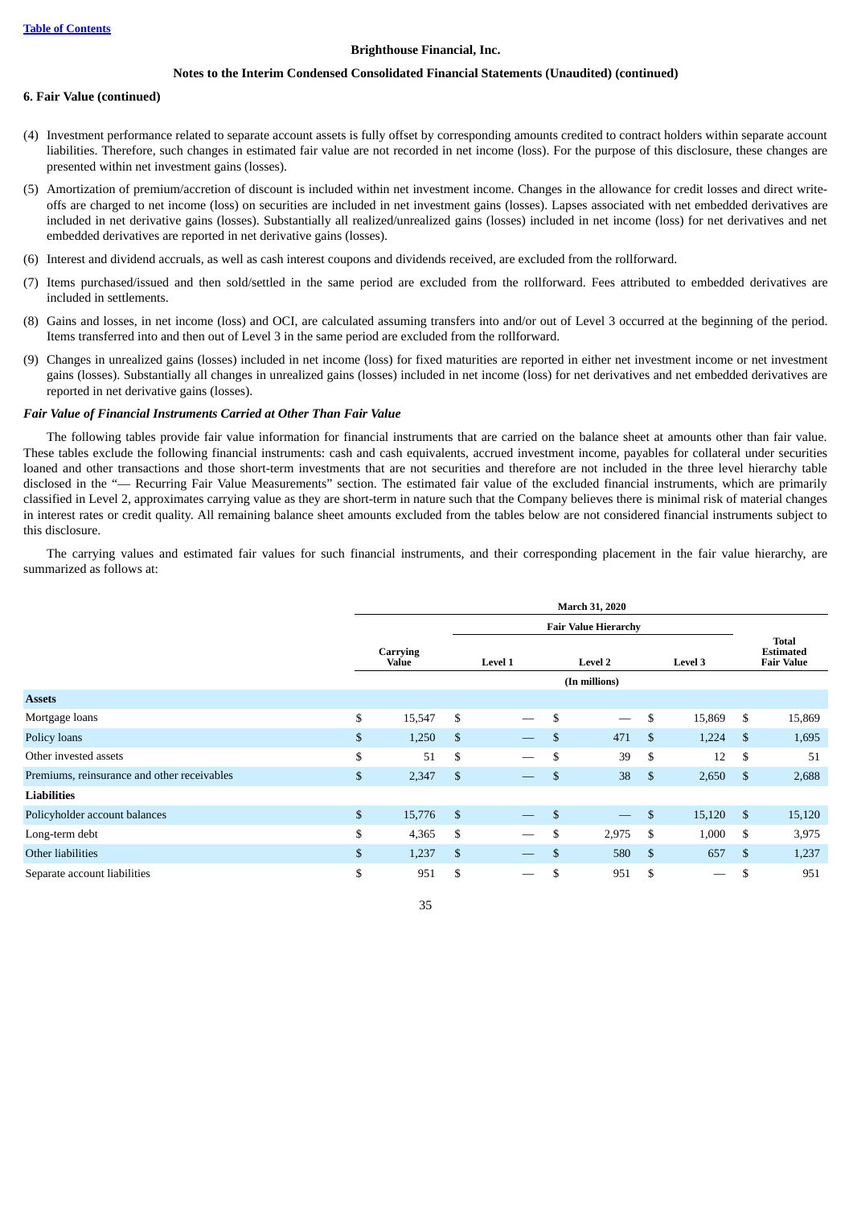# **Notes to the Interim Condensed Consolidated Financial Statements (Unaudited) (continued)**

### **6. Fair Value (continued)**

- (4) Investment performance related to separate account assets is fully offset by corresponding amounts credited to contract holders within separate account liabilities. Therefore, such changes in estimated fair value are not recorded in net income (loss). For the purpose of this disclosure, these changes are presented within net investment gains (losses).
- (5) Amortization of premium/accretion of discount is included within net investment income. Changes in the allowance for credit losses and direct writeoffs are charged to net income (loss) on securities are included in net investment gains (losses). Lapses associated with net embedded derivatives are included in net derivative gains (losses). Substantially all realized/unrealized gains (losses) included in net income (loss) for net derivatives and net embedded derivatives are reported in net derivative gains (losses).
- (6) Interest and dividend accruals, as well as cash interest coupons and dividends received, are excluded from the rollforward.
- (7) Items purchased/issued and then sold/settled in the same period are excluded from the rollforward. Fees attributed to embedded derivatives are included in settlements.
- (8) Gains and losses, in net income (loss) and OCI, are calculated assuming transfers into and/or out of Level 3 occurred at the beginning of the period. Items transferred into and then out of Level 3 in the same period are excluded from the rollforward.
- (9) Changes in unrealized gains (losses) included in net income (loss) for fixed maturities are reported in either net investment income or net investment gains (losses). Substantially all changes in unrealized gains (losses) included in net income (loss) for net derivatives and net embedded derivatives are reported in net derivative gains (losses).

### *Fair Value of Financial Instruments Carried at Other Than Fair Value*

The following tables provide fair value information for financial instruments that are carried on the balance sheet at amounts other than fair value. These tables exclude the following financial instruments: cash and cash equivalents, accrued investment income, payables for collateral under securities loaned and other transactions and those short-term investments that are not securities and therefore are not included in the three level hierarchy table disclosed in the "— Recurring Fair Value Measurements" section. The estimated fair value of the excluded financial instruments, which are primarily classified in Level 2, approximates carrying value as they are short-term in nature such that the Company believes there is minimal risk of material changes in interest rates or credit quality. All remaining balance sheet amounts excluded from the tables below are not considered financial instruments subject to this disclosure.

The carrying values and estimated fair values for such financial instruments, and their corresponding placement in the fair value hierarchy, are summarized as follows at:

|                                             | March 31, 2020           |        |                |                   |    |                                 |    |                |                        |                                                       |  |
|---------------------------------------------|--------------------------|--------|----------------|-------------------|----|---------------------------------|----|----------------|------------------------|-------------------------------------------------------|--|
|                                             |                          |        |                |                   |    |                                 |    |                |                        |                                                       |  |
|                                             | Carrying<br><b>Value</b> |        |                | <b>Level 1</b>    |    | <b>Level 2</b>                  |    | <b>Level 3</b> |                        | <b>Total</b><br><b>Estimated</b><br><b>Fair Value</b> |  |
|                                             |                          |        |                |                   |    |                                 |    |                |                        |                                                       |  |
| <b>Assets</b>                               |                          |        |                |                   |    |                                 |    |                |                        |                                                       |  |
| Mortgage loans                              | \$                       | 15,547 | \$             |                   | \$ |                                 | \$ | 15,869         | \$                     | 15,869                                                |  |
| Policy loans                                | $\mathbb{S}$             | 1,250  | \$             |                   | \$ | 471                             | \$ | 1,224          | $\mathbf{\mathcal{S}}$ | 1,695                                                 |  |
| Other invested assets                       | \$                       | 51     | \$             |                   | \$ | 39                              | \$ | 12             | \$                     | 51                                                    |  |
| Premiums, reinsurance and other receivables | \$                       | 2,347  | \$             |                   | \$ | 38                              | \$ | 2,650          | \$                     | 2,688                                                 |  |
| <b>Liabilities</b>                          |                          |        |                |                   |    |                                 |    |                |                        |                                                       |  |
| Policyholder account balances               | $\mathbb{S}$             | 15,776 | $\mathfrak{S}$ |                   | \$ | $\hspace{0.1mm}-\hspace{0.1mm}$ | \$ | 15,120         | \$                     | 15,120                                                |  |
| Long-term debt                              | \$                       | 4,365  | \$             | $\hspace{0.05cm}$ | \$ | 2,975                           | \$ | 1,000          | \$                     | 3,975                                                 |  |
| Other liabilities                           | $\mathbb{S}$             | 1,237  | \$             |                   | \$ | 580                             | \$ | 657            | $\mathfrak{s}$         | 1,237                                                 |  |
| Separate account liabilities                | \$                       | 951    | \$             |                   | \$ | 951                             | \$ | –              | \$                     | 951                                                   |  |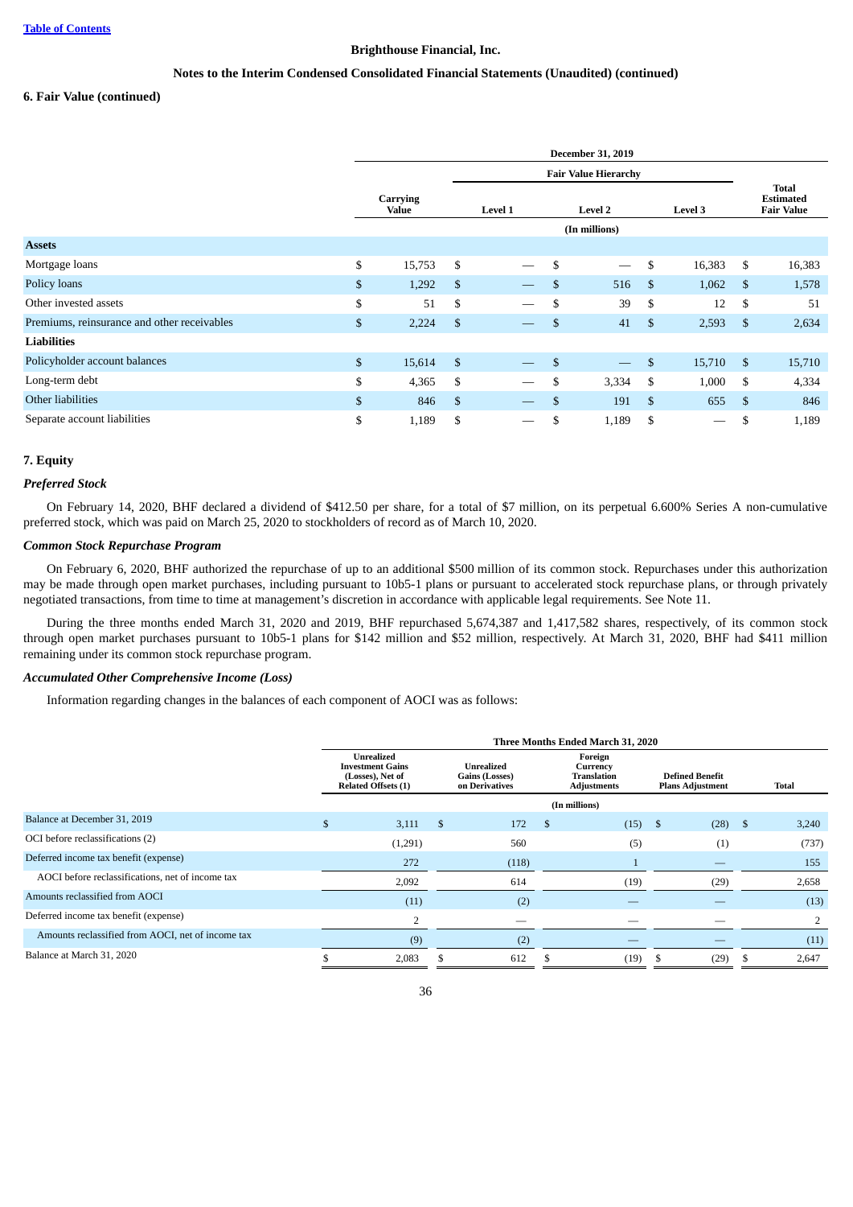# **Notes to the Interim Condensed Consolidated Financial Statements (Unaudited) (continued)**

# **6. Fair Value (continued)**

|                                             | <b>December 31, 2019</b> |                |                               |                             |                   |         |        |                                                       |        |  |  |  |
|---------------------------------------------|--------------------------|----------------|-------------------------------|-----------------------------|-------------------|---------|--------|-------------------------------------------------------|--------|--|--|--|
|                                             |                          |                |                               | <b>Fair Value Hierarchy</b> |                   |         |        |                                                       |        |  |  |  |
|                                             | Carrying<br><b>Value</b> |                | <b>Level 1</b>                | <b>Level 2</b>              |                   | Level 3 |        | <b>Total</b><br><b>Estimated</b><br><b>Fair Value</b> |        |  |  |  |
|                                             |                          |                |                               |                             | (In millions)     |         |        |                                                       |        |  |  |  |
| <b>Assets</b>                               |                          |                |                               |                             |                   |         |        |                                                       |        |  |  |  |
| Mortgage loans                              | \$<br>15,753             | \$             |                               | \$                          | $\hspace{0.05cm}$ | \$      | 16,383 | \$                                                    | 16,383 |  |  |  |
| Policy loans                                | \$<br>1,292              | \$             |                               | \$                          | 516               | \$      | 1,062  | \$                                                    | 1,578  |  |  |  |
| Other invested assets                       | \$<br>51                 | \$             | $\overbrace{\phantom{12333}}$ | \$                          | 39                | \$      | 12     | \$                                                    | 51     |  |  |  |
| Premiums, reinsurance and other receivables | \$<br>2,224              | \$             |                               | \$                          | 41                | \$      | 2,593  | \$                                                    | 2,634  |  |  |  |
| <b>Liabilities</b>                          |                          |                |                               |                             |                   |         |        |                                                       |        |  |  |  |
| Policyholder account balances               | \$<br>15,614             | $\mathfrak{S}$ |                               | \$                          |                   | \$      | 15,710 | $\mathfrak{S}$                                        | 15,710 |  |  |  |
| Long-term debt                              | \$<br>4,365              | \$             | $\hspace{0.05cm}$             | \$                          | 3,334             | \$      | 1,000  | \$                                                    | 4,334  |  |  |  |
| Other liabilities                           | \$<br>846                | $\mathfrak{S}$ |                               | \$                          | 191               | \$      | 655    | $\mathfrak{S}$                                        | 846    |  |  |  |
| Separate account liabilities                | \$<br>1,189              | \$             | $\hspace{0.05cm}$             | \$                          | 1,189             | \$      |        | \$                                                    | 1,189  |  |  |  |

# **7. Equity**

### *Preferred Stock*

On February 14, 2020, BHF declared a dividend of \$412.50 per share, for a total of \$7 million, on its perpetual 6.600% Series A non-cumulative preferred stock, which was paid on March 25, 2020 to stockholders of record as of March 10, 2020.

#### *Common Stock Repurchase Program*

On February 6, 2020, BHF authorized the repurchase of up to an additional \$500 million of its common stock. Repurchases under this authorization may be made through open market purchases, including pursuant to 10b5-1 plans or pursuant to accelerated stock repurchase plans, or through privately negotiated transactions, from time to time at management's discretion in accordance with applicable legal requirements. See Note 11.

During the three months ended March 31, 2020 and 2019, BHF repurchased 5,674,387 and 1,417,582 shares, respectively, of its common stock through open market purchases pursuant to 10b5-1 plans for \$142 million and \$52 million, respectively. At March 31, 2020, BHF had \$411 million remaining under its common stock repurchase program.

### *Accumulated Other Comprehensive Income (Loss)*

Information regarding changes in the balances of each component of AOCI was as follows:

|                                                   | Three Months Ended March 31, 2020 |                                                                                                |              |                                                |    |                                                                 |                                                   |      |      |       |  |
|---------------------------------------------------|-----------------------------------|------------------------------------------------------------------------------------------------|--------------|------------------------------------------------|----|-----------------------------------------------------------------|---------------------------------------------------|------|------|-------|--|
|                                                   |                                   | <b>Unrealized</b><br><b>Investment Gains</b><br>(Losses), Net of<br><b>Related Offsets (1)</b> |              | Unrealized<br>Gains (Losses)<br>on Derivatives |    | Foreign<br>Currency<br><b>Translation</b><br><b>Adjustments</b> | <b>Defined Benefit</b><br><b>Plans Adjustment</b> |      |      | Total |  |
|                                                   |                                   |                                                                                                |              |                                                |    | (In millions)                                                   |                                                   |      |      |       |  |
| Balance at December 31, 2019                      | \$                                | 3,111                                                                                          | $\mathbb{S}$ | 172                                            | \$ | (15)                                                            | - \$                                              | (28) | - \$ | 3,240 |  |
| OCI before reclassifications (2)                  |                                   | (1,291)                                                                                        |              | 560                                            |    | (5)                                                             |                                                   | (1)  |      | (737) |  |
| Deferred income tax benefit (expense)             |                                   | 272                                                                                            |              | (118)                                          |    |                                                                 |                                                   |      |      | 155   |  |
| AOCI before reclassifications, net of income tax  |                                   | 2,092                                                                                          |              | 614                                            |    | (19)                                                            |                                                   | (29) |      | 2,658 |  |
| Amounts reclassified from AOCI                    |                                   | (11)                                                                                           |              | (2)                                            |    |                                                                 |                                                   |      |      | (13)  |  |
| Deferred income tax benefit (expense)             |                                   | $\overline{2}$                                                                                 |              |                                                |    |                                                                 |                                                   |      |      |       |  |
| Amounts reclassified from AOCI, net of income tax |                                   | (9)                                                                                            |              | (2)                                            |    |                                                                 |                                                   |      |      | (11)  |  |
| Balance at March 31, 2020                         |                                   | 2,083                                                                                          |              | 612                                            |    | (19)                                                            | J.                                                | (29) |      | 2,647 |  |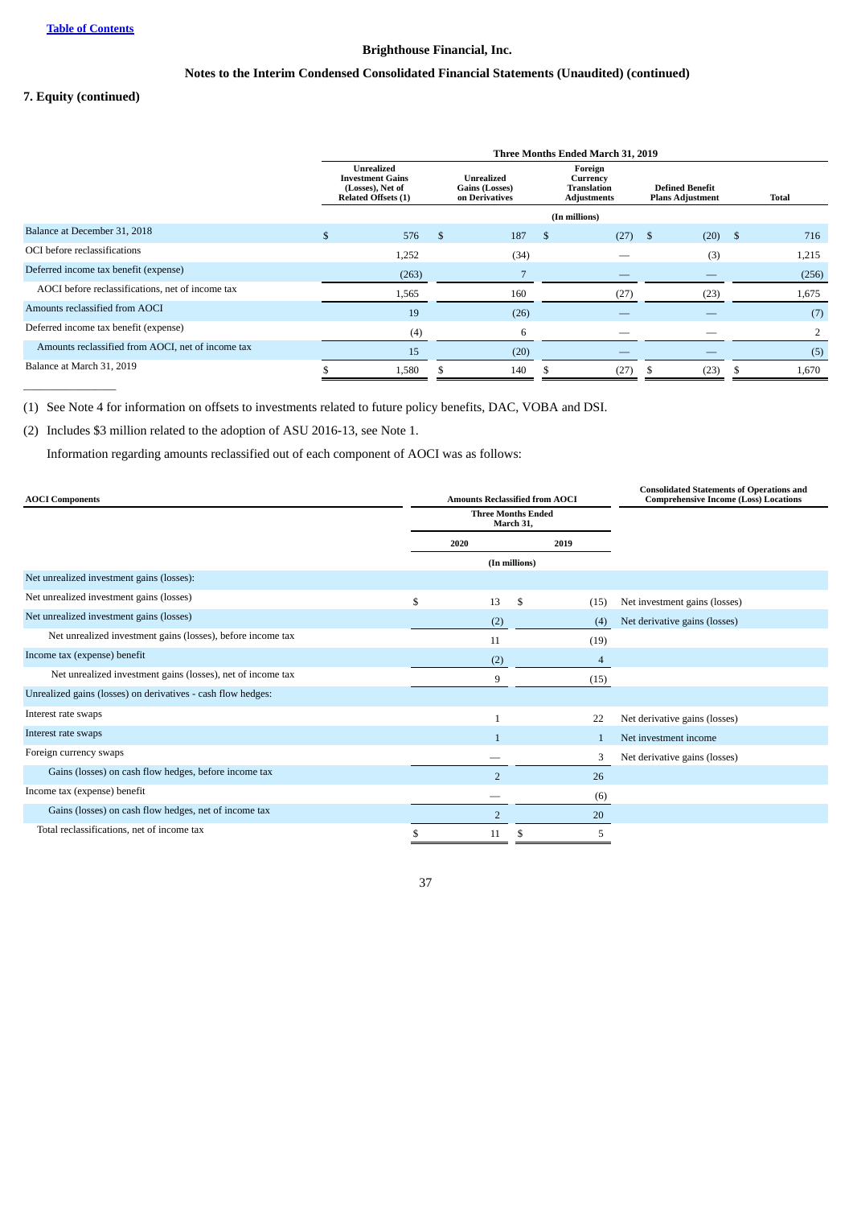# **Notes to the Interim Condensed Consolidated Financial Statements (Unaudited) (continued)**

# **7. Equity (continued)**

 $\frac{1}{2}$  ,  $\frac{1}{2}$  ,  $\frac{1}{2}$  ,  $\frac{1}{2}$  ,  $\frac{1}{2}$  ,  $\frac{1}{2}$  ,  $\frac{1}{2}$  ,  $\frac{1}{2}$  ,  $\frac{1}{2}$ 

|                                                   |    | <b>Unrealized</b><br><b>Investment Gains</b><br>(Losses), Net of<br><b>Related Offsets (1)</b> |                | Unrealized<br>Gains (Losses)<br>on Derivatives |              | Foreign<br>Currency<br><b>Translation</b><br><b>Adjustments</b> |      | <b>Defined Benefit</b><br><b>Plans Adjustment</b> |            | Total |
|---------------------------------------------------|----|------------------------------------------------------------------------------------------------|----------------|------------------------------------------------|--------------|-----------------------------------------------------------------|------|---------------------------------------------------|------------|-------|
|                                                   |    |                                                                                                |                |                                                |              | (In millions)                                                   |      |                                                   |            |       |
| Balance at December 31, 2018                      | \$ | 576                                                                                            | $\mathfrak{s}$ | 187                                            | $\mathbb{S}$ | (27)                                                            | - \$ | (20)                                              | $^{\circ}$ | 716   |
| OCI before reclassifications                      |    | 1,252                                                                                          |                | (34)                                           |              |                                                                 |      | (3)                                               |            | 1,215 |
| Deferred income tax benefit (expense)             |    | (263)                                                                                          |                |                                                |              |                                                                 |      |                                                   |            | (256) |
| AOCI before reclassifications, net of income tax  |    | 1,565                                                                                          |                | 160                                            |              | (27)                                                            |      | (23)                                              |            | 1,675 |
| Amounts reclassified from AOCI                    |    | 19                                                                                             |                | (26)                                           |              |                                                                 |      |                                                   |            | (7)   |
| Deferred income tax benefit (expense)             |    | (4)                                                                                            |                | 6                                              |              |                                                                 |      |                                                   |            |       |
| Amounts reclassified from AOCI, net of income tax |    | 15                                                                                             |                | (20)                                           |              |                                                                 |      |                                                   |            | (5)   |
| Balance at March 31, 2019                         |    | 1,580                                                                                          |                | 140                                            |              | (27)                                                            |      | (23)                                              |            | 1,670 |

(1) See Note 4 for information on offsets to investments related to future policy benefits, DAC, VOBA and DSI.

(2) Includes \$3 million related to the adoption of ASU 2016-13, see Note 1.

Information regarding amounts reclassified out of each component of AOCI was as follows:

| <b>AOCI Components</b>                                       |      |                | <b>Amounts Reclassified from AOCI</b>  |                | <b>Consolidated Statements of Operations and</b><br><b>Comprehensive Income (Loss) Locations</b> |  |  |  |  |
|--------------------------------------------------------------|------|----------------|----------------------------------------|----------------|--------------------------------------------------------------------------------------------------|--|--|--|--|
|                                                              |      |                | <b>Three Months Ended</b><br>March 31, |                |                                                                                                  |  |  |  |  |
|                                                              | 2020 |                | 2019                                   |                |                                                                                                  |  |  |  |  |
|                                                              |      |                | (In millions)                          |                |                                                                                                  |  |  |  |  |
| Net unrealized investment gains (losses):                    |      |                |                                        |                |                                                                                                  |  |  |  |  |
| Net unrealized investment gains (losses)                     | \$   | 13             | <sup>\$</sup>                          | (15)           | Net investment gains (losses)                                                                    |  |  |  |  |
| Net unrealized investment gains (losses)                     |      | (2)            |                                        | (4)            | Net derivative gains (losses)                                                                    |  |  |  |  |
| Net unrealized investment gains (losses), before income tax  |      | 11             |                                        | (19)           |                                                                                                  |  |  |  |  |
| Income tax (expense) benefit                                 |      | (2)            |                                        | $\overline{4}$ |                                                                                                  |  |  |  |  |
| Net unrealized investment gains (losses), net of income tax  |      | 9              |                                        | (15)           |                                                                                                  |  |  |  |  |
| Unrealized gains (losses) on derivatives - cash flow hedges: |      |                |                                        |                |                                                                                                  |  |  |  |  |
| Interest rate swaps                                          |      |                |                                        | 22             | Net derivative gains (losses)                                                                    |  |  |  |  |
| Interest rate swaps                                          |      | $\mathbf{1}$   |                                        |                | Net investment income                                                                            |  |  |  |  |
| Foreign currency swaps                                       |      |                |                                        | 3              | Net derivative gains (losses)                                                                    |  |  |  |  |
| Gains (losses) on cash flow hedges, before income tax        |      | $\overline{2}$ |                                        | 26             |                                                                                                  |  |  |  |  |
| Income tax (expense) benefit                                 |      |                |                                        | (6)            |                                                                                                  |  |  |  |  |
| Gains (losses) on cash flow hedges, net of income tax        |      | $\overline{2}$ |                                        | 20             |                                                                                                  |  |  |  |  |
| Total reclassifications, net of income tax                   |      | 11             |                                        | 5              |                                                                                                  |  |  |  |  |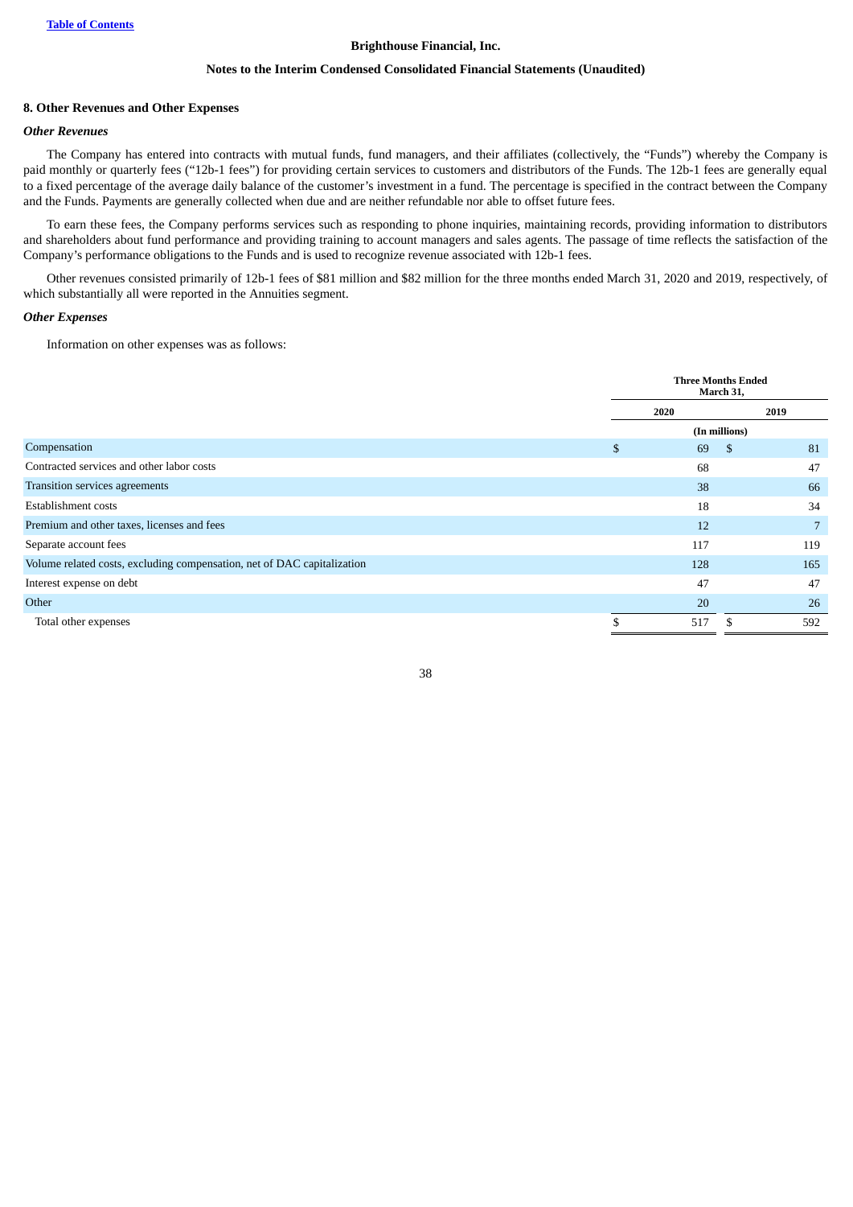# **Notes to the Interim Condensed Consolidated Financial Statements (Unaudited)**

## **8. Other Revenues and Other Expenses**

## *Other Revenues*

The Company has entered into contracts with mutual funds, fund managers, and their affiliates (collectively, the "Funds") whereby the Company is paid monthly or quarterly fees ("12b-1 fees") for providing certain services to customers and distributors of the Funds. The 12b-1 fees are generally equal to a fixed percentage of the average daily balance of the customer's investment in a fund. The percentage is specified in the contract between the Company and the Funds. Payments are generally collected when due and are neither refundable nor able to offset future fees.

To earn these fees, the Company performs services such as responding to phone inquiries, maintaining records, providing information to distributors and shareholders about fund performance and providing training to account managers and sales agents. The passage of time reflects the satisfaction of the Company's performance obligations to the Funds and is used to recognize revenue associated with 12b-1 fees.

Other revenues consisted primarily of 12b-1 fees of \$81 million and \$82 million for the three months ended March 31, 2020 and 2019, respectively, of which substantially all were reported in the Annuities segment.

#### *Other Expenses*

Information on other expenses was as follows:

|                                                                         | <b>Three Months Ended</b><br>March 31, |      |               |                 |  |  |
|-------------------------------------------------------------------------|----------------------------------------|------|---------------|-----------------|--|--|
|                                                                         |                                        | 2020 |               | 2019            |  |  |
|                                                                         |                                        |      | (In millions) |                 |  |  |
| Compensation                                                            | \$                                     | 69   | -\$           | 81              |  |  |
| Contracted services and other labor costs                               |                                        | 68   |               | 47              |  |  |
| Transition services agreements                                          |                                        | 38   |               | 66              |  |  |
| Establishment costs                                                     |                                        | 18   |               | 34              |  |  |
| Premium and other taxes, licenses and fees                              |                                        | 12   |               | $7\overline{ }$ |  |  |
| Separate account fees                                                   |                                        | 117  |               | 119             |  |  |
| Volume related costs, excluding compensation, net of DAC capitalization |                                        | 128  |               | 165             |  |  |
| Interest expense on debt                                                |                                        | 47   |               | 47              |  |  |
| Other                                                                   |                                        | 20   |               | 26              |  |  |
| Total other expenses                                                    | ٦'n                                    | 517  | £.            | 592             |  |  |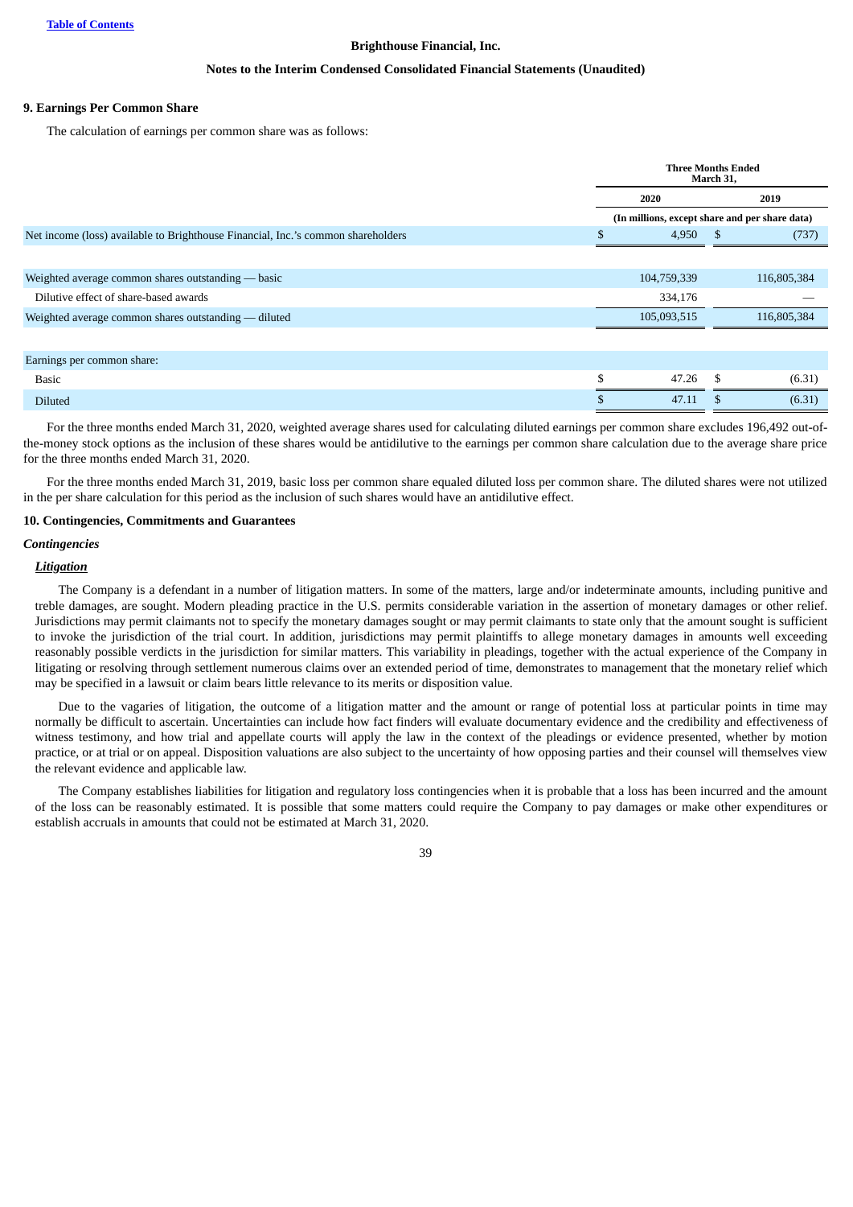## **Notes to the Interim Condensed Consolidated Financial Statements (Unaudited)**

### **9. Earnings Per Common Share**

The calculation of earnings per common share was as follows:

|                                                                                  |   | <b>Three Months Ended</b><br>March 31, |                                                |             |  |  |  |  |
|----------------------------------------------------------------------------------|---|----------------------------------------|------------------------------------------------|-------------|--|--|--|--|
|                                                                                  |   | 2020                                   |                                                | 2019        |  |  |  |  |
|                                                                                  |   |                                        | (In millions, except share and per share data) |             |  |  |  |  |
| Net income (loss) available to Brighthouse Financial, Inc.'s common shareholders |   | 4,950                                  | <sup>S</sup>                                   | (737)       |  |  |  |  |
|                                                                                  |   |                                        |                                                |             |  |  |  |  |
| Weighted average common shares outstanding — basic                               |   | 104,759,339                            |                                                | 116,805,384 |  |  |  |  |
| Dilutive effect of share-based awards                                            |   | 334,176                                |                                                |             |  |  |  |  |
| Weighted average common shares outstanding - diluted                             |   | 105,093,515                            |                                                | 116,805,384 |  |  |  |  |
|                                                                                  |   |                                        |                                                |             |  |  |  |  |
| Earnings per common share:                                                       |   |                                        |                                                |             |  |  |  |  |
| <b>Basic</b>                                                                     | ፍ | 47.26                                  | \$                                             | (6.31)      |  |  |  |  |
| <b>Diluted</b>                                                                   |   | 47.11                                  |                                                | (6.31)      |  |  |  |  |

For the three months ended March 31, 2020, weighted average shares used for calculating diluted earnings per common share excludes 196,492 out-ofthe-money stock options as the inclusion of these shares would be antidilutive to the earnings per common share calculation due to the average share price for the three months ended March 31, 2020.

For the three months ended March 31, 2019, basic loss per common share equaled diluted loss per common share. The diluted shares were not utilized in the per share calculation for this period as the inclusion of such shares would have an antidilutive effect.

# **10. Contingencies, Commitments and Guarantees**

### *Contingencies*

#### *Litigation*

The Company is a defendant in a number of litigation matters. In some of the matters, large and/or indeterminate amounts, including punitive and treble damages, are sought. Modern pleading practice in the U.S. permits considerable variation in the assertion of monetary damages or other relief. Jurisdictions may permit claimants not to specify the monetary damages sought or may permit claimants to state only that the amount sought is sufficient to invoke the jurisdiction of the trial court. In addition, jurisdictions may permit plaintiffs to allege monetary damages in amounts well exceeding reasonably possible verdicts in the jurisdiction for similar matters. This variability in pleadings, together with the actual experience of the Company in litigating or resolving through settlement numerous claims over an extended period of time, demonstrates to management that the monetary relief which may be specified in a lawsuit or claim bears little relevance to its merits or disposition value.

Due to the vagaries of litigation, the outcome of a litigation matter and the amount or range of potential loss at particular points in time may normally be difficult to ascertain. Uncertainties can include how fact finders will evaluate documentary evidence and the credibility and effectiveness of witness testimony, and how trial and appellate courts will apply the law in the context of the pleadings or evidence presented, whether by motion practice, or at trial or on appeal. Disposition valuations are also subject to the uncertainty of how opposing parties and their counsel will themselves view the relevant evidence and applicable law.

The Company establishes liabilities for litigation and regulatory loss contingencies when it is probable that a loss has been incurred and the amount of the loss can be reasonably estimated. It is possible that some matters could require the Company to pay damages or make other expenditures or establish accruals in amounts that could not be estimated at March 31, 2020.

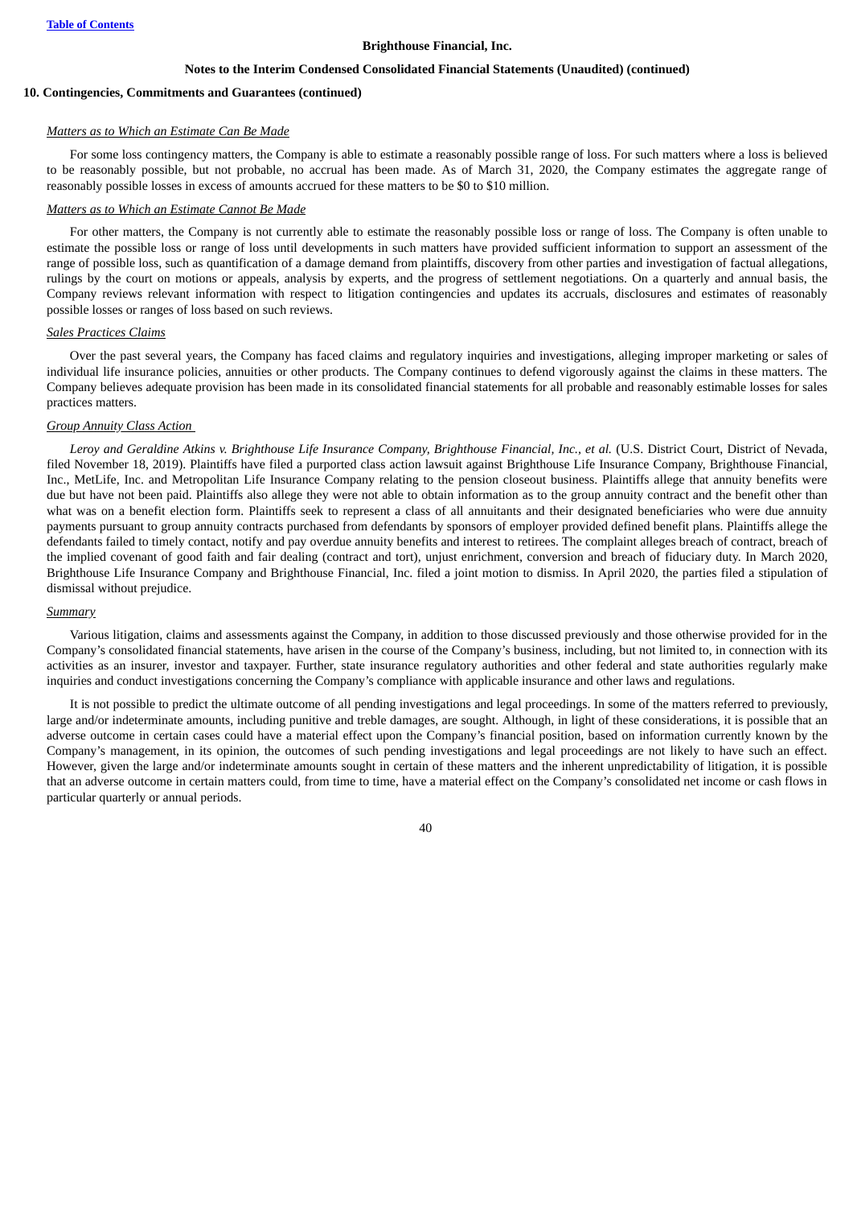## **Notes to the Interim Condensed Consolidated Financial Statements (Unaudited) (continued)**

### **10. Contingencies, Commitments and Guarantees (continued)**

#### *Matters as to Which an Estimate Can Be Made*

For some loss contingency matters, the Company is able to estimate a reasonably possible range of loss. For such matters where a loss is believed to be reasonably possible, but not probable, no accrual has been made. As of March 31, 2020, the Company estimates the aggregate range of reasonably possible losses in excess of amounts accrued for these matters to be \$0 to \$10 million.

#### *Matters as to Which an Estimate Cannot Be Made*

For other matters, the Company is not currently able to estimate the reasonably possible loss or range of loss. The Company is often unable to estimate the possible loss or range of loss until developments in such matters have provided sufficient information to support an assessment of the range of possible loss, such as quantification of a damage demand from plaintiffs, discovery from other parties and investigation of factual allegations, rulings by the court on motions or appeals, analysis by experts, and the progress of settlement negotiations. On a quarterly and annual basis, the Company reviews relevant information with respect to litigation contingencies and updates its accruals, disclosures and estimates of reasonably possible losses or ranges of loss based on such reviews.

#### *Sales Practices Claims*

Over the past several years, the Company has faced claims and regulatory inquiries and investigations, alleging improper marketing or sales of individual life insurance policies, annuities or other products. The Company continues to defend vigorously against the claims in these matters. The Company believes adequate provision has been made in its consolidated financial statements for all probable and reasonably estimable losses for sales practices matters.

#### *Group Annuity Class Action*

Leroy and Geraldine Atkins v. Brighthouse Life Insurance Company, Brighthouse Financial, Inc., et al. (U.S. District Court, District of Nevada, filed November 18, 2019). Plaintiffs have filed a purported class action lawsuit against Brighthouse Life Insurance Company, Brighthouse Financial, Inc., MetLife, Inc. and Metropolitan Life Insurance Company relating to the pension closeout business. Plaintiffs allege that annuity benefits were due but have not been paid. Plaintiffs also allege they were not able to obtain information as to the group annuity contract and the benefit other than what was on a benefit election form. Plaintiffs seek to represent a class of all annuitants and their designated beneficiaries who were due annuity payments pursuant to group annuity contracts purchased from defendants by sponsors of employer provided defined benefit plans. Plaintiffs allege the defendants failed to timely contact, notify and pay overdue annuity benefits and interest to retirees. The complaint alleges breach of contract, breach of the implied covenant of good faith and fair dealing (contract and tort), unjust enrichment, conversion and breach of fiduciary duty. In March 2020, Brighthouse Life Insurance Company and Brighthouse Financial, Inc. filed a joint motion to dismiss. In April 2020, the parties filed a stipulation of dismissal without prejudice.

#### *Summary*

Various litigation, claims and assessments against the Company, in addition to those discussed previously and those otherwise provided for in the Company's consolidated financial statements, have arisen in the course of the Company's business, including, but not limited to, in connection with its activities as an insurer, investor and taxpayer. Further, state insurance regulatory authorities and other federal and state authorities regularly make inquiries and conduct investigations concerning the Company's compliance with applicable insurance and other laws and regulations.

It is not possible to predict the ultimate outcome of all pending investigations and legal proceedings. In some of the matters referred to previously, large and/or indeterminate amounts, including punitive and treble damages, are sought. Although, in light of these considerations, it is possible that an adverse outcome in certain cases could have a material effect upon the Company's financial position, based on information currently known by the Company's management, in its opinion, the outcomes of such pending investigations and legal proceedings are not likely to have such an effect. However, given the large and/or indeterminate amounts sought in certain of these matters and the inherent unpredictability of litigation, it is possible that an adverse outcome in certain matters could, from time to time, have a material effect on the Company's consolidated net income or cash flows in particular quarterly or annual periods.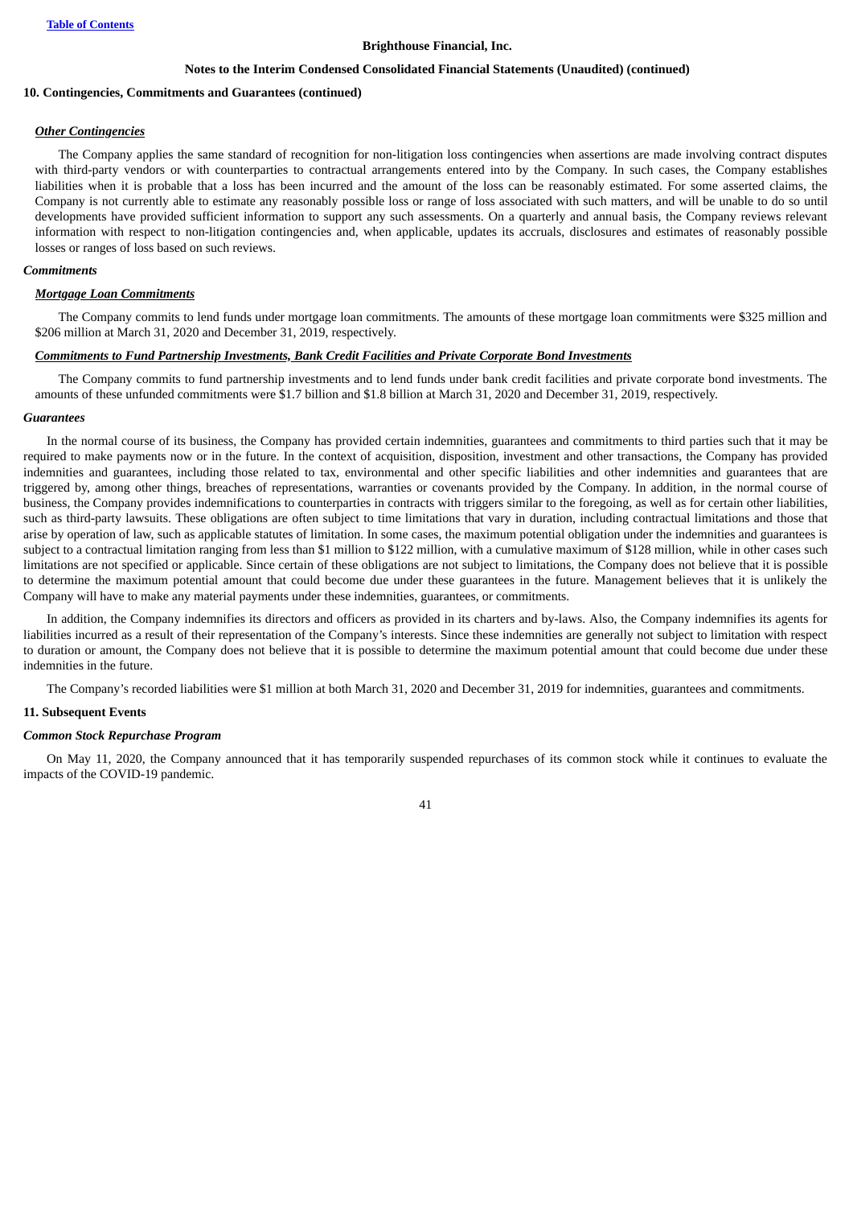### **Notes to the Interim Condensed Consolidated Financial Statements (Unaudited) (continued)**

#### **10. Contingencies, Commitments and Guarantees (continued)**

#### *Other Contingencies*

The Company applies the same standard of recognition for non-litigation loss contingencies when assertions are made involving contract disputes with third-party vendors or with counterparties to contractual arrangements entered into by the Company. In such cases, the Company establishes liabilities when it is probable that a loss has been incurred and the amount of the loss can be reasonably estimated. For some asserted claims, the Company is not currently able to estimate any reasonably possible loss or range of loss associated with such matters, and will be unable to do so until developments have provided sufficient information to support any such assessments. On a quarterly and annual basis, the Company reviews relevant information with respect to non-litigation contingencies and, when applicable, updates its accruals, disclosures and estimates of reasonably possible losses or ranges of loss based on such reviews.

#### *Commitments*

#### *Mortgage Loan Commitments*

The Company commits to lend funds under mortgage loan commitments. The amounts of these mortgage loan commitments were \$325 million and \$206 million at March 31, 2020 and December 31, 2019, respectively.

#### *Commitments to Fund Partnership Investments, Bank Credit Facilities and Private Corporate Bond Investments*

The Company commits to fund partnership investments and to lend funds under bank credit facilities and private corporate bond investments. The amounts of these unfunded commitments were \$1.7 billion and \$1.8 billion at March 31, 2020 and December 31, 2019, respectively.

#### *Guarantees*

In the normal course of its business, the Company has provided certain indemnities, guarantees and commitments to third parties such that it may be required to make payments now or in the future. In the context of acquisition, disposition, investment and other transactions, the Company has provided indemnities and guarantees, including those related to tax, environmental and other specific liabilities and other indemnities and guarantees that are triggered by, among other things, breaches of representations, warranties or covenants provided by the Company. In addition, in the normal course of business, the Company provides indemnifications to counterparties in contracts with triggers similar to the foregoing, as well as for certain other liabilities, such as third-party lawsuits. These obligations are often subject to time limitations that vary in duration, including contractual limitations and those that arise by operation of law, such as applicable statutes of limitation. In some cases, the maximum potential obligation under the indemnities and guarantees is subject to a contractual limitation ranging from less than \$1 million to \$122 million, with a cumulative maximum of \$128 million, while in other cases such limitations are not specified or applicable. Since certain of these obligations are not subject to limitations, the Company does not believe that it is possible to determine the maximum potential amount that could become due under these guarantees in the future. Management believes that it is unlikely the Company will have to make any material payments under these indemnities, guarantees, or commitments.

In addition, the Company indemnifies its directors and officers as provided in its charters and by-laws. Also, the Company indemnifies its agents for liabilities incurred as a result of their representation of the Company's interests. Since these indemnities are generally not subject to limitation with respect to duration or amount, the Company does not believe that it is possible to determine the maximum potential amount that could become due under these indemnities in the future.

The Company's recorded liabilities were \$1 million at both March 31, 2020 and December 31, 2019 for indemnities, guarantees and commitments.

## **11. Subsequent Events**

#### *Common Stock Repurchase Program*

On May 11, 2020, the Company announced that it has temporarily suspended repurchases of its common stock while it continues to evaluate the impacts of the COVID-19 pandemic.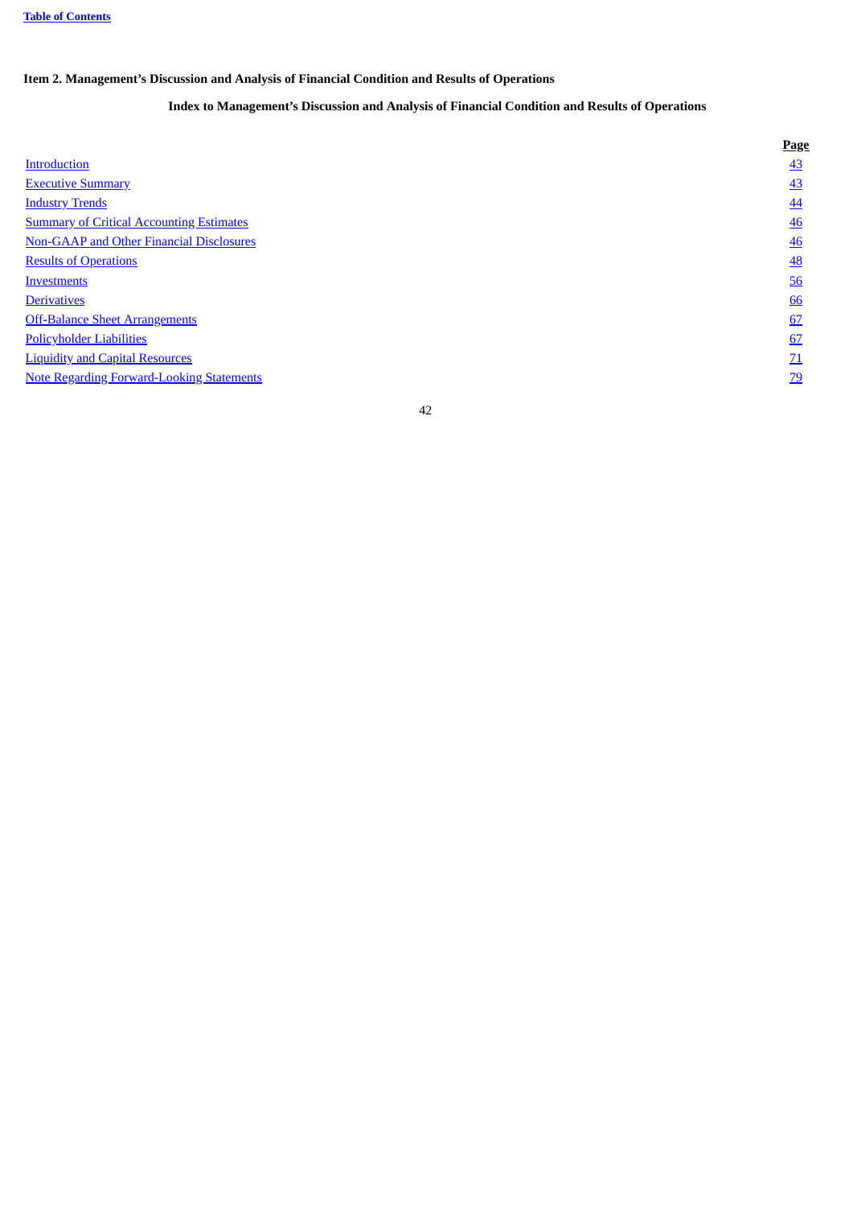# **Item 2. Management's Discussion and Analysis of Financial Condition and Results of Operations**

# **Index to Management's Discussion and Analysis of Financial Condition and Results of Operations**

|                                                  | Page            |
|--------------------------------------------------|-----------------|
| <b>Introduction</b>                              | 43              |
| <b>Executive Summary</b>                         | 43              |
| <b>Industry Trends</b>                           | $\overline{44}$ |
| <b>Summary of Critical Accounting Estimates</b>  | $\overline{46}$ |
| Non-GAAP and Other Financial Disclosures         | $\overline{46}$ |
| <b>Results of Operations</b>                     | $\frac{48}{1}$  |
| <b>Investments</b>                               | 56              |
| <b>Derivatives</b>                               | 66              |
| <b>Off-Balance Sheet Arrangements</b>            | 67              |
| <b>Policyholder Liabilities</b>                  | 67              |
| <b>Liquidity and Capital Resources</b>           | $\overline{21}$ |
| <b>Note Regarding Forward-Looking Statements</b> | <u>79</u>       |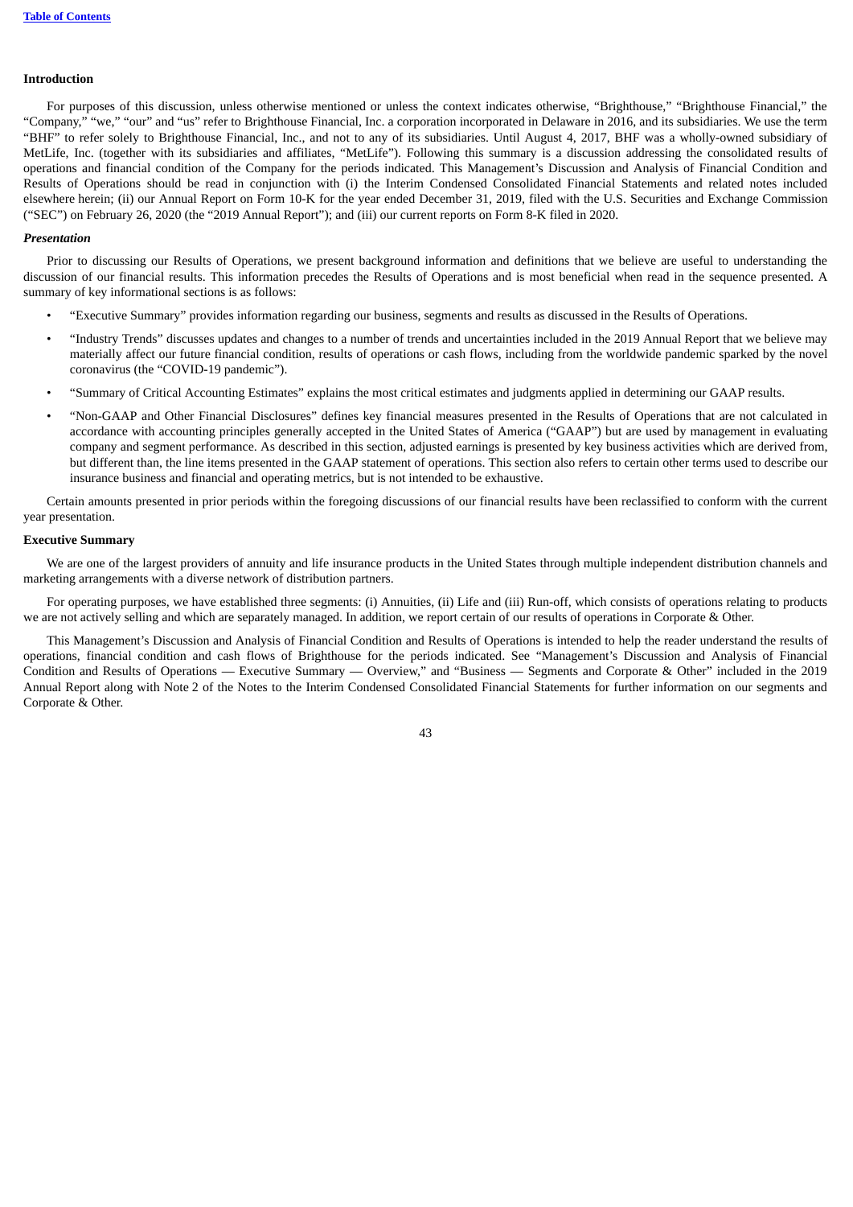#### <span id="page-43-0"></span>**Introduction**

For purposes of this discussion, unless otherwise mentioned or unless the context indicates otherwise, "Brighthouse," "Brighthouse Financial," the "Company," "we," "our" and "us" refer to Brighthouse Financial, Inc. a corporation incorporated in Delaware in 2016, and its subsidiaries. We use the term "BHF" to refer solely to Brighthouse Financial, Inc., and not to any of its subsidiaries. Until August 4, 2017, BHF was a wholly-owned subsidiary of MetLife, Inc. (together with its subsidiaries and affiliates, "MetLife"). Following this summary is a discussion addressing the consolidated results of operations and financial condition of the Company for the periods indicated. This Management's Discussion and Analysis of Financial Condition and Results of Operations should be read in conjunction with (i) the Interim Condensed Consolidated Financial Statements and related notes included elsewhere herein; (ii) our Annual Report on Form 10-K for the year ended December 31, 2019, filed with the U.S. Securities and Exchange Commission ("SEC") on February 26, 2020 (the "2019 Annual Report"); and (iii) our current reports on Form 8-K filed in 2020.

### *Presentation*

Prior to discussing our Results of Operations, we present background information and definitions that we believe are useful to understanding the discussion of our financial results. This information precedes the Results of Operations and is most beneficial when read in the sequence presented. A summary of key informational sections is as follows:

- "Executive Summary" provides information regarding our business, segments and results as discussed in the Results of Operations.
- "Industry Trends" discusses updates and changes to a number of trends and uncertainties included in the 2019 Annual Report that we believe may materially affect our future financial condition, results of operations or cash flows, including from the worldwide pandemic sparked by the novel coronavirus (the "COVID-19 pandemic").
- "Summary of Critical Accounting Estimates" explains the most critical estimates and judgments applied in determining our GAAP results.
- "Non-GAAP and Other Financial Disclosures" defines key financial measures presented in the Results of Operations that are not calculated in accordance with accounting principles generally accepted in the United States of America ("GAAP") but are used by management in evaluating company and segment performance. As described in this section, adjusted earnings is presented by key business activities which are derived from, but different than, the line items presented in the GAAP statement of operations. This section also refers to certain other terms used to describe our insurance business and financial and operating metrics, but is not intended to be exhaustive.

Certain amounts presented in prior periods within the foregoing discussions of our financial results have been reclassified to conform with the current year presentation.

### <span id="page-43-1"></span>**Executive Summary**

We are one of the largest providers of annuity and life insurance products in the United States through multiple independent distribution channels and marketing arrangements with a diverse network of distribution partners.

For operating purposes, we have established three segments: (i) Annuities, (ii) Life and (iii) Run-off, which consists of operations relating to products we are not actively selling and which are separately managed. In addition, we report certain of our results of operations in Corporate & Other.

This Management's Discussion and Analysis of Financial Condition and Results of Operations is intended to help the reader understand the results of operations, financial condition and cash flows of Brighthouse for the periods indicated. See "Management's Discussion and Analysis of Financial Condition and Results of Operations — Executive Summary — Overview," and "Business — Segments and Corporate & Other" included in the 2019 Annual Report along with Note 2 of the Notes to the Interim Condensed Consolidated Financial Statements for further information on our segments and Corporate & Other.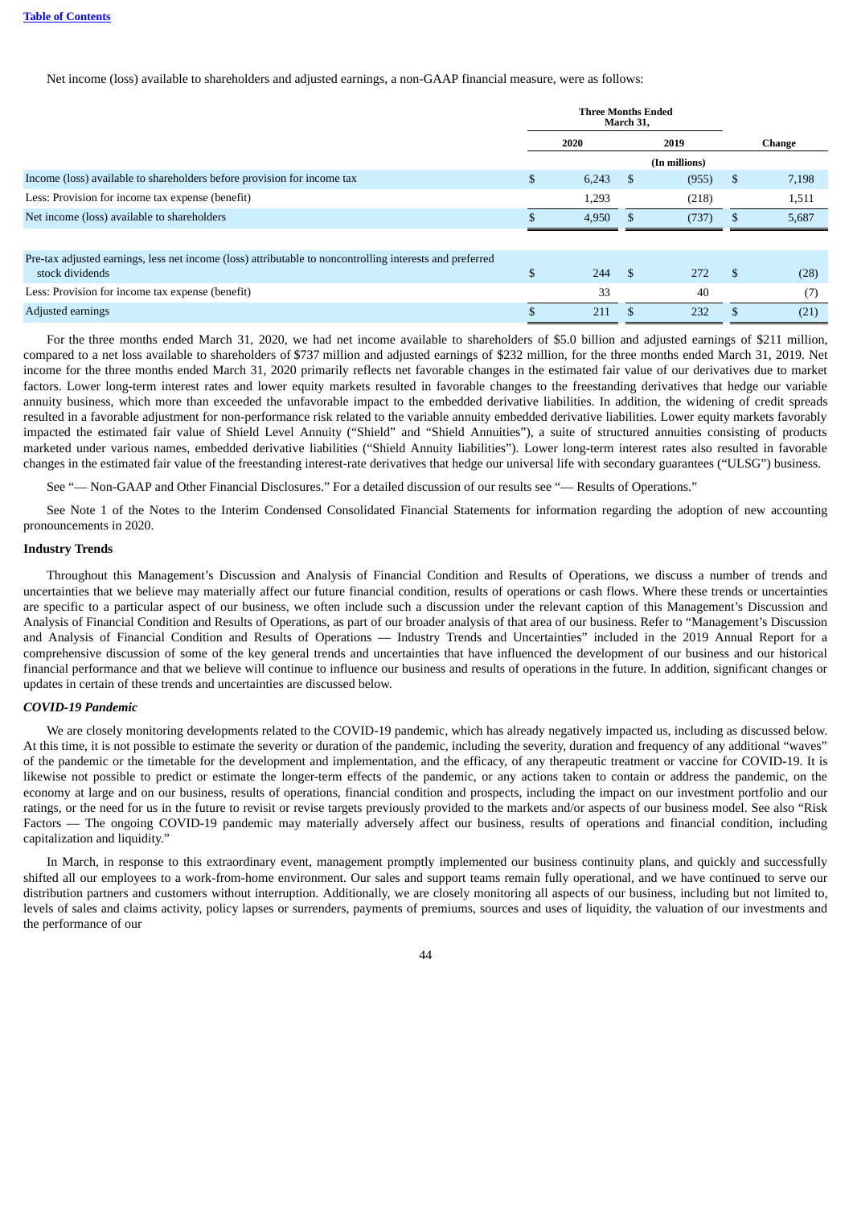Net income (loss) available to shareholders and adjusted earnings, a non-GAAP financial measure, were as follows:

|                                                                                                          | <b>Three Months Ended</b><br>March 31. |       |               |               |    |               |
|----------------------------------------------------------------------------------------------------------|----------------------------------------|-------|---------------|---------------|----|---------------|
|                                                                                                          | 2020                                   |       |               | 2019          |    | <b>Change</b> |
|                                                                                                          |                                        |       |               | (In millions) |    |               |
| Income (loss) available to shareholders before provision for income tax                                  | \$                                     | 6,243 | <sup>\$</sup> | (955)         | \$ | 7,198         |
| Less: Provision for income tax expense (benefit)                                                         |                                        | 1,293 |               | (218)         |    | 1,511         |
| Net income (loss) available to shareholders                                                              |                                        | 4,950 |               | (737)         | -S | 5,687         |
|                                                                                                          |                                        |       |               |               |    |               |
| Pre-tax adjusted earnings, less net income (loss) attributable to noncontrolling interests and preferred |                                        |       |               |               |    |               |
| stock dividends                                                                                          | \$                                     | 244   | \$            | 272           | \$ | (28)          |
| Less: Provision for income tax expense (benefit)                                                         |                                        | 33    |               | 40            |    | (7)           |
| Adjusted earnings                                                                                        |                                        | 211   | ß.            | 232           | S  | (21)          |

For the three months ended March 31, 2020, we had net income available to shareholders of \$5.0 billion and adjusted earnings of \$211 million, compared to a net loss available to shareholders of \$737 million and adjusted earnings of \$232 million, for the three months ended March 31, 2019. Net income for the three months ended March 31, 2020 primarily reflects net favorable changes in the estimated fair value of our derivatives due to market factors. Lower long-term interest rates and lower equity markets resulted in favorable changes to the freestanding derivatives that hedge our variable annuity business, which more than exceeded the unfavorable impact to the embedded derivative liabilities. In addition, the widening of credit spreads resulted in a favorable adjustment for non-performance risk related to the variable annuity embedded derivative liabilities. Lower equity markets favorably impacted the estimated fair value of Shield Level Annuity ("Shield" and "Shield Annuities"), a suite of structured annuities consisting of products marketed under various names, embedded derivative liabilities ("Shield Annuity liabilities"). Lower long-term interest rates also resulted in favorable changes in the estimated fair value of the freestanding interest-rate derivatives that hedge our universal life with secondary guarantees ("ULSG") business.

See "— Non-GAAP and Other Financial Disclosures." For a detailed discussion of our results see "— Results of Operations."

See Note 1 of the Notes to the Interim Condensed Consolidated Financial Statements for information regarding the adoption of new accounting pronouncements in 2020.

### <span id="page-44-0"></span>**Industry Trends**

Throughout this Management's Discussion and Analysis of Financial Condition and Results of Operations, we discuss a number of trends and uncertainties that we believe may materially affect our future financial condition, results of operations or cash flows. Where these trends or uncertainties are specific to a particular aspect of our business, we often include such a discussion under the relevant caption of this Management's Discussion and Analysis of Financial Condition and Results of Operations, as part of our broader analysis of that area of our business. Refer to "Management's Discussion and Analysis of Financial Condition and Results of Operations — Industry Trends and Uncertainties" included in the 2019 Annual Report for a comprehensive discussion of some of the key general trends and uncertainties that have influenced the development of our business and our historical financial performance and that we believe will continue to influence our business and results of operations in the future. In addition, significant changes or updates in certain of these trends and uncertainties are discussed below.

#### *COVID-19 Pandemic*

We are closely monitoring developments related to the COVID-19 pandemic, which has already negatively impacted us, including as discussed below. At this time, it is not possible to estimate the severity or duration of the pandemic, including the severity, duration and frequency of any additional "waves" of the pandemic or the timetable for the development and implementation, and the efficacy, of any therapeutic treatment or vaccine for COVID-19. It is likewise not possible to predict or estimate the longer-term effects of the pandemic, or any actions taken to contain or address the pandemic, on the economy at large and on our business, results of operations, financial condition and prospects, including the impact on our investment portfolio and our ratings, or the need for us in the future to revisit or revise targets previously provided to the markets and/or aspects of our business model. See also "Risk Factors — The ongoing COVID-19 pandemic may materially adversely affect our business, results of operations and financial condition, including capitalization and liquidity."

In March, in response to this extraordinary event, management promptly implemented our business continuity plans, and quickly and successfully shifted all our employees to a work-from-home environment. Our sales and support teams remain fully operational, and we have continued to serve our distribution partners and customers without interruption. Additionally, we are closely monitoring all aspects of our business, including but not limited to, levels of sales and claims activity, policy lapses or surrenders, payments of premiums, sources and uses of liquidity, the valuation of our investments and the performance of our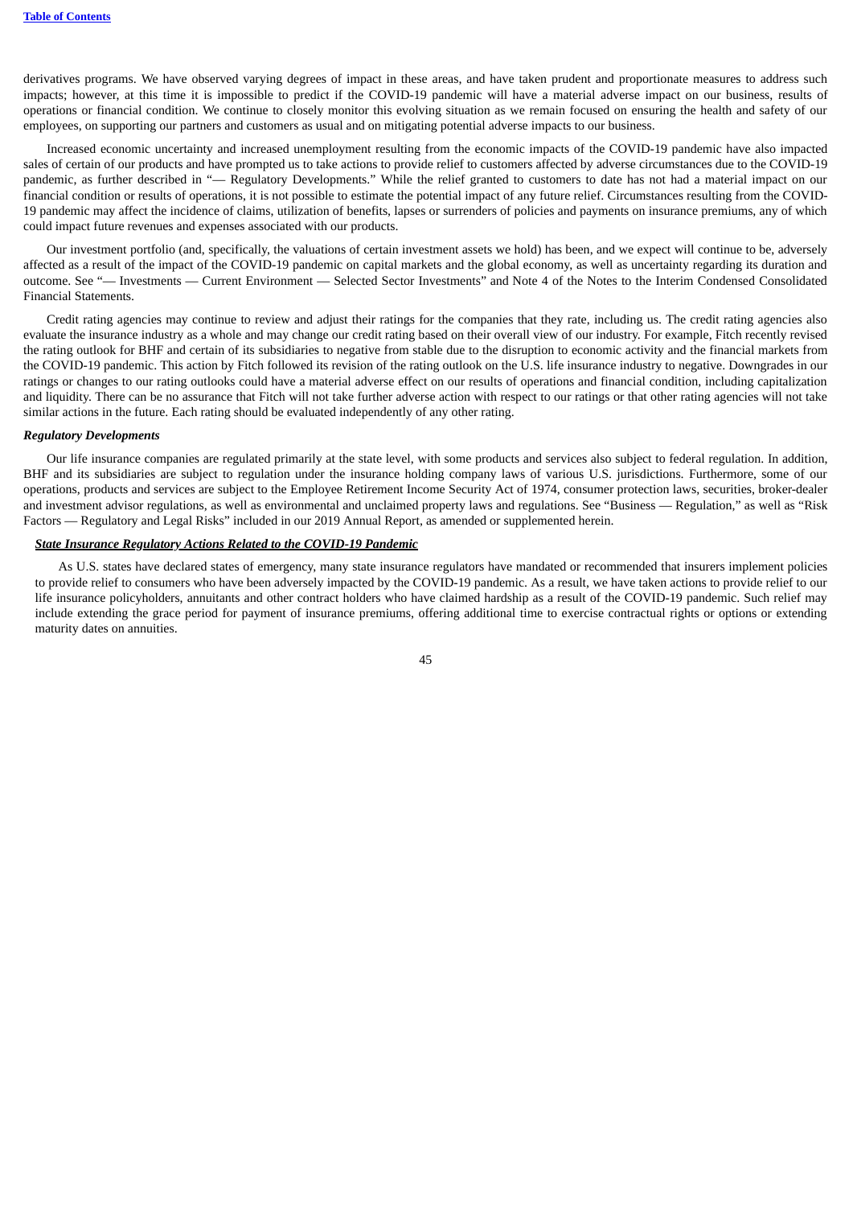derivatives programs. We have observed varying degrees of impact in these areas, and have taken prudent and proportionate measures to address such impacts; however, at this time it is impossible to predict if the COVID-19 pandemic will have a material adverse impact on our business, results of operations or financial condition. We continue to closely monitor this evolving situation as we remain focused on ensuring the health and safety of our employees, on supporting our partners and customers as usual and on mitigating potential adverse impacts to our business.

Increased economic uncertainty and increased unemployment resulting from the economic impacts of the COVID-19 pandemic have also impacted sales of certain of our products and have prompted us to take actions to provide relief to customers affected by adverse circumstances due to the COVID-19 pandemic, as further described in "— Regulatory Developments." While the relief granted to customers to date has not had a material impact on our financial condition or results of operations, it is not possible to estimate the potential impact of any future relief. Circumstances resulting from the COVID-19 pandemic may affect the incidence of claims, utilization of benefits, lapses or surrenders of policies and payments on insurance premiums, any of which could impact future revenues and expenses associated with our products.

Our investment portfolio (and, specifically, the valuations of certain investment assets we hold) has been, and we expect will continue to be, adversely affected as a result of the impact of the COVID-19 pandemic on capital markets and the global economy, as well as uncertainty regarding its duration and outcome. See "— Investments — Current Environment — Selected Sector Investments" and Note 4 of the Notes to the Interim Condensed Consolidated Financial Statements.

Credit rating agencies may continue to review and adjust their ratings for the companies that they rate, including us. The credit rating agencies also evaluate the insurance industry as a whole and may change our credit rating based on their overall view of our industry. For example, Fitch recently revised the rating outlook for BHF and certain of its subsidiaries to negative from stable due to the disruption to economic activity and the financial markets from the COVID-19 pandemic. This action by Fitch followed its revision of the rating outlook on the U.S. life insurance industry to negative. Downgrades in our ratings or changes to our rating outlooks could have a material adverse effect on our results of operations and financial condition, including capitalization and liquidity. There can be no assurance that Fitch will not take further adverse action with respect to our ratings or that other rating agencies will not take similar actions in the future. Each rating should be evaluated independently of any other rating.

### *Regulatory Developments*

Our life insurance companies are regulated primarily at the state level, with some products and services also subject to federal regulation. In addition, BHF and its subsidiaries are subject to regulation under the insurance holding company laws of various U.S. jurisdictions. Furthermore, some of our operations, products and services are subject to the Employee Retirement Income Security Act of 1974, consumer protection laws, securities, broker-dealer and investment advisor regulations, as well as environmental and unclaimed property laws and regulations. See "Business — Regulation," as well as "Risk Factors — Regulatory and Legal Risks" included in our 2019 Annual Report, as amended or supplemented herein.

# *State Insurance Regulatory Actions Related to the COVID-19 Pandemic*

As U.S. states have declared states of emergency, many state insurance regulators have mandated or recommended that insurers implement policies to provide relief to consumers who have been adversely impacted by the COVID-19 pandemic. As a result, we have taken actions to provide relief to our life insurance policyholders, annuitants and other contract holders who have claimed hardship as a result of the COVID-19 pandemic. Such relief may include extending the grace period for payment of insurance premiums, offering additional time to exercise contractual rights or options or extending maturity dates on annuities.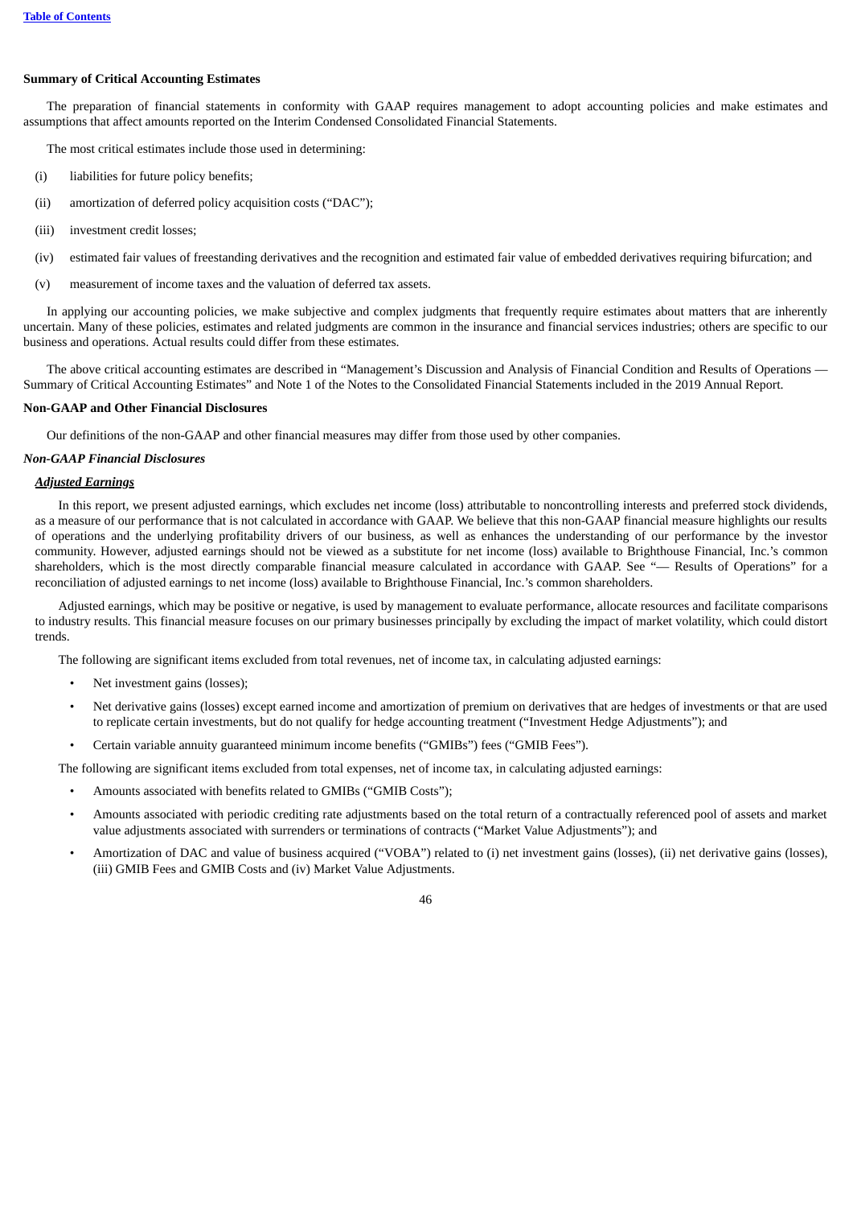# <span id="page-46-0"></span>**Summary of Critical Accounting Estimates**

The preparation of financial statements in conformity with GAAP requires management to adopt accounting policies and make estimates and assumptions that affect amounts reported on the Interim Condensed Consolidated Financial Statements.

The most critical estimates include those used in determining:

- (i) liabilities for future policy benefits;
- (ii) amortization of deferred policy acquisition costs ("DAC");
- (iii) investment credit losses;
- (iv) estimated fair values of freestanding derivatives and the recognition and estimated fair value of embedded derivatives requiring bifurcation; and
- (v) measurement of income taxes and the valuation of deferred tax assets.

In applying our accounting policies, we make subjective and complex judgments that frequently require estimates about matters that are inherently uncertain. Many of these policies, estimates and related judgments are common in the insurance and financial services industries; others are specific to our business and operations. Actual results could differ from these estimates.

The above critical accounting estimates are described in "Management's Discussion and Analysis of Financial Condition and Results of Operations — Summary of Critical Accounting Estimates" and Note 1 of the Notes to the Consolidated Financial Statements included in the 2019 Annual Report.

# <span id="page-46-1"></span>**Non-GAAP and Other Financial Disclosures**

Our definitions of the non-GAAP and other financial measures may differ from those used by other companies.

# *Non-GAAP Financial Disclosures*

# *Adjusted Earnings*

In this report, we present adjusted earnings, which excludes net income (loss) attributable to noncontrolling interests and preferred stock dividends, as a measure of our performance that is not calculated in accordance with GAAP. We believe that this non-GAAP financial measure highlights our results of operations and the underlying profitability drivers of our business, as well as enhances the understanding of our performance by the investor community. However, adjusted earnings should not be viewed as a substitute for net income (loss) available to Brighthouse Financial, Inc.'s common shareholders, which is the most directly comparable financial measure calculated in accordance with GAAP. See "— Results of Operations" for a reconciliation of adjusted earnings to net income (loss) available to Brighthouse Financial, Inc.'s common shareholders.

Adjusted earnings, which may be positive or negative, is used by management to evaluate performance, allocate resources and facilitate comparisons to industry results. This financial measure focuses on our primary businesses principally by excluding the impact of market volatility, which could distort trends.

The following are significant items excluded from total revenues, net of income tax, in calculating adjusted earnings:

- Net investment gains (losses);
- Net derivative gains (losses) except earned income and amortization of premium on derivatives that are hedges of investments or that are used to replicate certain investments, but do not qualify for hedge accounting treatment ("Investment Hedge Adjustments"); and
- Certain variable annuity guaranteed minimum income benefits ("GMIBs") fees ("GMIB Fees").

The following are significant items excluded from total expenses, net of income tax, in calculating adjusted earnings:

- Amounts associated with benefits related to GMIBs ("GMIB Costs");
- Amounts associated with periodic crediting rate adjustments based on the total return of a contractually referenced pool of assets and market value adjustments associated with surrenders or terminations of contracts ("Market Value Adjustments"); and
- Amortization of DAC and value of business acquired ("VOBA") related to (i) net investment gains (losses), (ii) net derivative gains (losses), (iii) GMIB Fees and GMIB Costs and (iv) Market Value Adjustments.

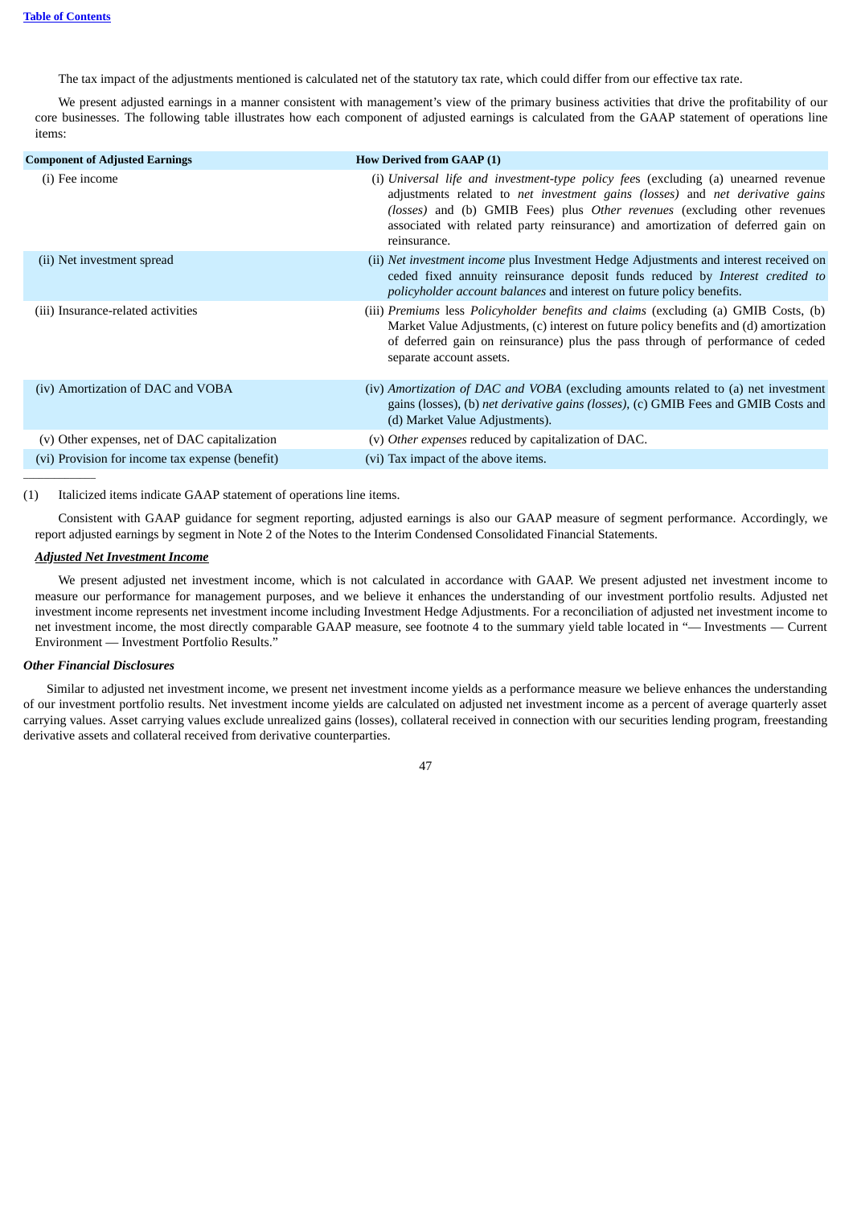The tax impact of the adjustments mentioned is calculated net of the statutory tax rate, which could differ from our effective tax rate.

We present adjusted earnings in a manner consistent with management's view of the primary business activities that drive the profitability of our core businesses. The following table illustrates how each component of adjusted earnings is calculated from the GAAP statement of operations line items:

| <b>Component of Adjusted Earnings</b>           | <b>How Derived from GAAP (1)</b>                                                                                                                                                                                                                                                                                                                    |
|-------------------------------------------------|-----------------------------------------------------------------------------------------------------------------------------------------------------------------------------------------------------------------------------------------------------------------------------------------------------------------------------------------------------|
| (i) Fee income                                  | (i) Universal life and investment-type policy fees (excluding (a) unearned revenue<br>adjustments related to net investment gains (losses) and net derivative gains<br>(losses) and (b) GMIB Fees) plus Other revenues (excluding other revenues<br>associated with related party reinsurance) and amortization of deferred gain on<br>reinsurance. |
| (ii) Net investment spread                      | (ii) Net investment income plus Investment Hedge Adjustments and interest received on<br>ceded fixed annuity reinsurance deposit funds reduced by Interest credited to<br>policyholder account balances and interest on future policy benefits.                                                                                                     |
| (iii) Insurance-related activities              | (iii) Premiums less Policyholder benefits and claims (excluding (a) GMIB Costs, (b)<br>Market Value Adjustments, (c) interest on future policy benefits and (d) amortization<br>of deferred gain on reinsurance) plus the pass through of performance of ceded<br>separate account assets.                                                          |
| (iv) Amortization of DAC and VOBA               | (iv) Amortization of DAC and VOBA (excluding amounts related to (a) net investment<br>gains (losses), (b) net derivative gains (losses), (c) GMIB Fees and GMIB Costs and<br>(d) Market Value Adjustments).                                                                                                                                         |
| (v) Other expenses, net of DAC capitalization   | (v) Other expenses reduced by capitalization of DAC.                                                                                                                                                                                                                                                                                                |
| (vi) Provision for income tax expense (benefit) | (vi) Tax impact of the above items.                                                                                                                                                                                                                                                                                                                 |

#### (1) Italicized items indicate GAAP statement of operations line items.

Consistent with GAAP guidance for segment reporting, adjusted earnings is also our GAAP measure of segment performance. Accordingly, we report adjusted earnings by segment in Note 2 of the Notes to the Interim Condensed Consolidated Financial Statements.

### *Adjusted Net Investment Income*

We present adjusted net investment income, which is not calculated in accordance with GAAP. We present adjusted net investment income to measure our performance for management purposes, and we believe it enhances the understanding of our investment portfolio results. Adjusted net investment income represents net investment income including Investment Hedge Adjustments. For a reconciliation of adjusted net investment income to net investment income, the most directly comparable GAAP measure, see footnote 4 to the summary yield table located in "— Investments — Current Environment — Investment Portfolio Results."

# *Other Financial Disclosures*

Similar to adjusted net investment income, we present net investment income yields as a performance measure we believe enhances the understanding of our investment portfolio results. Net investment income yields are calculated on adjusted net investment income as a percent of average quarterly asset carrying values. Asset carrying values exclude unrealized gains (losses), collateral received in connection with our securities lending program, freestanding derivative assets and collateral received from derivative counterparties.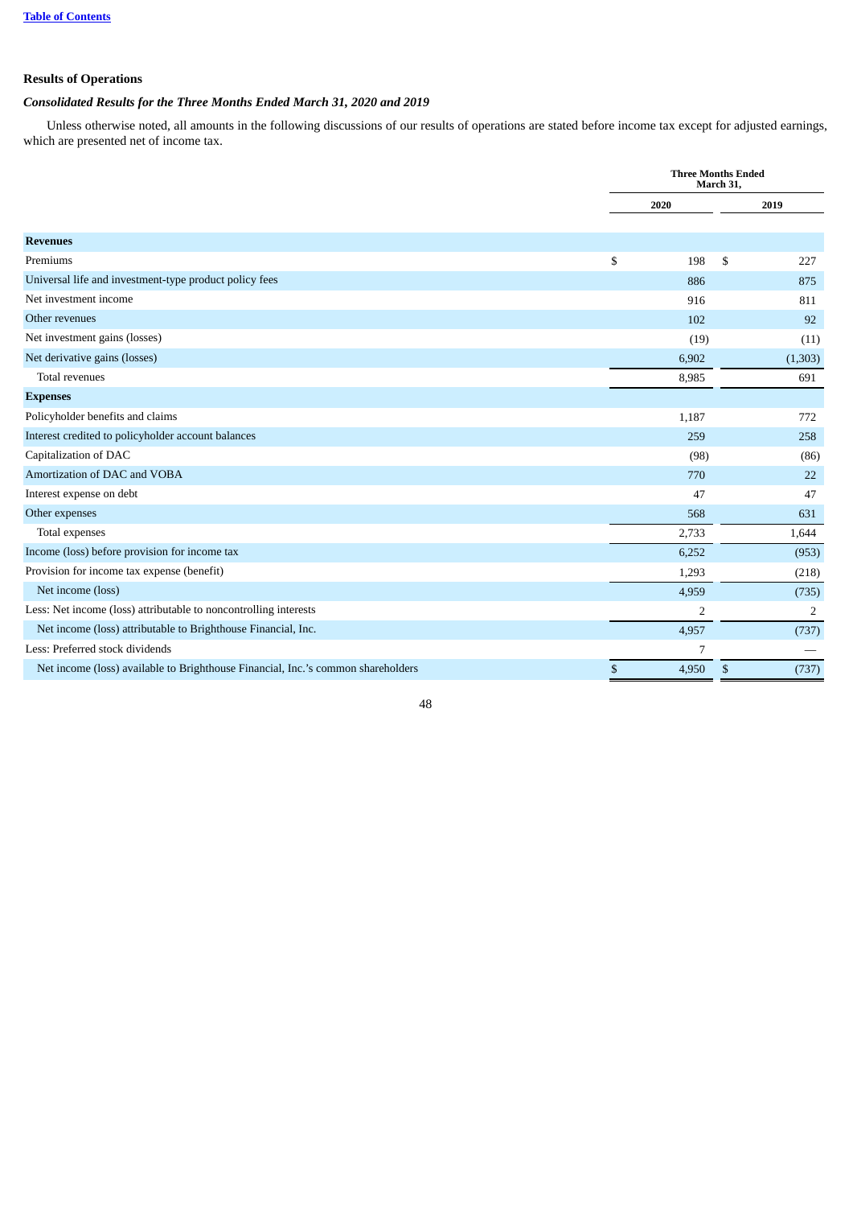# <span id="page-48-0"></span>**Results of Operations**

# *Consolidated Results for the Three Months Ended March 31, 2020 and 2019*

Unless otherwise noted, all amounts in the following discussions of our results of operations are stated before income tax except for adjusted earnings, which are presented net of income tax.

|                                                                                  | <b>Three Months Ended</b><br>March 31, |                |                |  |  |
|----------------------------------------------------------------------------------|----------------------------------------|----------------|----------------|--|--|
|                                                                                  | 2020                                   |                | 2019           |  |  |
| <b>Revenues</b>                                                                  |                                        |                |                |  |  |
| Premiums                                                                         | \$<br>198                              | \$             | 227            |  |  |
| Universal life and investment-type product policy fees                           | 886                                    |                | 875            |  |  |
| Net investment income                                                            | 916                                    |                | 811            |  |  |
| Other revenues                                                                   | 102                                    |                | 92             |  |  |
| Net investment gains (losses)                                                    | (19)                                   |                | (11)           |  |  |
| Net derivative gains (losses)                                                    | 6,902                                  |                | (1, 303)       |  |  |
| <b>Total revenues</b>                                                            | 8,985                                  |                | 691            |  |  |
| <b>Expenses</b>                                                                  |                                        |                |                |  |  |
| Policyholder benefits and claims                                                 | 1,187                                  |                | 772            |  |  |
| Interest credited to policyholder account balances                               | 259                                    |                | 258            |  |  |
| Capitalization of DAC                                                            | (98)                                   |                | (86)           |  |  |
| Amortization of DAC and VOBA                                                     | 770                                    |                | 22             |  |  |
| Interest expense on debt                                                         | 47                                     |                | 47             |  |  |
| Other expenses                                                                   | 568                                    |                | 631            |  |  |
| Total expenses                                                                   | 2,733                                  |                | 1,644          |  |  |
| Income (loss) before provision for income tax                                    | 6,252                                  |                | (953)          |  |  |
| Provision for income tax expense (benefit)                                       | 1,293                                  |                | (218)          |  |  |
| Net income (loss)                                                                | 4,959                                  |                | (735)          |  |  |
| Less: Net income (loss) attributable to noncontrolling interests                 | $\overline{2}$                         |                | $\overline{2}$ |  |  |
| Net income (loss) attributable to Brighthouse Financial, Inc.                    | 4,957                                  |                | (737)          |  |  |
| Less: Preferred stock dividends                                                  | 7                                      |                |                |  |  |
| Net income (loss) available to Brighthouse Financial, Inc.'s common shareholders | \$<br>4,950                            | $\mathfrak{S}$ | (737)          |  |  |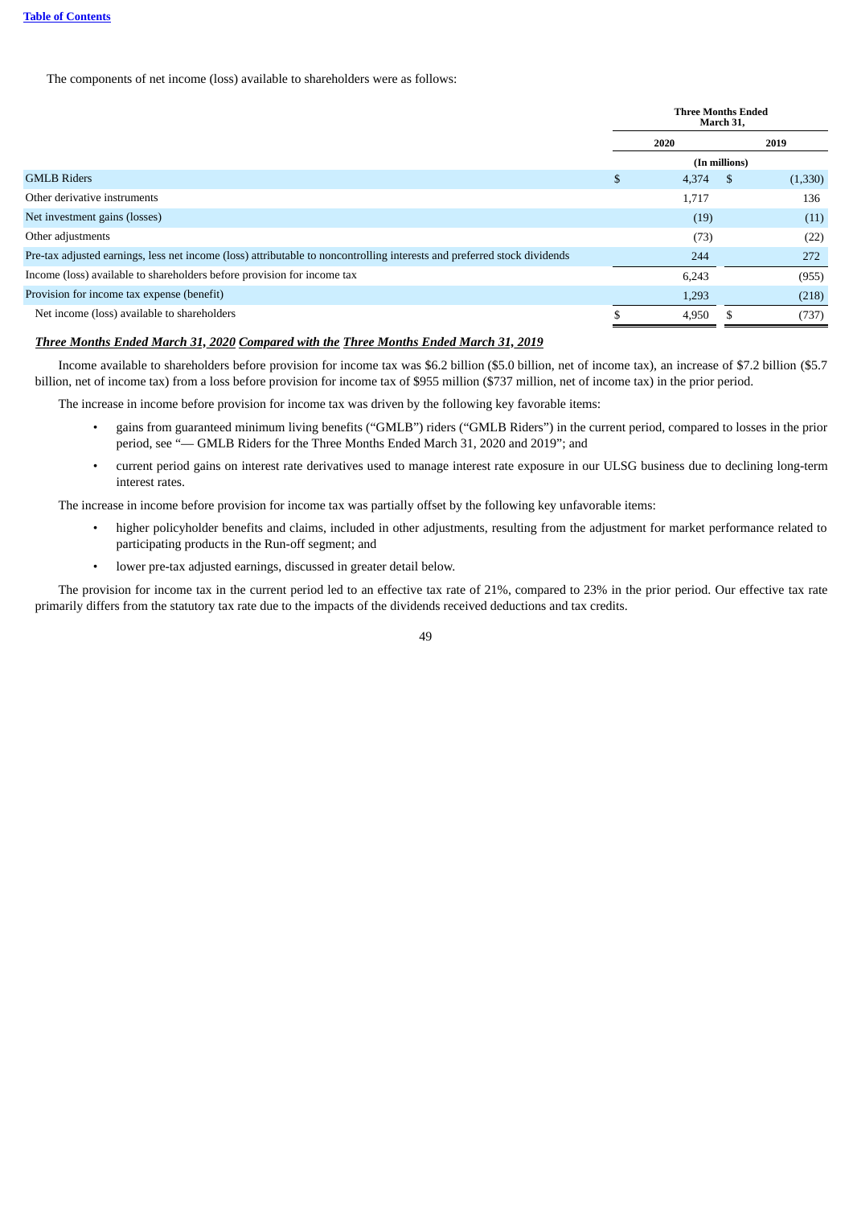The components of net income (loss) available to shareholders were as follows:

|                                                                                                                          |    | <b>Three Months Ended</b> |     |         |
|--------------------------------------------------------------------------------------------------------------------------|----|---------------------------|-----|---------|
|                                                                                                                          |    | 2020                      |     | 2019    |
|                                                                                                                          |    | (In millions)             |     |         |
| <b>GMLB Riders</b>                                                                                                       | \$ | 4,374                     | - 5 | (1,330) |
| Other derivative instruments                                                                                             |    | 1,717                     |     | 136     |
| Net investment gains (losses)                                                                                            |    | (19)                      |     | (11)    |
| Other adjustments                                                                                                        |    | (73)                      |     | (22)    |
| Pre-tax adjusted earnings, less net income (loss) attributable to noncontrolling interests and preferred stock dividends |    | 244                       |     | 272     |
| Income (loss) available to shareholders before provision for income tax                                                  |    | 6,243                     |     | (955)   |
| Provision for income tax expense (benefit)                                                                               |    | 1,293                     |     | (218)   |
| Net income (loss) available to shareholders                                                                              |    | 4,950                     |     | (737)   |

# *Three Months Ended March 31, 2020 Compared with the Three Months Ended March 31, 2019*

Income available to shareholders before provision for income tax was \$6.2 billion (\$5.0 billion, net of income tax), an increase of \$7.2 billion (\$5.7 billion, net of income tax) from a loss before provision for income tax of \$955 million (\$737 million, net of income tax) in the prior period.

The increase in income before provision for income tax was driven by the following key favorable items:

- gains from guaranteed minimum living benefits ("GMLB") riders ("GMLB Riders") in the current period, compared to losses in the prior period, see "— GMLB Riders for the Three Months Ended March 31, 2020 and 2019"; and
- current period gains on interest rate derivatives used to manage interest rate exposure in our ULSG business due to declining long-term interest rates.

The increase in income before provision for income tax was partially offset by the following key unfavorable items:

- higher policyholder benefits and claims, included in other adjustments, resulting from the adjustment for market performance related to participating products in the Run-off segment; and
- lower pre-tax adjusted earnings, discussed in greater detail below.

The provision for income tax in the current period led to an effective tax rate of 21%, compared to 23% in the prior period. Our effective tax rate primarily differs from the statutory tax rate due to the impacts of the dividends received deductions and tax credits.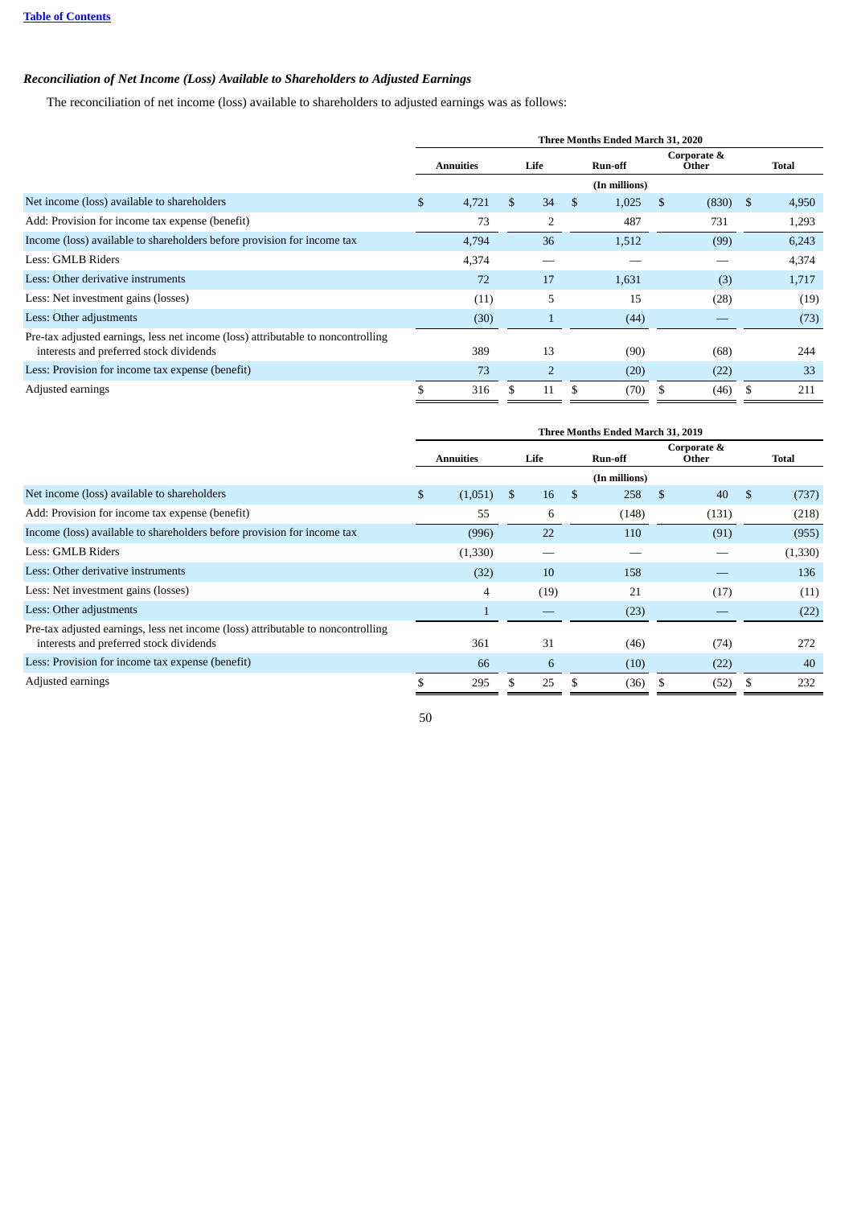# *Reconciliation of Net Income (Loss) Available to Shareholders to Adjusted Earnings*

The reconciliation of net income (loss) available to shareholders to adjusted earnings was as follows:

|                                                                                                                             | Three Months Ended March 31, 2020 |       |      |                |                |               |                      |            |    |              |
|-----------------------------------------------------------------------------------------------------------------------------|-----------------------------------|-------|------|----------------|----------------|---------------|----------------------|------------|----|--------------|
|                                                                                                                             | <b>Annuities</b>                  |       | Life |                | <b>Run-off</b> |               | Corporate &<br>Other |            |    | <b>Total</b> |
|                                                                                                                             |                                   |       |      |                |                | (In millions) |                      |            |    |              |
| Net income (loss) available to shareholders                                                                                 | \$                                | 4,721 | \$   | 34             | \$             | 1,025         | S                    | $(830)$ \$ |    | 4,950        |
| Add: Provision for income tax expense (benefit)                                                                             |                                   | 73    |      | $\overline{2}$ |                | 487           |                      | 731        |    | 1,293        |
| Income (loss) available to shareholders before provision for income tax                                                     |                                   | 4,794 |      | 36             |                | 1,512         |                      | (99)       |    | 6,243        |
| Less: GMLB Riders                                                                                                           |                                   | 4,374 |      |                |                |               |                      |            |    | 4,374        |
| Less: Other derivative instruments                                                                                          |                                   | 72    |      | 17             |                | 1,631         |                      | (3)        |    | 1,717        |
| Less: Net investment gains (losses)                                                                                         |                                   | (11)  |      | 5              |                | 15            |                      | (28)       |    | (19)         |
| Less: Other adjustments                                                                                                     |                                   | (30)  |      | ш              |                | (44)          |                      |            |    | (73)         |
| Pre-tax adjusted earnings, less net income (loss) attributable to noncontrolling<br>interests and preferred stock dividends |                                   | 389   |      | 13             |                | (90)          |                      | (68)       |    | 244          |
| Less: Provision for income tax expense (benefit)                                                                            |                                   | 73    |      | $\overline{2}$ |                | (20)          |                      | (22)       |    | 33           |
| Adjusted earnings                                                                                                           |                                   | 316   | S    | 11             | -S             | (70)          | S                    | (46)       | S. | 211          |

|                                                                                                                             |                  |               |      |                | Three Months Ended March 31, 2019 |    |                      |             |
|-----------------------------------------------------------------------------------------------------------------------------|------------------|---------------|------|----------------|-----------------------------------|----|----------------------|-------------|
|                                                                                                                             | <b>Annuities</b> | Life          |      | <b>Run-off</b> |                                   |    | Corporate &<br>Other | Total       |
|                                                                                                                             |                  |               |      |                | (In millions)                     |    |                      |             |
| Net income (loss) available to shareholders                                                                                 | \$<br>(1,051)    | <sup>\$</sup> | 16   | \$             | 258                               | -S | 40                   | \$<br>(737) |
| Add: Provision for income tax expense (benefit)                                                                             | 55               |               | 6    |                | (148)                             |    | (131)                | (218)       |
| Income (loss) available to shareholders before provision for income tax                                                     | (996)            |               | 22   |                | 110                               |    | (91)                 | (955)       |
| Less: GMLB Riders                                                                                                           | (1,330)          |               |      |                |                                   |    |                      | (1,330)     |
| Less: Other derivative instruments                                                                                          | (32)             |               | 10   |                | 158                               |    |                      | 136         |
| Less: Net investment gains (losses)                                                                                         | 4                |               | (19) |                | 21                                |    | (17)                 | (11)        |
| Less: Other adjustments                                                                                                     |                  |               |      |                | (23)                              |    |                      | (22)        |
| Pre-tax adjusted earnings, less net income (loss) attributable to noncontrolling<br>interests and preferred stock dividends | 361              |               | 31   |                | (46)                              |    | (74)                 | 272         |
| Less: Provision for income tax expense (benefit)                                                                            | 66               |               | 6    |                | (10)                              |    | (22)                 | 40          |
| Adjusted earnings                                                                                                           | 295              |               | 25   | \$.            | (36)                              |    | (52)                 | 232         |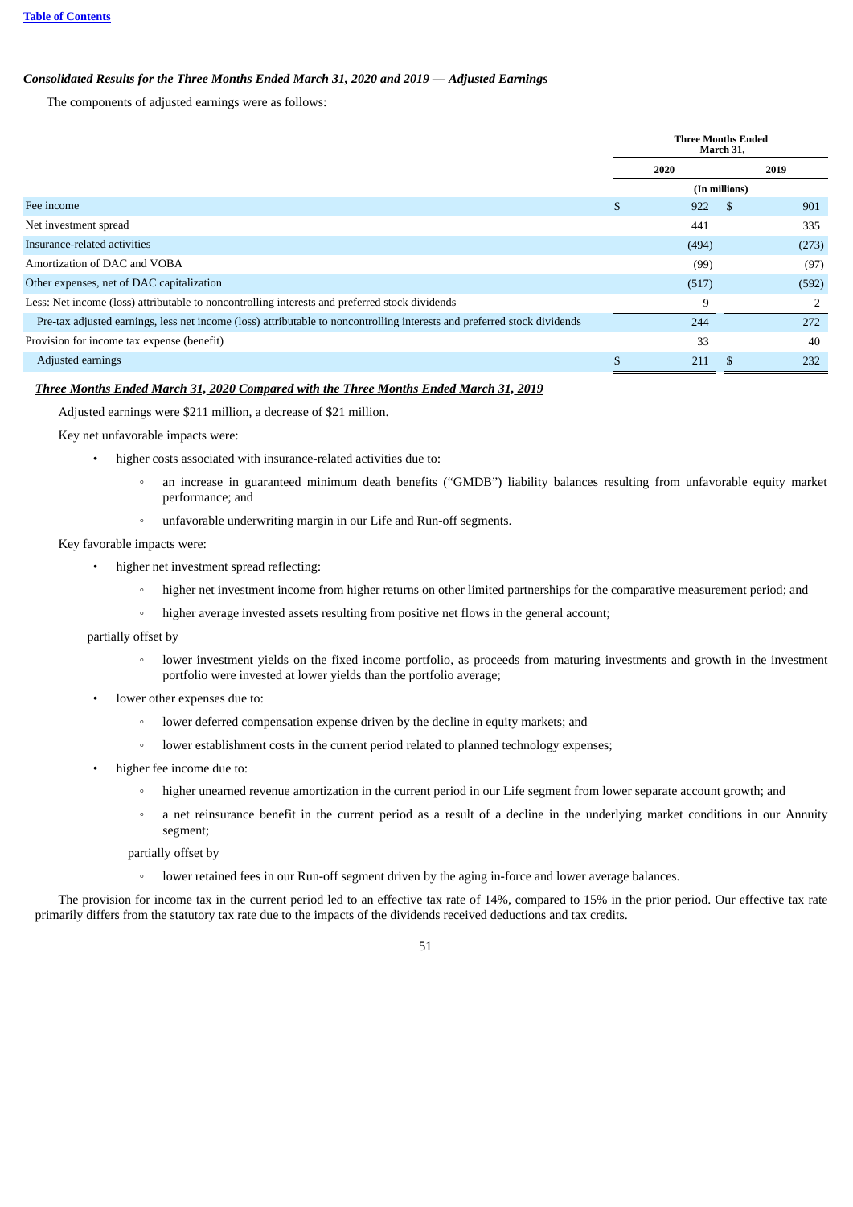## *Consolidated Results for the Three Months Ended March 31, 2020 and 2019 — Adjusted Earnings*

The components of adjusted earnings were as follows:

|                                                                                                                          |    | <b>Three Months Ended</b><br>March 31, |      |       |
|--------------------------------------------------------------------------------------------------------------------------|----|----------------------------------------|------|-------|
|                                                                                                                          |    | 2020                                   |      | 2019  |
|                                                                                                                          |    | (In millions)                          |      |       |
| Fee income                                                                                                               | \$ | 922                                    | - \$ | 901   |
| Net investment spread                                                                                                    |    | 441                                    |      | 335   |
| Insurance-related activities                                                                                             |    | (494)                                  |      | (273) |
| Amortization of DAC and VOBA                                                                                             |    | (99)                                   |      | (97)  |
| Other expenses, net of DAC capitalization                                                                                |    | (517)                                  |      | (592) |
| Less: Net income (loss) attributable to noncontrolling interests and preferred stock dividends                           |    | 9                                      |      | 2     |
| Pre-tax adjusted earnings, less net income (loss) attributable to noncontrolling interests and preferred stock dividends |    | 244                                    |      | 272   |
| Provision for income tax expense (benefit)                                                                               |    | 33                                     |      | 40    |
| Adjusted earnings                                                                                                        |    | 211                                    |      | 232   |

## *Three Months Ended March 31, 2020 Compared with the Three Months Ended March 31, 2019*

Adjusted earnings were \$211 million, a decrease of \$21 million.

Key net unfavorable impacts were:

- higher costs associated with insurance-related activities due to:
	- an increase in guaranteed minimum death benefits ("GMDB") liability balances resulting from unfavorable equity market performance; and
	- unfavorable underwriting margin in our Life and Run-off segments.

# Key favorable impacts were:

- higher net investment spread reflecting:
	- higher net investment income from higher returns on other limited partnerships for the comparative measurement period; and
	- higher average invested assets resulting from positive net flows in the general account;

partially offset by

- lower investment yields on the fixed income portfolio, as proceeds from maturing investments and growth in the investment portfolio were invested at lower yields than the portfolio average;
- lower other expenses due to:
	- lower deferred compensation expense driven by the decline in equity markets; and
	- lower establishment costs in the current period related to planned technology expenses;
- higher fee income due to:
	- higher unearned revenue amortization in the current period in our Life segment from lower separate account growth; and
	- a net reinsurance benefit in the current period as a result of a decline in the underlying market conditions in our Annuity segment;
	- partially offset by
		- lower retained fees in our Run-off segment driven by the aging in-force and lower average balances.

The provision for income tax in the current period led to an effective tax rate of 14%, compared to 15% in the prior period. Our effective tax rate primarily differs from the statutory tax rate due to the impacts of the dividends received deductions and tax credits.

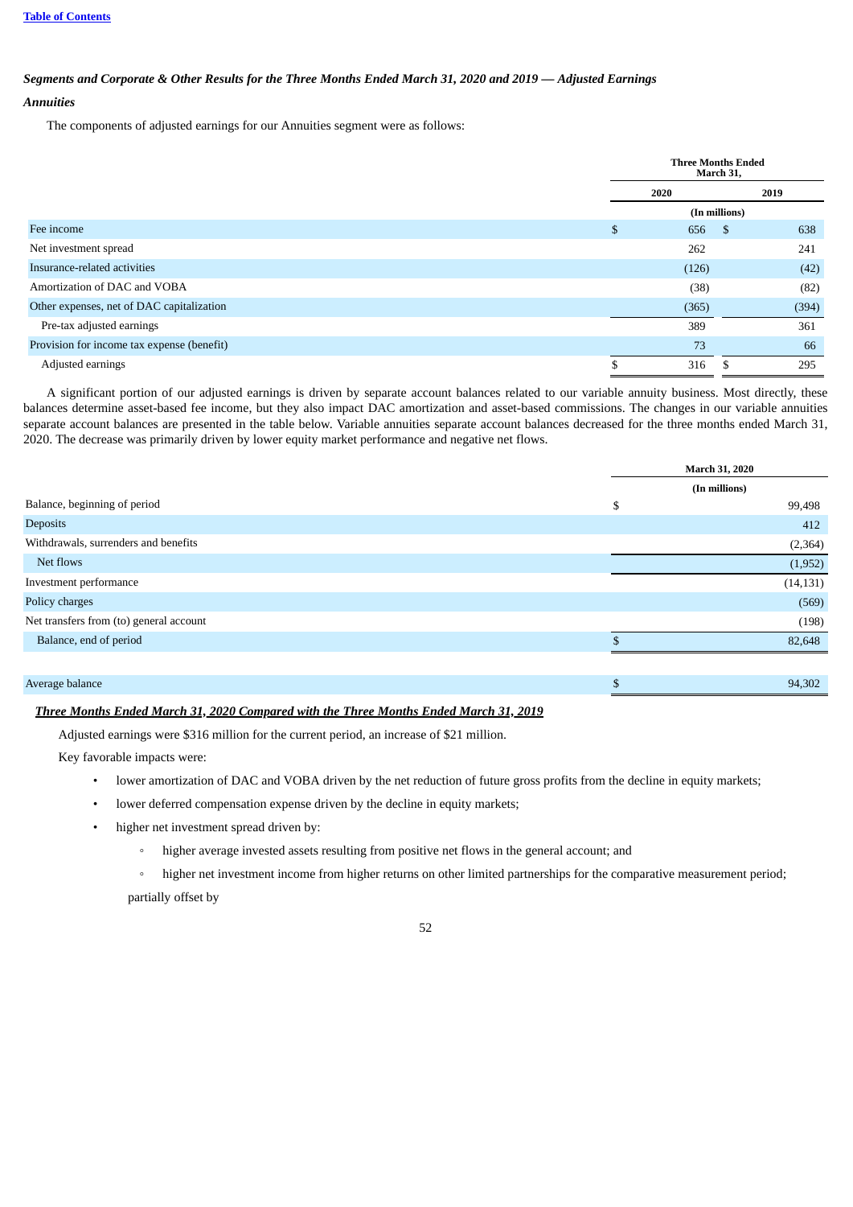# Segments and Corporate & Other Results for the Three Months Ended March 31, 2020 and 2019 - Adjusted Earnings

### *Annuities*

The components of adjusted earnings for our Annuities segment were as follows:

|                                            |   | <b>Three Months Ended</b><br>March 31, |               |       |  |  |  |
|--------------------------------------------|---|----------------------------------------|---------------|-------|--|--|--|
|                                            |   | 2020                                   |               | 2019  |  |  |  |
|                                            |   |                                        | (In millions) |       |  |  |  |
| Fee income                                 | ъ | 656                                    | \$            | 638   |  |  |  |
| Net investment spread                      |   | 262                                    |               | 241   |  |  |  |
| Insurance-related activities               |   | (126)                                  |               | (42)  |  |  |  |
| Amortization of DAC and VOBA               |   | (38)                                   |               | (82)  |  |  |  |
| Other expenses, net of DAC capitalization  |   | (365)                                  |               | (394) |  |  |  |
| Pre-tax adjusted earnings                  |   | 389                                    |               | 361   |  |  |  |
| Provision for income tax expense (benefit) |   | 73                                     |               | 66    |  |  |  |
| Adjusted earnings                          |   | 316                                    | \$            | 295   |  |  |  |

A significant portion of our adjusted earnings is driven by separate account balances related to our variable annuity business. Most directly, these balances determine asset-based fee income, but they also impact DAC amortization and asset-based commissions. The changes in our variable annuities separate account balances are presented in the table below. Variable annuities separate account balances decreased for the three months ended March 31, 2020. The decrease was primarily driven by lower equity market performance and negative net flows.

|                                         | <b>March 31, 2020</b> |
|-----------------------------------------|-----------------------|
|                                         | (In millions)         |
| Balance, beginning of period            | \$<br>99,498          |
| Deposits                                | 412                   |
| Withdrawals, surrenders and benefits    | (2,364)               |
| Net flows                               | (1,952)               |
| Investment performance                  | (14, 131)             |
| Policy charges                          | (569)                 |
| Net transfers from (to) general account | (198)                 |
| Balance, end of period                  | 82,648                |
|                                         |                       |
| Average balance                         | 94,302                |

# *Three Months Ended March 31, 2020 Compared with the Three Months Ended March 31, 2019*

Adjusted earnings were \$316 million for the current period, an increase of \$21 million.

Key favorable impacts were:

- lower amortization of DAC and VOBA driven by the net reduction of future gross profits from the decline in equity markets;
- lower deferred compensation expense driven by the decline in equity markets;
- higher net investment spread driven by:
	- higher average invested assets resulting from positive net flows in the general account; and

◦ higher net investment income from higher returns on other limited partnerships for the comparative measurement period; partially offset by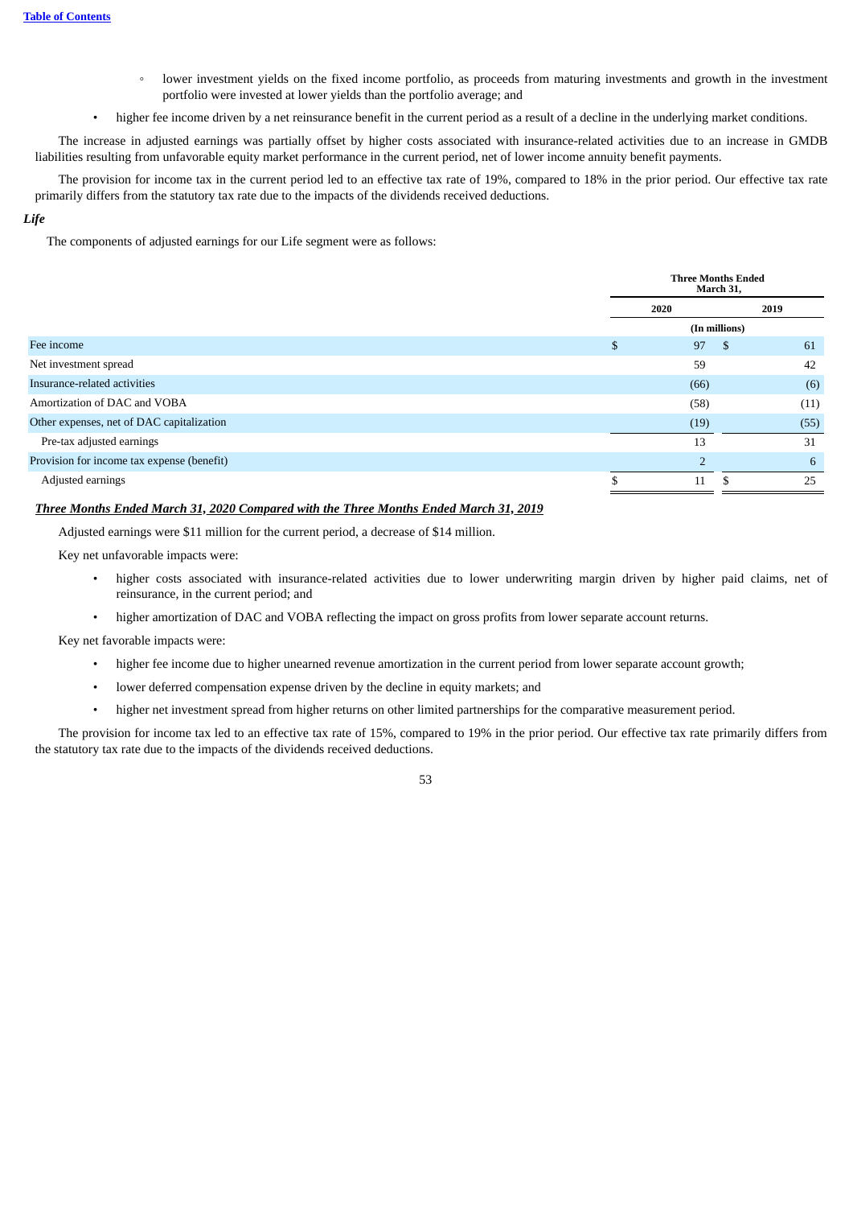- lower investment yields on the fixed income portfolio, as proceeds from maturing investments and growth in the investment portfolio were invested at lower yields than the portfolio average; and
- higher fee income driven by a net reinsurance benefit in the current period as a result of a decline in the underlying market conditions.

The increase in adjusted earnings was partially offset by higher costs associated with insurance-related activities due to an increase in GMDB liabilities resulting from unfavorable equity market performance in the current period, net of lower income annuity benefit payments.

The provision for income tax in the current period led to an effective tax rate of 19%, compared to 18% in the prior period. Our effective tax rate primarily differs from the statutory tax rate due to the impacts of the dividends received deductions.

## *Life*

The components of adjusted earnings for our Life segment were as follows:

|                                            | <b>Three Months Ended</b><br>March 31, |               |      |  |  |  |  |
|--------------------------------------------|----------------------------------------|---------------|------|--|--|--|--|
|                                            | 2020                                   |               | 2019 |  |  |  |  |
|                                            |                                        | (In millions) |      |  |  |  |  |
| Fee income                                 | \$<br>97                               | \$            | 61   |  |  |  |  |
| Net investment spread                      | 59                                     |               | 42   |  |  |  |  |
| Insurance-related activities               | (66)                                   |               | (6)  |  |  |  |  |
| Amortization of DAC and VOBA               | (58)                                   |               | (11) |  |  |  |  |
| Other expenses, net of DAC capitalization  | (19)                                   |               | (55) |  |  |  |  |
| Pre-tax adjusted earnings                  | 13                                     |               | 31   |  |  |  |  |
| Provision for income tax expense (benefit) | $\overline{2}$                         |               | 6    |  |  |  |  |
| Adjusted earnings                          | 11                                     |               | 25   |  |  |  |  |

# *Three Months Ended March 31, 2020 Compared with the Three Months Ended March 31, 2019*

Adjusted earnings were \$11 million for the current period, a decrease of \$14 million.

Key net unfavorable impacts were:

- higher costs associated with insurance-related activities due to lower underwriting margin driven by higher paid claims, net of reinsurance, in the current period; and
- higher amortization of DAC and VOBA reflecting the impact on gross profits from lower separate account returns.

Key net favorable impacts were:

- higher fee income due to higher unearned revenue amortization in the current period from lower separate account growth;
- lower deferred compensation expense driven by the decline in equity markets; and
- higher net investment spread from higher returns on other limited partnerships for the comparative measurement period.

The provision for income tax led to an effective tax rate of 15%, compared to 19% in the prior period. Our effective tax rate primarily differs from the statutory tax rate due to the impacts of the dividends received deductions.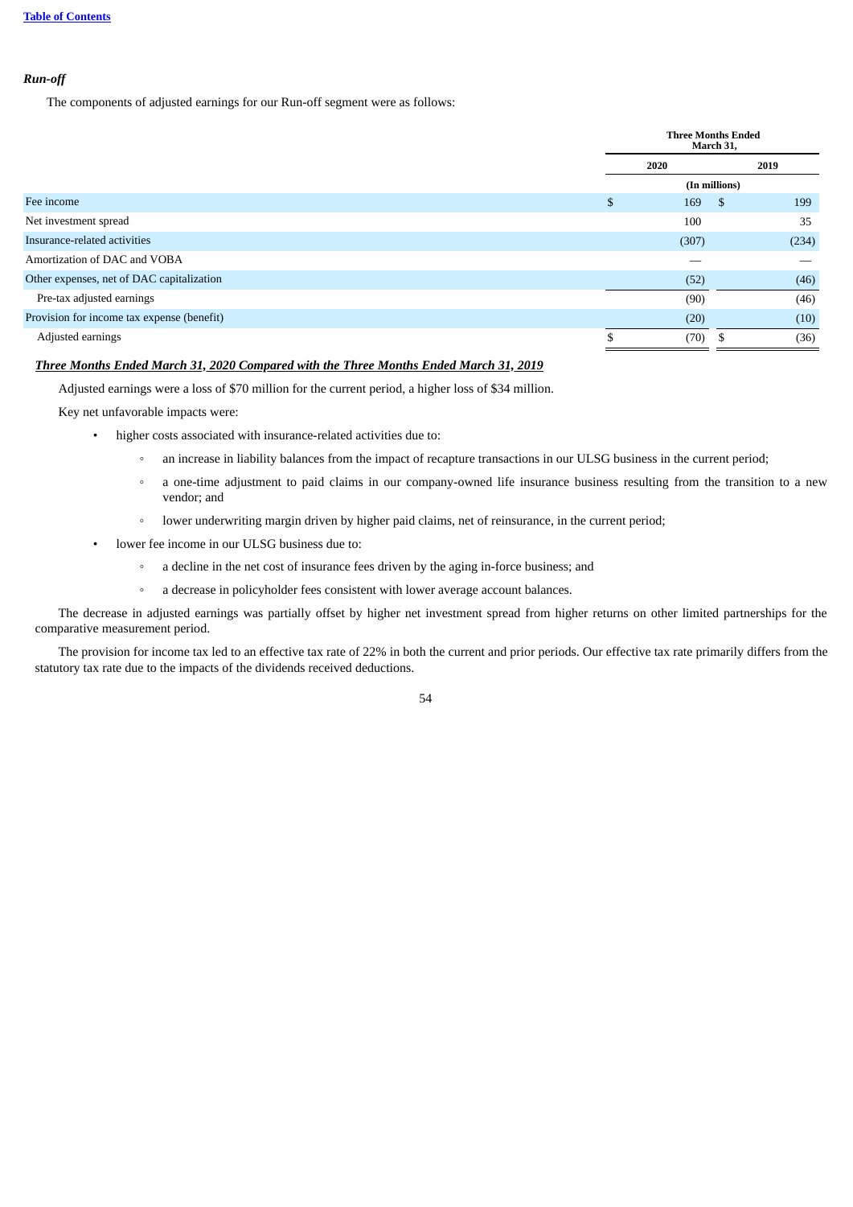# *Run-off*

The components of adjusted earnings for our Run-off segment were as follows:

|                                            |   | <b>Three Months Ended</b> | March 31,     |       |
|--------------------------------------------|---|---------------------------|---------------|-------|
|                                            |   | 2020                      |               | 2019  |
|                                            |   |                           | (In millions) |       |
| Fee income                                 | D | 169                       | -S            | 199   |
| Net investment spread                      |   | 100                       |               | 35    |
| Insurance-related activities               |   | (307)                     |               | (234) |
| Amortization of DAC and VOBA               |   |                           |               |       |
| Other expenses, net of DAC capitalization  |   | (52)                      |               | (46)  |
| Pre-tax adjusted earnings                  |   | (90)                      |               | (46)  |
| Provision for income tax expense (benefit) |   | (20)                      |               | (10)  |
| Adjusted earnings                          |   | (70)                      |               | (36)  |
|                                            |   |                           |               |       |

### *Three Months Ended March 31, 2020 Compared with the Three Months Ended March 31, 2019*

Adjusted earnings were a loss of \$70 million for the current period, a higher loss of \$34 million.

Key net unfavorable impacts were:

- higher costs associated with insurance-related activities due to:
	- an increase in liability balances from the impact of recapture transactions in our ULSG business in the current period;
	- a one-time adjustment to paid claims in our company-owned life insurance business resulting from the transition to a new vendor; and
	- lower underwriting margin driven by higher paid claims, net of reinsurance, in the current period;
- lower fee income in our ULSG business due to:
	- a decline in the net cost of insurance fees driven by the aging in-force business; and
	- a decrease in policyholder fees consistent with lower average account balances.

The decrease in adjusted earnings was partially offset by higher net investment spread from higher returns on other limited partnerships for the comparative measurement period.

The provision for income tax led to an effective tax rate of 22% in both the current and prior periods. Our effective tax rate primarily differs from the statutory tax rate due to the impacts of the dividends received deductions.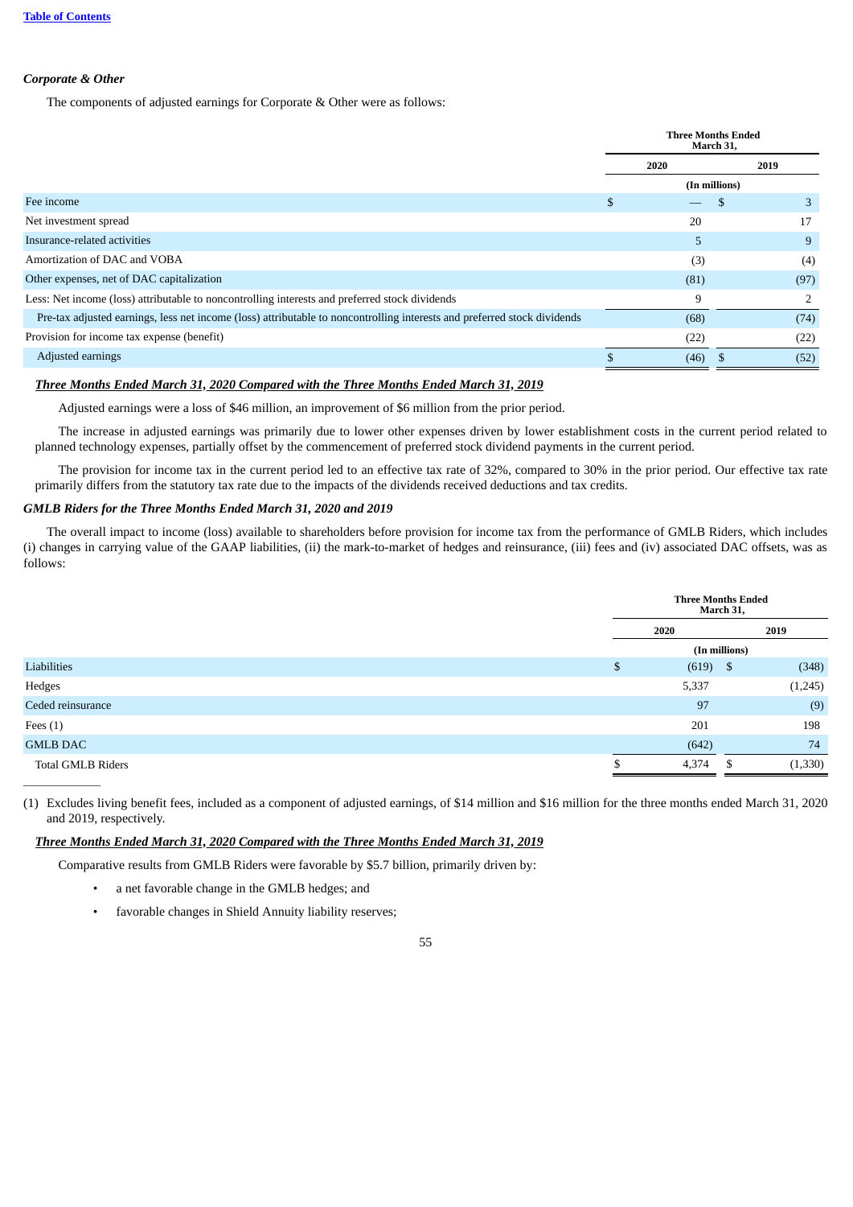### *Corporate & Other*

 $\overline{\phantom{a}}$ 

The components of adjusted earnings for Corporate & Other were as follows:

|                                                                                                                          | <b>Three Months Ended</b><br>March 31, |   |                |
|--------------------------------------------------------------------------------------------------------------------------|----------------------------------------|---|----------------|
|                                                                                                                          | 2020                                   |   | 2019           |
|                                                                                                                          | (In millions)                          |   |                |
| Fee income                                                                                                               | $\overline{\phantom{0}}$               | S |                |
| Net investment spread                                                                                                    | 20                                     |   | 17             |
| Insurance-related activities                                                                                             | 5                                      |   | 9              |
| Amortization of DAC and VOBA                                                                                             | (3)                                    |   | (4)            |
| Other expenses, net of DAC capitalization                                                                                | (81)                                   |   | (97)           |
| Less: Net income (loss) attributable to noncontrolling interests and preferred stock dividends                           | 9                                      |   | $\overline{2}$ |
| Pre-tax adjusted earnings, less net income (loss) attributable to noncontrolling interests and preferred stock dividends | (68)                                   |   | (74)           |
| Provision for income tax expense (benefit)                                                                               | (22)                                   |   | (22)           |
| Adjusted earnings                                                                                                        | (46)                                   |   | (52)           |

## *Three Months Ended March 31, 2020 Compared with the Three Months Ended March 31, 2019*

Adjusted earnings were a loss of \$46 million, an improvement of \$6 million from the prior period.

The increase in adjusted earnings was primarily due to lower other expenses driven by lower establishment costs in the current period related to planned technology expenses, partially offset by the commencement of preferred stock dividend payments in the current period.

The provision for income tax in the current period led to an effective tax rate of 32%, compared to 30% in the prior period. Our effective tax rate primarily differs from the statutory tax rate due to the impacts of the dividends received deductions and tax credits.

# *GMLB Riders for the Three Months Ended March 31, 2020 and 2019*

The overall impact to income (loss) available to shareholders before provision for income tax from the performance of GMLB Riders, which includes (i) changes in carrying value of the GAAP liabilities, (ii) the mark-to-market of hedges and reinsurance, (iii) fees and (iv) associated DAC offsets, was as follows:

|                          | <b>Three Months Ended</b> | March 31, |          |
|--------------------------|---------------------------|-----------|----------|
|                          | 2020                      |           | 2019     |
|                          | (In millions)             |           |          |
| Liabilities              | \$<br>(619)               | - \$      | (348)    |
| Hedges                   | 5,337                     |           | (1,245)  |
| Ceded reinsurance        | 97                        |           | (9)      |
| Fees $(1)$               | 201                       |           | 198      |
| <b>GMLB DAC</b>          | (642)                     |           | 74       |
| <b>Total GMLB Riders</b> | 4,374                     | - \$      | (1, 330) |

(1) Excludes living benefit fees, included as a component of adjusted earnings, of \$14 million and \$16 million for the three months ended March 31, 2020 and 2019, respectively.

### *Three Months Ended March 31, 2020 Compared with the Three Months Ended March 31, 2019*

Comparative results from GMLB Riders were favorable by \$5.7 billion, primarily driven by:

- a net favorable change in the GMLB hedges; and
- favorable changes in Shield Annuity liability reserves;
- 55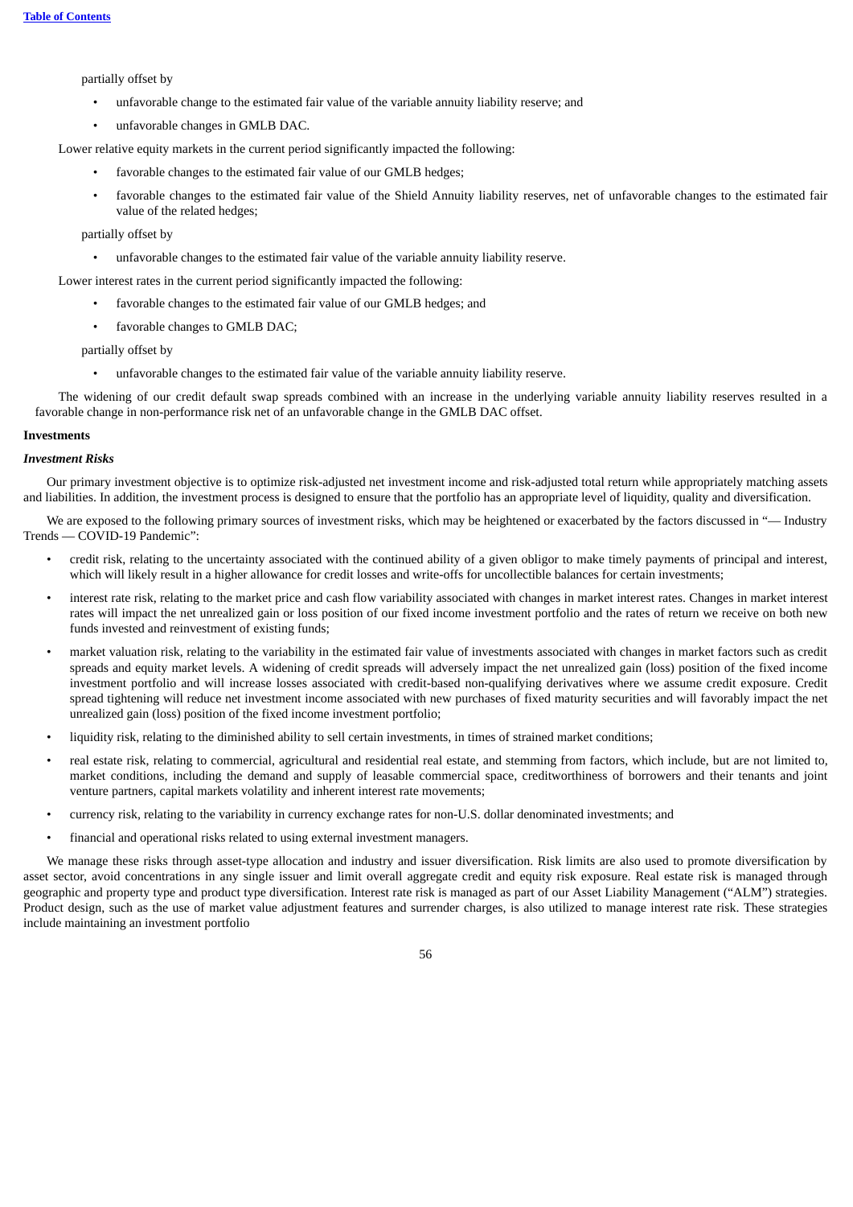partially offset by

- unfavorable change to the estimated fair value of the variable annuity liability reserve; and
- unfavorable changes in GMLB DAC.

Lower relative equity markets in the current period significantly impacted the following:

- favorable changes to the estimated fair value of our GMLB hedges;
- favorable changes to the estimated fair value of the Shield Annuity liability reserves, net of unfavorable changes to the estimated fair value of the related hedges;

## partially offset by

• unfavorable changes to the estimated fair value of the variable annuity liability reserve.

Lower interest rates in the current period significantly impacted the following:

- favorable changes to the estimated fair value of our GMLB hedges; and
- favorable changes to GMLB DAC;

partially offset by

• unfavorable changes to the estimated fair value of the variable annuity liability reserve.

The widening of our credit default swap spreads combined with an increase in the underlying variable annuity liability reserves resulted in a favorable change in non-performance risk net of an unfavorable change in the GMLB DAC offset.

## <span id="page-56-0"></span>**Investments**

## *Investment Risks*

Our primary investment objective is to optimize risk-adjusted net investment income and risk-adjusted total return while appropriately matching assets and liabilities. In addition, the investment process is designed to ensure that the portfolio has an appropriate level of liquidity, quality and diversification.

We are exposed to the following primary sources of investment risks, which may be heightened or exacerbated by the factors discussed in "— Industry Trends — COVID-19 Pandemic":

- credit risk, relating to the uncertainty associated with the continued ability of a given obligor to make timely payments of principal and interest, which will likely result in a higher allowance for credit losses and write-offs for uncollectible balances for certain investments;
- interest rate risk, relating to the market price and cash flow variability associated with changes in market interest rates. Changes in market interest rates will impact the net unrealized gain or loss position of our fixed income investment portfolio and the rates of return we receive on both new funds invested and reinvestment of existing funds;
- market valuation risk, relating to the variability in the estimated fair value of investments associated with changes in market factors such as credit spreads and equity market levels. A widening of credit spreads will adversely impact the net unrealized gain (loss) position of the fixed income investment portfolio and will increase losses associated with credit-based non-qualifying derivatives where we assume credit exposure. Credit spread tightening will reduce net investment income associated with new purchases of fixed maturity securities and will favorably impact the net unrealized gain (loss) position of the fixed income investment portfolio;
- liquidity risk, relating to the diminished ability to sell certain investments, in times of strained market conditions;
- real estate risk, relating to commercial, agricultural and residential real estate, and stemming from factors, which include, but are not limited to, market conditions, including the demand and supply of leasable commercial space, creditworthiness of borrowers and their tenants and joint venture partners, capital markets volatility and inherent interest rate movements;
- currency risk, relating to the variability in currency exchange rates for non-U.S. dollar denominated investments; and
- financial and operational risks related to using external investment managers.

We manage these risks through asset-type allocation and industry and issuer diversification. Risk limits are also used to promote diversification by asset sector, avoid concentrations in any single issuer and limit overall aggregate credit and equity risk exposure. Real estate risk is managed through geographic and property type and product type diversification. Interest rate risk is managed as part of our Asset Liability Management ("ALM") strategies. Product design, such as the use of market value adjustment features and surrender charges, is also utilized to manage interest rate risk. These strategies include maintaining an investment portfolio

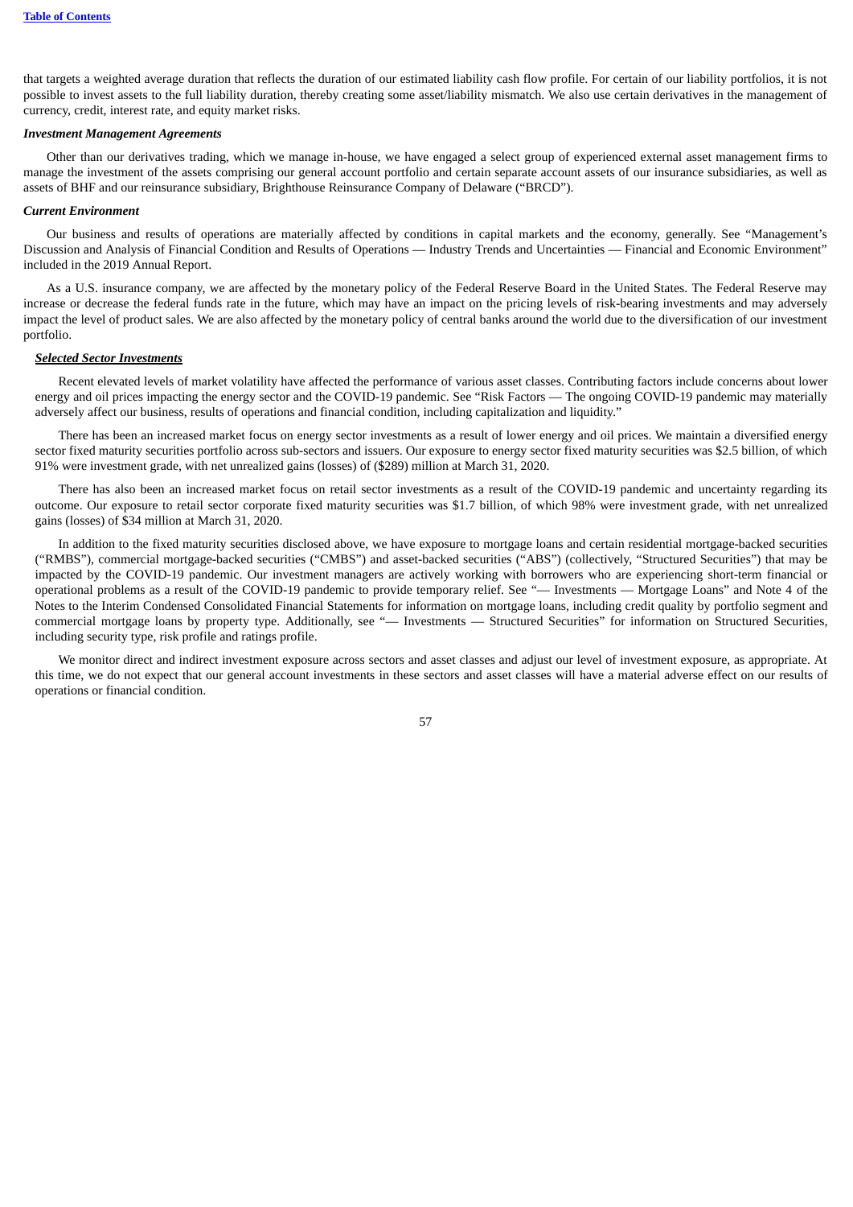that targets a weighted average duration that reflects the duration of our estimated liability cash flow profile. For certain of our liability portfolios, it is not possible to invest assets to the full liability duration, thereby creating some asset/liability mismatch. We also use certain derivatives in the management of currency, credit, interest rate, and equity market risks.

## *Investment Management Agreements*

Other than our derivatives trading, which we manage in-house, we have engaged a select group of experienced external asset management firms to manage the investment of the assets comprising our general account portfolio and certain separate account assets of our insurance subsidiaries, as well as assets of BHF and our reinsurance subsidiary, Brighthouse Reinsurance Company of Delaware ("BRCD").

## *Current Environment*

Our business and results of operations are materially affected by conditions in capital markets and the economy, generally. See "Management's Discussion and Analysis of Financial Condition and Results of Operations — Industry Trends and Uncertainties — Financial and Economic Environment" included in the 2019 Annual Report.

As a U.S. insurance company, we are affected by the monetary policy of the Federal Reserve Board in the United States. The Federal Reserve may increase or decrease the federal funds rate in the future, which may have an impact on the pricing levels of risk-bearing investments and may adversely impact the level of product sales. We are also affected by the monetary policy of central banks around the world due to the diversification of our investment portfolio.

#### *Selected Sector Investments*

Recent elevated levels of market volatility have affected the performance of various asset classes. Contributing factors include concerns about lower energy and oil prices impacting the energy sector and the COVID-19 pandemic. See "Risk Factors — The ongoing COVID-19 pandemic may materially adversely affect our business, results of operations and financial condition, including capitalization and liquidity."

There has been an increased market focus on energy sector investments as a result of lower energy and oil prices. We maintain a diversified energy sector fixed maturity securities portfolio across sub-sectors and issuers. Our exposure to energy sector fixed maturity securities was \$2.5 billion, of which 91% were investment grade, with net unrealized gains (losses) of (\$289) million at March 31, 2020.

There has also been an increased market focus on retail sector investments as a result of the COVID-19 pandemic and uncertainty regarding its outcome. Our exposure to retail sector corporate fixed maturity securities was \$1.7 billion, of which 98% were investment grade, with net unrealized gains (losses) of \$34 million at March 31, 2020.

In addition to the fixed maturity securities disclosed above, we have exposure to mortgage loans and certain residential mortgage-backed securities ("RMBS"), commercial mortgage-backed securities ("CMBS") and asset-backed securities ("ABS") (collectively, "Structured Securities") that may be impacted by the COVID-19 pandemic. Our investment managers are actively working with borrowers who are experiencing short-term financial or operational problems as a result of the COVID-19 pandemic to provide temporary relief. See "— Investments — Mortgage Loans" and Note 4 of the Notes to the Interim Condensed Consolidated Financial Statements for information on mortgage loans, including credit quality by portfolio segment and commercial mortgage loans by property type. Additionally, see "— Investments — Structured Securities" for information on Structured Securities, including security type, risk profile and ratings profile.

We monitor direct and indirect investment exposure across sectors and asset classes and adjust our level of investment exposure, as appropriate. At this time, we do not expect that our general account investments in these sectors and asset classes will have a material adverse effect on our results of operations or financial condition.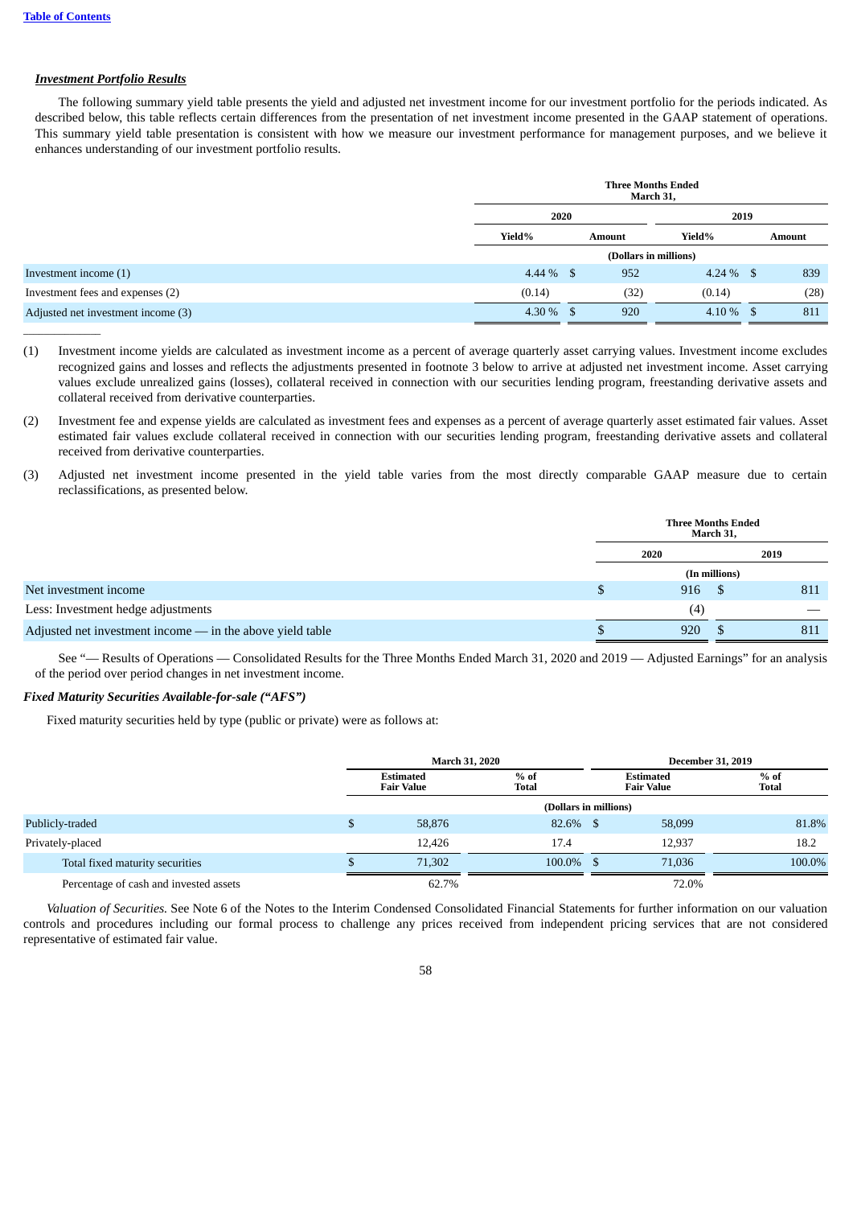$\overline{\phantom{a}}$ 

### *Investment Portfolio Results*

The following summary yield table presents the yield and adjusted net investment income for our investment portfolio for the periods indicated. As described below, this table reflects certain differences from the presentation of net investment income presented in the GAAP statement of operations. This summary yield table presentation is consistent with how we measure our investment performance for management purposes, and we believe it enhances understanding of our investment portfolio results.

|                                    |             | <b>Three Months Ended</b><br>March 31, |             |      |        |  |  |
|------------------------------------|-------------|----------------------------------------|-------------|------|--------|--|--|
|                                    | 2020        |                                        |             | 2019 |        |  |  |
|                                    | Yield%      | Amount                                 | Yield%      |      | Amount |  |  |
|                                    |             | (Dollars in millions)                  |             |      |        |  |  |
| Investment income (1)              | $4.44\%$ \$ | 952                                    | $4.24\%$ \$ |      | 839    |  |  |
| Investment fees and expenses (2)   | (0.14)      | (32)                                   | (0.14)      |      | (28)   |  |  |
| Adjusted net investment income (3) | $4.30\%$ \$ | 920                                    | 4.10 $%$ \$ |      | 811    |  |  |

(1) Investment income yields are calculated as investment income as a percent of average quarterly asset carrying values. Investment income excludes recognized gains and losses and reflects the adjustments presented in footnote 3 below to arrive at adjusted net investment income. Asset carrying values exclude unrealized gains (losses), collateral received in connection with our securities lending program, freestanding derivative assets and collateral received from derivative counterparties.

(2) Investment fee and expense yields are calculated as investment fees and expenses as a percent of average quarterly asset estimated fair values. Asset estimated fair values exclude collateral received in connection with our securities lending program, freestanding derivative assets and collateral received from derivative counterparties.

(3) Adjusted net investment income presented in the yield table varies from the most directly comparable GAAP measure due to certain reclassifications, as presented below.

|                                                           | <b>Three Months Ended</b><br>March 31, |     |               |      |  |  |  |
|-----------------------------------------------------------|----------------------------------------|-----|---------------|------|--|--|--|
|                                                           | 2020                                   |     |               | 2019 |  |  |  |
|                                                           |                                        |     | (In millions) |      |  |  |  |
| Net investment income                                     |                                        | 916 |               | 811  |  |  |  |
| Less: Investment hedge adjustments                        |                                        | (4) |               |      |  |  |  |
| Adjusted net investment income — in the above yield table |                                        | 920 |               | 811  |  |  |  |

See "— Results of Operations — Consolidated Results for the Three Months Ended March 31, 2020 and 2019 — Adjusted Earnings" for an analysis of the period over period changes in net investment income.

# *Fixed Maturity Securities Available-for-sale ("AFS")*

Fixed maturity securities held by type (public or private) were as follows at:

|                                        |   | <b>March 31, 2020</b>          |                 | <b>December 31, 2019</b>              |        |                 |  |  |  |
|----------------------------------------|---|--------------------------------|-----------------|---------------------------------------|--------|-----------------|--|--|--|
|                                        |   | Estimated<br><b>Fair Value</b> | $%$ of<br>Total | <b>Estimated</b><br><b>Fair Value</b> |        | $%$ of<br>Total |  |  |  |
|                                        |   |                                |                 | (Dollars in millions)                 |        |                 |  |  |  |
| Publicly-traded                        | S | 58,876                         | 82.6% \$        |                                       | 58,099 | 81.8%           |  |  |  |
| Privately-placed                       |   | 12.426                         | 17.4            |                                       | 12.937 | 18.2            |  |  |  |
| Total fixed maturity securities        |   | 71.302                         | 100.0% \$       |                                       | 71,036 | 100.0%          |  |  |  |
| Percentage of cash and invested assets |   | 62.7%                          |                 |                                       | 72.0%  |                 |  |  |  |

*Valuation of Securities.* See Note 6 of the Notes to the Interim Condensed Consolidated Financial Statements for further information on our valuation controls and procedures including our formal process to challenge any prices received from independent pricing services that are not considered representative of estimated fair value.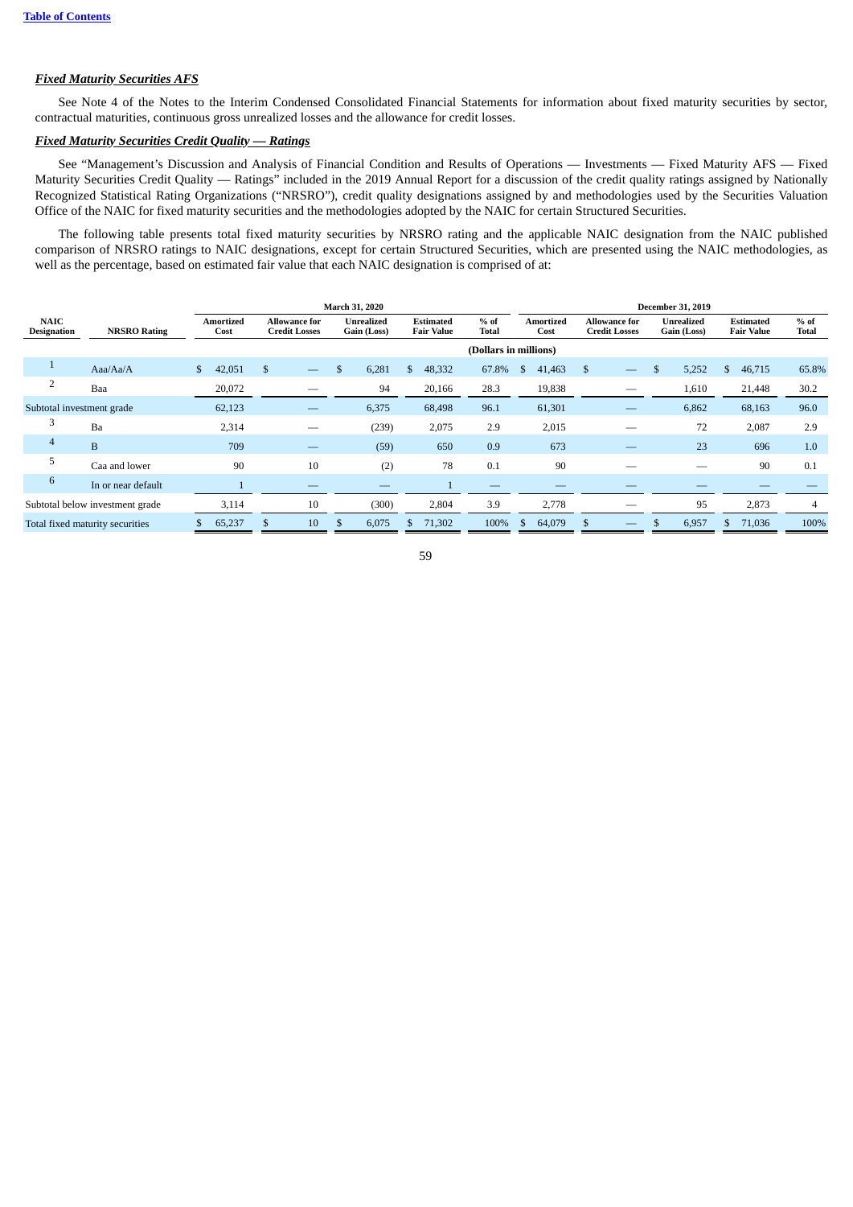### *Fixed Maturity Securities AFS*

See Note 4 of the Notes to the Interim Condensed Consolidated Financial Statements for information about fixed maturity securities by sector, contractual maturities, continuous gross unrealized losses and the allowance for credit losses.

# *Fixed Maturity Securities Credit Quality — Ratings*

See "Management's Discussion and Analysis of Financial Condition and Results of Operations — Investments — Fixed Maturity AFS — Fixed Maturity Securities Credit Quality — Ratings" included in the 2019 Annual Report for a discussion of the credit quality ratings assigned by Nationally Recognized Statistical Rating Organizations ("NRSRO"), credit quality designations assigned by and methodologies used by the Securities Valuation Office of the NAIC for fixed maturity securities and the methodologies adopted by the NAIC for certain Structured Securities.

The following table presents total fixed maturity securities by NRSRO rating and the applicable NAIC designation from the NAIC published comparison of NRSRO ratings to NAIC designations, except for certain Structured Securities, which are presented using the NAIC methodologies, as well as the percentage, based on estimated fair value that each NAIC designation is comprised of at:

|                                   |                                 |              | March 31, 2020    |    |                                              |   |                           |      |    |                                       |  |                        | <b>December 31, 2019</b> |                          |    |                                              |               |                           |    |                                       |  |                 |
|-----------------------------------|---------------------------------|--------------|-------------------|----|----------------------------------------------|---|---------------------------|------|----|---------------------------------------|--|------------------------|--------------------------|--------------------------|----|----------------------------------------------|---------------|---------------------------|----|---------------------------------------|--|-----------------|
| <b>NAIC</b><br><b>Designation</b> | <b>NRSRO Rating</b>             |              | Amortized<br>Cost |    | <b>Allowance for</b><br><b>Credit Losses</b> |   | Unrealized<br>Gain (Loss) |      |    | <b>Estimated</b><br><b>Fair Value</b> |  | $%$ of<br><b>Total</b> |                          | <b>Amortized</b><br>Cost |    | <b>Allowance for</b><br><b>Credit Losses</b> |               | Unrealized<br>Gain (Loss) |    | <b>Estimated</b><br><b>Fair Value</b> |  | $%$ of<br>Total |
|                                   |                                 |              |                   |    |                                              |   |                           |      |    |                                       |  | (Dollars in millions)  |                          |                          |    |                                              |               |                           |    |                                       |  |                 |
| $\mathbf{1}$                      | Aaa/Aa/A                        | $\mathbb{S}$ | 42,051            | \$ |                                              |   | 6,281                     |      | \$ | 48,332                                |  | 67.8%                  | S.                       | 41,463                   | \$ |                                              | <sup>\$</sup> | 5,252                     | \$ | 46,715                                |  | 65.8%           |
| $\overline{2}$                    | Baa                             |              | 20,072            |    |                                              |   | 94                        |      |    | 20,166                                |  | 28.3                   |                          | 19,838                   |    |                                              |               | 1,610                     |    | 21,448                                |  | 30.2            |
| Subtotal investment grade         |                                 |              | 62,123            |    |                                              |   | 6,375                     |      |    | 68,498                                |  | 96.1                   |                          | 61,301                   |    |                                              |               | 6,862                     |    | 68,163                                |  | 96.0            |
| 3                                 | Ba                              |              | 2,314             |    |                                              |   | (239)                     |      |    | 2,075                                 |  | 2.9                    |                          | 2,015                    |    |                                              |               | 72                        |    | 2,087                                 |  | 2.9             |
| $\overline{4}$                    | B                               |              | 709               |    |                                              |   |                           | (59) |    | 650                                   |  | 0.9                    |                          | 673                      |    |                                              |               | 23                        |    | 696                                   |  | 1.0             |
| 5                                 | Caa and lower                   |              | 90                |    | 10                                           |   |                           | (2)  |    | 78                                    |  | 0.1                    |                          | 90                       |    |                                              |               |                           |    | 90                                    |  | 0.1             |
| 6                                 | In or near default              |              |                   |    |                                              |   |                           |      |    |                                       |  |                        |                          |                          |    |                                              |               |                           |    |                                       |  |                 |
|                                   | Subtotal below investment grade |              | 3,114             |    | 10                                           |   | (300)                     |      |    | 2,804                                 |  | 3.9                    |                          | 2,778                    |    |                                              |               | 95                        |    | 2,873                                 |  | 4               |
|                                   | Total fixed maturity securities |              | 65,237            | \$ | 10                                           | ъ | 6,075                     |      |    | 71,302                                |  | 100%                   | S.                       | 64,079                   |    |                                              | \$            | 6,957                     | S  | 71,036                                |  | 100%            |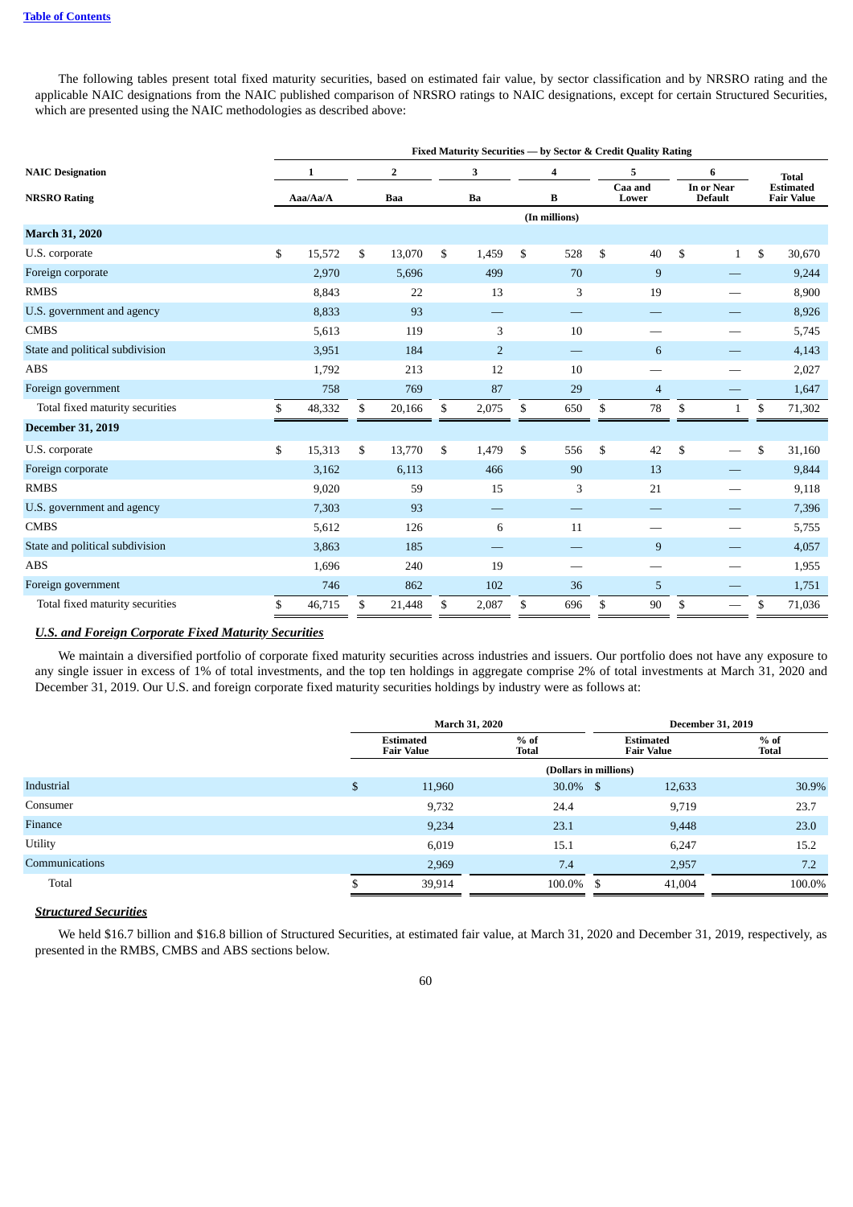The following tables present total fixed maturity securities, based on estimated fair value, by sector classification and by NRSRO rating and the applicable NAIC designations from the NAIC published comparison of NRSRO ratings to NAIC designations, except for certain Structured Securities, which are presented using the NAIC methodologies as described above:

|                                 |               |        |     |                         |    |                |    |                          |                  | Fixed Maturity Securities - by Sector & Credit Quality Rating |                              |                  |                                       |        |
|---------------------------------|---------------|--------|-----|-------------------------|----|----------------|----|--------------------------|------------------|---------------------------------------------------------------|------------------------------|------------------|---------------------------------------|--------|
| <b>NAIC Designation</b>         | 1<br>Aaa/Aa/A |        |     | $\overline{\mathbf{2}}$ |    | 3              |    | 4                        |                  | 5                                                             |                              | 6                | <b>Total</b>                          |        |
| <b>NRSRO Rating</b>             |               |        | Baa |                         | Ba |                | В  |                          | Caa and<br>Lower |                                                               | In or Near<br><b>Default</b> |                  | <b>Estimated</b><br><b>Fair Value</b> |        |
|                                 |               |        |     |                         |    |                |    | (In millions)            |                  |                                                               |                              |                  |                                       |        |
| <b>March 31, 2020</b>           |               |        |     |                         |    |                |    |                          |                  |                                                               |                              |                  |                                       |        |
| U.S. corporate                  | \$            | 15,572 | \$  | 13,070                  | \$ | 1,459          | \$ | 528                      | \$               | 40                                                            | \$                           | $\mathbf{1}$     | \$                                    | 30,670 |
| Foreign corporate               |               | 2,970  |     | 5,696                   |    | 499            |    | 70                       |                  | 9                                                             |                              |                  |                                       | 9,244  |
| <b>RMBS</b>                     |               | 8,843  |     | 22                      |    | 13             |    | 3                        |                  | 19                                                            |                              |                  |                                       | 8,900  |
| U.S. government and agency      |               | 8,833  |     | 93                      |    |                |    |                          |                  |                                                               |                              |                  |                                       | 8,926  |
| <b>CMBS</b>                     |               | 5,613  |     | 119                     |    | 3              |    | 10                       |                  |                                                               |                              |                  |                                       | 5,745  |
| State and political subdivision |               | 3,951  |     | 184                     |    | $\overline{2}$ |    | $\overline{\phantom{0}}$ |                  | 6                                                             |                              |                  |                                       | 4,143  |
| ABS                             |               | 1,792  |     | 213                     |    | 12             |    | 10                       |                  |                                                               |                              |                  |                                       | 2,027  |
| Foreign government              |               | 758    |     | 769                     |    | 87             |    | 29                       |                  | 4                                                             |                              |                  |                                       | 1,647  |
| Total fixed maturity securities | \$            | 48,332 | \$  | 20,166                  | \$ | 2,075          | \$ | 650                      | \$               | 78                                                            | \$                           | $\mathbf{1}$     | \$                                    | 71,302 |
| <b>December 31, 2019</b>        |               |        |     |                         |    |                |    |                          |                  |                                                               |                              |                  |                                       |        |
| U.S. corporate                  | \$            | 15,313 | \$  | 13,770                  | \$ | 1,479          | \$ | 556                      | \$               | 42                                                            | \$                           |                  | \$                                    | 31,160 |
| Foreign corporate               |               | 3,162  |     | 6,113                   |    | 466            |    | 90                       |                  | 13                                                            |                              |                  |                                       | 9,844  |
| <b>RMBS</b>                     |               | 9,020  |     | 59                      |    | 15             |    | 3                        |                  | 21                                                            |                              |                  |                                       | 9,118  |
| U.S. government and agency      |               | 7,303  |     | 93                      |    | —              |    | $\overline{\phantom{0}}$ |                  |                                                               |                              |                  |                                       | 7,396  |
| <b>CMBS</b>                     |               | 5,612  |     | 126                     |    | 6              |    | 11                       |                  |                                                               |                              | .<br>مسجد المسجد |                                       | 5,755  |
| State and political subdivision |               | 3,863  |     | 185                     |    |                |    |                          |                  | $\overline{9}$                                                |                              |                  |                                       | 4,057  |
| <b>ABS</b>                      |               | 1,696  |     | 240                     |    | 19             |    |                          |                  |                                                               |                              | .<br>مسجد        |                                       | 1,955  |
| Foreign government              |               | 746    |     | 862                     |    | 102            |    | 36                       |                  | 5                                                             |                              |                  |                                       | 1,751  |
| Total fixed maturity securities | \$            | 46,715 | \$  | 21,448                  | \$ | 2,087          | \$ | 696                      | \$               | 90                                                            | \$                           |                  | \$                                    | 71,036 |

# *U.S. and Foreign Corporate Fixed Maturity Securities*

We maintain a diversified portfolio of corporate fixed maturity securities across industries and issuers. Our portfolio does not have any exposure to any single issuer in excess of 1% of total investments, and the top ten holdings in aggregate comprise 2% of total investments at March 31, 2020 and December 31, 2019. Our U.S. and foreign corporate fixed maturity securities holdings by industry were as follows at:

|                       |                       |                                       | <b>March 31, 2020</b> | <b>December 31, 2019</b> |                                       |                        |  |  |  |  |  |
|-----------------------|-----------------------|---------------------------------------|-----------------------|--------------------------|---------------------------------------|------------------------|--|--|--|--|--|
|                       |                       | <b>Estimated</b><br><b>Fair Value</b> | $%$ of<br>Total       |                          | <b>Estimated</b><br><b>Fair Value</b> | $%$ of<br><b>Total</b> |  |  |  |  |  |
|                       | (Dollars in millions) |                                       |                       |                          |                                       |                        |  |  |  |  |  |
| Industrial            | \$                    | 11,960                                | $30.0\%$ \$           |                          | 12,633                                | 30.9%                  |  |  |  |  |  |
| Consumer              |                       | 9,732                                 | 24.4                  |                          | 9,719                                 | 23.7                   |  |  |  |  |  |
| Finance               |                       | 9,234                                 | 23.1                  |                          | 9,448                                 | 23.0                   |  |  |  |  |  |
| Utility               |                       | 6,019                                 | 15.1                  |                          | 6,247                                 | 15.2                   |  |  |  |  |  |
| <b>Communications</b> |                       | 2,969                                 | 7.4                   |                          | 2,957                                 | 7.2                    |  |  |  |  |  |
| Total                 |                       | 39,914                                | 100.0%                | S                        | 41,004                                | 100.0%                 |  |  |  |  |  |

# *Structured Securities*

We held \$16.7 billion and \$16.8 billion of Structured Securities, at estimated fair value, at March 31, 2020 and December 31, 2019, respectively, as presented in the RMBS, CMBS and ABS sections below.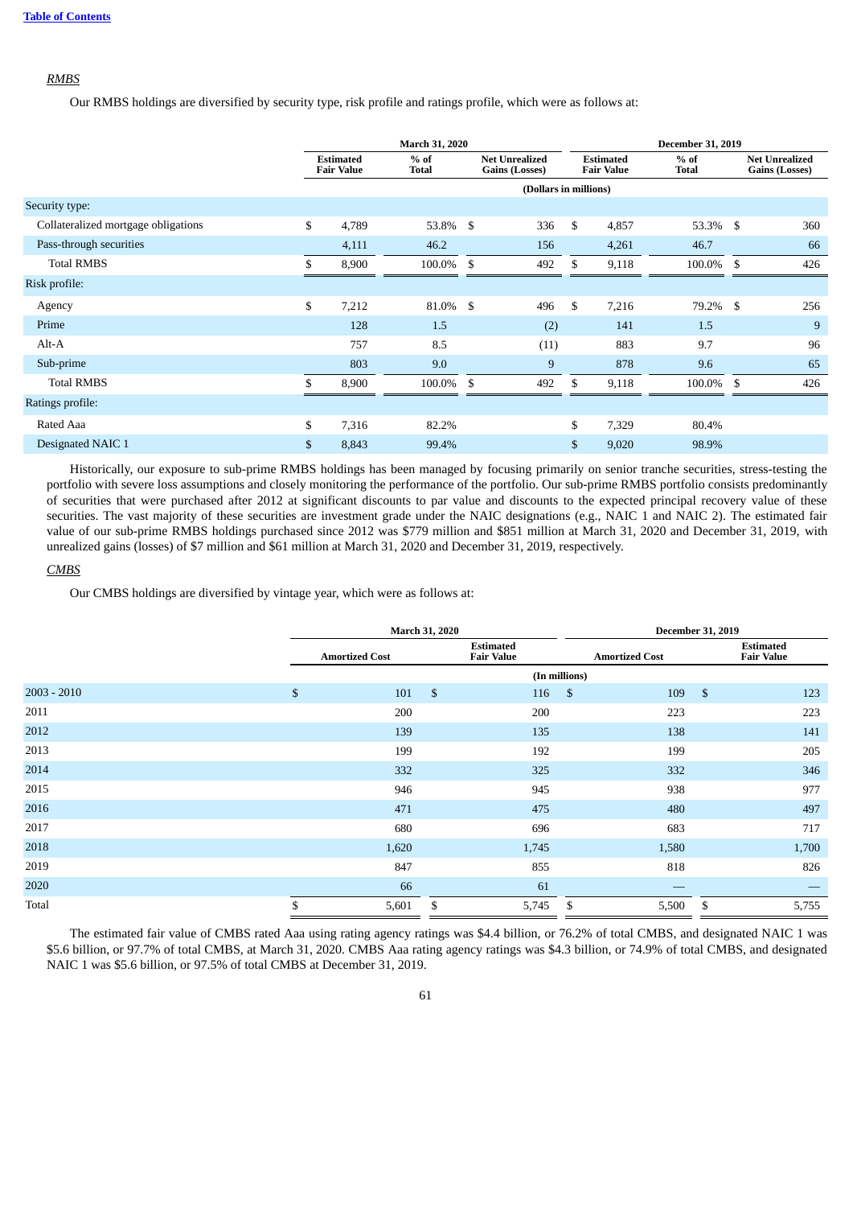## *RMBS*

Our RMBS holdings are diversified by security type, risk profile and ratings profile, which were as follows at:

|                                     |                                       |       | March 31, 2020         |  |                                         |     | <b>December 31, 2019</b>              |                        |                                         |     |  |
|-------------------------------------|---------------------------------------|-------|------------------------|--|-----------------------------------------|-----|---------------------------------------|------------------------|-----------------------------------------|-----|--|
|                                     | <b>Estimated</b><br><b>Fair Value</b> |       | $%$ of<br><b>Total</b> |  | <b>Net Unrealized</b><br>Gains (Losses) |     | <b>Estimated</b><br><b>Fair Value</b> | $%$ of<br><b>Total</b> | <b>Net Unrealized</b><br>Gains (Losses) |     |  |
|                                     | (Dollars in millions)                 |       |                        |  |                                         |     |                                       |                        |                                         |     |  |
| Security type:                      |                                       |       |                        |  |                                         |     |                                       |                        |                                         |     |  |
| Collateralized mortgage obligations | \$                                    | 4,789 | 53.8% \$               |  | 336                                     | \$  | 4,857                                 | 53.3% \$               |                                         | 360 |  |
| Pass-through securities             |                                       | 4,111 | 46.2                   |  | 156                                     |     | 4,261                                 | 46.7                   |                                         | 66  |  |
| <b>Total RMBS</b>                   | \$.                                   | 8,900 | 100.0% \$              |  | 492                                     | \$. | 9,118                                 | 100.0% \$              |                                         | 426 |  |
| Risk profile:                       |                                       |       |                        |  |                                         |     |                                       |                        |                                         |     |  |
| Agency                              | \$                                    | 7,212 | 81.0% \$               |  | 496                                     | \$  | 7,216                                 | 79.2%                  | - \$                                    | 256 |  |
| Prime                               |                                       | 128   | 1.5                    |  | (2)                                     |     | 141                                   | 1.5                    |                                         | 9   |  |
| Alt-A                               |                                       | 757   | 8.5                    |  | (11)                                    |     | 883                                   | 9.7                    |                                         | 96  |  |
| Sub-prime                           |                                       | 803   | 9.0                    |  | 9                                       |     | 878                                   | 9.6                    |                                         | 65  |  |
| <b>Total RMBS</b>                   | $\mathbf{\hat{s}}$                    | 8,900 | 100.0% \$              |  | 492                                     | \$  | 9,118                                 | 100.0% \$              |                                         | 426 |  |
| Ratings profile:                    |                                       |       |                        |  |                                         |     |                                       |                        |                                         |     |  |
| Rated Aaa                           | \$                                    | 7,316 | 82.2%                  |  |                                         | \$  | 7,329                                 | 80.4%                  |                                         |     |  |
| Designated NAIC 1                   | $\mathbb{S}$                          | 8,843 | 99.4%                  |  |                                         | \$  | 9,020                                 | 98.9%                  |                                         |     |  |

Historically, our exposure to sub-prime RMBS holdings has been managed by focusing primarily on senior tranche securities, stress-testing the portfolio with severe loss assumptions and closely monitoring the performance of the portfolio. Our sub-prime RMBS portfolio consists predominantly of securities that were purchased after 2012 at significant discounts to par value and discounts to the expected principal recovery value of these securities. The vast majority of these securities are investment grade under the NAIC designations (e.g., NAIC 1 and NAIC 2). The estimated fair value of our sub-prime RMBS holdings purchased since 2012 was \$779 million and \$851 million at March 31, 2020 and December 31, 2019, with unrealized gains (losses) of \$7 million and \$61 million at March 31, 2020 and December 31, 2019, respectively.

## *CMBS*

Our CMBS holdings are diversified by vintage year, which were as follows at:

|               | March 31, 2020 |                       |                    |                                       |    | <b>December 31, 2019</b> |                                       |       |  |  |  |
|---------------|----------------|-----------------------|--------------------|---------------------------------------|----|--------------------------|---------------------------------------|-------|--|--|--|
|               |                | <b>Amortized Cost</b> |                    | <b>Estimated</b><br><b>Fair Value</b> |    | <b>Amortized Cost</b>    | <b>Estimated</b><br><b>Fair Value</b> |       |  |  |  |
|               |                |                       |                    | (In millions)                         |    |                          |                                       |       |  |  |  |
| $2003 - 2010$ | \$             | 101                   | $\mathbf{\hat{S}}$ | 116                                   | \$ | 109                      | \$                                    | 123   |  |  |  |
| 2011          |                | 200                   |                    | 200                                   |    | 223                      |                                       | 223   |  |  |  |
| 2012          |                | 139                   |                    | 135                                   |    | 138                      |                                       | 141   |  |  |  |
| 2013          |                | 199                   |                    | 192                                   |    | 199                      |                                       | 205   |  |  |  |
| 2014          |                | 332                   |                    | 325                                   |    | 332                      |                                       | 346   |  |  |  |
| 2015          |                | 946                   |                    | 945                                   |    | 938                      |                                       | 977   |  |  |  |
| 2016          |                | 471                   |                    | 475                                   |    | 480                      |                                       | 497   |  |  |  |
| 2017          |                | 680                   |                    | 696                                   |    | 683                      |                                       | 717   |  |  |  |
| 2018          |                | 1,620                 |                    | 1,745                                 |    | 1,580                    |                                       | 1,700 |  |  |  |
| 2019          |                | 847                   |                    | 855                                   |    | 818                      |                                       | 826   |  |  |  |
| 2020          |                | 66                    |                    | 61                                    |    |                          |                                       |       |  |  |  |
| Total         | \$             | 5,601                 | \$                 | 5,745                                 | \$ | 5,500                    | \$                                    | 5,755 |  |  |  |

The estimated fair value of CMBS rated Aaa using rating agency ratings was \$4.4 billion, or 76.2% of total CMBS, and designated NAIC 1 was \$5.6 billion, or 97.7% of total CMBS, at March 31, 2020. CMBS Aaa rating agency ratings was \$4.3 billion, or 74.9% of total CMBS, and designated NAIC 1 was \$5.6 billion, or 97.5% of total CMBS at December 31, 2019.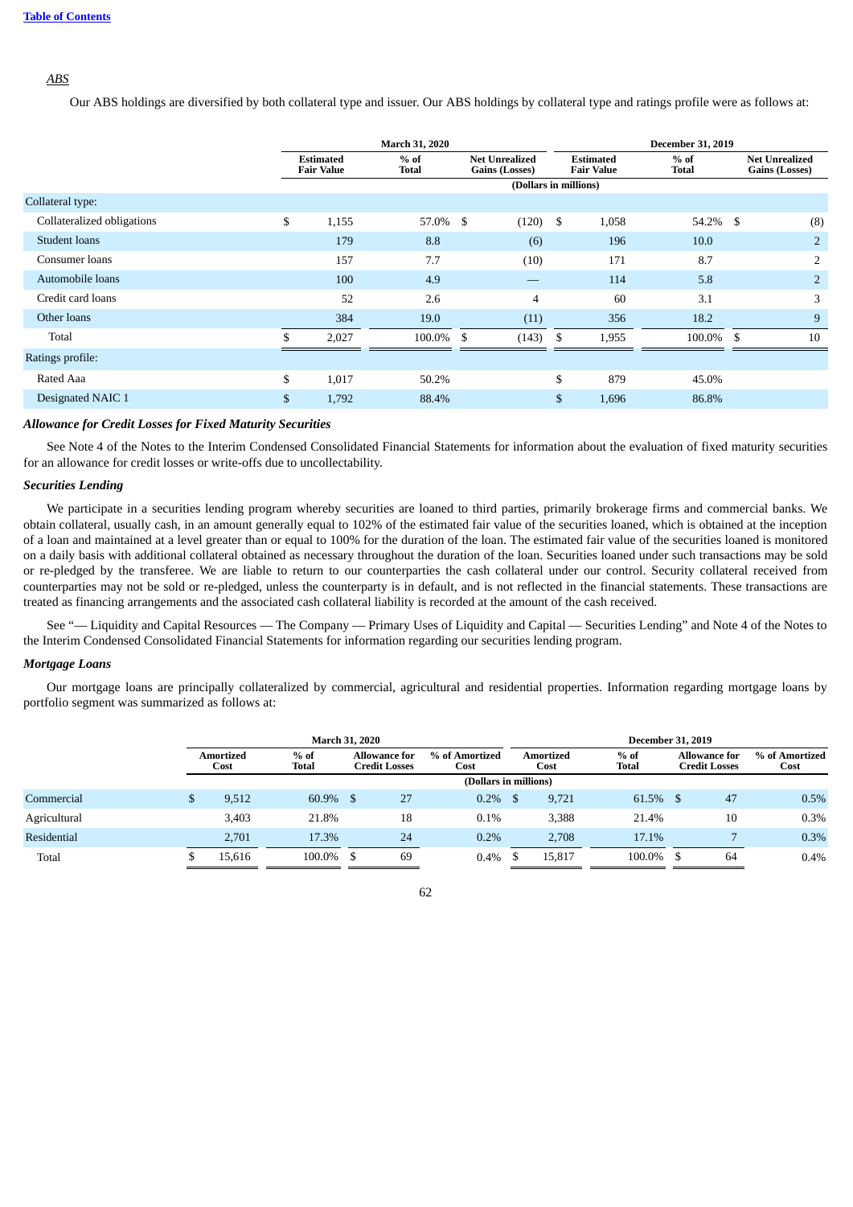# *ABS*

Our ABS holdings are diversified by both collateral type and issuer. Our ABS holdings by collateral type and ratings profile were as follows at:

|                            |                                       | <b>March 31, 2020</b>  |  |                                         |    | <b>December 31, 2019</b>              |                        |  |                                         |  |  |  |
|----------------------------|---------------------------------------|------------------------|--|-----------------------------------------|----|---------------------------------------|------------------------|--|-----------------------------------------|--|--|--|
|                            | <b>Estimated</b><br><b>Fair Value</b> | $%$ of<br><b>Total</b> |  | <b>Net Unrealized</b><br>Gains (Losses) |    | <b>Estimated</b><br><b>Fair Value</b> | $%$ of<br><b>Total</b> |  | <b>Net Unrealized</b><br>Gains (Losses) |  |  |  |
|                            | (Dollars in millions)                 |                        |  |                                         |    |                                       |                        |  |                                         |  |  |  |
| Collateral type:           |                                       |                        |  |                                         |    |                                       |                        |  |                                         |  |  |  |
| Collateralized obligations | \$<br>1,155                           | 57.0% \$               |  | (120)                                   | \$ | 1,058                                 | 54.2% \$               |  | (8)                                     |  |  |  |
| Student loans              | 179                                   | 8.8                    |  | (6)                                     |    | 196                                   | 10.0                   |  | $\overline{2}$                          |  |  |  |
| Consumer loans             | 157                                   | 7.7                    |  | (10)                                    |    | 171                                   | 8.7                    |  | $\overline{2}$                          |  |  |  |
| Automobile loans           | 100                                   | 4.9                    |  |                                         |    | 114                                   | 5.8                    |  | $\overline{2}$                          |  |  |  |
| Credit card loans          | 52                                    | 2.6                    |  | $\overline{4}$                          |    | 60                                    | 3.1                    |  | 3                                       |  |  |  |
| Other loans                | 384                                   | 19.0                   |  | (11)                                    |    | 356                                   | 18.2                   |  | 9                                       |  |  |  |
| Total                      | \$<br>2,027                           | 100.0% \$              |  | $(143)$ \$                              |    | 1,955                                 | 100.0% \$              |  | 10                                      |  |  |  |
| Ratings profile:           |                                       |                        |  |                                         |    |                                       |                        |  |                                         |  |  |  |
| Rated Aaa                  | \$<br>1,017                           | 50.2%                  |  |                                         | \$ | 879                                   | 45.0%                  |  |                                         |  |  |  |
| Designated NAIC 1          | \$<br>1,792                           | 88.4%                  |  |                                         | \$ | 1,696                                 | 86.8%                  |  |                                         |  |  |  |

#### *Allowance for Credit Losses for Fixed Maturity Securities*

See Note 4 of the Notes to the Interim Condensed Consolidated Financial Statements for information about the evaluation of fixed maturity securities for an allowance for credit losses or write-offs due to uncollectability.

### *Securities Lending*

We participate in a securities lending program whereby securities are loaned to third parties, primarily brokerage firms and commercial banks. We obtain collateral, usually cash, in an amount generally equal to 102% of the estimated fair value of the securities loaned, which is obtained at the inception of a loan and maintained at a level greater than or equal to 100% for the duration of the loan. The estimated fair value of the securities loaned is monitored on a daily basis with additional collateral obtained as necessary throughout the duration of the loan. Securities loaned under such transactions may be sold or re-pledged by the transferee. We are liable to return to our counterparties the cash collateral under our control. Security collateral received from counterparties may not be sold or re-pledged, unless the counterparty is in default, and is not reflected in the financial statements. These transactions are treated as financing arrangements and the associated cash collateral liability is recorded at the amount of the cash received.

See "— Liquidity and Capital Resources — The Company — Primary Uses of Liquidity and Capital — Securities Lending" and Note 4 of the Notes to the Interim Condensed Consolidated Financial Statements for information regarding our securities lending program.

#### *Mortgage Loans*

Our mortgage loans are principally collateralized by commercial, agricultural and residential properties. Information regarding mortgage loans by portfolio segment was summarized as follows at:

|              |                   |        |                        | <b>March 31, 2020</b>                        |                        | <b>December 31, 2019</b> |                        |                                              |                        |  |  |  |  |
|--------------|-------------------|--------|------------------------|----------------------------------------------|------------------------|--------------------------|------------------------|----------------------------------------------|------------------------|--|--|--|--|
|              | Amortized<br>Cost |        | $%$ of<br><b>Total</b> | <b>Allowance for</b><br><b>Credit Losses</b> | % of Amortized<br>Cost | <b>Amortized</b><br>Cost | $%$ of<br><b>Total</b> | <b>Allowance for</b><br><b>Credit Losses</b> | % of Amortized<br>Cost |  |  |  |  |
|              |                   |        |                        |                                              |                        | (Dollars in millions)    |                        |                                              |                        |  |  |  |  |
| Commercial   | Ф                 | 9,512  | $60.9\%$ \$            | 27                                           | $0.2\%$ \$             | 9,721                    | 61.5% \$               | 47                                           | 0.5%                   |  |  |  |  |
| Agricultural |                   | 3.403  | 21.8%                  | 18                                           | $0.1\%$                | 3,388                    | 21.4%                  | 10                                           | 0.3%                   |  |  |  |  |
| Residential  |                   | 2.701  | 17.3%                  | 24                                           | $0.2\%$                | 2,708                    | 17.1%                  |                                              | 0.3%                   |  |  |  |  |
| Total        |                   | 15.616 | $100.0\%$ \$           | 69                                           | $0.4\%$                | 15,817                   | 100.0% \$              | 64                                           | 0.4%                   |  |  |  |  |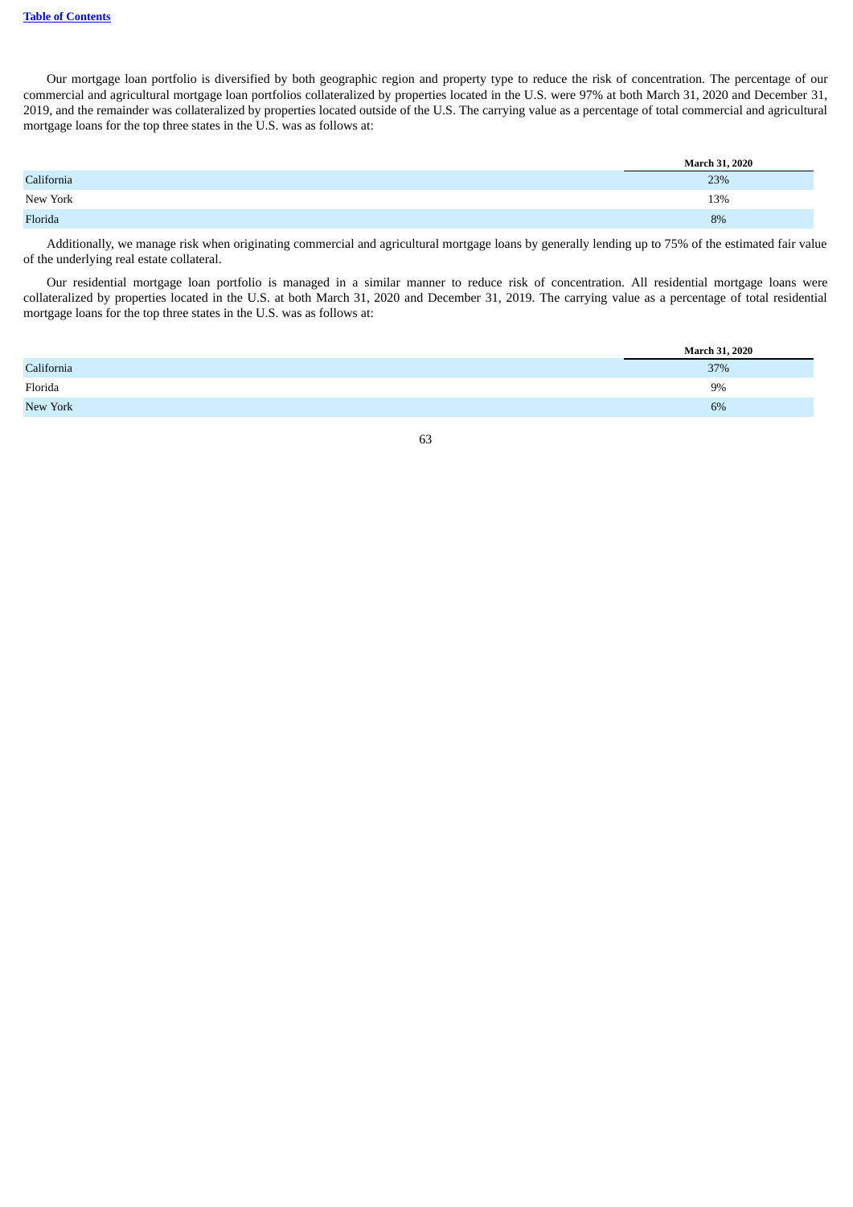Our mortgage loan portfolio is diversified by both geographic region and property type to reduce the risk of concentration. The percentage of our commercial and agricultural mortgage loan portfolios collateralized by properties located in the U.S. were 97% at both March 31, 2020 and December 31, 2019, and the remainder was collateralized by properties located outside of the U.S. The carrying value as a percentage of total commercial and agricultural mortgage loans for the top three states in the U.S. was as follows at:

|            | <b>March 31, 2020</b> |
|------------|-----------------------|
| California | 23%                   |
| New York   | 13%                   |
| Florida    | 8%                    |

Additionally, we manage risk when originating commercial and agricultural mortgage loans by generally lending up to 75% of the estimated fair value of the underlying real estate collateral.

Our residential mortgage loan portfolio is managed in a similar manner to reduce risk of concentration. All residential mortgage loans were collateralized by properties located in the U.S. at both March 31, 2020 and December 31, 2019. The carrying value as a percentage of total residential mortgage loans for the top three states in the U.S. was as follows at:

|            | <b>March 31, 2020</b> |
|------------|-----------------------|
| California | 37%                   |
| Florida    | 9%                    |
| New York   | 6%                    |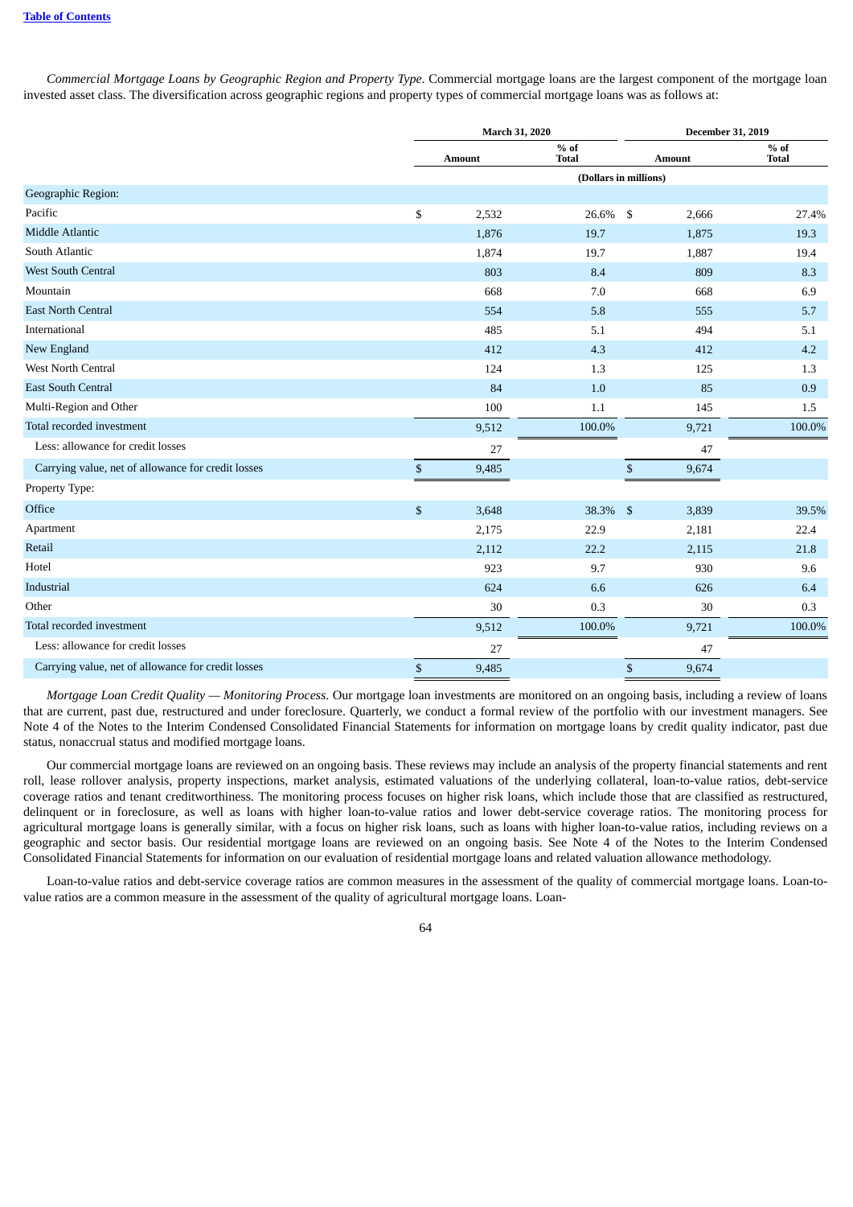*Commercial Mortgage Loans by Geographic Region and Property Type*. Commercial mortgage loans are the largest component of the mortgage loan invested asset class. The diversification across geographic regions and property types of commercial mortgage loans was as follows at:

|                                                    |               | March 31, 2020 |                        | <b>December 31, 2019</b> |                        |  |  |
|----------------------------------------------------|---------------|----------------|------------------------|--------------------------|------------------------|--|--|
|                                                    |               | <b>Amount</b>  | $%$ of<br><b>Total</b> | <b>Amount</b>            | $%$ of<br><b>Total</b> |  |  |
|                                                    |               |                |                        | (Dollars in millions)    |                        |  |  |
| Geographic Region:                                 |               |                |                        |                          |                        |  |  |
| Pacific                                            | \$            | 2,532          | 26.6% \$               | 2,666                    | 27.4%                  |  |  |
| Middle Atlantic                                    |               | 1,876          | 19.7                   | 1,875                    | 19.3                   |  |  |
| South Atlantic                                     |               | 1,874          | 19.7                   | 1,887                    | 19.4                   |  |  |
| <b>West South Central</b>                          |               | 803            | 8.4                    | 809                      | 8.3                    |  |  |
| Mountain                                           |               | 668            | 7.0                    | 668                      | 6.9                    |  |  |
| <b>East North Central</b>                          |               | 554            | 5.8                    | 555                      | 5.7                    |  |  |
| International                                      |               | 485            | 5.1                    | 494                      | 5.1                    |  |  |
| New England                                        |               | 412            | 4.3                    | 412                      | 4.2                    |  |  |
| <b>West North Central</b>                          |               | 124            | 1.3                    | 125                      | 1.3                    |  |  |
| <b>East South Central</b>                          |               | 84             | 1.0                    | 85                       | 0.9                    |  |  |
| Multi-Region and Other                             |               | 100            | 1.1                    | 145                      | 1.5                    |  |  |
| Total recorded investment                          |               | 9,512          | 100.0%                 | 9,721                    | 100.0%                 |  |  |
| Less: allowance for credit losses                  |               | 27             |                        | 47                       |                        |  |  |
| Carrying value, net of allowance for credit losses | ${\mathbb S}$ | 9,485          |                        | $\mathbb{S}$<br>9,674    |                        |  |  |
| Property Type:                                     |               |                |                        |                          |                        |  |  |
| Office                                             | \$            | 3,648          | 38.3% \$               | 3,839                    | 39.5%                  |  |  |
| Apartment                                          |               | 2,175          | 22.9                   | 2,181                    | 22.4                   |  |  |
| Retail                                             |               | 2,112          | 22.2                   | 2,115                    | 21.8                   |  |  |
| Hotel                                              |               | 923            | 9.7                    | 930                      | 9.6                    |  |  |
| Industrial                                         |               | 624            | 6.6                    | 626                      | 6.4                    |  |  |
| Other                                              |               | 30             | 0.3                    | 30                       | 0.3                    |  |  |
| Total recorded investment                          |               | 9,512          | 100.0%                 | 9,721                    | 100.0%                 |  |  |
| Less: allowance for credit losses                  |               | 27             |                        | 47                       |                        |  |  |
| Carrying value, net of allowance for credit losses | \$            | 9,485          |                        | \$<br>9,674              |                        |  |  |

*Mortgage Loan Credit Quality — Monitoring Process*. Our mortgage loan investments are monitored on an ongoing basis, including a review of loans that are current, past due, restructured and under foreclosure. Quarterly, we conduct a formal review of the portfolio with our investment managers. See Note 4 of the Notes to the Interim Condensed Consolidated Financial Statements for information on mortgage loans by credit quality indicator, past due status, nonaccrual status and modified mortgage loans.

Our commercial mortgage loans are reviewed on an ongoing basis. These reviews may include an analysis of the property financial statements and rent roll, lease rollover analysis, property inspections, market analysis, estimated valuations of the underlying collateral, loan-to-value ratios, debt-service coverage ratios and tenant creditworthiness. The monitoring process focuses on higher risk loans, which include those that are classified as restructured, delinquent or in foreclosure, as well as loans with higher loan-to-value ratios and lower debt-service coverage ratios. The monitoring process for agricultural mortgage loans is generally similar, with a focus on higher risk loans, such as loans with higher loan-to-value ratios, including reviews on a geographic and sector basis. Our residential mortgage loans are reviewed on an ongoing basis. See Note 4 of the Notes to the Interim Condensed Consolidated Financial Statements for information on our evaluation of residential mortgage loans and related valuation allowance methodology.

Loan-to-value ratios and debt-service coverage ratios are common measures in the assessment of the quality of commercial mortgage loans. Loan-tovalue ratios are a common measure in the assessment of the quality of agricultural mortgage loans. Loan-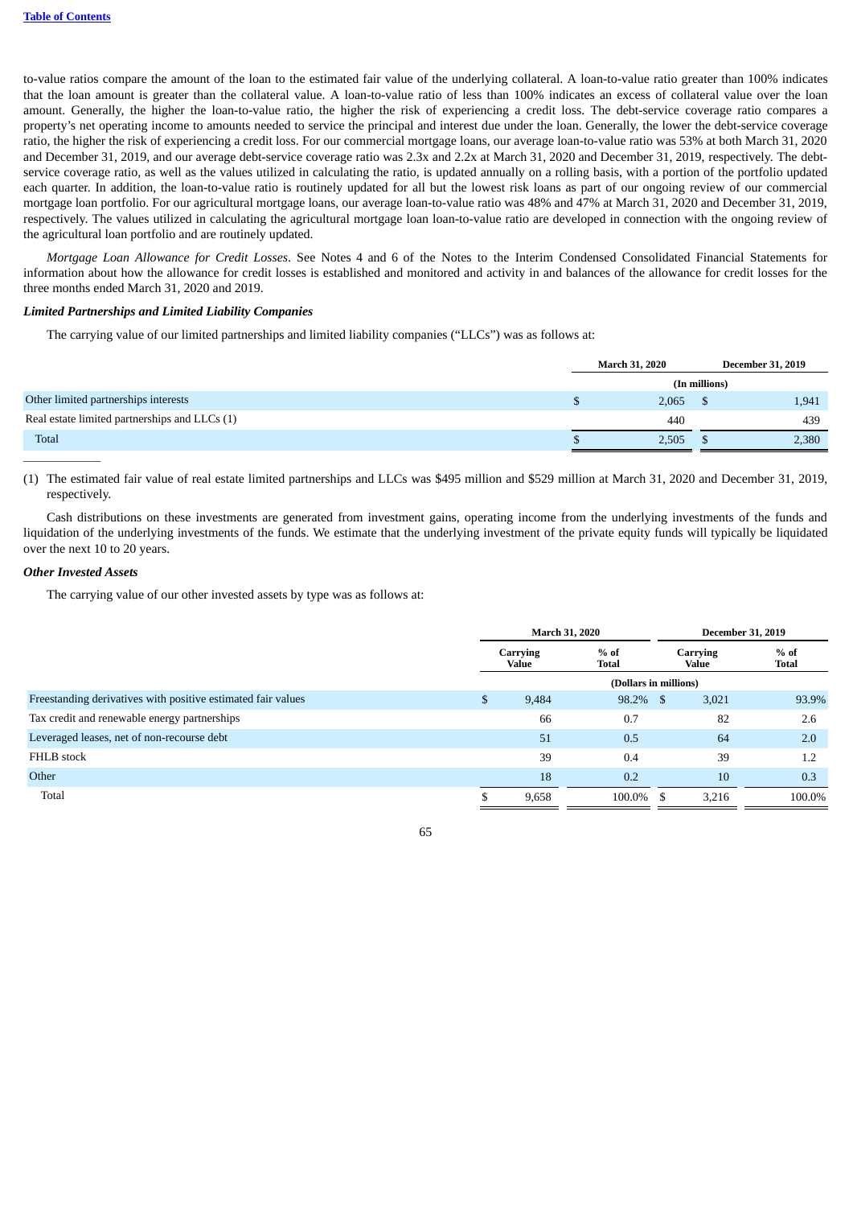to-value ratios compare the amount of the loan to the estimated fair value of the underlying collateral. A loan-to-value ratio greater than 100% indicates that the loan amount is greater than the collateral value. A loan-to-value ratio of less than 100% indicates an excess of collateral value over the loan amount. Generally, the higher the loan-to-value ratio, the higher the risk of experiencing a credit loss. The debt-service coverage ratio compares a property's net operating income to amounts needed to service the principal and interest due under the loan. Generally, the lower the debt-service coverage ratio, the higher the risk of experiencing a credit loss. For our commercial mortgage loans, our average loan-to-value ratio was 53% at both March 31, 2020 and December 31, 2019, and our average debt-service coverage ratio was 2.3x and 2.2x at March 31, 2020 and December 31, 2019, respectively. The debtservice coverage ratio, as well as the values utilized in calculating the ratio, is updated annually on a rolling basis, with a portion of the portfolio updated each quarter. In addition, the loan-to-value ratio is routinely updated for all but the lowest risk loans as part of our ongoing review of our commercial mortgage loan portfolio. For our agricultural mortgage loans, our average loan-to-value ratio was 48% and 47% at March 31, 2020 and December 31, 2019, respectively. The values utilized in calculating the agricultural mortgage loan loan-to-value ratio are developed in connection with the ongoing review of the agricultural loan portfolio and are routinely updated.

*Mortgage Loan Allowance for Credit Losses*. See Notes 4 and 6 of the Notes to the Interim Condensed Consolidated Financial Statements for information about how the allowance for credit losses is established and monitored and activity in and balances of the allowance for credit losses for the three months ended March 31, 2020 and 2019.

# *Limited Partnerships and Limited Liability Companies*

The carrying value of our limited partnerships and limited liability companies ("LLCs") was as follows at:

|                                               |    | <b>March 31, 2020</b> |               | <b>December 31, 2019</b> |
|-----------------------------------------------|----|-----------------------|---------------|--------------------------|
|                                               |    |                       | (In millions) |                          |
| Other limited partnerships interests          | D  | 2,065                 |               | 1,941                    |
| Real estate limited partnerships and LLCs (1) |    | 440                   |               | 439                      |
| Total                                         | ٠D | 2,505                 | ß.            | 2,380                    |
|                                               |    |                       |               |                          |

(1) The estimated fair value of real estate limited partnerships and LLCs was \$495 million and \$529 million at March 31, 2020 and December 31, 2019, respectively.

Cash distributions on these investments are generated from investment gains, operating income from the underlying investments of the funds and liquidation of the underlying investments of the funds. We estimate that the underlying investment of the private equity funds will typically be liquidated over the next 10 to 20 years.

## *Other Invested Assets*

The carrying value of our other invested assets by type was as follows at:

| <b>March 31, 2020</b> |       |                 |    |          |                                                               |  |
|-----------------------|-------|-----------------|----|----------|---------------------------------------------------------------|--|
|                       | Value | $%$ of<br>Total |    | Value    | $%$ of<br>Total                                               |  |
|                       |       |                 |    |          |                                                               |  |
| ß.                    | 9,484 |                 |    | 3,021    | 93.9%                                                         |  |
|                       | 66    | 0.7             |    | 82       | 2.6                                                           |  |
|                       | 51    | 0.5             |    | 64       | 2.0                                                           |  |
|                       | 39    | 0.4             |    | 39       | 1.2                                                           |  |
|                       | 18    | 0.2             |    | 10       | 0.3                                                           |  |
|                       | 9,658 | 100.0%          | £. | 3,216    | 100.0%                                                        |  |
|                       |       | Carrying        |    | 98.2% \$ | <b>December 31, 2019</b><br>Carrying<br>(Dollars in millions) |  |

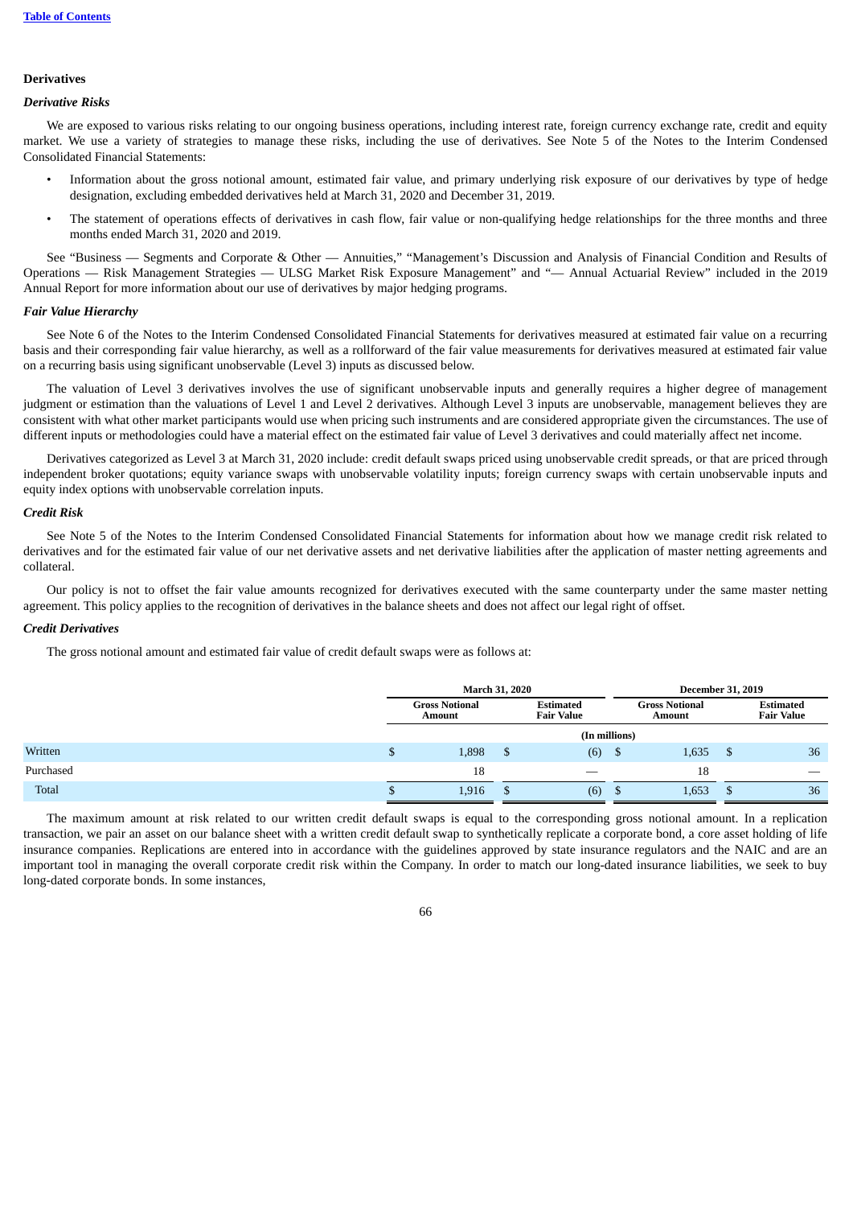## <span id="page-66-0"></span>**Derivatives**

### *Derivative Risks*

We are exposed to various risks relating to our ongoing business operations, including interest rate, foreign currency exchange rate, credit and equity market. We use a variety of strategies to manage these risks, including the use of derivatives. See Note 5 of the Notes to the Interim Condensed Consolidated Financial Statements:

- Information about the gross notional amount, estimated fair value, and primary underlying risk exposure of our derivatives by type of hedge designation, excluding embedded derivatives held at March 31, 2020 and December 31, 2019.
- The statement of operations effects of derivatives in cash flow, fair value or non-qualifying hedge relationships for the three months and three months ended March 31, 2020 and 2019.

See "Business — Segments and Corporate & Other — Annuities," "Management's Discussion and Analysis of Financial Condition and Results of Operations — Risk Management Strategies — ULSG Market Risk Exposure Management" and "— Annual Actuarial Review" included in the 2019 Annual Report for more information about our use of derivatives by major hedging programs.

#### *Fair Value Hierarchy*

See Note 6 of the Notes to the Interim Condensed Consolidated Financial Statements for derivatives measured at estimated fair value on a recurring basis and their corresponding fair value hierarchy, as well as a rollforward of the fair value measurements for derivatives measured at estimated fair value on a recurring basis using significant unobservable (Level 3) inputs as discussed below.

The valuation of Level 3 derivatives involves the use of significant unobservable inputs and generally requires a higher degree of management judgment or estimation than the valuations of Level 1 and Level 2 derivatives. Although Level 3 inputs are unobservable, management believes they are consistent with what other market participants would use when pricing such instruments and are considered appropriate given the circumstances. The use of different inputs or methodologies could have a material effect on the estimated fair value of Level 3 derivatives and could materially affect net income.

Derivatives categorized as Level 3 at March 31, 2020 include: credit default swaps priced using unobservable credit spreads, or that are priced through independent broker quotations; equity variance swaps with unobservable volatility inputs; foreign currency swaps with certain unobservable inputs and equity index options with unobservable correlation inputs.

### *Credit Risk*

See Note 5 of the Notes to the Interim Condensed Consolidated Financial Statements for information about how we manage credit risk related to derivatives and for the estimated fair value of our net derivative assets and net derivative liabilities after the application of master netting agreements and collateral.

Our policy is not to offset the fair value amounts recognized for derivatives executed with the same counterparty under the same master netting agreement. This policy applies to the recognition of derivatives in the balance sheets and does not affect our legal right of offset.

# *Credit Derivatives*

The gross notional amount and estimated fair value of credit default swaps were as follows at:

|           |   | <b>March 31, 2020</b>           |  |                                       |          | <b>December 31, 2019</b>        |      |                                       |  |
|-----------|---|---------------------------------|--|---------------------------------------|----------|---------------------------------|------|---------------------------------------|--|
|           |   | <b>Gross Notional</b><br>Amount |  | <b>Estimated</b><br><b>Fair Value</b> |          | <b>Gross Notional</b><br>Amount |      | <b>Estimated</b><br><b>Fair Value</b> |  |
|           |   |                                 |  | (In millions)                         |          |                                 |      |                                       |  |
| Written   | S | 1,898                           |  | (6)                                   | <b>S</b> | 1,635                           | - \$ | 36                                    |  |
| Purchased |   | 18                              |  | $\overline{\phantom{a}}$              |          | 18                              |      |                                       |  |
| Total     |   | 1,916                           |  | (6)                                   | - 5      | 1,653                           | ъ    | 36                                    |  |

The maximum amount at risk related to our written credit default swaps is equal to the corresponding gross notional amount. In a replication transaction, we pair an asset on our balance sheet with a written credit default swap to synthetically replicate a corporate bond, a core asset holding of life insurance companies. Replications are entered into in accordance with the guidelines approved by state insurance regulators and the NAIC and are an important tool in managing the overall corporate credit risk within the Company. In order to match our long-dated insurance liabilities, we seek to buy long-dated corporate bonds. In some instances,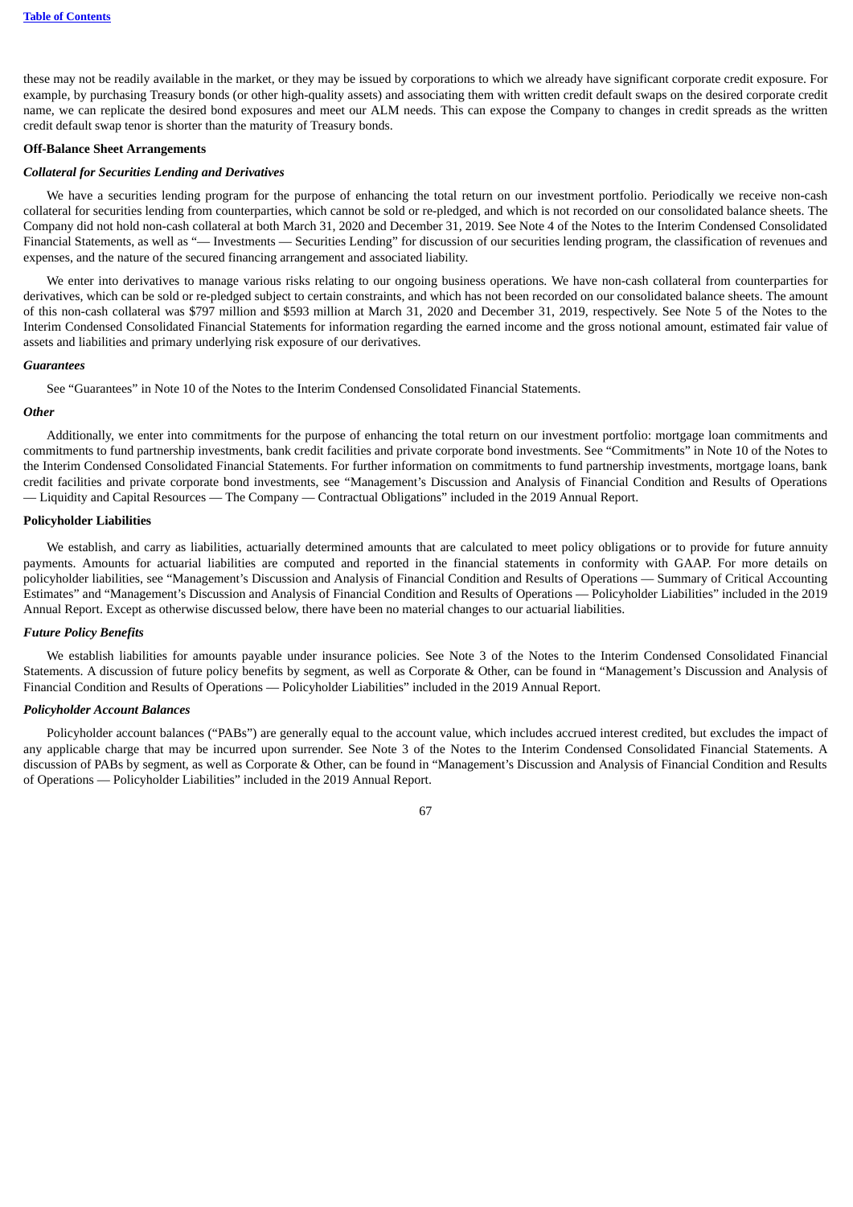these may not be readily available in the market, or they may be issued by corporations to which we already have significant corporate credit exposure. For example, by purchasing Treasury bonds (or other high-quality assets) and associating them with written credit default swaps on the desired corporate credit name, we can replicate the desired bond exposures and meet our ALM needs. This can expose the Company to changes in credit spreads as the written credit default swap tenor is shorter than the maturity of Treasury bonds.

# <span id="page-67-0"></span>**Off-Balance Sheet Arrangements**

#### *Collateral for Securities Lending and Derivatives*

We have a securities lending program for the purpose of enhancing the total return on our investment portfolio. Periodically we receive non-cash collateral for securities lending from counterparties, which cannot be sold or re-pledged, and which is not recorded on our consolidated balance sheets. The Company did not hold non-cash collateral at both March 31, 2020 and December 31, 2019. See Note 4 of the Notes to the Interim Condensed Consolidated Financial Statements, as well as "— Investments — Securities Lending" for discussion of our securities lending program, the classification of revenues and expenses, and the nature of the secured financing arrangement and associated liability.

We enter into derivatives to manage various risks relating to our ongoing business operations. We have non-cash collateral from counterparties for derivatives, which can be sold or re-pledged subject to certain constraints, and which has not been recorded on our consolidated balance sheets. The amount of this non-cash collateral was \$797 million and \$593 million at March 31, 2020 and December 31, 2019, respectively. See Note 5 of the Notes to the Interim Condensed Consolidated Financial Statements for information regarding the earned income and the gross notional amount, estimated fair value of assets and liabilities and primary underlying risk exposure of our derivatives.

#### *Guarantees*

See "Guarantees" in Note 10 of the Notes to the Interim Condensed Consolidated Financial Statements.

#### *Other*

Additionally, we enter into commitments for the purpose of enhancing the total return on our investment portfolio: mortgage loan commitments and commitments to fund partnership investments, bank credit facilities and private corporate bond investments. See "Commitments" in Note 10 of the Notes to the Interim Condensed Consolidated Financial Statements. For further information on commitments to fund partnership investments, mortgage loans, bank credit facilities and private corporate bond investments, see "Management's Discussion and Analysis of Financial Condition and Results of Operations — Liquidity and Capital Resources — The Company — Contractual Obligations" included in the 2019 Annual Report.

#### <span id="page-67-1"></span>**Policyholder Liabilities**

We establish, and carry as liabilities, actuarially determined amounts that are calculated to meet policy obligations or to provide for future annuity payments. Amounts for actuarial liabilities are computed and reported in the financial statements in conformity with GAAP. For more details on policyholder liabilities, see "Management's Discussion and Analysis of Financial Condition and Results of Operations — Summary of Critical Accounting Estimates" and "Management's Discussion and Analysis of Financial Condition and Results of Operations — Policyholder Liabilities" included in the 2019 Annual Report. Except as otherwise discussed below, there have been no material changes to our actuarial liabilities.

## *Future Policy Benefits*

We establish liabilities for amounts payable under insurance policies. See Note 3 of the Notes to the Interim Condensed Consolidated Financial Statements. A discussion of future policy benefits by segment, as well as Corporate & Other, can be found in "Management's Discussion and Analysis of Financial Condition and Results of Operations — Policyholder Liabilities" included in the 2019 Annual Report.

#### *Policyholder Account Balances*

Policyholder account balances ("PABs") are generally equal to the account value, which includes accrued interest credited, but excludes the impact of any applicable charge that may be incurred upon surrender. See Note 3 of the Notes to the Interim Condensed Consolidated Financial Statements. A discussion of PABs by segment, as well as Corporate & Other, can be found in "Management's Discussion and Analysis of Financial Condition and Results of Operations — Policyholder Liabilities" included in the 2019 Annual Report.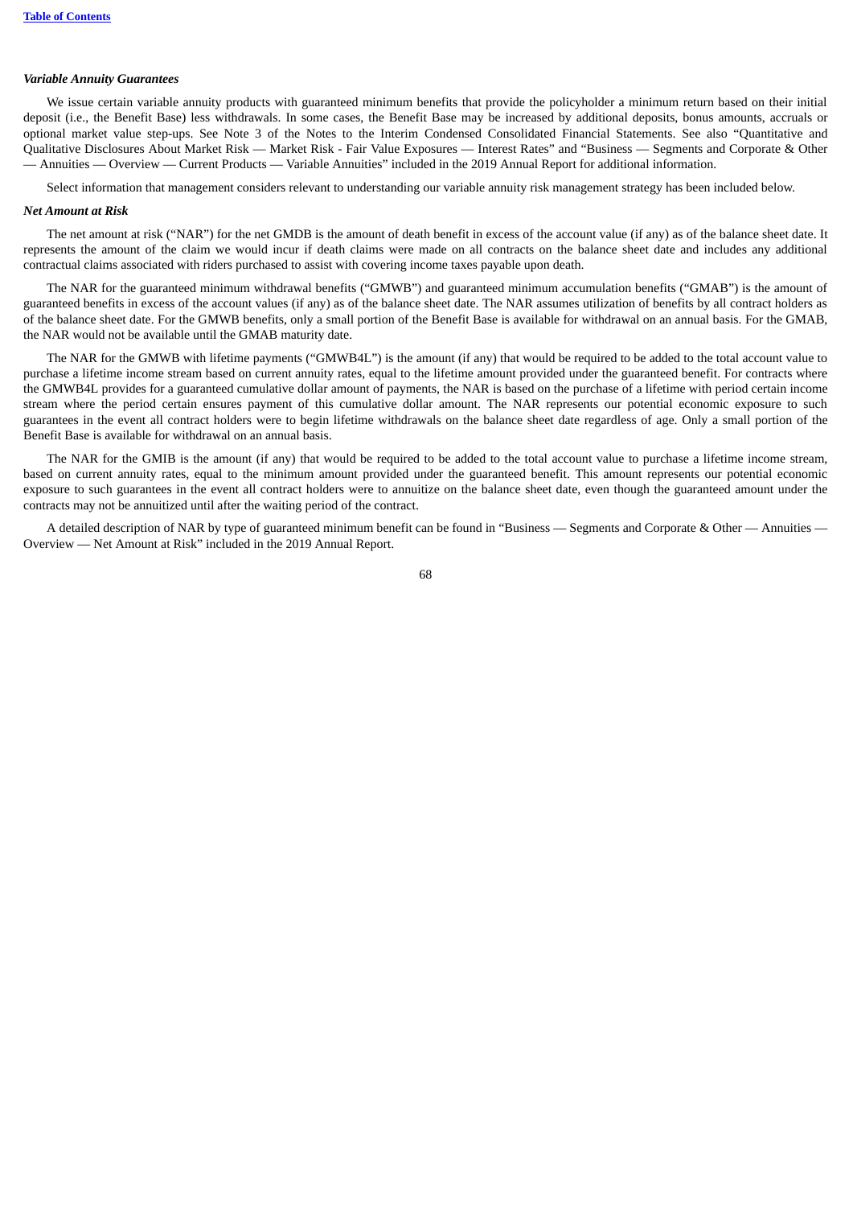#### *Variable Annuity Guarantees*

We issue certain variable annuity products with guaranteed minimum benefits that provide the policyholder a minimum return based on their initial deposit (i.e., the Benefit Base) less withdrawals. In some cases, the Benefit Base may be increased by additional deposits, bonus amounts, accruals or optional market value step-ups. See Note 3 of the Notes to the Interim Condensed Consolidated Financial Statements. See also "Quantitative and Qualitative Disclosures About Market Risk — Market Risk - Fair Value Exposures — Interest Rates" and "Business — Segments and Corporate & Other — Annuities — Overview — Current Products — Variable Annuities" included in the 2019 Annual Report for additional information.

Select information that management considers relevant to understanding our variable annuity risk management strategy has been included below.

#### *Net Amount at Risk*

The net amount at risk ("NAR") for the net GMDB is the amount of death benefit in excess of the account value (if any) as of the balance sheet date. It represents the amount of the claim we would incur if death claims were made on all contracts on the balance sheet date and includes any additional contractual claims associated with riders purchased to assist with covering income taxes payable upon death.

The NAR for the guaranteed minimum withdrawal benefits ("GMWB") and guaranteed minimum accumulation benefits ("GMAB") is the amount of guaranteed benefits in excess of the account values (if any) as of the balance sheet date. The NAR assumes utilization of benefits by all contract holders as of the balance sheet date. For the GMWB benefits, only a small portion of the Benefit Base is available for withdrawal on an annual basis. For the GMAB, the NAR would not be available until the GMAB maturity date.

The NAR for the GMWB with lifetime payments ("GMWB4L") is the amount (if any) that would be required to be added to the total account value to purchase a lifetime income stream based on current annuity rates, equal to the lifetime amount provided under the guaranteed benefit. For contracts where the GMWB4L provides for a guaranteed cumulative dollar amount of payments, the NAR is based on the purchase of a lifetime with period certain income stream where the period certain ensures payment of this cumulative dollar amount. The NAR represents our potential economic exposure to such guarantees in the event all contract holders were to begin lifetime withdrawals on the balance sheet date regardless of age. Only a small portion of the Benefit Base is available for withdrawal on an annual basis.

The NAR for the GMIB is the amount (if any) that would be required to be added to the total account value to purchase a lifetime income stream, based on current annuity rates, equal to the minimum amount provided under the guaranteed benefit. This amount represents our potential economic exposure to such guarantees in the event all contract holders were to annuitize on the balance sheet date, even though the guaranteed amount under the contracts may not be annuitized until after the waiting period of the contract.

A detailed description of NAR by type of guaranteed minimum benefit can be found in "Business — Segments and Corporate & Other — Annuities — Overview — Net Amount at Risk" included in the 2019 Annual Report.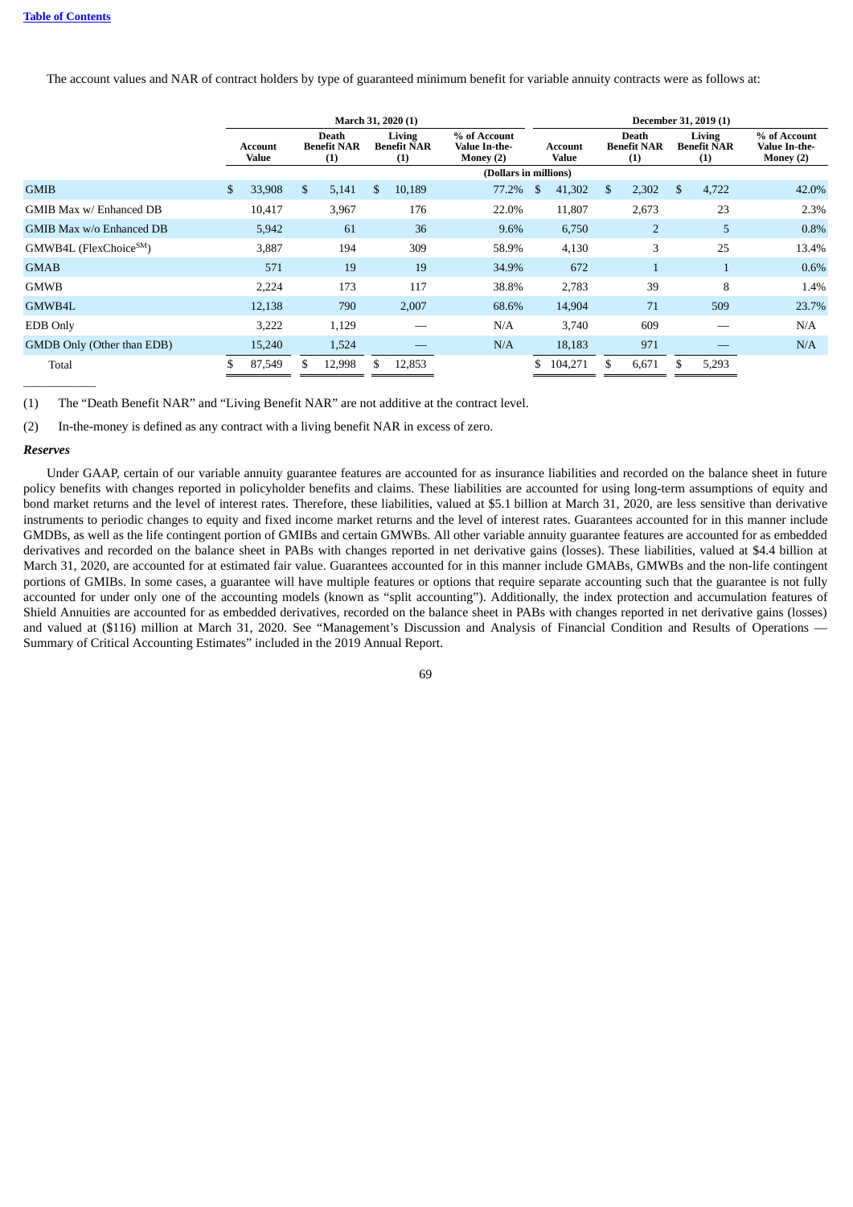The account values and NAR of contract holders by type of guaranteed minimum benefit for variable annuity contracts were as follows at:

|                                    | March 31, 2020 (1) |              |                                    |     |                                     |                                              |  |                  | December 31, 2019 (1) |    |                                    |    |                                     |                                              |  |  |  |  |  |
|------------------------------------|--------------------|--------------|------------------------------------|-----|-------------------------------------|----------------------------------------------|--|------------------|-----------------------|----|------------------------------------|----|-------------------------------------|----------------------------------------------|--|--|--|--|--|
|                                    | Account<br>Value   |              | Death<br><b>Benefit NAR</b><br>(1) |     | Living<br><b>Benefit NAR</b><br>(1) | % of Account<br>Value In-the-<br>Money $(2)$ |  | Account<br>Value |                       |    | Death<br><b>Benefit NAR</b><br>(1) |    | Living<br><b>Benefit NAR</b><br>(1) | % of Account<br>Value In-the-<br>Money $(2)$ |  |  |  |  |  |
|                                    |                    |              |                                    |     |                                     | (Dollars in millions)                        |  |                  |                       |    |                                    |    |                                     |                                              |  |  |  |  |  |
| <b>GMIB</b>                        | \$<br>33,908       | $\mathbb{S}$ | 5,141                              | \$. | 10,189                              | 77.2%                                        |  | \$               | 41,302                | \$ | 2,302                              | S. | 4,722                               | 42.0%                                        |  |  |  |  |  |
| GMIB Max w/ Enhanced DB            | 10,417             |              | 3,967                              |     | 176                                 | 22.0%                                        |  |                  | 11,807                |    | 2,673                              |    | 23                                  | 2.3%                                         |  |  |  |  |  |
| GMIB Max w/o Enhanced DB           | 5,942              |              | 61                                 |     | 36                                  | 9.6%                                         |  |                  | 6,750                 |    | $\overline{2}$                     |    | 5                                   | 0.8%                                         |  |  |  |  |  |
| GMWB4L (FlexChoice <sup>SM</sup> ) | 3,887              |              | 194                                |     | 309                                 | 58.9%                                        |  |                  | 4,130                 |    | 3                                  |    | 25                                  | 13.4%                                        |  |  |  |  |  |
| <b>GMAB</b>                        | 571                |              | 19                                 |     | 19                                  | 34.9%                                        |  |                  | 672                   |    | $\mathbf{1}$                       |    | $\mathbf{1}$                        | 0.6%                                         |  |  |  |  |  |
| GMWB                               | 2,224              |              | 173                                |     | 117                                 | 38.8%                                        |  |                  | 2,783                 |    | 39                                 |    | 8                                   | 1.4%                                         |  |  |  |  |  |
| GMWB4L                             | 12,138             |              | 790                                |     | 2.007                               | 68.6%                                        |  |                  | 14,904                |    | 71                                 |    | 509                                 | 23.7%                                        |  |  |  |  |  |
| EDB Only                           | 3,222              |              | 1,129                              |     |                                     | N/A                                          |  |                  | 3,740                 |    | 609                                |    |                                     | N/A                                          |  |  |  |  |  |
| GMDB Only (Other than EDB)         | 15,240             |              | 1,524                              |     |                                     | N/A                                          |  |                  | 18,183                |    | 971                                |    |                                     | N/A                                          |  |  |  |  |  |
| Total                              | 87,549             | \$           | 12,998                             |     | 12,853                              |                                              |  | \$               | 104,271               | \$ | 6,671                              |    | 5,293                               |                                              |  |  |  |  |  |

(1) The "Death Benefit NAR" and "Living Benefit NAR" are not additive at the contract level.

(2) In-the-money is defined as any contract with a living benefit NAR in excess of zero.

### *Reserves*

 $\overline{\phantom{a}}$ 

Under GAAP, certain of our variable annuity guarantee features are accounted for as insurance liabilities and recorded on the balance sheet in future policy benefits with changes reported in policyholder benefits and claims. These liabilities are accounted for using long-term assumptions of equity and bond market returns and the level of interest rates. Therefore, these liabilities, valued at \$5.1 billion at March 31, 2020, are less sensitive than derivative instruments to periodic changes to equity and fixed income market returns and the level of interest rates. Guarantees accounted for in this manner include GMDBs, as well as the life contingent portion of GMIBs and certain GMWBs. All other variable annuity guarantee features are accounted for as embedded derivatives and recorded on the balance sheet in PABs with changes reported in net derivative gains (losses). These liabilities, valued at \$4.4 billion at March 31, 2020, are accounted for at estimated fair value. Guarantees accounted for in this manner include GMABs, GMWBs and the non-life contingent portions of GMIBs. In some cases, a guarantee will have multiple features or options that require separate accounting such that the guarantee is not fully accounted for under only one of the accounting models (known as "split accounting"). Additionally, the index protection and accumulation features of Shield Annuities are accounted for as embedded derivatives, recorded on the balance sheet in PABs with changes reported in net derivative gains (losses) and valued at (\$116) million at March 31, 2020. See "Management's Discussion and Analysis of Financial Condition and Results of Operations — Summary of Critical Accounting Estimates" included in the 2019 Annual Report.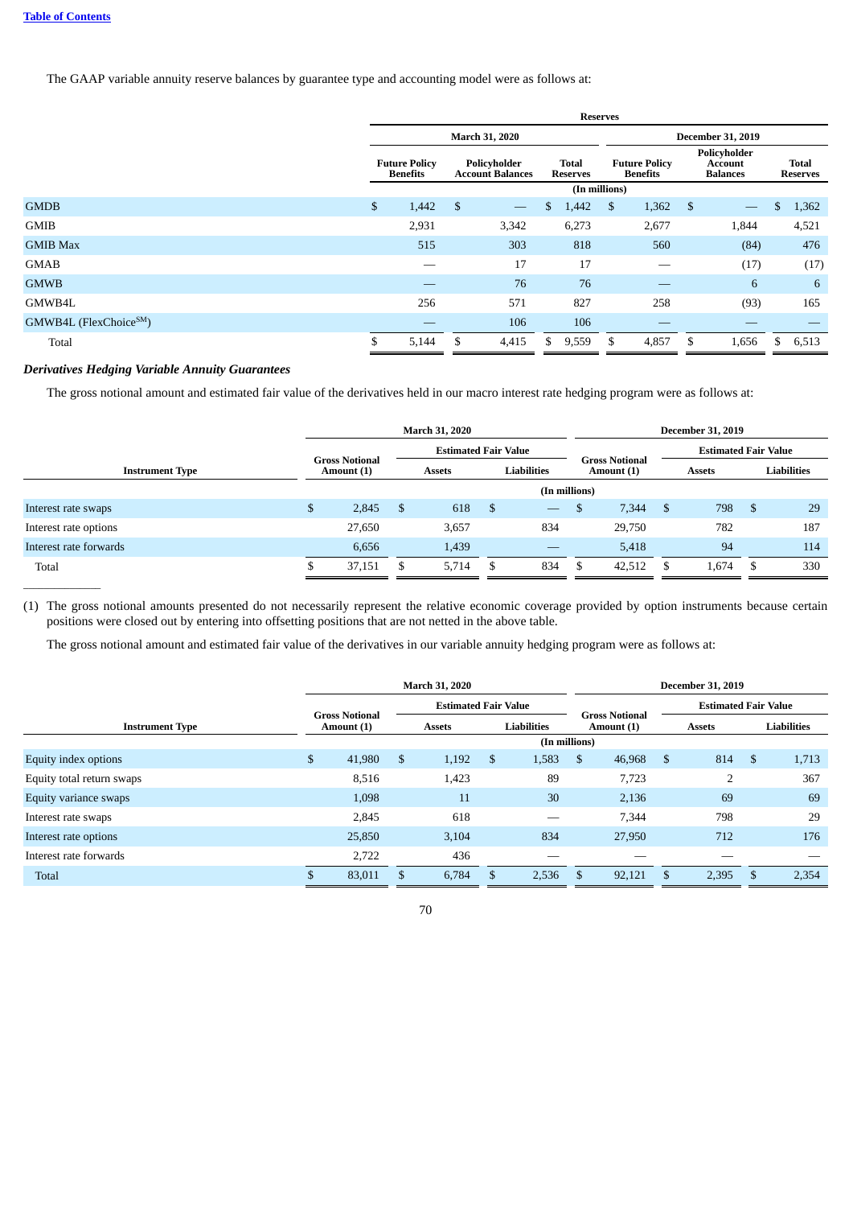$\overline{\phantom{a}}$ 

The GAAP variable annuity reserve balances by guarantee type and accounting model were as follows at:

|                                    | <b>Reserves</b>                         |       |    |                                         |    |                                 |    |                                         |     |                                                   |                |                                 |  |
|------------------------------------|-----------------------------------------|-------|----|-----------------------------------------|----|---------------------------------|----|-----------------------------------------|-----|---------------------------------------------------|----------------|---------------------------------|--|
|                                    | <b>March 31, 2020</b>                   |       |    |                                         |    |                                 |    | <b>December 31, 2019</b>                |     |                                                   |                |                                 |  |
|                                    | <b>Future Policy</b><br><b>Benefits</b> |       |    | Policyholder<br><b>Account Balances</b> |    | <b>Total</b><br><b>Reserves</b> |    | <b>Future Policy</b><br><b>Benefits</b> |     | Policyholder<br><b>Account</b><br><b>Balances</b> |                | <b>Total</b><br><b>Reserves</b> |  |
|                                    |                                         |       |    |                                         |    | (In millions)                   |    |                                         |     |                                                   |                |                                 |  |
| <b>GMDB</b>                        | \$                                      | 1,442 | \$ | $\overline{\phantom{m}}$                | \$ | 1,442                           | -S | 1,362                                   | -\$ |                                                   | $\mathfrak{S}$ | 1,362                           |  |
| <b>GMIB</b>                        |                                         | 2,931 |    | 3,342                                   |    | 6,273                           |    | 2,677                                   |     | 1,844                                             |                | 4,521                           |  |
| <b>GMIB Max</b>                    |                                         | 515   |    | 303                                     |    | 818                             |    | 560                                     |     | (84)                                              |                | 476                             |  |
| <b>GMAB</b>                        |                                         |       |    | 17                                      |    | 17                              |    |                                         |     | (17)                                              |                | (17)                            |  |
| <b>GMWB</b>                        |                                         |       |    | 76                                      |    | 76                              |    |                                         |     | 6                                                 |                | 6                               |  |
| GMWB4L                             |                                         | 256   |    | 571                                     |    | 827                             |    | 258                                     |     | (93)                                              |                | 165                             |  |
| GMWB4L (FlexChoice <sup>SM</sup> ) |                                         |       |    | 106                                     |    | 106                             |    |                                         |     |                                                   |                |                                 |  |
| Total                              | \$                                      | 5,144 | \$ | 4,415                                   | S. | 9,559                           | S  | 4,857                                   | \$  | 1,656                                             | \$             | 6,513                           |  |

# *Derivatives Hedging Variable Annuity Guarantees*

The gross notional amount and estimated fair value of the derivatives held in our macro interest rate hedging program were as follows at:

|                        |    |                                     |    | <b>March 31, 2020</b>       |      |                          |     | <b>December 31, 2019</b>            |                             |       |             |     |  |  |
|------------------------|----|-------------------------------------|----|-----------------------------|------|--------------------------|-----|-------------------------------------|-----------------------------|-------|-------------|-----|--|--|
|                        |    |                                     |    | <b>Estimated Fair Value</b> |      |                          |     |                                     | <b>Estimated Fair Value</b> |       |             |     |  |  |
| <b>Instrument Type</b> |    | <b>Gross Notional</b><br>Amount (1) |    | <b>Assets</b>               |      | <b>Liabilities</b>       |     | <b>Gross Notional</b><br>Amount (1) | <b>Assets</b>               |       | Liabilities |     |  |  |
|                        |    |                                     |    |                             |      | (In millions)            |     |                                     |                             |       |             |     |  |  |
| Interest rate swaps    | \$ | 2,845                               | \$ | 618                         | - \$ | $\overline{\phantom{0}}$ | S.  | 7,344                               | - \$                        | 798   | - \$        | 29  |  |  |
| Interest rate options  |    | 27,650                              |    | 3,657                       |      | 834                      |     | 29,750                              |                             | 782   |             | 187 |  |  |
| Interest rate forwards |    | 6,656                               |    | 1,439                       |      |                          |     | 5,418                               |                             | 94    |             | 114 |  |  |
| Total                  | د. | 37,151                              | S  | 5,714                       | -S   | 834                      | -\$ | 42,512                              | -\$                         | 1,674 | - \$        | 330 |  |  |

(1) The gross notional amounts presented do not necessarily represent the relative economic coverage provided by option instruments because certain positions were closed out by entering into offsetting positions that are not netted in the above table.

The gross notional amount and estimated fair value of the derivatives in our variable annuity hedging program were as follows at:

|                           | March 31, 2020              |                                     |    |               |     |                    |    | <b>December 31, 2019</b>            |               |                             |                    |       |  |  |  |
|---------------------------|-----------------------------|-------------------------------------|----|---------------|-----|--------------------|----|-------------------------------------|---------------|-----------------------------|--------------------|-------|--|--|--|
|                           | <b>Estimated Fair Value</b> |                                     |    |               |     |                    |    |                                     |               | <b>Estimated Fair Value</b> |                    |       |  |  |  |
| <b>Instrument Type</b>    |                             | <b>Gross Notional</b><br>Amount (1) |    | <b>Assets</b> |     | <b>Liabilities</b> |    | <b>Gross Notional</b><br>Amount (1) | <b>Assets</b> |                             | <b>Liabilities</b> |       |  |  |  |
|                           |                             |                                     |    |               |     | (In millions)      |    |                                     |               |                             |                    |       |  |  |  |
| Equity index options      | \$                          | 41,980                              | \$ | 1,192         | \$  | 1,583              | \$ | 46,968                              | -S            | 814                         | $\mathfrak{F}$     | 1,713 |  |  |  |
| Equity total return swaps |                             | 8,516                               |    | 1,423         |     | 89                 |    | 7,723                               |               | 2                           |                    | 367   |  |  |  |
| Equity variance swaps     |                             | 1,098                               |    | 11            |     | 30                 |    | 2,136                               |               | 69                          |                    | 69    |  |  |  |
| Interest rate swaps       |                             | 2,845                               |    | 618           |     |                    |    | 7,344                               |               | 798                         |                    | 29    |  |  |  |
| Interest rate options     |                             | 25,850                              |    | 3,104         |     | 834                |    | 27,950                              |               | 712                         |                    | 176   |  |  |  |
| Interest rate forwards    |                             | 2,722                               |    | 436           |     |                    |    |                                     |               |                             |                    |       |  |  |  |
| <b>Total</b>              |                             | 83,011                              |    | 6,784         | \$. | 2,536              | \$ | 92,121                              | \$.           | 2,395                       | \$.                | 2,354 |  |  |  |
|                           |                             |                                     |    |               |     |                    |    |                                     |               |                             |                    |       |  |  |  |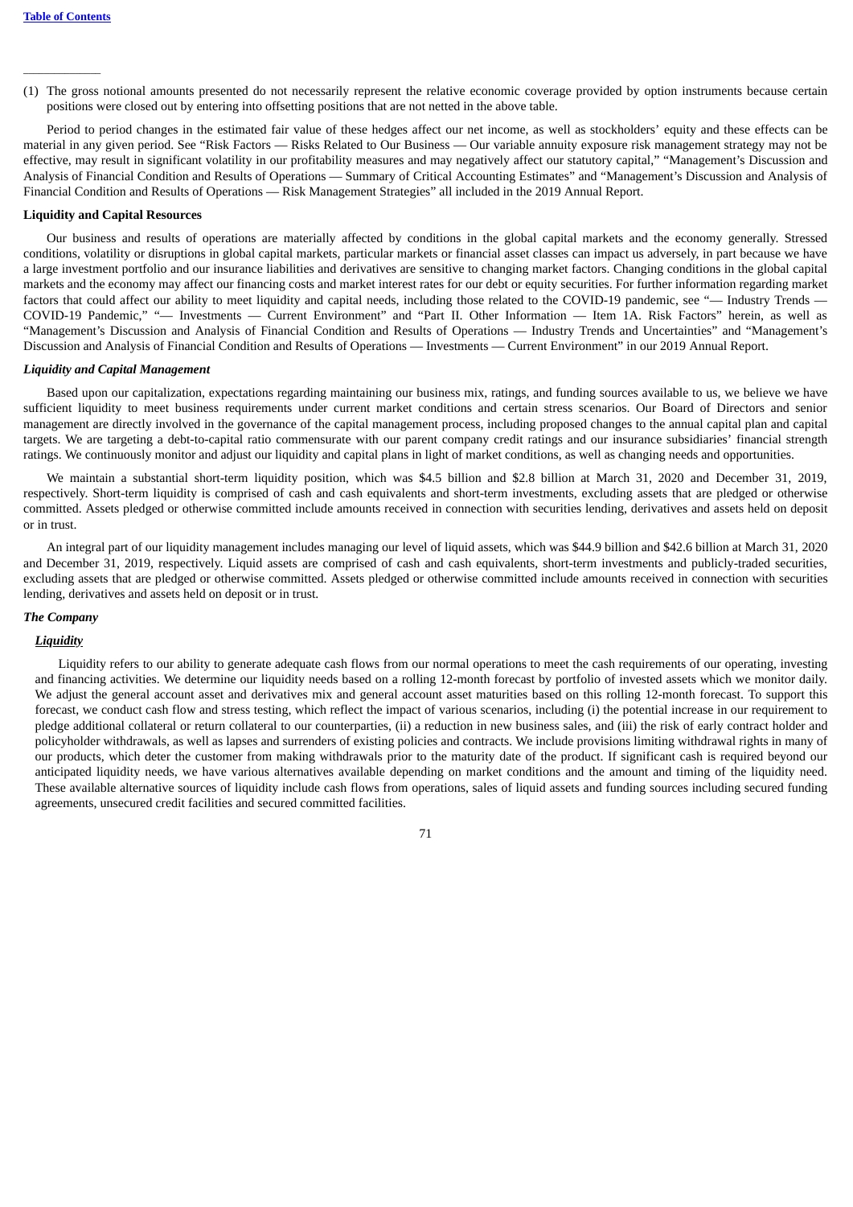$\overline{\phantom{a}}$ 

(1) The gross notional amounts presented do not necessarily represent the relative economic coverage provided by option instruments because certain positions were closed out by entering into offsetting positions that are not netted in the above table.

Period to period changes in the estimated fair value of these hedges affect our net income, as well as stockholders' equity and these effects can be material in any given period. See "Risk Factors — Risks Related to Our Business — Our variable annuity exposure risk management strategy may not be effective, may result in significant volatility in our profitability measures and may negatively affect our statutory capital," "Management's Discussion and Analysis of Financial Condition and Results of Operations — Summary of Critical Accounting Estimates" and "Management's Discussion and Analysis of Financial Condition and Results of Operations — Risk Management Strategies" all included in the 2019 Annual Report.

### <span id="page-71-0"></span>**Liquidity and Capital Resources**

Our business and results of operations are materially affected by conditions in the global capital markets and the economy generally. Stressed conditions, volatility or disruptions in global capital markets, particular markets or financial asset classes can impact us adversely, in part because we have a large investment portfolio and our insurance liabilities and derivatives are sensitive to changing market factors. Changing conditions in the global capital markets and the economy may affect our financing costs and market interest rates for our debt or equity securities. For further information regarding market factors that could affect our ability to meet liquidity and capital needs, including those related to the COVID-19 pandemic, see "- Industry Trends -COVID-19 Pandemic," "— Investments — Current Environment" and "Part II. Other Information — Item 1A. Risk Factors" herein, as well as "Management's Discussion and Analysis of Financial Condition and Results of Operations — Industry Trends and Uncertainties" and "Management's Discussion and Analysis of Financial Condition and Results of Operations — Investments — Current Environment" in our 2019 Annual Report.

### *Liquidity and Capital Management*

Based upon our capitalization, expectations regarding maintaining our business mix, ratings, and funding sources available to us, we believe we have sufficient liquidity to meet business requirements under current market conditions and certain stress scenarios. Our Board of Directors and senior management are directly involved in the governance of the capital management process, including proposed changes to the annual capital plan and capital targets. We are targeting a debt-to-capital ratio commensurate with our parent company credit ratings and our insurance subsidiaries' financial strength ratings. We continuously monitor and adjust our liquidity and capital plans in light of market conditions, as well as changing needs and opportunities.

We maintain a substantial short-term liquidity position, which was \$4.5 billion and \$2.8 billion at March 31, 2020 and December 31, 2019, respectively. Short-term liquidity is comprised of cash and cash equivalents and short-term investments, excluding assets that are pledged or otherwise committed. Assets pledged or otherwise committed include amounts received in connection with securities lending, derivatives and assets held on deposit or in trust.

An integral part of our liquidity management includes managing our level of liquid assets, which was \$44.9 billion and \$42.6 billion at March 31, 2020 and December 31, 2019, respectively. Liquid assets are comprised of cash and cash equivalents, short-term investments and publicly-traded securities, excluding assets that are pledged or otherwise committed. Assets pledged or otherwise committed include amounts received in connection with securities lending, derivatives and assets held on deposit or in trust.

# *The Company*

# *Liquidity*

Liquidity refers to our ability to generate adequate cash flows from our normal operations to meet the cash requirements of our operating, investing and financing activities. We determine our liquidity needs based on a rolling 12-month forecast by portfolio of invested assets which we monitor daily. We adjust the general account asset and derivatives mix and general account asset maturities based on this rolling 12-month forecast. To support this forecast, we conduct cash flow and stress testing, which reflect the impact of various scenarios, including (i) the potential increase in our requirement to pledge additional collateral or return collateral to our counterparties, (ii) a reduction in new business sales, and (iii) the risk of early contract holder and policyholder withdrawals, as well as lapses and surrenders of existing policies and contracts. We include provisions limiting withdrawal rights in many of our products, which deter the customer from making withdrawals prior to the maturity date of the product. If significant cash is required beyond our anticipated liquidity needs, we have various alternatives available depending on market conditions and the amount and timing of the liquidity need. These available alternative sources of liquidity include cash flows from operations, sales of liquid assets and funding sources including secured funding agreements, unsecured credit facilities and secured committed facilities.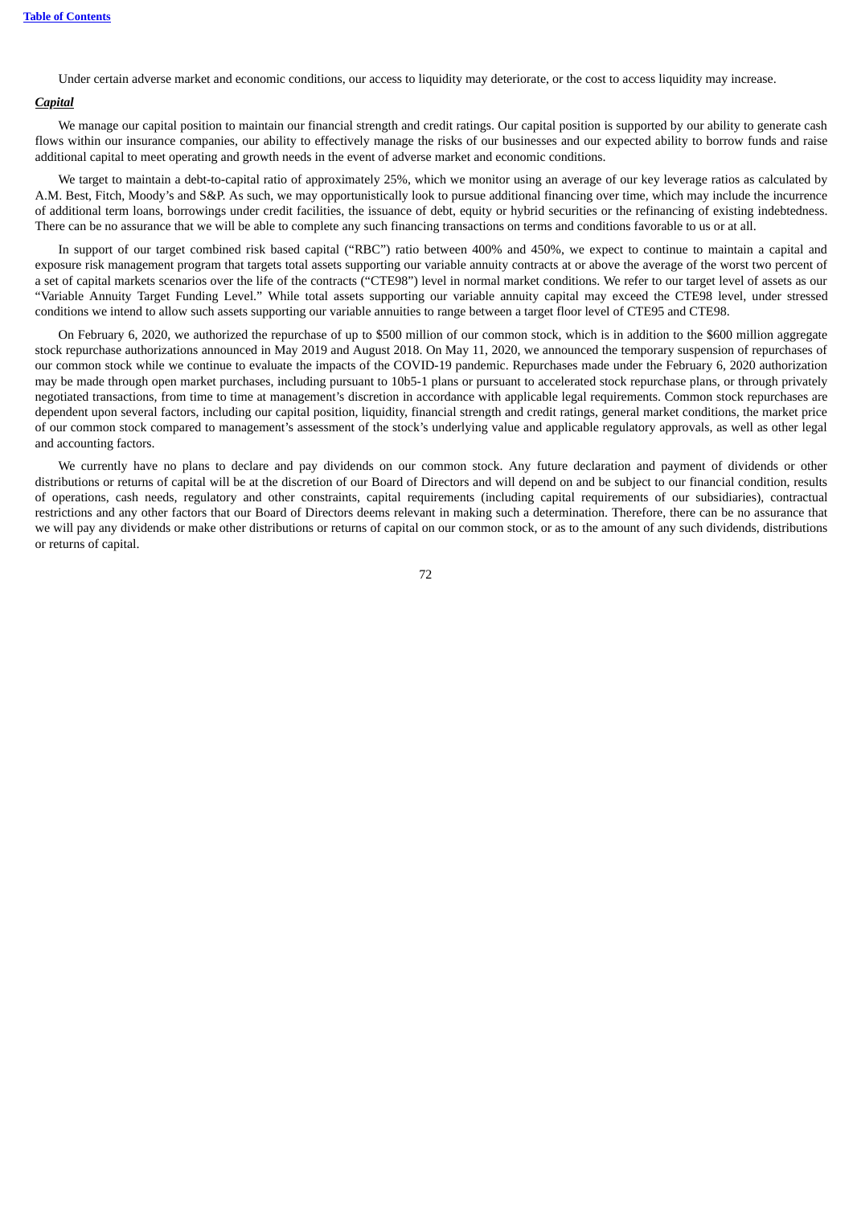Under certain adverse market and economic conditions, our access to liquidity may deteriorate, or the cost to access liquidity may increase.

#### *Capital*

We manage our capital position to maintain our financial strength and credit ratings. Our capital position is supported by our ability to generate cash flows within our insurance companies, our ability to effectively manage the risks of our businesses and our expected ability to borrow funds and raise additional capital to meet operating and growth needs in the event of adverse market and economic conditions.

We target to maintain a debt-to-capital ratio of approximately 25%, which we monitor using an average of our key leverage ratios as calculated by A.M. Best, Fitch, Moody's and S&P. As such, we may opportunistically look to pursue additional financing over time, which may include the incurrence of additional term loans, borrowings under credit facilities, the issuance of debt, equity or hybrid securities or the refinancing of existing indebtedness. There can be no assurance that we will be able to complete any such financing transactions on terms and conditions favorable to us or at all.

In support of our target combined risk based capital ("RBC") ratio between 400% and 450%, we expect to continue to maintain a capital and exposure risk management program that targets total assets supporting our variable annuity contracts at or above the average of the worst two percent of a set of capital markets scenarios over the life of the contracts ("CTE98") level in normal market conditions. We refer to our target level of assets as our "Variable Annuity Target Funding Level." While total assets supporting our variable annuity capital may exceed the CTE98 level, under stressed conditions we intend to allow such assets supporting our variable annuities to range between a target floor level of CTE95 and CTE98.

On February 6, 2020, we authorized the repurchase of up to \$500 million of our common stock, which is in addition to the \$600 million aggregate stock repurchase authorizations announced in May 2019 and August 2018. On May 11, 2020, we announced the temporary suspension of repurchases of our common stock while we continue to evaluate the impacts of the COVID-19 pandemic. Repurchases made under the February 6, 2020 authorization may be made through open market purchases, including pursuant to 10b5-1 plans or pursuant to accelerated stock repurchase plans, or through privately negotiated transactions, from time to time at management's discretion in accordance with applicable legal requirements. Common stock repurchases are dependent upon several factors, including our capital position, liquidity, financial strength and credit ratings, general market conditions, the market price of our common stock compared to management's assessment of the stock's underlying value and applicable regulatory approvals, as well as other legal and accounting factors.

We currently have no plans to declare and pay dividends on our common stock. Any future declaration and payment of dividends or other distributions or returns of capital will be at the discretion of our Board of Directors and will depend on and be subject to our financial condition, results of operations, cash needs, regulatory and other constraints, capital requirements (including capital requirements of our subsidiaries), contractual restrictions and any other factors that our Board of Directors deems relevant in making such a determination. Therefore, there can be no assurance that we will pay any dividends or make other distributions or returns of capital on our common stock, or as to the amount of any such dividends, distributions or returns of capital.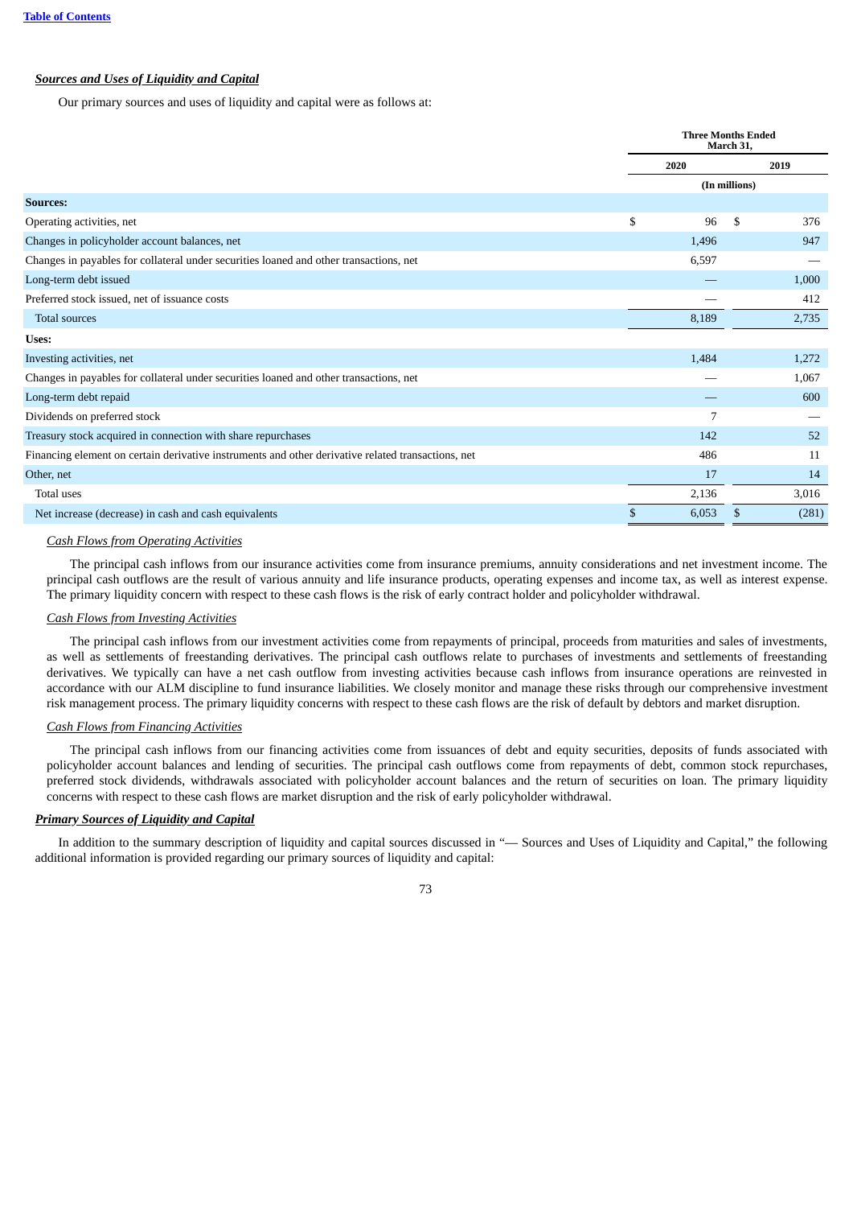# *Sources and Uses of Liquidity and Capital*

Our primary sources and uses of liquidity and capital were as follows at:

|                                                                                                    | <b>Three Months Ended</b><br>March 31, |       |               |       |
|----------------------------------------------------------------------------------------------------|----------------------------------------|-------|---------------|-------|
|                                                                                                    |                                        | 2020  |               | 2019  |
|                                                                                                    |                                        |       | (In millions) |       |
| <b>Sources:</b>                                                                                    |                                        |       |               |       |
| Operating activities, net                                                                          | \$                                     | 96    | \$            | 376   |
| Changes in policyholder account balances, net                                                      |                                        | 1,496 |               | 947   |
| Changes in payables for collateral under securities loaned and other transactions, net             |                                        | 6,597 |               |       |
| Long-term debt issued                                                                              |                                        |       |               | 1,000 |
| Preferred stock issued, net of issuance costs                                                      |                                        |       |               | 412   |
| <b>Total sources</b>                                                                               |                                        | 8,189 |               | 2,735 |
| Uses:                                                                                              |                                        |       |               |       |
| Investing activities, net                                                                          |                                        | 1,484 |               | 1,272 |
| Changes in payables for collateral under securities loaned and other transactions, net             |                                        |       |               | 1,067 |
| Long-term debt repaid                                                                              |                                        |       |               | 600   |
| Dividends on preferred stock                                                                       |                                        | 7     |               |       |
| Treasury stock acquired in connection with share repurchases                                       |                                        | 142   |               | 52    |
| Financing element on certain derivative instruments and other derivative related transactions, net |                                        | 486   |               | 11    |
| Other, net                                                                                         |                                        | 17    |               | 14    |
| Total uses                                                                                         |                                        | 2,136 |               | 3,016 |
| Net increase (decrease) in cash and cash equivalents                                               | \$                                     | 6,053 | S.            | (281) |

# *Cash Flows from Operating Activities*

The principal cash inflows from our insurance activities come from insurance premiums, annuity considerations and net investment income. The principal cash outflows are the result of various annuity and life insurance products, operating expenses and income tax, as well as interest expense. The primary liquidity concern with respect to these cash flows is the risk of early contract holder and policyholder withdrawal.

## *Cash Flows from Investing Activities*

The principal cash inflows from our investment activities come from repayments of principal, proceeds from maturities and sales of investments, as well as settlements of freestanding derivatives. The principal cash outflows relate to purchases of investments and settlements of freestanding derivatives. We typically can have a net cash outflow from investing activities because cash inflows from insurance operations are reinvested in accordance with our ALM discipline to fund insurance liabilities. We closely monitor and manage these risks through our comprehensive investment risk management process. The primary liquidity concerns with respect to these cash flows are the risk of default by debtors and market disruption.

#### *Cash Flows from Financing Activities*

The principal cash inflows from our financing activities come from issuances of debt and equity securities, deposits of funds associated with policyholder account balances and lending of securities. The principal cash outflows come from repayments of debt, common stock repurchases, preferred stock dividends, withdrawals associated with policyholder account balances and the return of securities on loan. The primary liquidity concerns with respect to these cash flows are market disruption and the risk of early policyholder withdrawal.

### *Primary Sources of Liquidity and Capital*

In addition to the summary description of liquidity and capital sources discussed in "— Sources and Uses of Liquidity and Capital," the following additional information is provided regarding our primary sources of liquidity and capital:

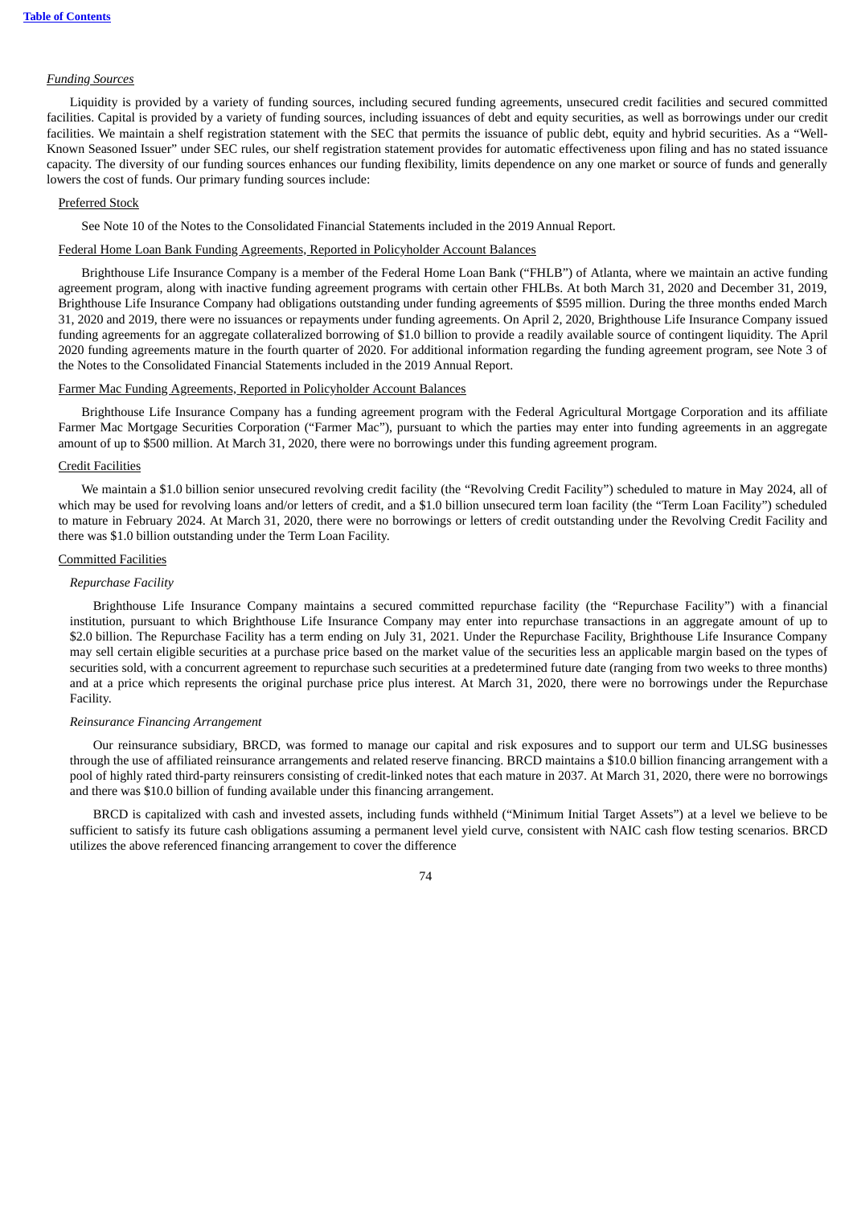#### *Funding Sources*

Liquidity is provided by a variety of funding sources, including secured funding agreements, unsecured credit facilities and secured committed facilities. Capital is provided by a variety of funding sources, including issuances of debt and equity securities, as well as borrowings under our credit facilities. We maintain a shelf registration statement with the SEC that permits the issuance of public debt, equity and hybrid securities. As a "Well-Known Seasoned Issuer" under SEC rules, our shelf registration statement provides for automatic effectiveness upon filing and has no stated issuance capacity. The diversity of our funding sources enhances our funding flexibility, limits dependence on any one market or source of funds and generally lowers the cost of funds. Our primary funding sources include:

#### Preferred Stock

See Note 10 of the Notes to the Consolidated Financial Statements included in the 2019 Annual Report.

## Federal Home Loan Bank Funding Agreements, Reported in Policyholder Account Balances

Brighthouse Life Insurance Company is a member of the Federal Home Loan Bank ("FHLB") of Atlanta, where we maintain an active funding agreement program, along with inactive funding agreement programs with certain other FHLBs. At both March 31, 2020 and December 31, 2019, Brighthouse Life Insurance Company had obligations outstanding under funding agreements of \$595 million. During the three months ended March 31, 2020 and 2019, there were no issuances or repayments under funding agreements. On April 2, 2020, Brighthouse Life Insurance Company issued funding agreements for an aggregate collateralized borrowing of \$1.0 billion to provide a readily available source of contingent liquidity. The April 2020 funding agreements mature in the fourth quarter of 2020. For additional information regarding the funding agreement program, see Note 3 of the Notes to the Consolidated Financial Statements included in the 2019 Annual Report.

#### Farmer Mac Funding Agreements, Reported in Policyholder Account Balances

Brighthouse Life Insurance Company has a funding agreement program with the Federal Agricultural Mortgage Corporation and its affiliate Farmer Mac Mortgage Securities Corporation ("Farmer Mac"), pursuant to which the parties may enter into funding agreements in an aggregate amount of up to \$500 million. At March 31, 2020, there were no borrowings under this funding agreement program.

#### Credit Facilities

We maintain a \$1.0 billion senior unsecured revolving credit facility (the "Revolving Credit Facility") scheduled to mature in May 2024, all of which may be used for revolving loans and/or letters of credit, and a \$1.0 billion unsecured term loan facility (the "Term Loan Facility") scheduled to mature in February 2024. At March 31, 2020, there were no borrowings or letters of credit outstanding under the Revolving Credit Facility and there was \$1.0 billion outstanding under the Term Loan Facility.

### Committed Facilities

#### *Repurchase Facility*

Brighthouse Life Insurance Company maintains a secured committed repurchase facility (the "Repurchase Facility") with a financial institution, pursuant to which Brighthouse Life Insurance Company may enter into repurchase transactions in an aggregate amount of up to \$2.0 billion. The Repurchase Facility has a term ending on July 31, 2021. Under the Repurchase Facility, Brighthouse Life Insurance Company may sell certain eligible securities at a purchase price based on the market value of the securities less an applicable margin based on the types of securities sold, with a concurrent agreement to repurchase such securities at a predetermined future date (ranging from two weeks to three months) and at a price which represents the original purchase price plus interest. At March 31, 2020, there were no borrowings under the Repurchase Facility.

#### *Reinsurance Financing Arrangement*

Our reinsurance subsidiary, BRCD, was formed to manage our capital and risk exposures and to support our term and ULSG businesses through the use of affiliated reinsurance arrangements and related reserve financing. BRCD maintains a \$10.0 billion financing arrangement with a pool of highly rated third-party reinsurers consisting of credit-linked notes that each mature in 2037. At March 31, 2020, there were no borrowings and there was \$10.0 billion of funding available under this financing arrangement.

BRCD is capitalized with cash and invested assets, including funds withheld ("Minimum Initial Target Assets") at a level we believe to be sufficient to satisfy its future cash obligations assuming a permanent level yield curve, consistent with NAIC cash flow testing scenarios. BRCD utilizes the above referenced financing arrangement to cover the difference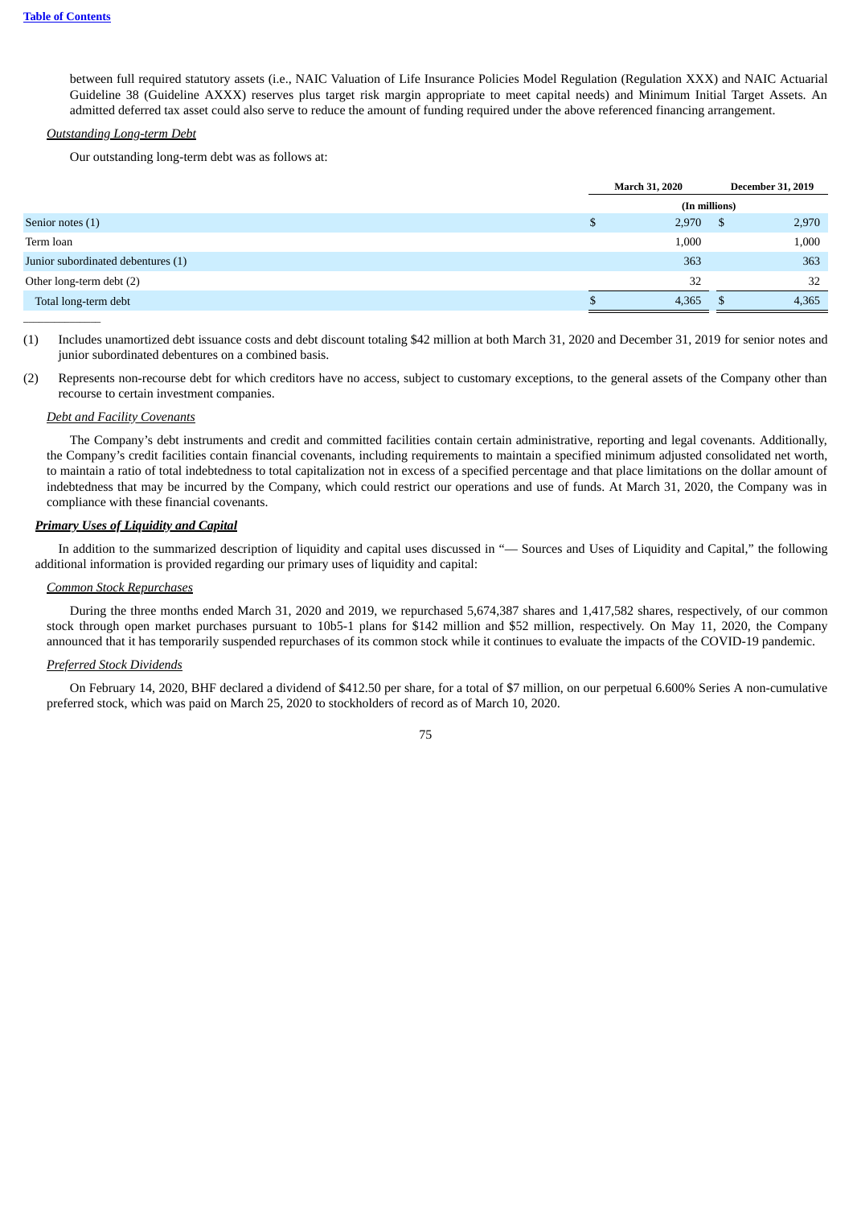between full required statutory assets (i.e., NAIC Valuation of Life Insurance Policies Model Regulation (Regulation XXX) and NAIC Actuarial Guideline 38 (Guideline AXXX) reserves plus target risk margin appropriate to meet capital needs) and Minimum Initial Target Assets. An admitted deferred tax asset could also serve to reduce the amount of funding required under the above referenced financing arrangement.

# *Outstanding Long-term Debt*

Our outstanding long-term debt was as follows at:

|                                    |   | <b>March 31, 2020</b> | <b>December 31, 2019</b> |  |
|------------------------------------|---|-----------------------|--------------------------|--|
|                                    |   | (In millions)         |                          |  |
|                                    | S | 2,970                 | 2,970<br>S S             |  |
|                                    |   | 1,000                 | 1,000                    |  |
| Junior subordinated debentures (1) |   | 363                   | 363                      |  |
|                                    |   | 32                    | 32                       |  |
|                                    |   | 4,365                 | 4,365                    |  |
|                                    |   |                       |                          |  |

(1) Includes unamortized debt issuance costs and debt discount totaling \$42 million at both March 31, 2020 and December 31, 2019 for senior notes and junior subordinated debentures on a combined basis.

(2) Represents non-recourse debt for which creditors have no access, subject to customary exceptions, to the general assets of the Company other than recourse to certain investment companies.

#### *Debt and Facility Covenants*

The Company's debt instruments and credit and committed facilities contain certain administrative, reporting and legal covenants. Additionally, the Company's credit facilities contain financial covenants, including requirements to maintain a specified minimum adjusted consolidated net worth, to maintain a ratio of total indebtedness to total capitalization not in excess of a specified percentage and that place limitations on the dollar amount of indebtedness that may be incurred by the Company, which could restrict our operations and use of funds. At March 31, 2020, the Company was in compliance with these financial covenants.

#### *Primary Uses of Liquidity and Capital*

In addition to the summarized description of liquidity and capital uses discussed in "— Sources and Uses of Liquidity and Capital," the following additional information is provided regarding our primary uses of liquidity and capital:

## *Common Stock Repurchases*

During the three months ended March 31, 2020 and 2019, we repurchased 5,674,387 shares and 1,417,582 shares, respectively, of our common stock through open market purchases pursuant to 10b5-1 plans for \$142 million and \$52 million, respectively. On May 11, 2020, the Company announced that it has temporarily suspended repurchases of its common stock while it continues to evaluate the impacts of the COVID-19 pandemic.

# *Preferred Stock Dividends*

On February 14, 2020, BHF declared a dividend of \$412.50 per share, for a total of \$7 million, on our perpetual 6.600% Series A non-cumulative preferred stock, which was paid on March 25, 2020 to stockholders of record as of March 10, 2020.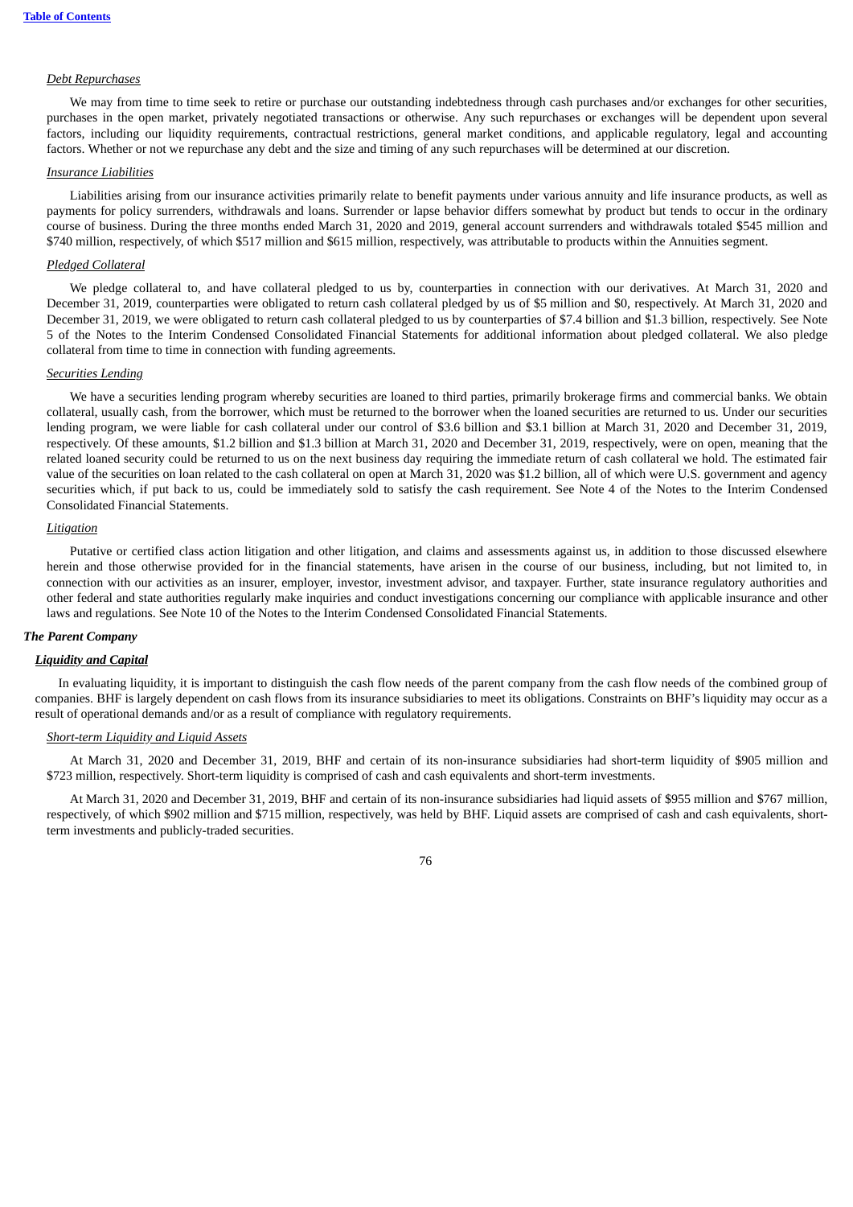#### *Debt Repurchases*

We may from time to time seek to retire or purchase our outstanding indebtedness through cash purchases and/or exchanges for other securities, purchases in the open market, privately negotiated transactions or otherwise. Any such repurchases or exchanges will be dependent upon several factors, including our liquidity requirements, contractual restrictions, general market conditions, and applicable regulatory, legal and accounting factors. Whether or not we repurchase any debt and the size and timing of any such repurchases will be determined at our discretion.

#### *Insurance Liabilities*

Liabilities arising from our insurance activities primarily relate to benefit payments under various annuity and life insurance products, as well as payments for policy surrenders, withdrawals and loans. Surrender or lapse behavior differs somewhat by product but tends to occur in the ordinary course of business. During the three months ended March 31, 2020 and 2019, general account surrenders and withdrawals totaled \$545 million and \$740 million, respectively, of which \$517 million and \$615 million, respectively, was attributable to products within the Annuities segment.

#### *Pledged Collateral*

We pledge collateral to, and have collateral pledged to us by, counterparties in connection with our derivatives. At March 31, 2020 and December 31, 2019, counterparties were obligated to return cash collateral pledged by us of \$5 million and \$0, respectively. At March 31, 2020 and December 31, 2019, we were obligated to return cash collateral pledged to us by counterparties of \$7.4 billion and \$1.3 billion, respectively. See Note 5 of the Notes to the Interim Condensed Consolidated Financial Statements for additional information about pledged collateral. We also pledge collateral from time to time in connection with funding agreements.

#### *Securities Lending*

We have a securities lending program whereby securities are loaned to third parties, primarily brokerage firms and commercial banks. We obtain collateral, usually cash, from the borrower, which must be returned to the borrower when the loaned securities are returned to us. Under our securities lending program, we were liable for cash collateral under our control of \$3.6 billion and \$3.1 billion at March 31, 2020 and December 31, 2019, respectively. Of these amounts, \$1.2 billion and \$1.3 billion at March 31, 2020 and December 31, 2019, respectively, were on open, meaning that the related loaned security could be returned to us on the next business day requiring the immediate return of cash collateral we hold. The estimated fair value of the securities on loan related to the cash collateral on open at March 31, 2020 was \$1.2 billion, all of which were U.S. government and agency securities which, if put back to us, could be immediately sold to satisfy the cash requirement. See Note 4 of the Notes to the Interim Condensed Consolidated Financial Statements.

#### *Litigation*

Putative or certified class action litigation and other litigation, and claims and assessments against us, in addition to those discussed elsewhere herein and those otherwise provided for in the financial statements, have arisen in the course of our business, including, but not limited to, in connection with our activities as an insurer, employer, investor, investment advisor, and taxpayer. Further, state insurance regulatory authorities and other federal and state authorities regularly make inquiries and conduct investigations concerning our compliance with applicable insurance and other laws and regulations. See Note 10 of the Notes to the Interim Condensed Consolidated Financial Statements.

# *The Parent Company*

#### *Liquidity and Capital*

In evaluating liquidity, it is important to distinguish the cash flow needs of the parent company from the cash flow needs of the combined group of companies. BHF is largely dependent on cash flows from its insurance subsidiaries to meet its obligations. Constraints on BHF's liquidity may occur as a result of operational demands and/or as a result of compliance with regulatory requirements.

#### *Short-term Liquidity and Liquid Assets*

At March 31, 2020 and December 31, 2019, BHF and certain of its non-insurance subsidiaries had short-term liquidity of \$905 million and \$723 million, respectively. Short-term liquidity is comprised of cash and cash equivalents and short-term investments.

At March 31, 2020 and December 31, 2019, BHF and certain of its non-insurance subsidiaries had liquid assets of \$955 million and \$767 million, respectively, of which \$902 million and \$715 million, respectively, was held by BHF. Liquid assets are comprised of cash and cash equivalents, shortterm investments and publicly-traded securities.

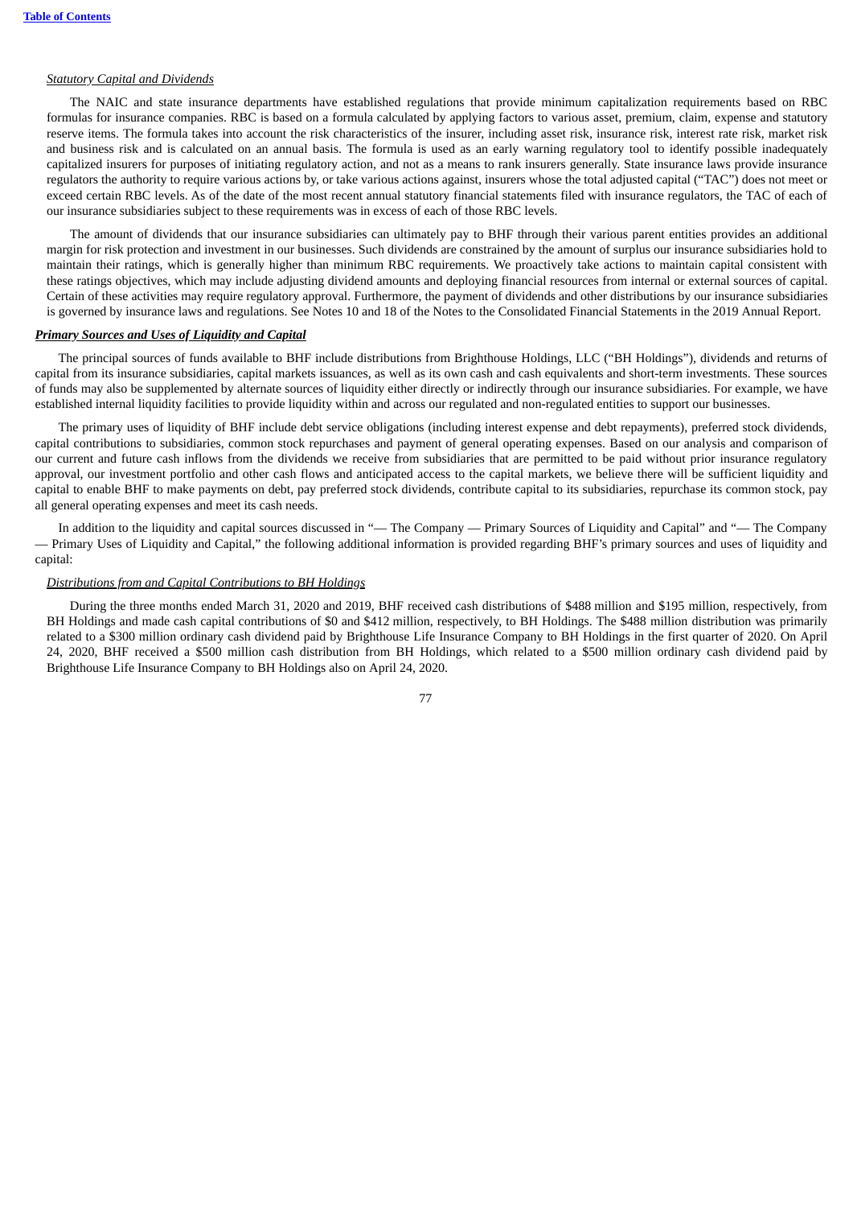#### *Statutory Capital and Dividends*

The NAIC and state insurance departments have established regulations that provide minimum capitalization requirements based on RBC formulas for insurance companies. RBC is based on a formula calculated by applying factors to various asset, premium, claim, expense and statutory reserve items. The formula takes into account the risk characteristics of the insurer, including asset risk, insurance risk, interest rate risk, market risk and business risk and is calculated on an annual basis. The formula is used as an early warning regulatory tool to identify possible inadequately capitalized insurers for purposes of initiating regulatory action, and not as a means to rank insurers generally. State insurance laws provide insurance regulators the authority to require various actions by, or take various actions against, insurers whose the total adjusted capital ("TAC") does not meet or exceed certain RBC levels. As of the date of the most recent annual statutory financial statements filed with insurance regulators, the TAC of each of our insurance subsidiaries subject to these requirements was in excess of each of those RBC levels.

The amount of dividends that our insurance subsidiaries can ultimately pay to BHF through their various parent entities provides an additional margin for risk protection and investment in our businesses. Such dividends are constrained by the amount of surplus our insurance subsidiaries hold to maintain their ratings, which is generally higher than minimum RBC requirements. We proactively take actions to maintain capital consistent with these ratings objectives, which may include adjusting dividend amounts and deploying financial resources from internal or external sources of capital. Certain of these activities may require regulatory approval. Furthermore, the payment of dividends and other distributions by our insurance subsidiaries is governed by insurance laws and regulations. See Notes 10 and 18 of the Notes to the Consolidated Financial Statements in the 2019 Annual Report.

#### *Primary Sources and Uses of Liquidity and Capital*

The principal sources of funds available to BHF include distributions from Brighthouse Holdings, LLC ("BH Holdings"), dividends and returns of capital from its insurance subsidiaries, capital markets issuances, as well as its own cash and cash equivalents and short-term investments. These sources of funds may also be supplemented by alternate sources of liquidity either directly or indirectly through our insurance subsidiaries. For example, we have established internal liquidity facilities to provide liquidity within and across our regulated and non-regulated entities to support our businesses.

The primary uses of liquidity of BHF include debt service obligations (including interest expense and debt repayments), preferred stock dividends, capital contributions to subsidiaries, common stock repurchases and payment of general operating expenses. Based on our analysis and comparison of our current and future cash inflows from the dividends we receive from subsidiaries that are permitted to be paid without prior insurance regulatory approval, our investment portfolio and other cash flows and anticipated access to the capital markets, we believe there will be sufficient liquidity and capital to enable BHF to make payments on debt, pay preferred stock dividends, contribute capital to its subsidiaries, repurchase its common stock, pay all general operating expenses and meet its cash needs.

In addition to the liquidity and capital sources discussed in "— The Company — Primary Sources of Liquidity and Capital" and "— The Company — Primary Uses of Liquidity and Capital," the following additional information is provided regarding BHF's primary sources and uses of liquidity and capital:

#### *Distributions from and Capital Contributions to BH Holdings*

During the three months ended March 31, 2020 and 2019, BHF received cash distributions of \$488 million and \$195 million, respectively, from BH Holdings and made cash capital contributions of \$0 and \$412 million, respectively, to BH Holdings. The \$488 million distribution was primarily related to a \$300 million ordinary cash dividend paid by Brighthouse Life Insurance Company to BH Holdings in the first quarter of 2020. On April 24, 2020, BHF received a \$500 million cash distribution from BH Holdings, which related to a \$500 million ordinary cash dividend paid by Brighthouse Life Insurance Company to BH Holdings also on April 24, 2020.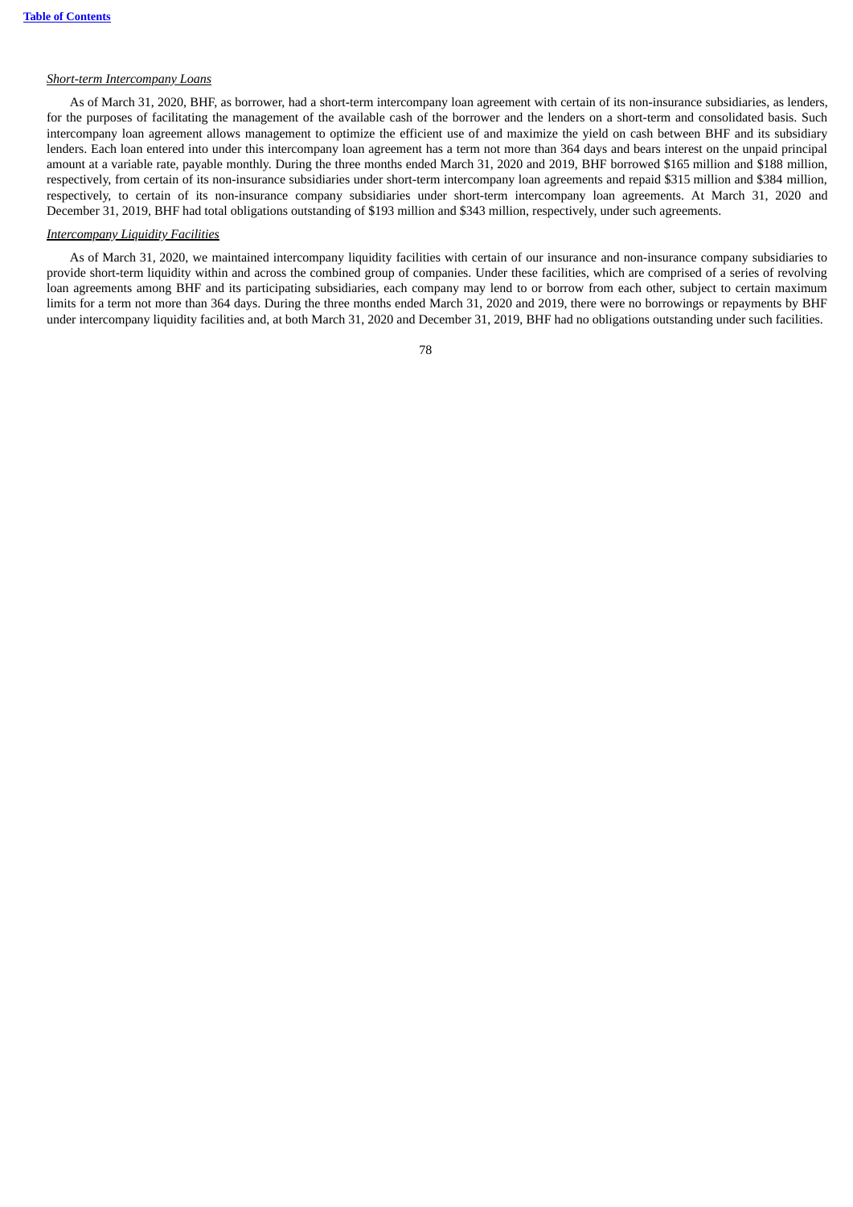#### *Short-term Intercompany Loans*

As of March 31, 2020, BHF, as borrower, had a short-term intercompany loan agreement with certain of its non-insurance subsidiaries, as lenders, for the purposes of facilitating the management of the available cash of the borrower and the lenders on a short-term and consolidated basis. Such intercompany loan agreement allows management to optimize the efficient use of and maximize the yield on cash between BHF and its subsidiary lenders. Each loan entered into under this intercompany loan agreement has a term not more than 364 days and bears interest on the unpaid principal amount at a variable rate, payable monthly. During the three months ended March 31, 2020 and 2019, BHF borrowed \$165 million and \$188 million, respectively, from certain of its non-insurance subsidiaries under short-term intercompany loan agreements and repaid \$315 million and \$384 million, respectively, to certain of its non-insurance company subsidiaries under short-term intercompany loan agreements. At March 31, 2020 and December 31, 2019, BHF had total obligations outstanding of \$193 million and \$343 million, respectively, under such agreements.

#### *Intercompany Liquidity Facilities*

As of March 31, 2020, we maintained intercompany liquidity facilities with certain of our insurance and non-insurance company subsidiaries to provide short-term liquidity within and across the combined group of companies. Under these facilities, which are comprised of a series of revolving loan agreements among BHF and its participating subsidiaries, each company may lend to or borrow from each other, subject to certain maximum limits for a term not more than 364 days. During the three months ended March 31, 2020 and 2019, there were no borrowings or repayments by BHF under intercompany liquidity facilities and, at both March 31, 2020 and December 31, 2019, BHF had no obligations outstanding under such facilities.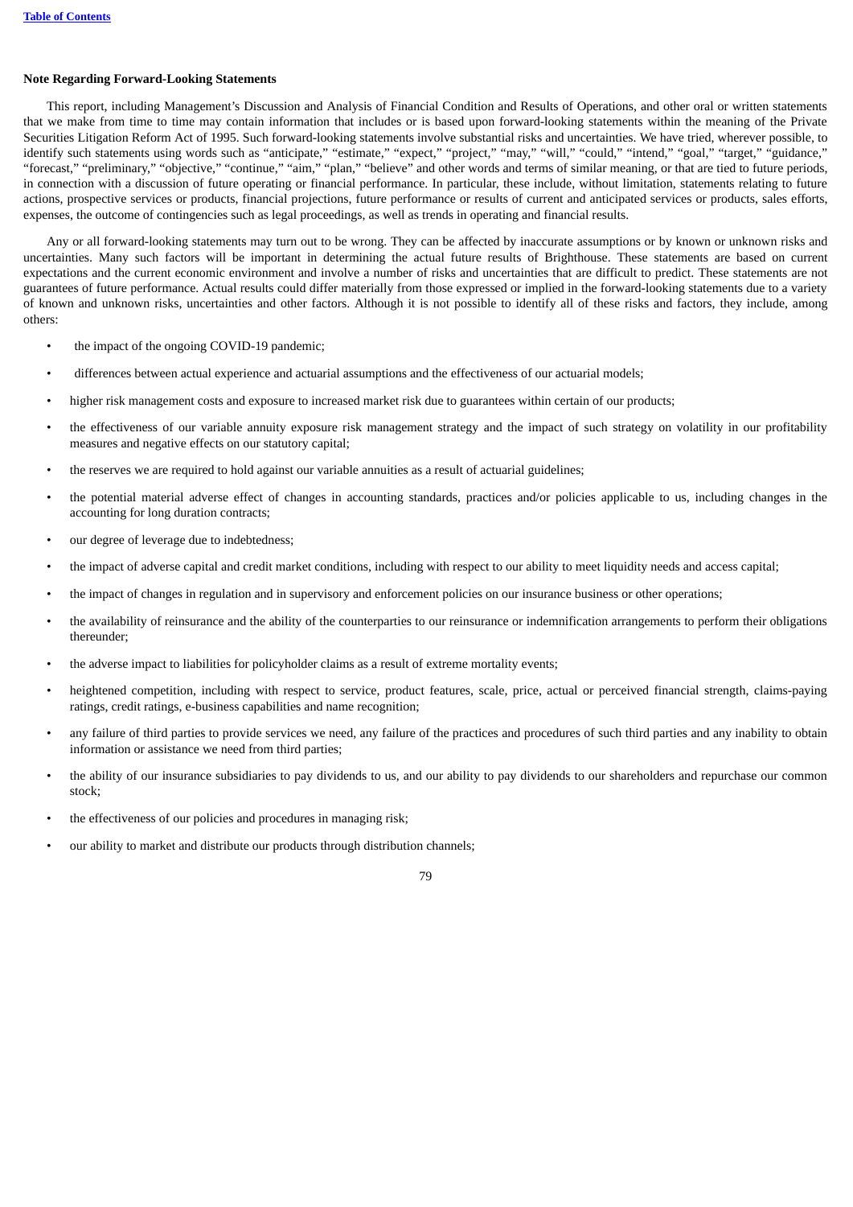#### **Note Regarding Forward-Looking Statements**

This report, including Management's Discussion and Analysis of Financial Condition and Results of Operations, and other oral or written statements that we make from time to time may contain information that includes or is based upon forward-looking statements within the meaning of the Private Securities Litigation Reform Act of 1995. Such forward-looking statements involve substantial risks and uncertainties. We have tried, wherever possible, to identify such statements using words such as "anticipate," "estimate," "expect," "project," "may," "will," "could," "intend," "goal," "target," "guidance," "forecast," "preliminary," "objective," "continue," "aim," "plan," "believe" and other words and terms of similar meaning, or that are tied to future periods, in connection with a discussion of future operating or financial performance. In particular, these include, without limitation, statements relating to future actions, prospective services or products, financial projections, future performance or results of current and anticipated services or products, sales efforts, expenses, the outcome of contingencies such as legal proceedings, as well as trends in operating and financial results.

Any or all forward-looking statements may turn out to be wrong. They can be affected by inaccurate assumptions or by known or unknown risks and uncertainties. Many such factors will be important in determining the actual future results of Brighthouse. These statements are based on current expectations and the current economic environment and involve a number of risks and uncertainties that are difficult to predict. These statements are not guarantees of future performance. Actual results could differ materially from those expressed or implied in the forward-looking statements due to a variety of known and unknown risks, uncertainties and other factors. Although it is not possible to identify all of these risks and factors, they include, among others:

- the impact of the ongoing COVID-19 pandemic;
- differences between actual experience and actuarial assumptions and the effectiveness of our actuarial models;
- higher risk management costs and exposure to increased market risk due to guarantees within certain of our products;
- the effectiveness of our variable annuity exposure risk management strategy and the impact of such strategy on volatility in our profitability measures and negative effects on our statutory capital;
- the reserves we are required to hold against our variable annuities as a result of actuarial guidelines;
- the potential material adverse effect of changes in accounting standards, practices and/or policies applicable to us, including changes in the accounting for long duration contracts;
- our degree of leverage due to indebtedness;
- the impact of adverse capital and credit market conditions, including with respect to our ability to meet liquidity needs and access capital;
- the impact of changes in regulation and in supervisory and enforcement policies on our insurance business or other operations;
- the availability of reinsurance and the ability of the counterparties to our reinsurance or indemnification arrangements to perform their obligations thereunder;
- the adverse impact to liabilities for policyholder claims as a result of extreme mortality events;
- heightened competition, including with respect to service, product features, scale, price, actual or perceived financial strength, claims-paying ratings, credit ratings, e-business capabilities and name recognition;
- any failure of third parties to provide services we need, any failure of the practices and procedures of such third parties and any inability to obtain information or assistance we need from third parties;
- the ability of our insurance subsidiaries to pay dividends to us, and our ability to pay dividends to our shareholders and repurchase our common stock;
- the effectiveness of our policies and procedures in managing risk;
- our ability to market and distribute our products through distribution channels;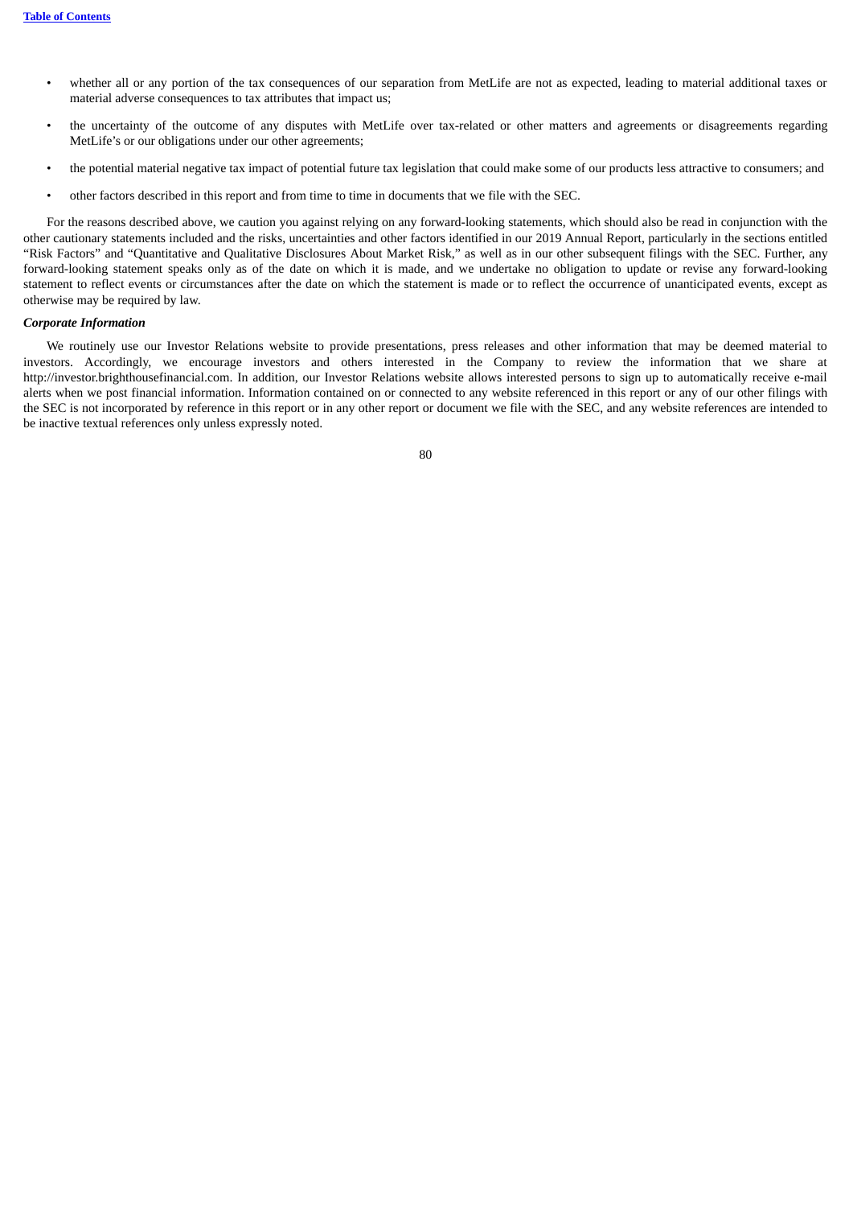- whether all or any portion of the tax consequences of our separation from MetLife are not as expected, leading to material additional taxes or material adverse consequences to tax attributes that impact us;
- the uncertainty of the outcome of any disputes with MetLife over tax-related or other matters and agreements or disagreements regarding MetLife's or our obligations under our other agreements;
- the potential material negative tax impact of potential future tax legislation that could make some of our products less attractive to consumers; and
- other factors described in this report and from time to time in documents that we file with the SEC.

For the reasons described above, we caution you against relying on any forward-looking statements, which should also be read in conjunction with the other cautionary statements included and the risks, uncertainties and other factors identified in our 2019 Annual Report, particularly in the sections entitled "Risk Factors" and "Quantitative and Qualitative Disclosures About Market Risk," as well as in our other subsequent filings with the SEC. Further, any forward-looking statement speaks only as of the date on which it is made, and we undertake no obligation to update or revise any forward-looking statement to reflect events or circumstances after the date on which the statement is made or to reflect the occurrence of unanticipated events, except as otherwise may be required by law.

#### *Corporate Information*

We routinely use our Investor Relations website to provide presentations, press releases and other information that may be deemed material to investors. Accordingly, we encourage investors and others interested in the Company to review the information that we share at http://investor.brighthousefinancial.com. In addition, our Investor Relations website allows interested persons to sign up to automatically receive e-mail alerts when we post financial information. Information contained on or connected to any website referenced in this report or any of our other filings with the SEC is not incorporated by reference in this report or in any other report or document we file with the SEC, and any website references are intended to be inactive textual references only unless expressly noted.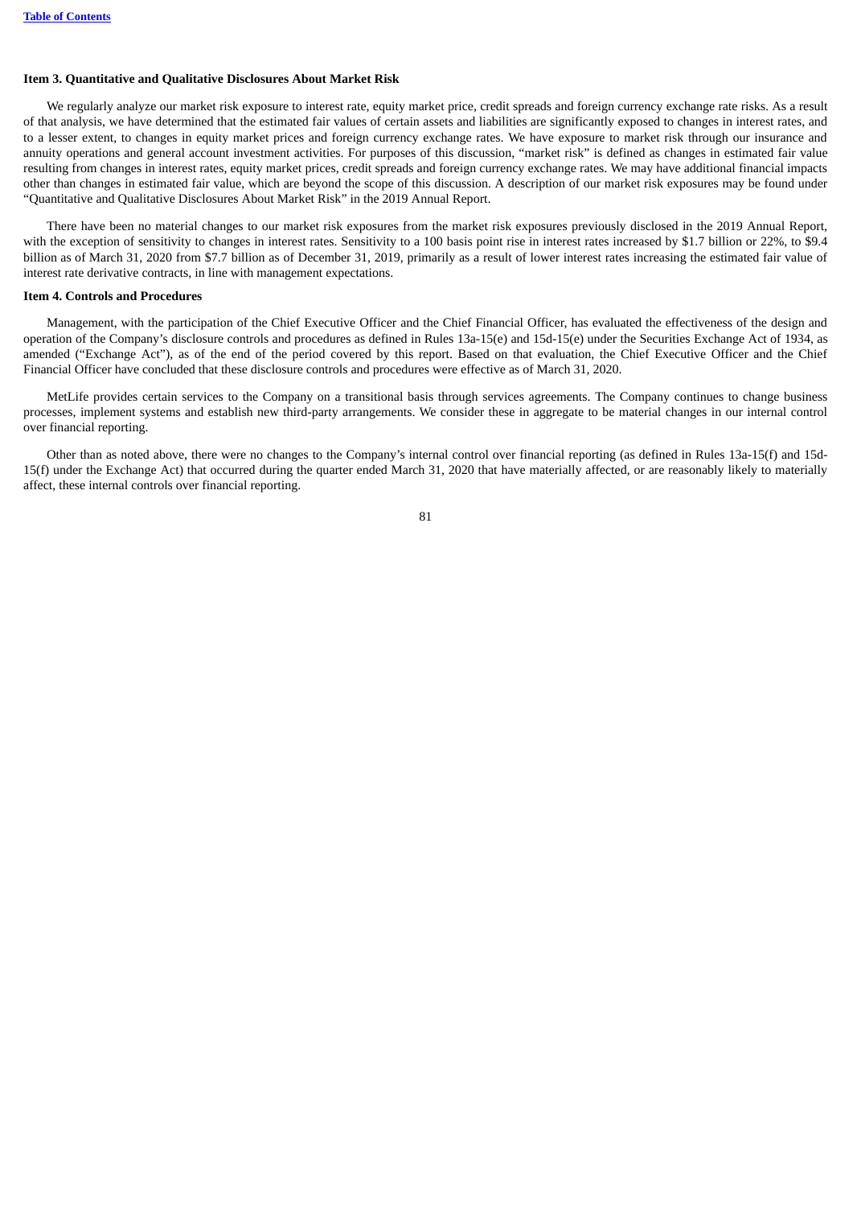#### **Item 3. Quantitative and Qualitative Disclosures About Market Risk**

We regularly analyze our market risk exposure to interest rate, equity market price, credit spreads and foreign currency exchange rate risks. As a result of that analysis, we have determined that the estimated fair values of certain assets and liabilities are significantly exposed to changes in interest rates, and to a lesser extent, to changes in equity market prices and foreign currency exchange rates. We have exposure to market risk through our insurance and annuity operations and general account investment activities. For purposes of this discussion, "market risk" is defined as changes in estimated fair value resulting from changes in interest rates, equity market prices, credit spreads and foreign currency exchange rates. We may have additional financial impacts other than changes in estimated fair value, which are beyond the scope of this discussion. A description of our market risk exposures may be found under "Quantitative and Qualitative Disclosures About Market Risk" in the 2019 Annual Report.

There have been no material changes to our market risk exposures from the market risk exposures previously disclosed in the 2019 Annual Report, with the exception of sensitivity to changes in interest rates. Sensitivity to a 100 basis point rise in interest rates increased by \$1.7 billion or 22%, to \$9.4 billion as of March 31, 2020 from \$7.7 billion as of December 31, 2019, primarily as a result of lower interest rates increasing the estimated fair value of interest rate derivative contracts, in line with management expectations.

## **Item 4. Controls and Procedures**

Management, with the participation of the Chief Executive Officer and the Chief Financial Officer, has evaluated the effectiveness of the design and operation of the Company's disclosure controls and procedures as defined in Rules 13a-15(e) and 15d-15(e) under the Securities Exchange Act of 1934, as amended ("Exchange Act"), as of the end of the period covered by this report. Based on that evaluation, the Chief Executive Officer and the Chief Financial Officer have concluded that these disclosure controls and procedures were effective as of March 31, 2020.

MetLife provides certain services to the Company on a transitional basis through services agreements. The Company continues to change business processes, implement systems and establish new third-party arrangements. We consider these in aggregate to be material changes in our internal control over financial reporting.

Other than as noted above, there were no changes to the Company's internal control over financial reporting (as defined in Rules 13a-15(f) and 15d-15(f) under the Exchange Act) that occurred during the quarter ended March 31, 2020 that have materially affected, or are reasonably likely to materially affect, these internal controls over financial reporting.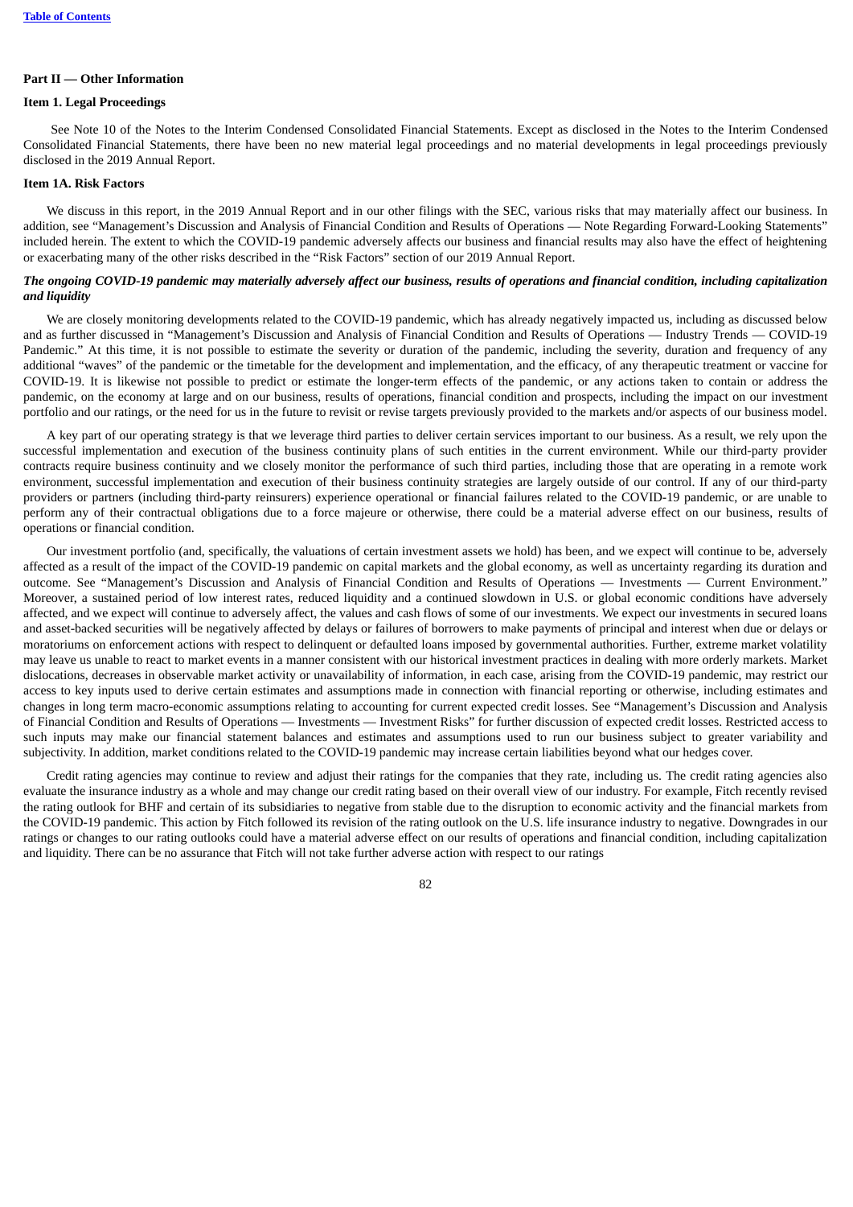#### **Part II — Other Information**

# **Item 1. Legal Proceedings**

See Note 10 of the Notes to the Interim Condensed Consolidated Financial Statements. Except as disclosed in the Notes to the Interim Condensed Consolidated Financial Statements, there have been no new material legal proceedings and no material developments in legal proceedings previously disclosed in the 2019 Annual Report.

# **Item 1A. Risk Factors**

We discuss in this report, in the 2019 Annual Report and in our other filings with the SEC, various risks that may materially affect our business. In addition, see "Management's Discussion and Analysis of Financial Condition and Results of Operations — Note Regarding Forward-Looking Statements" included herein. The extent to which the COVID-19 pandemic adversely affects our business and financial results may also have the effect of heightening or exacerbating many of the other risks described in the "Risk Factors" section of our 2019 Annual Report.

# The ongoing COVID-19 pandemic may materially adversely affect our business, results of operations and financial condition, including capitalization *and liquidity*

We are closely monitoring developments related to the COVID-19 pandemic, which has already negatively impacted us, including as discussed below and as further discussed in "Management's Discussion and Analysis of Financial Condition and Results of Operations — Industry Trends — COVID-19 Pandemic." At this time, it is not possible to estimate the severity or duration of the pandemic, including the severity, duration and frequency of any additional "waves" of the pandemic or the timetable for the development and implementation, and the efficacy, of any therapeutic treatment or vaccine for COVID-19. It is likewise not possible to predict or estimate the longer-term effects of the pandemic, or any actions taken to contain or address the pandemic, on the economy at large and on our business, results of operations, financial condition and prospects, including the impact on our investment portfolio and our ratings, or the need for us in the future to revisit or revise targets previously provided to the markets and/or aspects of our business model.

A key part of our operating strategy is that we leverage third parties to deliver certain services important to our business. As a result, we rely upon the successful implementation and execution of the business continuity plans of such entities in the current environment. While our third-party provider contracts require business continuity and we closely monitor the performance of such third parties, including those that are operating in a remote work environment, successful implementation and execution of their business continuity strategies are largely outside of our control. If any of our third-party providers or partners (including third-party reinsurers) experience operational or financial failures related to the COVID-19 pandemic, or are unable to perform any of their contractual obligations due to a force majeure or otherwise, there could be a material adverse effect on our business, results of operations or financial condition.

Our investment portfolio (and, specifically, the valuations of certain investment assets we hold) has been, and we expect will continue to be, adversely affected as a result of the impact of the COVID-19 pandemic on capital markets and the global economy, as well as uncertainty regarding its duration and outcome. See "Management's Discussion and Analysis of Financial Condition and Results of Operations — Investments — Current Environment." Moreover, a sustained period of low interest rates, reduced liquidity and a continued slowdown in U.S. or global economic conditions have adversely affected, and we expect will continue to adversely affect, the values and cash flows of some of our investments. We expect our investments in secured loans and asset-backed securities will be negatively affected by delays or failures of borrowers to make payments of principal and interest when due or delays or moratoriums on enforcement actions with respect to delinquent or defaulted loans imposed by governmental authorities. Further, extreme market volatility may leave us unable to react to market events in a manner consistent with our historical investment practices in dealing with more orderly markets. Market dislocations, decreases in observable market activity or unavailability of information, in each case, arising from the COVID-19 pandemic, may restrict our access to key inputs used to derive certain estimates and assumptions made in connection with financial reporting or otherwise, including estimates and changes in long term macro-economic assumptions relating to accounting for current expected credit losses. See "Management's Discussion and Analysis of Financial Condition and Results of Operations — Investments — Investment Risks" for further discussion of expected credit losses. Restricted access to such inputs may make our financial statement balances and estimates and assumptions used to run our business subject to greater variability and subjectivity. In addition, market conditions related to the COVID-19 pandemic may increase certain liabilities beyond what our hedges cover.

Credit rating agencies may continue to review and adjust their ratings for the companies that they rate, including us. The credit rating agencies also evaluate the insurance industry as a whole and may change our credit rating based on their overall view of our industry. For example, Fitch recently revised the rating outlook for BHF and certain of its subsidiaries to negative from stable due to the disruption to economic activity and the financial markets from the COVID-19 pandemic. This action by Fitch followed its revision of the rating outlook on the U.S. life insurance industry to negative. Downgrades in our ratings or changes to our rating outlooks could have a material adverse effect on our results of operations and financial condition, including capitalization and liquidity. There can be no assurance that Fitch will not take further adverse action with respect to our ratings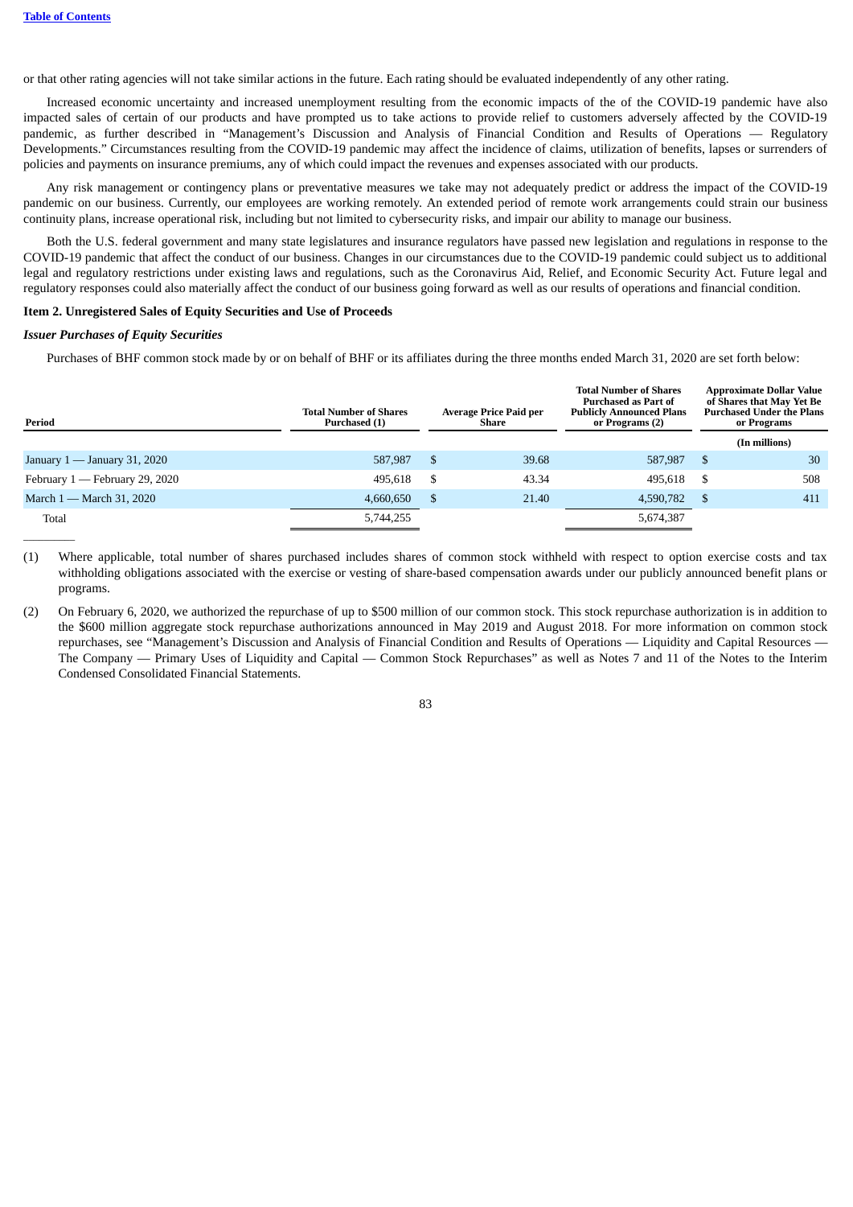or that other rating agencies will not take similar actions in the future. Each rating should be evaluated independently of any other rating.

Increased economic uncertainty and increased unemployment resulting from the economic impacts of the of the COVID-19 pandemic have also impacted sales of certain of our products and have prompted us to take actions to provide relief to customers adversely affected by the COVID-19 pandemic, as further described in "Management's Discussion and Analysis of Financial Condition and Results of Operations — Regulatory Developments." Circumstances resulting from the COVID-19 pandemic may affect the incidence of claims, utilization of benefits, lapses or surrenders of policies and payments on insurance premiums, any of which could impact the revenues and expenses associated with our products.

Any risk management or contingency plans or preventative measures we take may not adequately predict or address the impact of the COVID-19 pandemic on our business. Currently, our employees are working remotely. An extended period of remote work arrangements could strain our business continuity plans, increase operational risk, including but not limited to cybersecurity risks, and impair our ability to manage our business.

Both the U.S. federal government and many state legislatures and insurance regulators have passed new legislation and regulations in response to the COVID-19 pandemic that affect the conduct of our business. Changes in our circumstances due to the COVID-19 pandemic could subject us to additional legal and regulatory restrictions under existing laws and regulations, such as the Coronavirus Aid, Relief, and Economic Security Act. Future legal and regulatory responses could also materially affect the conduct of our business going forward as well as our results of operations and financial condition.

#### **Item 2. Unregistered Sales of Equity Securities and Use of Proceeds**

#### *Issuer Purchases of Equity Securities*

Purchases of BHF common stock made by or on behalf of BHF or its affiliates during the three months ended March 31, 2020 are set forth below:

| Period                         | <b>Total Number of Shares</b><br>Purchased (1) |     | Average Price Paid per<br>Share | <b>Total Number of Shares</b><br><b>Purchased as Part of</b><br><b>Publicly Announced Plans</b><br>or Programs (2) | Approximate Dollar Value<br>of Shares that May Yet Be<br><b>Purchased Under the Plans</b><br>or Programs |               |
|--------------------------------|------------------------------------------------|-----|---------------------------------|--------------------------------------------------------------------------------------------------------------------|----------------------------------------------------------------------------------------------------------|---------------|
|                                |                                                |     |                                 |                                                                                                                    |                                                                                                          | (In millions) |
| January $1 -$ January 31, 2020 | 587,987                                        | S.  | 39.68                           | 587,987                                                                                                            | -S                                                                                                       | 30            |
| February 1 — February 29, 2020 | 495.618                                        | \$. | 43.34                           | 495,618                                                                                                            | -S                                                                                                       | 508           |
| March 1 — March 31, 2020       | 4,660,650                                      | \$  | 21.40                           | 4,590,782                                                                                                          | S                                                                                                        | 411           |
| Total                          | 5,744,255                                      |     |                                 | 5,674,387                                                                                                          |                                                                                                          |               |
|                                |                                                |     |                                 |                                                                                                                    |                                                                                                          |               |

(1) Where applicable, total number of shares purchased includes shares of common stock withheld with respect to option exercise costs and tax withholding obligations associated with the exercise or vesting of share-based compensation awards under our publicly announced benefit plans or programs.

(2) On February 6, 2020, we authorized the repurchase of up to \$500 million of our common stock. This stock repurchase authorization is in addition to the \$600 million aggregate stock repurchase authorizations announced in May 2019 and August 2018. For more information on common stock repurchases, see "Management's Discussion and Analysis of Financial Condition and Results of Operations — Liquidity and Capital Resources — The Company — Primary Uses of Liquidity and Capital — Common Stock Repurchases" as well as Notes 7 and 11 of the Notes to the Interim Condensed Consolidated Financial Statements.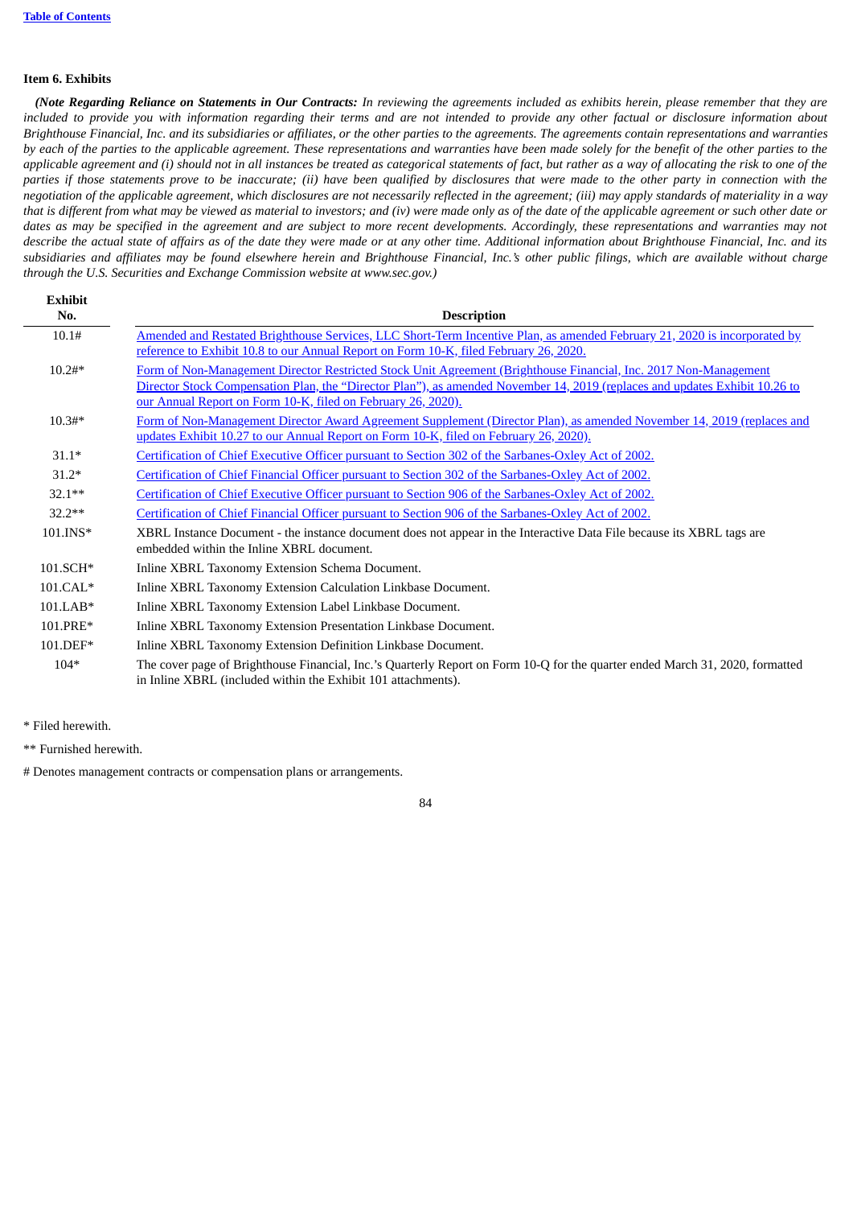## **Item 6. Exhibits**

(Note Regarding Reliance on Statements in Our Contracts: In reviewing the agreements included as exhibits herein, please remember that they are included to provide you with information regarding their terms and are not intended to provide any other factual or disclosure information about Brighthouse Financial, Inc. and its subsidiaries or affiliates, or the other parties to the agreements. The agreements contain representations and warranties by each of the parties to the applicable agreement. These representations and warranties have been made solely for the benefit of the other parties to the applicable agreement and (i) should not in all instances be treated as categorical statements of fact, but rather as a way of allocating the risk to one of the parties if those statements prove to be inaccurate; (ii) have been qualified by disclosures that were made to the other party in connection with the negotiation of the applicable agreement, which disclosures are not necessarily reflected in the agreement; (iii) may apply standards of materiality in a way that is different from what may be viewed as material to investors; and (iv) were made only as of the date of the applicable agreement or such other date or dates as may be specified in the agreement and are subject to more recent developments. Accordingly, these representations and warranties may not describe the actual state of affairs as of the date they were made or at any other time. Additional information about Briahthouse Financial, Inc. and its subsidiaries and affiliates may be found elsewhere herein and Brighthouse Financial, Inc.'s other public filings, which are available without charge *through the U.S. Securities and Exchange Commission website at www.sec.gov.)*

| <b>Exhibit</b><br>No. | <b>Description</b>                                                                                                                                                                                                                                                                                              |
|-----------------------|-----------------------------------------------------------------------------------------------------------------------------------------------------------------------------------------------------------------------------------------------------------------------------------------------------------------|
| 10.1#                 | Amended and Restated Brighthouse Services, LLC Short-Term Incentive Plan, as amended February 21, 2020 is incorporated by<br>reference to Exhibit 10.8 to our Annual Report on Form 10-K, filed February 26, 2020.                                                                                              |
| $10.2#*$              | Form of Non-Management Director Restricted Stock Unit Agreement (Brighthouse Financial, Inc. 2017 Non-Management<br>Director Stock Compensation Plan, the "Director Plan"), as amended November 14, 2019 (replaces and updates Exhibit 10.26 to<br>our Annual Report on Form 10-K, filed on February 26, 2020). |
| $10.3#*$              | Form of Non-Management Director Award Agreement Supplement (Director Plan), as amended November 14, 2019 (replaces and<br>updates Exhibit 10.27 to our Annual Report on Form 10-K, filed on February 26, 2020).                                                                                                 |
| $31.1*$               | Certification of Chief Executive Officer pursuant to Section 302 of the Sarbanes-Oxley Act of 2002.                                                                                                                                                                                                             |
| $31.2*$               | Certification of Chief Financial Officer pursuant to Section 302 of the Sarbanes-Oxley Act of 2002.                                                                                                                                                                                                             |
| $32.1***$             | Certification of Chief Executive Officer pursuant to Section 906 of the Sarbanes-Oxley Act of 2002.                                                                                                                                                                                                             |
| $32.2**$              | Certification of Chief Financial Officer pursuant to Section 906 of the Sarbanes-Oxley Act of 2002.                                                                                                                                                                                                             |
| $101.INS*$            | XBRL Instance Document - the instance document does not appear in the Interactive Data File because its XBRL tags are<br>embedded within the Inline XBRL document.                                                                                                                                              |
| 101.SCH*              | Inline XBRL Taxonomy Extension Schema Document.                                                                                                                                                                                                                                                                 |
| $101.CAL*$            | Inline XBRL Taxonomy Extension Calculation Linkbase Document.                                                                                                                                                                                                                                                   |
| $101.LAB*$            | Inline XBRL Taxonomy Extension Label Linkbase Document.                                                                                                                                                                                                                                                         |
| 101.PRE*              | Inline XBRL Taxonomy Extension Presentation Linkbase Document.                                                                                                                                                                                                                                                  |
| 101.DEF*              | Inline XBRL Taxonomy Extension Definition Linkbase Document.                                                                                                                                                                                                                                                    |
| $104*$                | The cover page of Brighthouse Financial, Inc.'s Quarterly Report on Form 10-Q for the quarter ended March 31, 2020, formatted<br>in Inline XBRL (included within the Exhibit 101 attachments).                                                                                                                  |

\* Filed herewith.

\*\* Furnished herewith.

# Denotes management contracts or compensation plans or arrangements.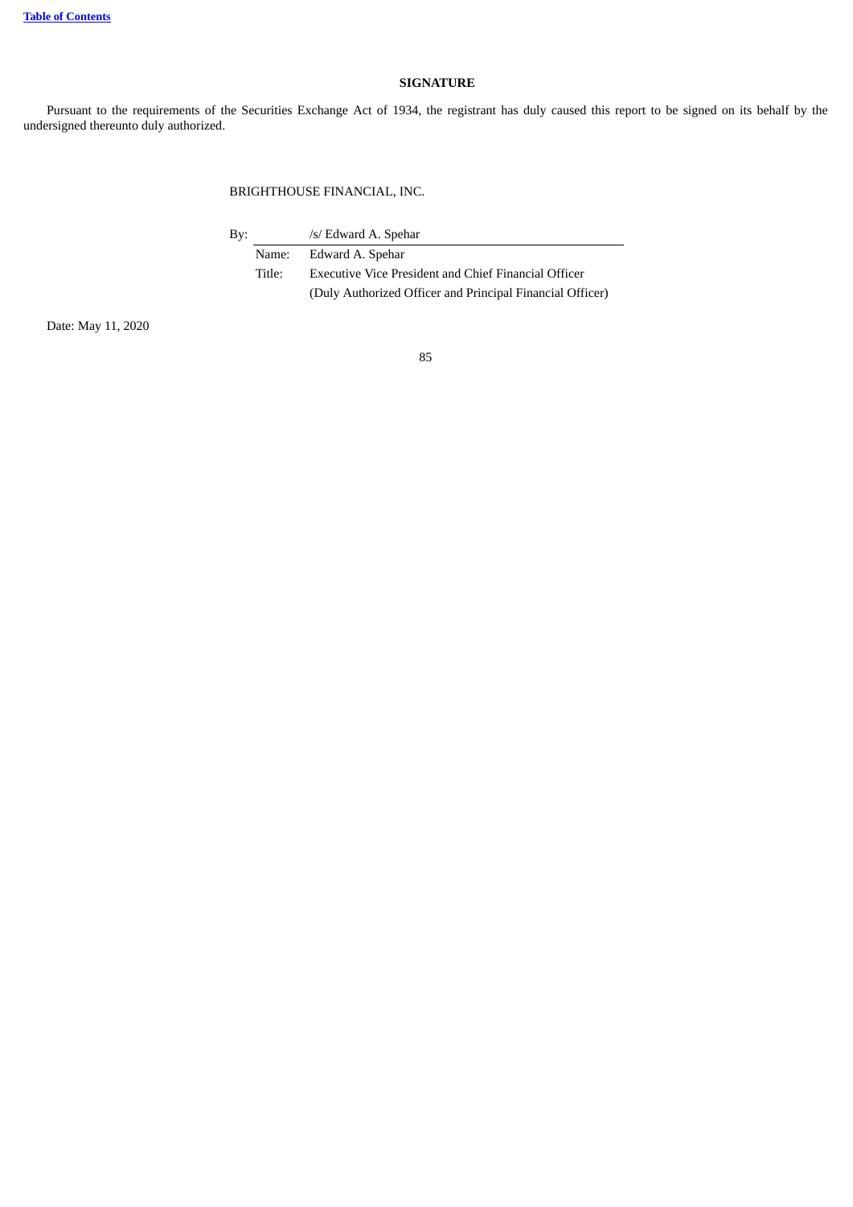# **SIGNATURE**

Pursuant to the requirements of the Securities Exchange Act of 1934, the registrant has duly caused this report to be signed on its behalf by the undersigned thereunto duly authorized.

BRIGHTHOUSE FINANCIAL, INC.

By: /s/ Edward A. Spehar

Name: Edward A. Spehar

Title: Executive Vice President and Chief Financial Officer (Duly Authorized Officer and Principal Financial Officer)

Date: May 11, 2020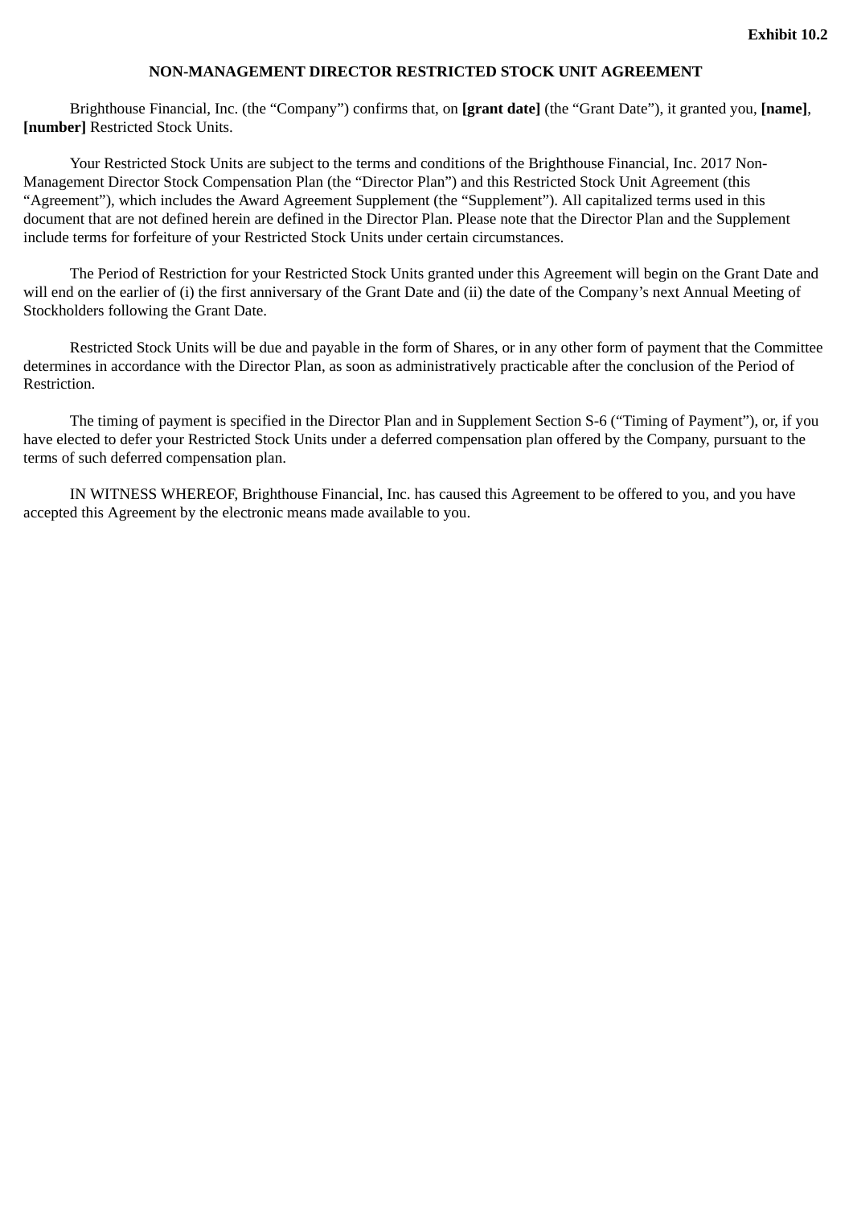# **NON-MANAGEMENT DIRECTOR RESTRICTED STOCK UNIT AGREEMENT**

<span id="page-86-0"></span>Brighthouse Financial, Inc. (the "Company") confirms that, on **[grant date]** (the "Grant Date"), it granted you, **[name]**, **[number]** Restricted Stock Units.

Your Restricted Stock Units are subject to the terms and conditions of the Brighthouse Financial, Inc. 2017 Non-Management Director Stock Compensation Plan (the "Director Plan") and this Restricted Stock Unit Agreement (this "Agreement"), which includes the Award Agreement Supplement (the "Supplement"). All capitalized terms used in this document that are not defined herein are defined in the Director Plan. Please note that the Director Plan and the Supplement include terms for forfeiture of your Restricted Stock Units under certain circumstances.

The Period of Restriction for your Restricted Stock Units granted under this Agreement will begin on the Grant Date and will end on the earlier of (i) the first anniversary of the Grant Date and (ii) the date of the Company's next Annual Meeting of Stockholders following the Grant Date.

Restricted Stock Units will be due and payable in the form of Shares, or in any other form of payment that the Committee determines in accordance with the Director Plan, as soon as administratively practicable after the conclusion of the Period of Restriction.

The timing of payment is specified in the Director Plan and in Supplement Section S-6 ("Timing of Payment"), or, if you have elected to defer your Restricted Stock Units under a deferred compensation plan offered by the Company, pursuant to the terms of such deferred compensation plan.

IN WITNESS WHEREOF, Brighthouse Financial, Inc. has caused this Agreement to be offered to you, and you have accepted this Agreement by the electronic means made available to you.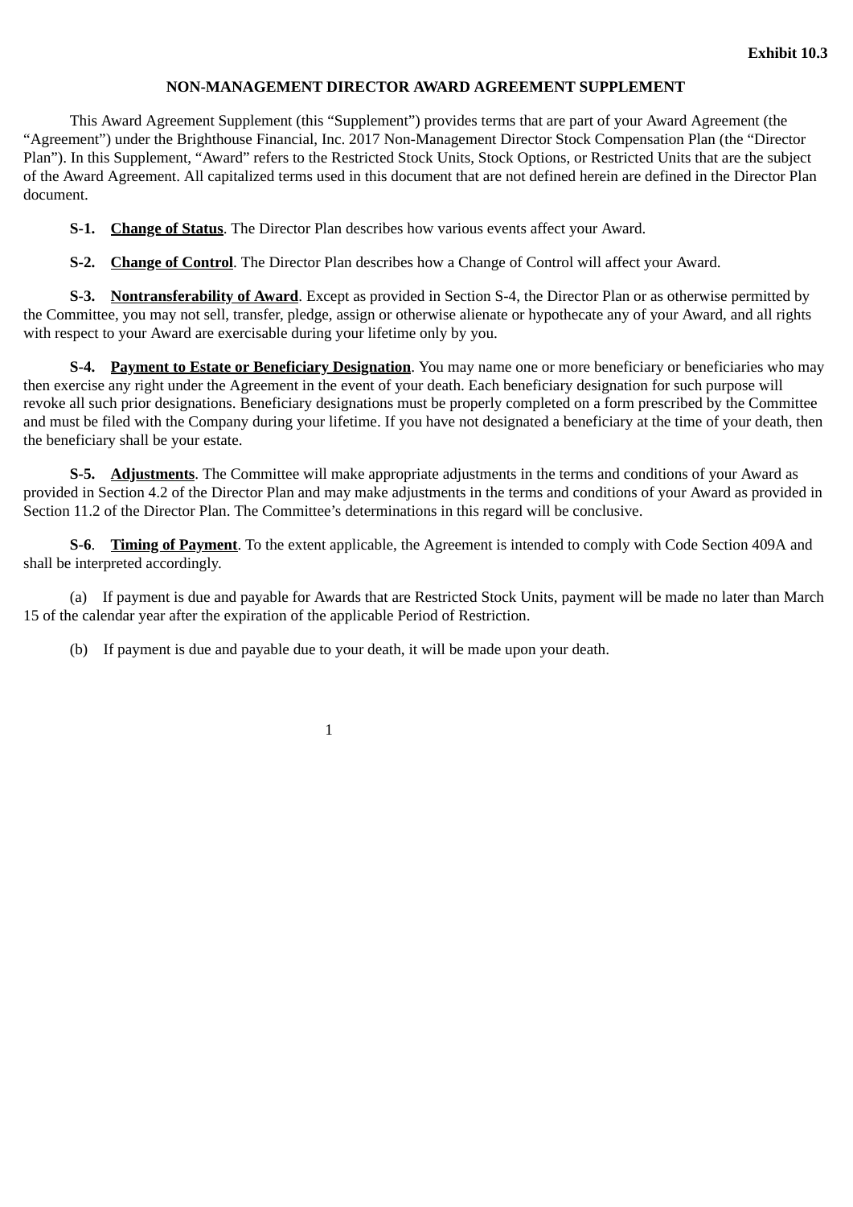# **NON-MANAGEMENT DIRECTOR AWARD AGREEMENT SUPPLEMENT**

<span id="page-87-0"></span>This Award Agreement Supplement (this "Supplement") provides terms that are part of your Award Agreement (the "Agreement") under the Brighthouse Financial, Inc. 2017 Non-Management Director Stock Compensation Plan (the "Director Plan"). In this Supplement, "Award" refers to the Restricted Stock Units, Stock Options, or Restricted Units that are the subject of the Award Agreement. All capitalized terms used in this document that are not defined herein are defined in the Director Plan document.

**S-1. Change of Status**. The Director Plan describes how various events affect your Award.

**S-2. Change of Control**. The Director Plan describes how a Change of Control will affect your Award.

**S-3. Nontransferability of Award**. Except as provided in Section S-4, the Director Plan or as otherwise permitted by the Committee, you may not sell, transfer, pledge, assign or otherwise alienate or hypothecate any of your Award, and all rights with respect to your Award are exercisable during your lifetime only by you.

**S-4.** Payment to Estate or Beneficiary Designation. You may name one or more beneficiary or beneficiaries who may then exercise any right under the Agreement in the event of your death. Each beneficiary designation for such purpose will revoke all such prior designations. Beneficiary designations must be properly completed on a form prescribed by the Committee and must be filed with the Company during your lifetime. If you have not designated a beneficiary at the time of your death, then the beneficiary shall be your estate.

**S-5. Adjustments**. The Committee will make appropriate adjustments in the terms and conditions of your Award as provided in Section 4.2 of the Director Plan and may make adjustments in the terms and conditions of your Award as provided in Section 11.2 of the Director Plan. The Committee's determinations in this regard will be conclusive.

**S-6**. **Timing of Payment**. To the extent applicable, the Agreement is intended to comply with Code Section 409A and shall be interpreted accordingly.

(a) If payment is due and payable for Awards that are Restricted Stock Units, payment will be made no later than March 15 of the calendar year after the expiration of the applicable Period of Restriction.

(b) If payment is due and payable due to your death, it will be made upon your death.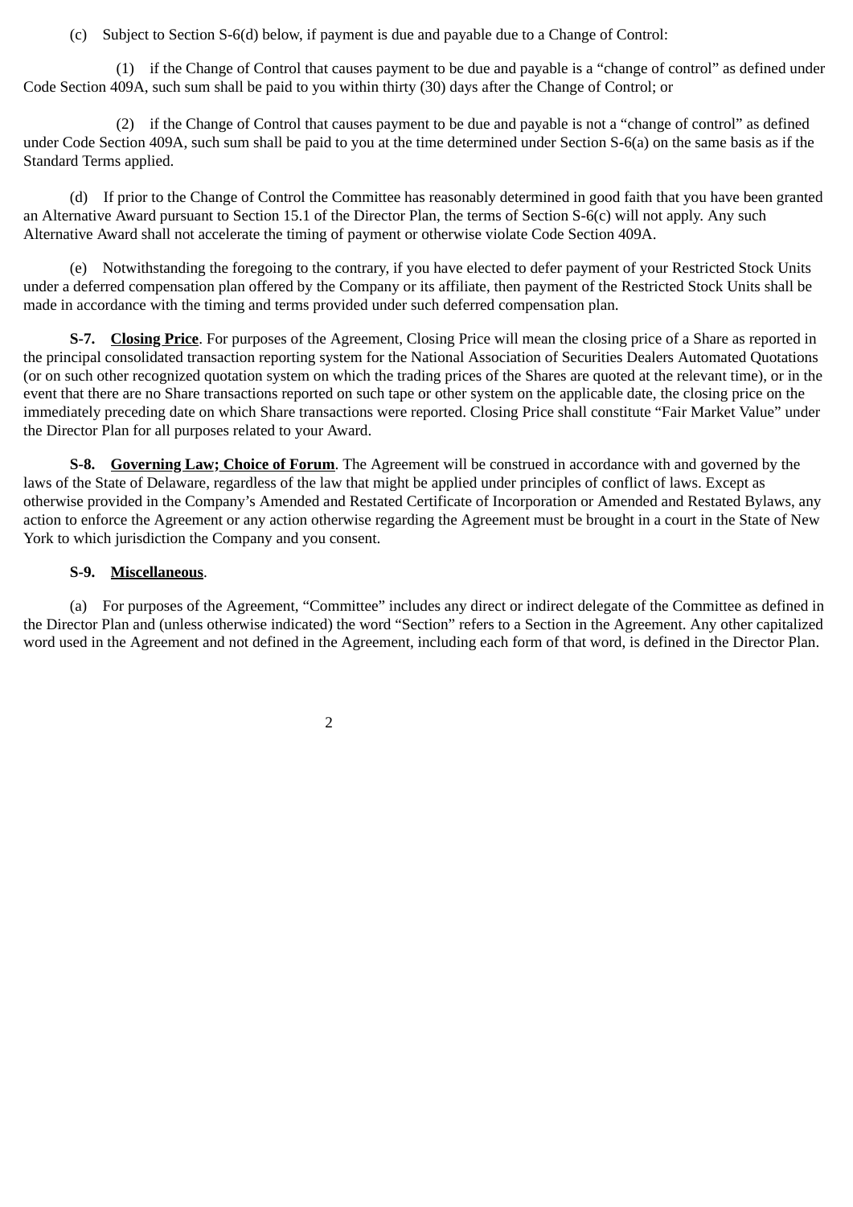(c) Subject to Section S-6(d) below, if payment is due and payable due to a Change of Control:

(1) if the Change of Control that causes payment to be due and payable is a "change of control" as defined under Code Section 409A, such sum shall be paid to you within thirty (30) days after the Change of Control; or

(2) if the Change of Control that causes payment to be due and payable is not a "change of control" as defined under Code Section 409A, such sum shall be paid to you at the time determined under Section S-6(a) on the same basis as if the Standard Terms applied.

(d) If prior to the Change of Control the Committee has reasonably determined in good faith that you have been granted an Alternative Award pursuant to Section 15.1 of the Director Plan, the terms of Section S-6(c) will not apply. Any such Alternative Award shall not accelerate the timing of payment or otherwise violate Code Section 409A.

(e) Notwithstanding the foregoing to the contrary, if you have elected to defer payment of your Restricted Stock Units under a deferred compensation plan offered by the Company or its affiliate, then payment of the Restricted Stock Units shall be made in accordance with the timing and terms provided under such deferred compensation plan.

**S-7. Closing Price**. For purposes of the Agreement, Closing Price will mean the closing price of a Share as reported in the principal consolidated transaction reporting system for the National Association of Securities Dealers Automated Quotations (or on such other recognized quotation system on which the trading prices of the Shares are quoted at the relevant time), or in the event that there are no Share transactions reported on such tape or other system on the applicable date, the closing price on the immediately preceding date on which Share transactions were reported. Closing Price shall constitute "Fair Market Value" under the Director Plan for all purposes related to your Award.

**S-8. Governing Law; Choice of Forum**. The Agreement will be construed in accordance with and governed by the laws of the State of Delaware, regardless of the law that might be applied under principles of conflict of laws. Except as otherwise provided in the Company's Amended and Restated Certificate of Incorporation or Amended and Restated Bylaws, any action to enforce the Agreement or any action otherwise regarding the Agreement must be brought in a court in the State of New York to which jurisdiction the Company and you consent.

# **S-9. Miscellaneous**.

(a) For purposes of the Agreement, "Committee" includes any direct or indirect delegate of the Committee as defined in the Director Plan and (unless otherwise indicated) the word "Section" refers to a Section in the Agreement. Any other capitalized word used in the Agreement and not defined in the Agreement, including each form of that word, is defined in the Director Plan.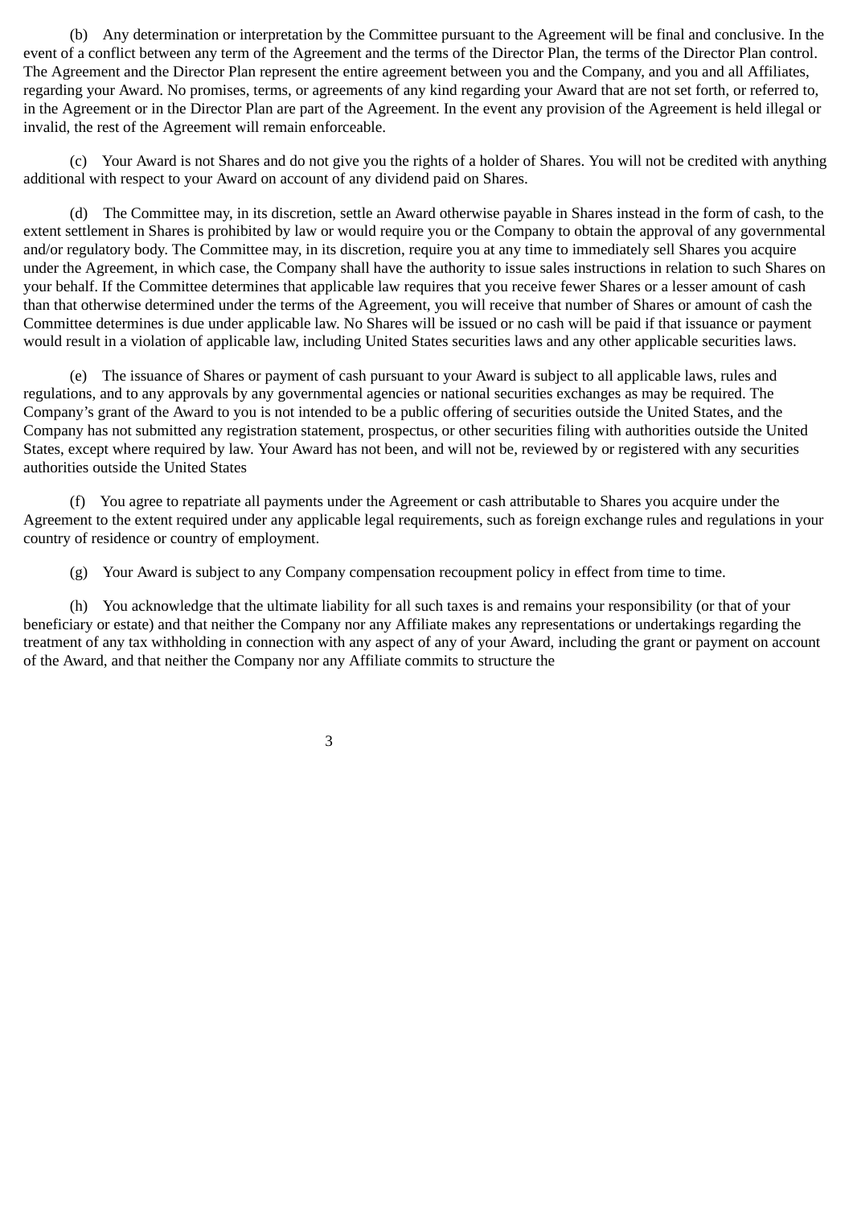(b) Any determination or interpretation by the Committee pursuant to the Agreement will be final and conclusive. In the event of a conflict between any term of the Agreement and the terms of the Director Plan, the terms of the Director Plan control. The Agreement and the Director Plan represent the entire agreement between you and the Company, and you and all Affiliates, regarding your Award. No promises, terms, or agreements of any kind regarding your Award that are not set forth, or referred to, in the Agreement or in the Director Plan are part of the Agreement. In the event any provision of the Agreement is held illegal or invalid, the rest of the Agreement will remain enforceable.

(c) Your Award is not Shares and do not give you the rights of a holder of Shares. You will not be credited with anything additional with respect to your Award on account of any dividend paid on Shares.

(d) The Committee may, in its discretion, settle an Award otherwise payable in Shares instead in the form of cash, to the extent settlement in Shares is prohibited by law or would require you or the Company to obtain the approval of any governmental and/or regulatory body. The Committee may, in its discretion, require you at any time to immediately sell Shares you acquire under the Agreement, in which case, the Company shall have the authority to issue sales instructions in relation to such Shares on your behalf. If the Committee determines that applicable law requires that you receive fewer Shares or a lesser amount of cash than that otherwise determined under the terms of the Agreement, you will receive that number of Shares or amount of cash the Committee determines is due under applicable law. No Shares will be issued or no cash will be paid if that issuance or payment would result in a violation of applicable law, including United States securities laws and any other applicable securities laws.

(e) The issuance of Shares or payment of cash pursuant to your Award is subject to all applicable laws, rules and regulations, and to any approvals by any governmental agencies or national securities exchanges as may be required. The Company's grant of the Award to you is not intended to be a public offering of securities outside the United States, and the Company has not submitted any registration statement, prospectus, or other securities filing with authorities outside the United States, except where required by law. Your Award has not been, and will not be, reviewed by or registered with any securities authorities outside the United States

(f) You agree to repatriate all payments under the Agreement or cash attributable to Shares you acquire under the Agreement to the extent required under any applicable legal requirements, such as foreign exchange rules and regulations in your country of residence or country of employment.

(g) Your Award is subject to any Company compensation recoupment policy in effect from time to time.

(h) You acknowledge that the ultimate liability for all such taxes is and remains your responsibility (or that of your beneficiary or estate) and that neither the Company nor any Affiliate makes any representations or undertakings regarding the treatment of any tax withholding in connection with any aspect of any of your Award, including the grant or payment on account of the Award, and that neither the Company nor any Affiliate commits to structure the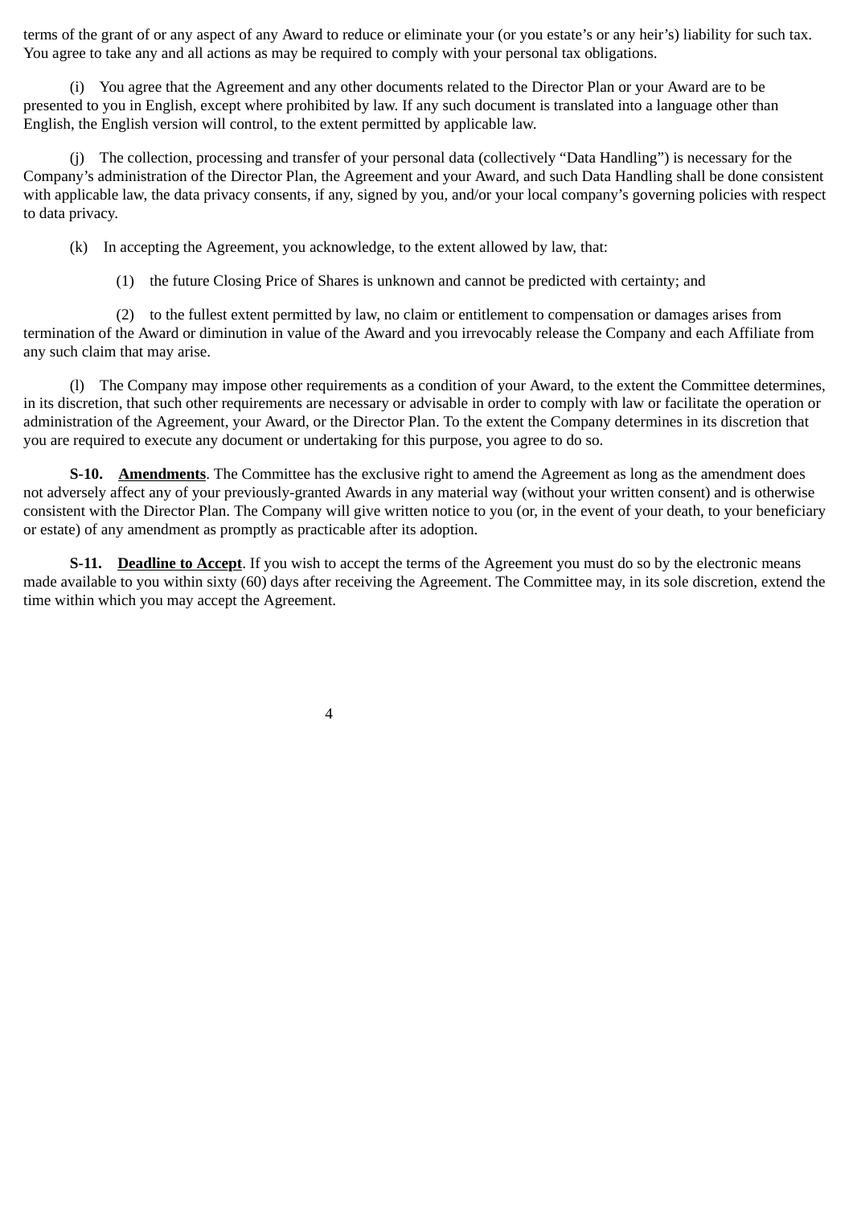terms of the grant of or any aspect of any Award to reduce or eliminate your (or you estate's or any heir's) liability for such tax. You agree to take any and all actions as may be required to comply with your personal tax obligations.

(i) You agree that the Agreement and any other documents related to the Director Plan or your Award are to be presented to you in English, except where prohibited by law. If any such document is translated into a language other than English, the English version will control, to the extent permitted by applicable law.

(j) The collection, processing and transfer of your personal data (collectively "Data Handling") is necessary for the Company's administration of the Director Plan, the Agreement and your Award, and such Data Handling shall be done consistent with applicable law, the data privacy consents, if any, signed by you, and/or your local company's governing policies with respect to data privacy.

(k) In accepting the Agreement, you acknowledge, to the extent allowed by law, that:

(1) the future Closing Price of Shares is unknown and cannot be predicted with certainty; and

(2) to the fullest extent permitted by law, no claim or entitlement to compensation or damages arises from termination of the Award or diminution in value of the Award and you irrevocably release the Company and each Affiliate from any such claim that may arise.

(l) The Company may impose other requirements as a condition of your Award, to the extent the Committee determines, in its discretion, that such other requirements are necessary or advisable in order to comply with law or facilitate the operation or administration of the Agreement, your Award, or the Director Plan. To the extent the Company determines in its discretion that you are required to execute any document or undertaking for this purpose, you agree to do so.

**S-10. Amendments**. The Committee has the exclusive right to amend the Agreement as long as the amendment does not adversely affect any of your previously-granted Awards in any material way (without your written consent) and is otherwise consistent with the Director Plan. The Company will give written notice to you (or, in the event of your death, to your beneficiary or estate) of any amendment as promptly as practicable after its adoption.

**S-11. Deadline to Accept**. If you wish to accept the terms of the Agreement you must do so by the electronic means made available to you within sixty (60) days after receiving the Agreement. The Committee may, in its sole discretion, extend the time within which you may accept the Agreement.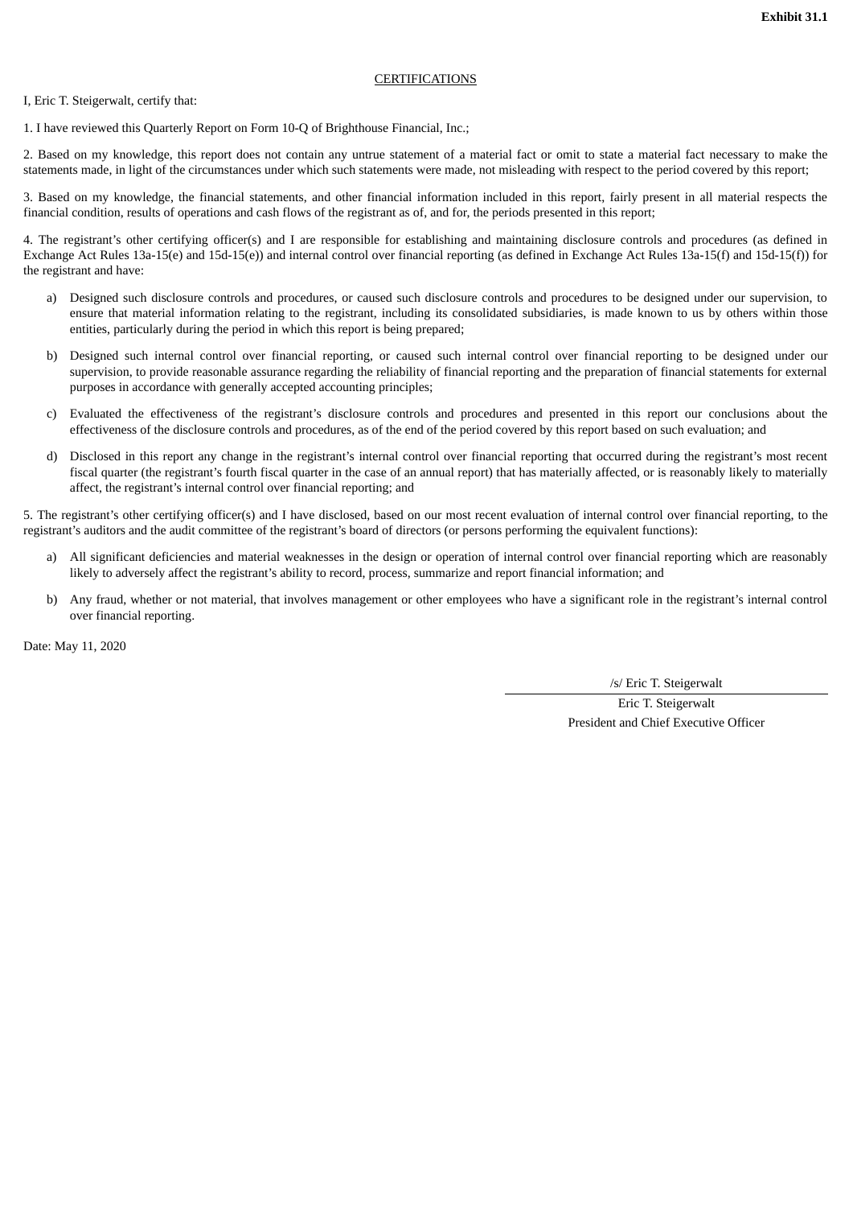## CERTIFICATIONS

## <span id="page-91-0"></span>I, Eric T. Steigerwalt, certify that:

1. I have reviewed this Quarterly Report on Form 10-Q of Brighthouse Financial, Inc.;

2. Based on my knowledge, this report does not contain any untrue statement of a material fact or omit to state a material fact necessary to make the statements made, in light of the circumstances under which such statements were made, not misleading with respect to the period covered by this report;

3. Based on my knowledge, the financial statements, and other financial information included in this report, fairly present in all material respects the financial condition, results of operations and cash flows of the registrant as of, and for, the periods presented in this report;

4. The registrant's other certifying officer(s) and I are responsible for establishing and maintaining disclosure controls and procedures (as defined in Exchange Act Rules 13a-15(e) and 15d-15(e)) and internal control over financial reporting (as defined in Exchange Act Rules 13a-15(f) and 15d-15(f)) for the registrant and have:

- a) Designed such disclosure controls and procedures, or caused such disclosure controls and procedures to be designed under our supervision, to ensure that material information relating to the registrant, including its consolidated subsidiaries, is made known to us by others within those entities, particularly during the period in which this report is being prepared;
- b) Designed such internal control over financial reporting, or caused such internal control over financial reporting to be designed under our supervision, to provide reasonable assurance regarding the reliability of financial reporting and the preparation of financial statements for external purposes in accordance with generally accepted accounting principles;
- c) Evaluated the effectiveness of the registrant's disclosure controls and procedures and presented in this report our conclusions about the effectiveness of the disclosure controls and procedures, as of the end of the period covered by this report based on such evaluation; and
- d) Disclosed in this report any change in the registrant's internal control over financial reporting that occurred during the registrant's most recent fiscal quarter (the registrant's fourth fiscal quarter in the case of an annual report) that has materially affected, or is reasonably likely to materially affect, the registrant's internal control over financial reporting; and

5. The registrant's other certifying officer(s) and I have disclosed, based on our most recent evaluation of internal control over financial reporting, to the registrant's auditors and the audit committee of the registrant's board of directors (or persons performing the equivalent functions):

- a) All significant deficiencies and material weaknesses in the design or operation of internal control over financial reporting which are reasonably likely to adversely affect the registrant's ability to record, process, summarize and report financial information; and
- b) Any fraud, whether or not material, that involves management or other employees who have a significant role in the registrant's internal control over financial reporting.

Date: May 11, 2020

/s/ Eric T. Steigerwalt

Eric T. Steigerwalt President and Chief Executive Officer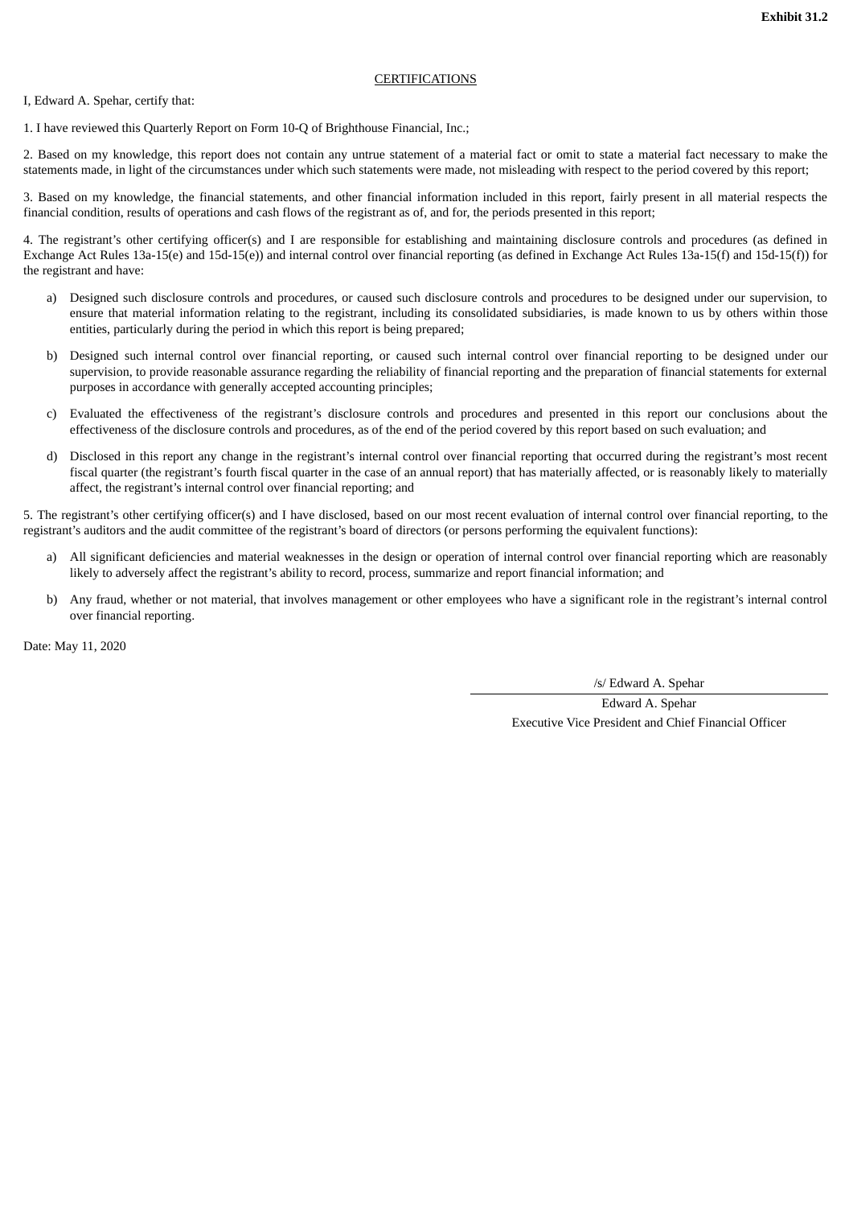## **CERTIFICATIONS**

## <span id="page-92-0"></span>I, Edward A. Spehar, certify that:

1. I have reviewed this Quarterly Report on Form 10-Q of Brighthouse Financial, Inc.;

2. Based on my knowledge, this report does not contain any untrue statement of a material fact or omit to state a material fact necessary to make the statements made, in light of the circumstances under which such statements were made, not misleading with respect to the period covered by this report;

3. Based on my knowledge, the financial statements, and other financial information included in this report, fairly present in all material respects the financial condition, results of operations and cash flows of the registrant as of, and for, the periods presented in this report;

4. The registrant's other certifying officer(s) and I are responsible for establishing and maintaining disclosure controls and procedures (as defined in Exchange Act Rules 13a-15(e) and 15d-15(e)) and internal control over financial reporting (as defined in Exchange Act Rules 13a-15(f) and 15d-15(f)) for the registrant and have:

- a) Designed such disclosure controls and procedures, or caused such disclosure controls and procedures to be designed under our supervision, to ensure that material information relating to the registrant, including its consolidated subsidiaries, is made known to us by others within those entities, particularly during the period in which this report is being prepared;
- b) Designed such internal control over financial reporting, or caused such internal control over financial reporting to be designed under our supervision, to provide reasonable assurance regarding the reliability of financial reporting and the preparation of financial statements for external purposes in accordance with generally accepted accounting principles;
- c) Evaluated the effectiveness of the registrant's disclosure controls and procedures and presented in this report our conclusions about the effectiveness of the disclosure controls and procedures, as of the end of the period covered by this report based on such evaluation; and
- d) Disclosed in this report any change in the registrant's internal control over financial reporting that occurred during the registrant's most recent fiscal quarter (the registrant's fourth fiscal quarter in the case of an annual report) that has materially affected, or is reasonably likely to materially affect, the registrant's internal control over financial reporting; and

5. The registrant's other certifying officer(s) and I have disclosed, based on our most recent evaluation of internal control over financial reporting, to the registrant's auditors and the audit committee of the registrant's board of directors (or persons performing the equivalent functions):

- a) All significant deficiencies and material weaknesses in the design or operation of internal control over financial reporting which are reasonably likely to adversely affect the registrant's ability to record, process, summarize and report financial information; and
- b) Any fraud, whether or not material, that involves management or other employees who have a significant role in the registrant's internal control over financial reporting.

Date: May 11, 2020

/s/ Edward A. Spehar

Edward A. Spehar Executive Vice President and Chief Financial Officer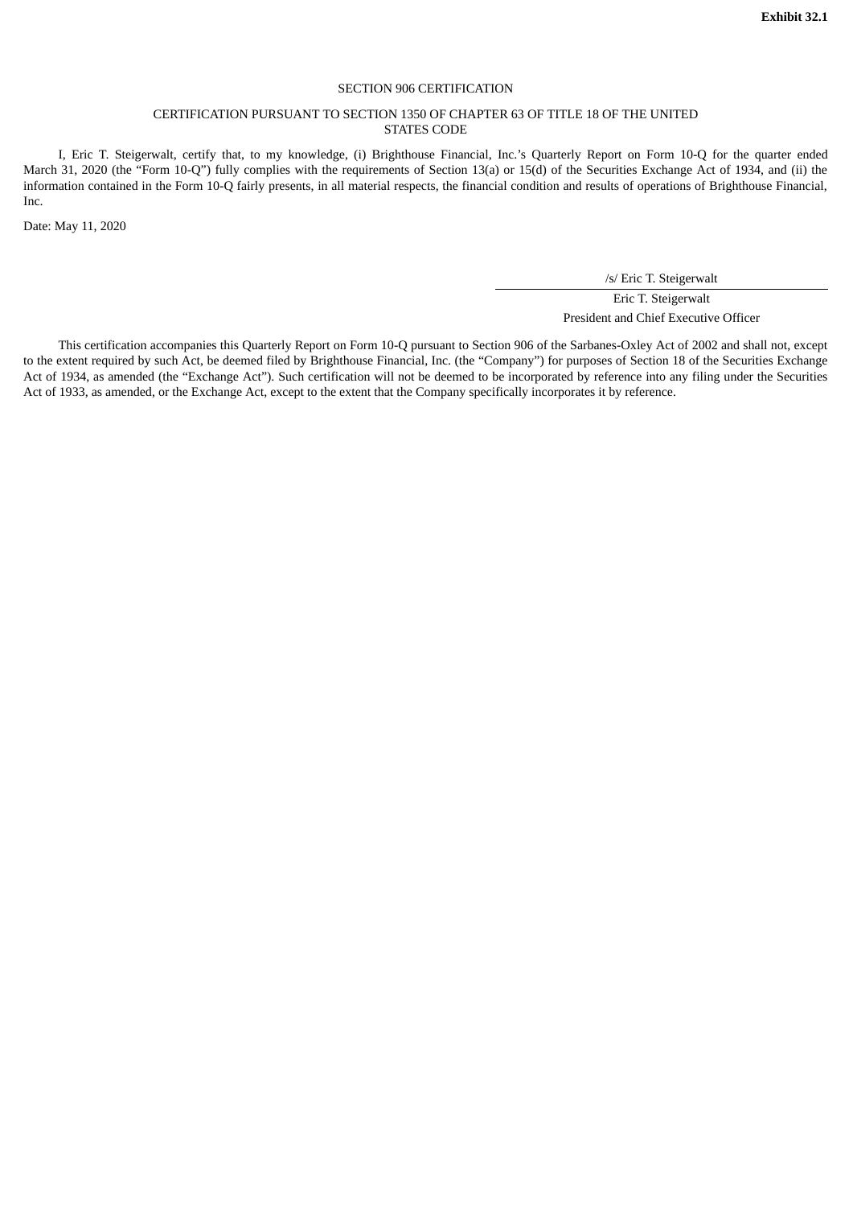# SECTION 906 CERTIFICATION

# CERTIFICATION PURSUANT TO SECTION 1350 OF CHAPTER 63 OF TITLE 18 OF THE UNITED STATES CODE

<span id="page-93-0"></span>I, Eric T. Steigerwalt, certify that, to my knowledge, (i) Brighthouse Financial, Inc.'s Quarterly Report on Form 10-Q for the quarter ended March 31, 2020 (the "Form 10-Q") fully complies with the requirements of Section 13(a) or 15(d) of the Securities Exchange Act of 1934, and (ii) the information contained in the Form 10-Q fairly presents, in all material respects, the financial condition and results of operations of Brighthouse Financial, Inc.

Date: May 11, 2020

/s/ Eric T. Steigerwalt

Eric T. Steigerwalt President and Chief Executive Officer

This certification accompanies this Quarterly Report on Form 10-Q pursuant to Section 906 of the Sarbanes-Oxley Act of 2002 and shall not, except to the extent required by such Act, be deemed filed by Brighthouse Financial, Inc. (the "Company") for purposes of Section 18 of the Securities Exchange Act of 1934, as amended (the "Exchange Act"). Such certification will not be deemed to be incorporated by reference into any filing under the Securities Act of 1933, as amended, or the Exchange Act, except to the extent that the Company specifically incorporates it by reference.